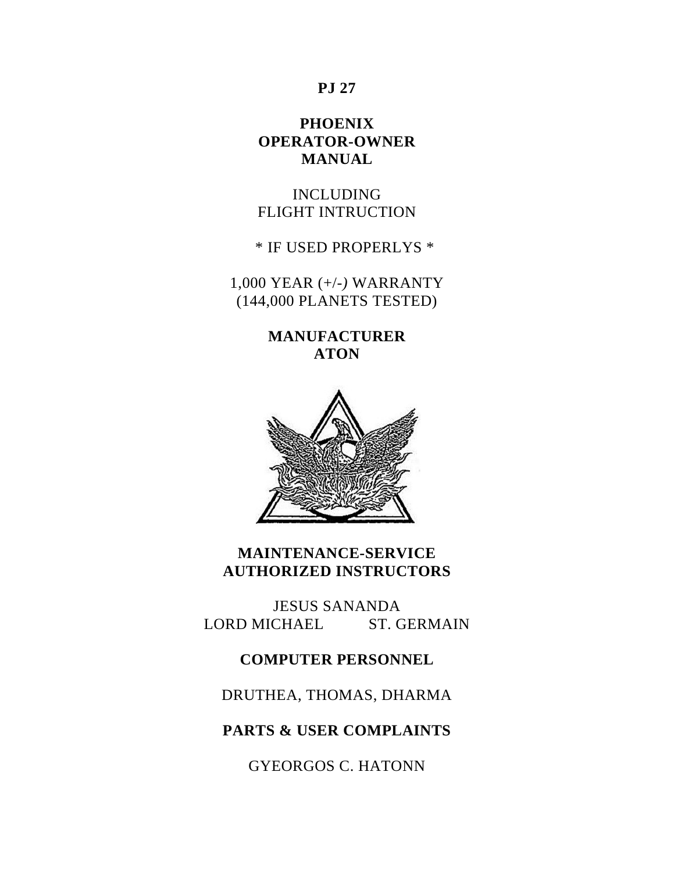**PJ 27**

### **PHOENIX OPERATOR-OWNER MANUAL**

INCLUDING FLIGHT INTRUCTION

\* IF USED PROPERLYS \*

1,000 YEAR (+/-*)* WARRANTY (144,000 PLANETS TESTED)

> **MANUFACTURER ATON**



### **MAINTENANCE-SERVICE AUTHORIZED INSTRUCTORS**

JESUS SANANDA LORD MICHAEL ST. GERMAIN

**COMPUTER PERSONNEL**

DRUTHEA, THOMAS, DHARMA

**PARTS & USER COMPLAINTS**

GYEORGOS C. HATONN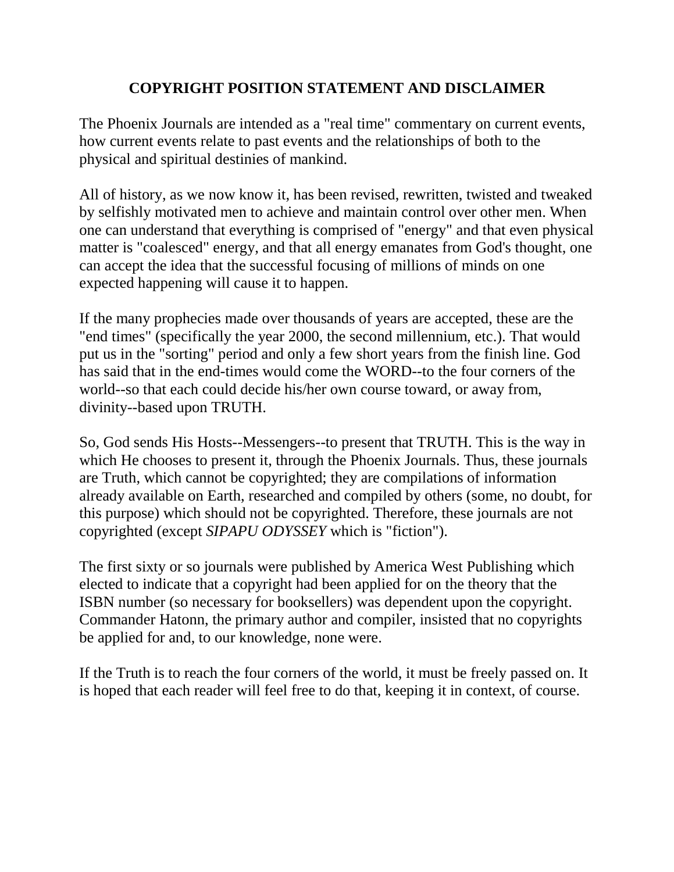# **COPYRIGHT POSITION STATEMENT AND DISCLAIMER**

The Phoenix Journals are intended as a "real time" commentary on current events, how current events relate to past events and the relationships of both to the physical and spiritual destinies of mankind.

All of history, as we now know it, has been revised, rewritten, twisted and tweaked by selfishly motivated men to achieve and maintain control over other men. When one can understand that everything is comprised of "energy" and that even physical matter is "coalesced" energy, and that all energy emanates from God's thought, one can accept the idea that the successful focusing of millions of minds on one expected happening will cause it to happen.

If the many prophecies made over thousands of years are accepted, these are the "end times" (specifically the year 2000, the second millennium, etc.). That would put us in the "sorting" period and only a few short years from the finish line. God has said that in the end-times would come the WORD--to the four corners of the world--so that each could decide his/her own course toward, or away from, divinity--based upon TRUTH.

So, God sends His Hosts--Messengers--to present that TRUTH. This is the way in which He chooses to present it, through the Phoenix Journals. Thus, these journals are Truth, which cannot be copyrighted; they are compilations of information already available on Earth, researched and compiled by others (some, no doubt, for this purpose) which should not be copyrighted. Therefore, these journals are not copyrighted (except *SIPAPU ODYSSEY* which is "fiction").

The first sixty or so journals were published by America West Publishing which elected to indicate that a copyright had been applied for on the theory that the ISBN number (so necessary for booksellers) was dependent upon the copyright. Commander Hatonn, the primary author and compiler, insisted that no copyrights be applied for and, to our knowledge, none were.

If the Truth is to reach the four corners of the world, it must be freely passed on. It is hoped that each reader will feel free to do that, keeping it in context, of course.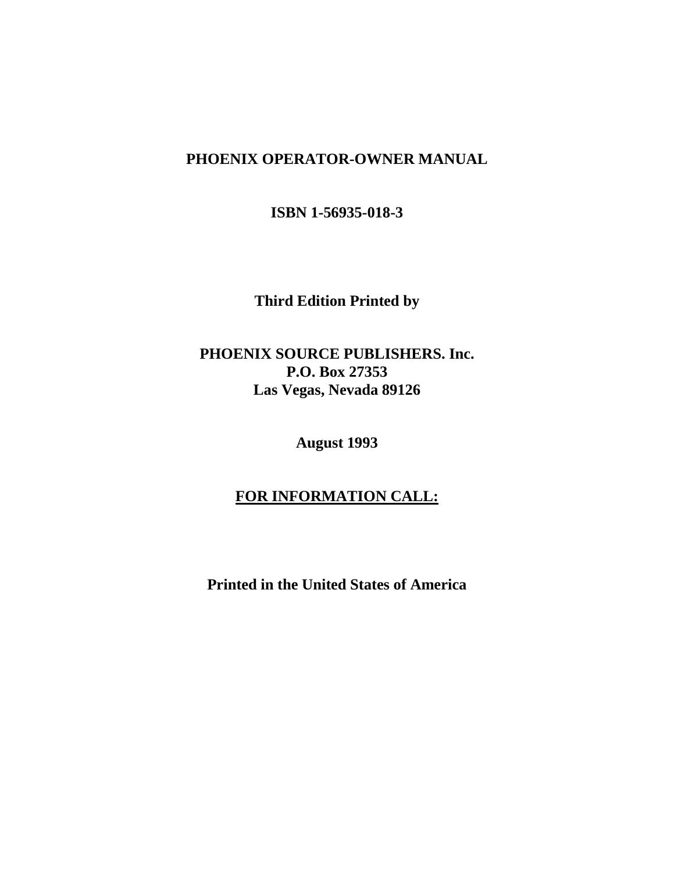#### **PHOENIX OPERATOR-OWNER MANUAL**

**ISBN 1-56935-018-3**

**Third Edition Printed by**

# **PHOENIX SOURCE PUBLISHERS. Inc. P.O. Box 27353 Las Vegas, Nevada 89126**

**August 1993**

## **FOR INFORMATION CALL:**

**Printed in the United States of America**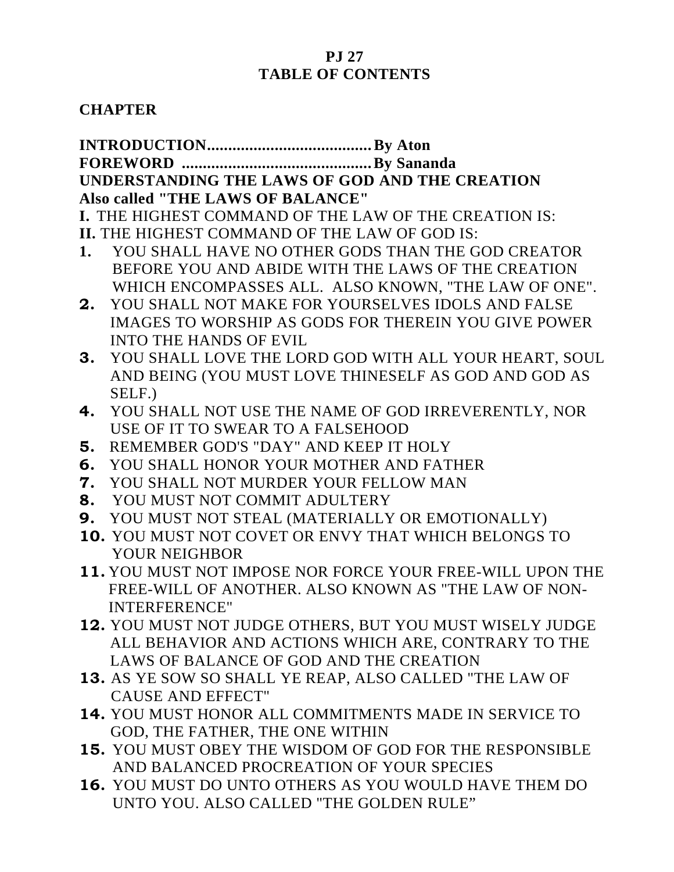## **PJ 27 TABLE OF CONTENTS**

### **CHAPTER**

### **INTRODUCTION.......................................By Aton FOREWORD .............................................By Sananda UNDERSTANDING THE LAWS OF GOD AND THE CREATION Also called "THE LAWS OF BALANCE"**

- **I.** THE HIGHEST COMMAND OF THE LAW OF THE CREATION IS:
- **II.** THE HIGHEST COMMAND OF THE LAW OF GOD IS:
- **1.** YOU SHALL HAVE NO OTHER GODS THAN THE GOD CREATOR BEFORE YOU AND ABIDE WITH THE LAWS OF THE CREATION WHICH ENCOMPASSES ALL. ALSO KNOWN, "THE LAW OF ONE".
- **2.** YOU SHALL NOT MAKE FOR YOURSELVES IDOLS AND FALSE IMAGES TO WORSHIP AS GODS FOR THEREIN YOU GIVE POWER INTO THE HANDS OF EVIL
- **3.** YOU SHALL LOVE THE LORD GOD WITH ALL YOUR HEART, SOUL AND BEING (YOU MUST LOVE THINESELF AS GOD AND GOD AS SELF.)
- **4.** YOU SHALL NOT USE THE NAME OF GOD IRREVERENTLY, NOR USE OF IT TO SWEAR TO A FALSEHOOD
- **5.** REMEMBER GOD'S "DAY" AND KEEP IT HOLY
- **6.** YOU SHALL HONOR YOUR MOTHER AND FATHER
- **7.** YOU SHALL NOT MURDER YOUR FELLOW MAN
- **8.** YOU MUST NOT COMMIT ADULTERY
- **9.** YOU MUST NOT STEAL (MATERIALLY OR EMOTIONALLY)
- **10.** YOU MUST NOT COVET OR ENVY THAT WHICH BELONGS TO YOUR NEIGHBOR
- **11.** YOU MUST NOT IMPOSE NOR FORCE YOUR FREE-WILL UPON THE FREE-WILL OF ANOTHER. ALSO KNOWN AS "THE LAW OF NON-INTERFERENCE"
- **12.** YOU MUST NOT JUDGE OTHERS, BUT YOU MUST WISELY JUDGE ALL BEHAVIOR AND ACTIONS WHICH ARE, CONTRARY TO THE LAWS OF BALANCE OF GOD AND THE CREATION
- **13.** AS YE SOW SO SHALL YE REAP, ALSO CALLED "THE LAW OF CAUSE AND EFFECT"
- **14.** YOU MUST HONOR ALL COMMITMENTS MADE IN SERVICE TO GOD, THE FATHER, THE ONE WITHIN
- **15.** YOU MUST OBEY THE WISDOM OF GOD FOR THE RESPONSIBLE AND BALANCED PROCREATION OF YOUR SPECIES
- **16.** YOU MUST DO UNTO OTHERS AS YOU WOULD HAVE THEM DO UNTO YOU. ALSO CALLED "THE GOLDEN RULE"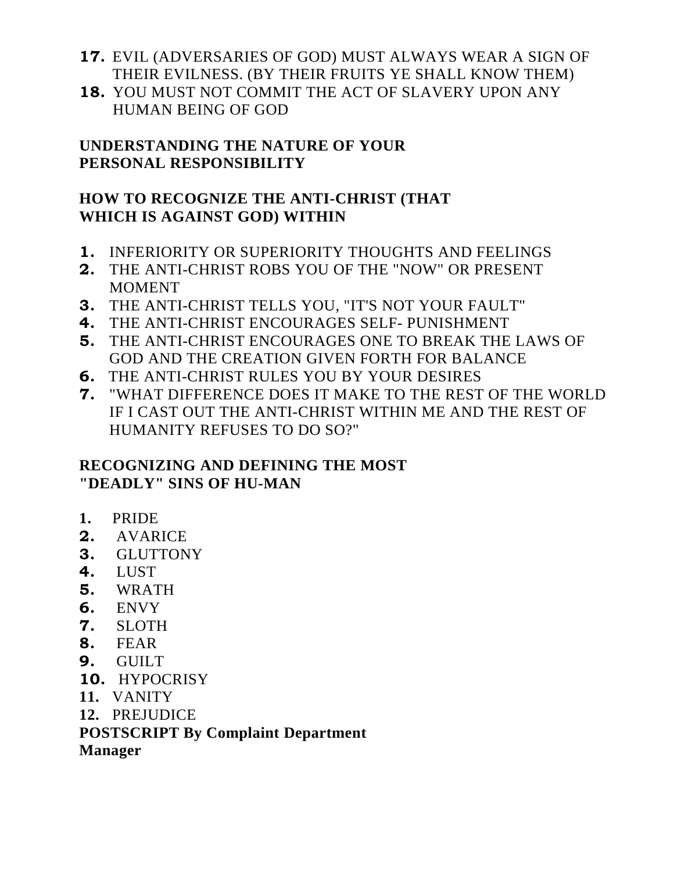# **17.** EVIL (ADVERSARIES OF GOD) MUST ALWAYS WEAR A SIGN OF THEIR EVILNESS. (BY THEIR FRUITS YE SHALL KNOW THEM)

**18.** YOU MUST NOT COMMIT THE ACT OF SLAVERY UPON ANY HUMAN BEING OF GOD

# **UNDERSTANDING THE NATURE OF YOUR PERSONAL RESPONSIBILITY**

## **HOW TO RECOGNIZE THE ANTI-CHRIST (THAT WHICH IS AGAINST GOD) WITHIN**

- **1.** INFERIORITY OR SUPERIORITY THOUGHTS AND FEELINGS
- **2.** THE ANTI-CHRIST ROBS YOU OF THE "NOW" OR PRESENT MOMENT
- **3.** THE ANTI-CHRIST TELLS YOU, "IT'S NOT YOUR FAULT"
- **4.** THE ANTI-CHRIST ENCOURAGES SELF- PUNISHMENT
- **5.** THE ANTI-CHRIST ENCOURAGES ONE TO BREAK THE LAWS OF GOD AND THE CREATION GIVEN FORTH FOR BALANCE
- **6.** THE ANTI-CHRIST RULES YOU BY YOUR DESIRES
- **7.** "WHAT DIFFERENCE DOES IT MAKE TO THE REST OF THE WORLD IF I CAST OUT THE ANTI-CHRIST WITHIN ME AND THE REST OF HUMANITY REFUSES TO DO SO?"

# **RECOGNIZING AND DEFINING THE MOST "DEADLY" SINS OF HU-MAN**

- **1.** PRIDE
- **2.** AVARICE
- **3.** GLUTTONY
- **4.** LUST
- **5.** WRATH
- **6.** ENVY
- **7.** SLOTH
- **8.** FEAR
- **9.** GUILT
- **10.** HYPOCRISY
- **11.** VANITY
- **12.** PREJUDICE

**POSTSCRIPT By Complaint Department Manager**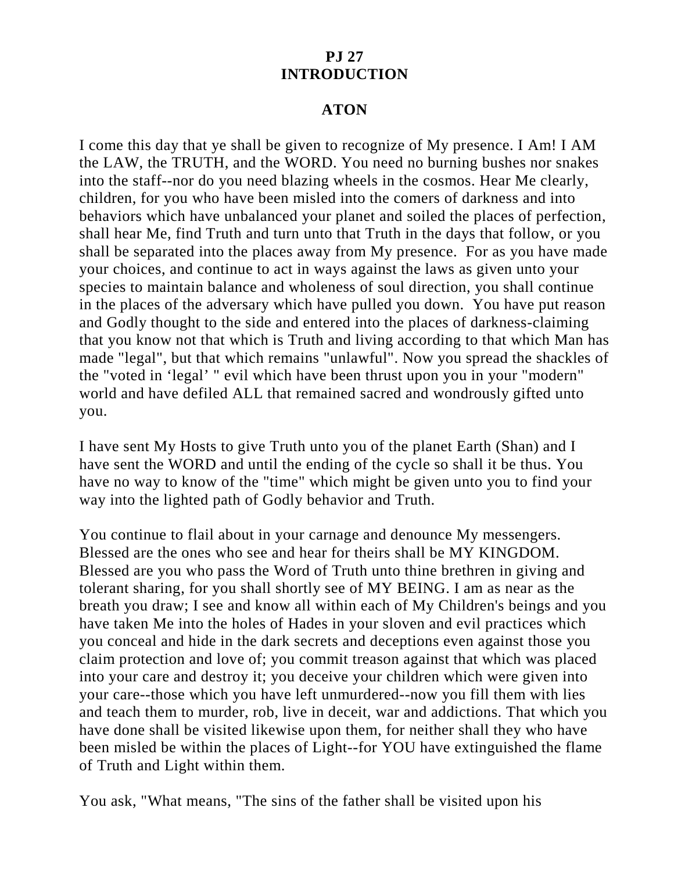#### **PJ 27 INTRODUCTION**

#### **ATON**

I come this day that ye shall be given to recognize of My presence. I Am! I AM the LAW, the TRUTH, and the WORD. You need no burning bushes nor snakes into the staff--nor do you need blazing wheels in the cosmos. Hear Me clearly, children, for you who have been misled into the comers of darkness and into behaviors which have unbalanced your planet and soiled the places of perfection, shall hear Me, find Truth and turn unto that Truth in the days that follow, or you shall be separated into the places away from My presence. For as you have made your choices, and continue to act in ways against the laws as given unto your species to maintain balance and wholeness of soul direction, you shall continue in the places of the adversary which have pulled you down. You have put reason and Godly thought to the side and entered into the places of darkness-claiming that you know not that which is Truth and living according to that which Man has made "legal", but that which remains "unlawful". Now you spread the shackles of the "voted in 'legal' " evil which have been thrust upon you in your "modern" world and have defiled ALL that remained sacred and wondrously gifted unto you.

I have sent My Hosts to give Truth unto you of the planet Earth (Shan) and I have sent the WORD and until the ending of the cycle so shall it be thus. You have no way to know of the "time" which might be given unto you to find your way into the lighted path of Godly behavior and Truth.

You continue to flail about in your carnage and denounce My messengers. Blessed are the ones who see and hear for theirs shall be MY KINGDOM. Blessed are you who pass the Word of Truth unto thine brethren in giving and tolerant sharing, for you shall shortly see of MY BEING. I am as near as the breath you draw; I see and know all within each of My Children's beings and you have taken Me into the holes of Hades in your sloven and evil practices which you conceal and hide in the dark secrets and deceptions even against those you claim protection and love of; you commit treason against that which was placed into your care and destroy it; you deceive your children which were given into your care--those which you have left unmurdered--now you fill them with lies and teach them to murder, rob, live in deceit, war and addictions. That which you have done shall be visited likewise upon them, for neither shall they who have been misled be within the places of Light--for YOU have extinguished the flame of Truth and Light within them.

You ask, "What means, "The sins of the father shall be visited upon his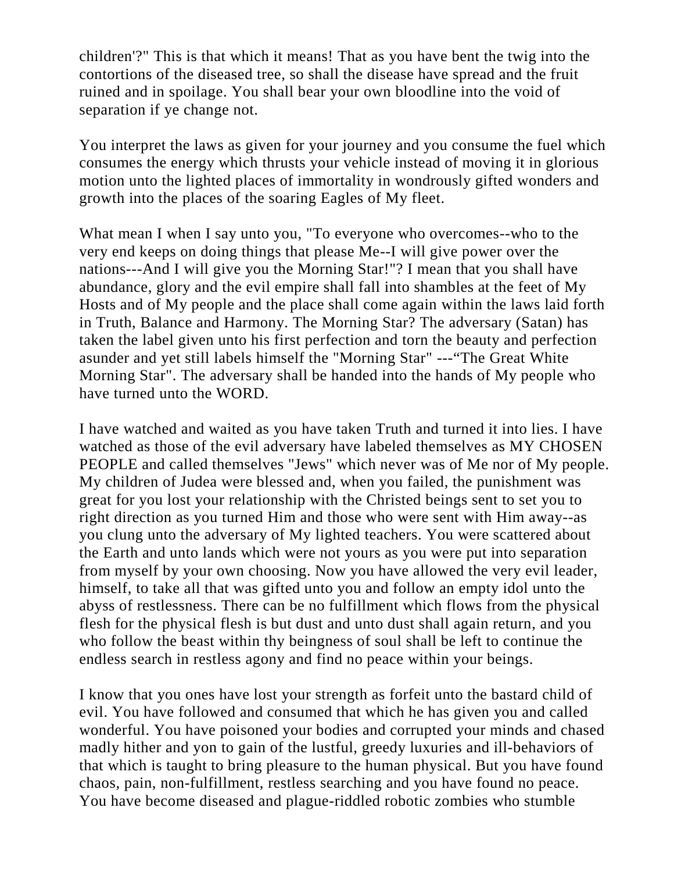children'?" This is that which it means! That as you have bent the twig into the contortions of the diseased tree, so shall the disease have spread and the fruit ruined and in spoilage. You shall bear your own bloodline into the void of separation if ye change not.

You interpret the laws as given for your journey and you consume the fuel which consumes the energy which thrusts your vehicle instead of moving it in glorious motion unto the lighted places of immortality in wondrously gifted wonders and growth into the places of the soaring Eagles of My fleet.

What mean I when I say unto you, "To everyone who overcomes--who to the very end keeps on doing things that please Me--I will give power over the nations---And I will give you the Morning Star!"? I mean that you shall have abundance, glory and the evil empire shall fall into shambles at the feet of My Hosts and of My people and the place shall come again within the laws laid forth in Truth, Balance and Harmony. The Morning Star? The adversary (Satan) has taken the label given unto his first perfection and torn the beauty and perfection asunder and yet still labels himself the "Morning Star" ---"The Great White Morning Star". The adversary shall be handed into the hands of My people who have turned unto the WORD.

I have watched and waited as you have taken Truth and turned it into lies. I have watched as those of the evil adversary have labeled themselves as MY CHOSEN PEOPLE and called themselves "Jews" which never was of Me nor of My people. My children of Judea were blessed and, when you failed, the punishment was great for you lost your relationship with the Christed beings sent to set you to right direction as you turned Him and those who were sent with Him away--as you clung unto the adversary of My lighted teachers. You were scattered about the Earth and unto lands which were not yours as you were put into separation from myself by your own choosing. Now you have allowed the very evil leader, himself, to take all that was gifted unto you and follow an empty idol unto the abyss of restlessness. There can be no fulfillment which flows from the physical flesh for the physical flesh is but dust and unto dust shall again return, and you who follow the beast within thy beingness of soul shall be left to continue the endless search in restless agony and find no peace within your beings.

I know that you ones have lost your strength as forfeit unto the bastard child of evil. You have followed and consumed that which he has given you and called wonderful. You have poisoned your bodies and corrupted your minds and chased madly hither and yon to gain of the lustful, greedy luxuries and ill-behaviors of that which is taught to bring pleasure to the human physical. But you have found chaos, pain, non-fulfillment, restless searching and you have found no peace. You have become diseased and plague-riddled robotic zombies who stumble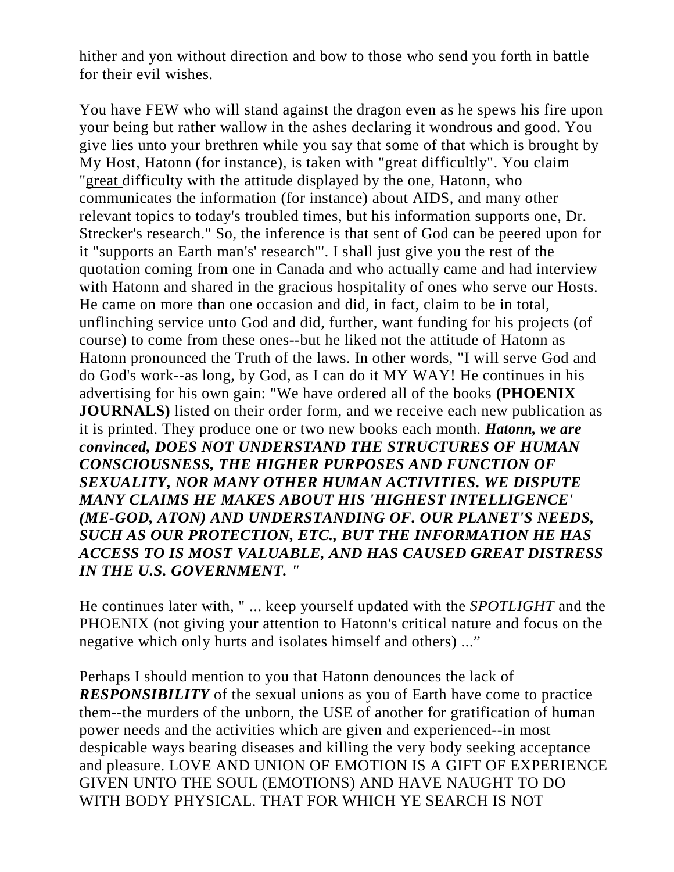hither and yon without direction and bow to those who send you forth in battle for their evil wishes.

You have FEW who will stand against the dragon even as he spews his fire upon your being but rather wallow in the ashes declaring it wondrous and good. You give lies unto your brethren while you say that some of that which is brought by My Host, Hatonn (for instance), is taken with "great difficultly". You claim "great difficulty with the attitude displayed by the one, Hatonn, who communicates the information (for instance) about AIDS, and many other relevant topics to today's troubled times, but his information supports one, Dr. Strecker's research." So, the inference is that sent of God can be peered upon for it "supports an Earth man's' research'''. I shall just give you the rest of the quotation coming from one in Canada and who actually came and had interview with Hatonn and shared in the gracious hospitality of ones who serve our Hosts. He came on more than one occasion and did, in fact, claim to be in total, unflinching service unto God and did, further, want funding for his projects (of course) to come from these ones--but he liked not the attitude of Hatonn as Hatonn pronounced the Truth of the laws. In other words, "I will serve God and do God's work--as long, by God, as I can do it MY WAY! He continues in his advertising for his own gain: "We have ordered all of the books **(PHOENIX JOURNALS**) listed on their order form, and we receive each new publication as it is printed. They produce one or two new books each month. *Hatonn, we are convinced, DOES NOT UNDERSTAND THE STRUCTURES OF HUMAN CONSCIOUSNESS, THE HIGHER PURPOSES AND FUNCTION OF SEXUALITY, NOR MANY OTHER HUMAN ACTIVITIES. WE DISPUTE MANY CLAIMS HE MAKES ABOUT HIS 'HIGHEST INTELLIGENCE' (ME-GOD, ATON) AND UNDERSTANDING OF. OUR PLANET'S NEEDS, SUCH AS OUR PROTECTION, ETC., BUT THE INFORMATION HE HAS ACCESS TO IS MOST VALUABLE, AND HAS CAUSED GREAT DISTRESS IN THE U.S. GOVERNMENT. "*

He continues later with, " ... keep yourself updated with the *SPOTLIGHT* and the PHOENIX (not giving your attention to Hatonn's critical nature and focus on the negative which only hurts and isolates himself and others) ..."

Perhaps I should mention to you that Hatonn denounces the lack of *RESPONSIBILITY* of the sexual unions as you of Earth have come to practice them--the murders of the unborn, the USE of another for gratification of human power needs and the activities which are given and experienced--in most despicable ways bearing diseases and killing the very body seeking acceptance and pleasure. LOVE AND UNION OF EMOTION IS A GIFT OF EXPERIENCE GIVEN UNTO THE SOUL (EMOTIONS) AND HAVE NAUGHT TO DO WITH BODY PHYSICAL. THAT FOR WHICH YE SEARCH IS NOT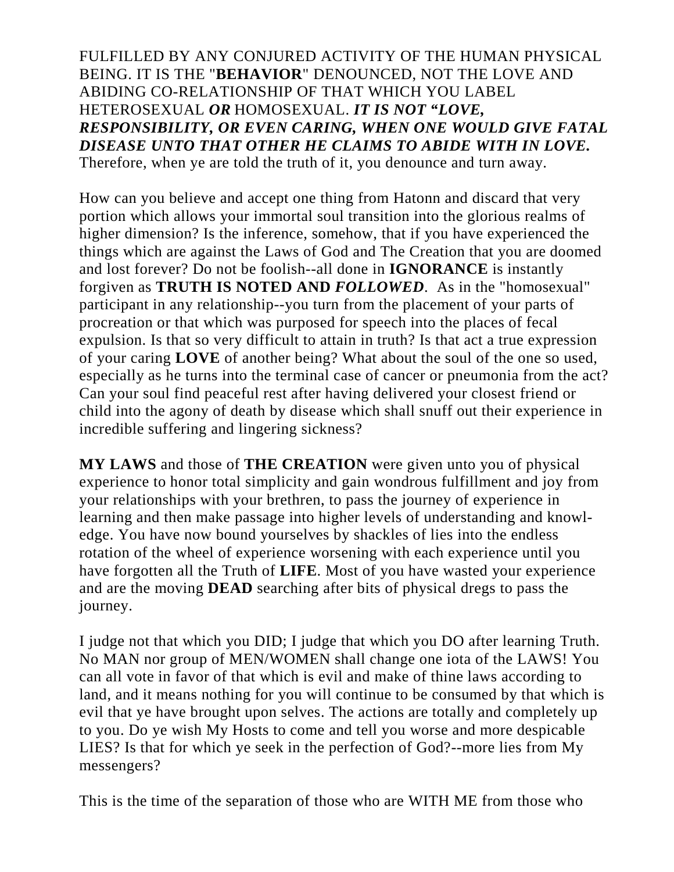FULFILLED BY ANY CONJURED ACTIVITY OF THE HUMAN PHYSICAL BEING. IT IS THE "**BEHAVIOR**" DENOUNCED, NOT THE LOVE AND ABIDING CO-RELATIONSHIP OF THAT WHICH YOU LABEL HETEROSEXUAL *OR* HOMOSEXUAL. *IT IS NOT "LOVE, RESPONSIBILITY, OR EVEN CARING, WHEN ONE WOULD GIVE FATAL DISEASE UNTO THAT OTHER HE CLAIMS TO ABIDE WITH IN LOVE.* Therefore, when ye are told the truth of it, you denounce and turn away.

How can you believe and accept one thing from Hatonn and discard that very portion which allows your immortal soul transition into the glorious realms of higher dimension? Is the inference, somehow, that if you have experienced the things which are against the Laws of God and The Creation that you are doomed and lost forever? Do not be foolish--all done in **IGNORANCE** is instantly forgiven as **TRUTH IS NOTED AND** *FOLLOWED*. As in the "homosexual" participant in any relationship--you turn from the placement of your parts of procreation or that which was purposed for speech into the places of fecal expulsion. Is that so very difficult to attain in truth? Is that act a true expression of your caring **LOVE** of another being? What about the soul of the one so used, especially as he turns into the terminal case of cancer or pneumonia from the act? Can your soul find peaceful rest after having delivered your closest friend or child into the agony of death by disease which shall snuff out their experience in incredible suffering and lingering sickness?

**MY LAWS** and those of **THE CREATION** were given unto you of physical experience to honor total simplicity and gain wondrous fulfillment and joy from your relationships with your brethren, to pass the journey of experience in learning and then make passage into higher levels of understanding and knowledge. You have now bound yourselves by shackles of lies into the endless rotation of the wheel of experience worsening with each experience until you have forgotten all the Truth of **LIFE**. Most of you have wasted your experience and are the moving **DEAD** searching after bits of physical dregs to pass the journey.

I judge not that which you DID; I judge that which you DO after learning Truth. No MAN nor group of MEN/WOMEN shall change one iota of the LAWS! You can all vote in favor of that which is evil and make of thine laws according to land, and it means nothing for you will continue to be consumed by that which is evil that ye have brought upon selves. The actions are totally and completely up to you. Do ye wish My Hosts to come and tell you worse and more despicable LIES? Is that for which ye seek in the perfection of God?--more lies from My messengers?

This is the time of the separation of those who are WITH ME from those who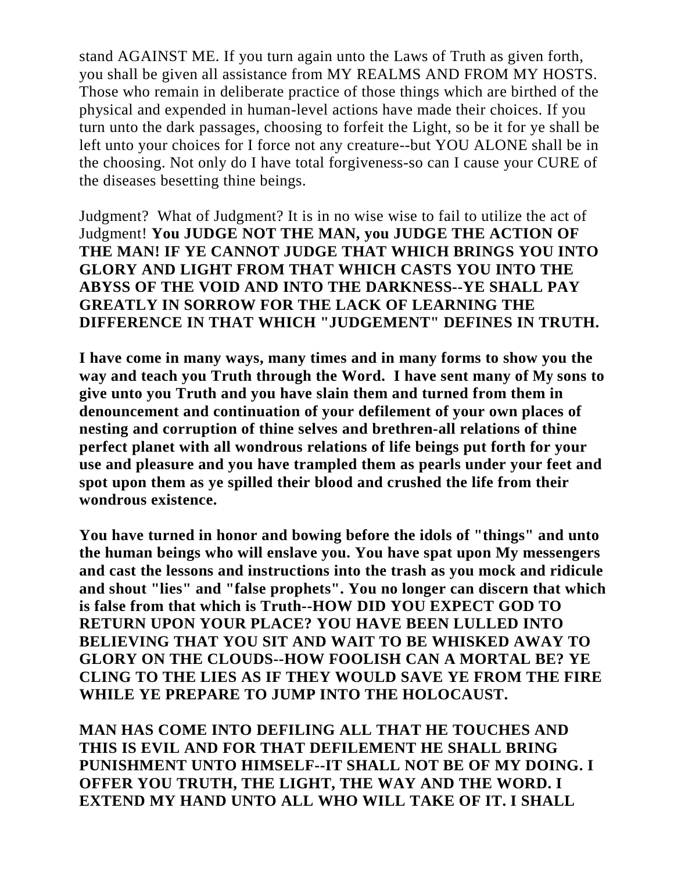stand AGAINST ME. If you turn again unto the Laws of Truth as given forth, you shall be given all assistance from MY REALMS AND FROM MY HOSTS. Those who remain in deliberate practice of those things which are birthed of the physical and expended in human-level actions have made their choices. If you turn unto the dark passages, choosing to forfeit the Light, so be it for ye shall be left unto your choices for I force not any creature--but YOU ALONE shall be in the choosing. Not only do I have total forgiveness-so can I cause your CURE of the diseases besetting thine beings.

Judgment? What of Judgment? It is in no wise wise to fail to utilize the act of Judgment! **You JUDGE NOT THE MAN, you JUDGE THE ACTION OF THE MAN! IF YE CANNOT JUDGE THAT WHICH BRINGS YOU INTO GLORY AND LIGHT FROM THAT WHICH CASTS YOU INTO THE ABYSS OF THE VOID AND INTO THE DARKNESS--YE SHALL PAY GREATLY IN SORROW FOR THE LACK OF LEARNING THE DIFFERENCE IN THAT WHICH "JUDGEMENT" DEFINES IN TRUTH.**

**I have come in many ways, many times and in many forms to show you the way and teach you Truth through the Word. I have sent many of My sons to give unto you Truth and you have slain them and turned from them in denouncement and continuation of your defilement of your own places of nesting and corruption of thine selves and brethren-all relations of thine perfect planet with all wondrous relations of life beings put forth for your use and pleasure and you have trampled them as pearls under your feet and spot upon them as ye spilled their blood and crushed the life from their wondrous existence.** 

**You have turned in honor and bowing before the idols of "things" and unto the human beings who will enslave you. You have spat upon My messengers and cast the lessons and instructions into the trash as you mock and ridicule and shout "lies" and "false prophets". You no longer can discern that which is false from that which is Truth--HOW DID YOU EXPECT GOD TO RETURN UPON YOUR PLACE? YOU HAVE BEEN LULLED INTO BELIEVING THAT YOU SIT AND WAIT TO BE WHISKED AWAY TO GLORY ON THE CLOUDS--HOW FOOLISH CAN A MORTAL BE? YE CLING TO THE LIES AS IF THEY WOULD SAVE YE FROM THE FIRE WHILE YE PREPARE TO JUMP INTO THE HOLOCAUST.**

**MAN HAS COME INTO DEFILING ALL THAT HE TOUCHES AND THIS IS EVIL AND FOR THAT DEFILEMENT HE SHALL BRING PUNISHMENT UNTO HIMSELF--IT SHALL NOT BE OF MY DOING. I OFFER YOU TRUTH, THE LIGHT, THE WAY AND THE WORD. I EXTEND MY HAND UNTO ALL WHO WILL TAKE OF IT. I SHALL**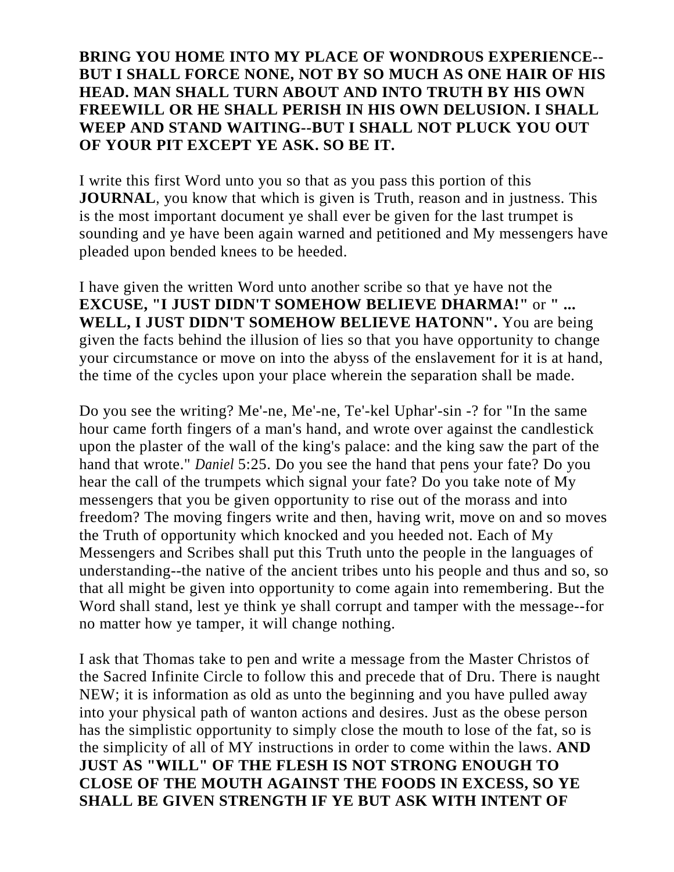## **BRING YOU HOME INTO MY PLACE OF WONDROUS EXPERIENCE-- BUT I SHALL FORCE NONE, NOT BY SO MUCH AS ONE HAIR OF HIS HEAD. MAN SHALL TURN ABOUT AND INTO TRUTH BY HIS OWN FREEWILL OR HE SHALL PERISH IN HIS OWN DELUSION. I SHALL WEEP AND STAND WAITING--BUT I SHALL NOT PLUCK YOU OUT OF YOUR PIT EXCEPT YE ASK. SO BE IT.**

I write this first Word unto you so that as you pass this portion of this **JOURNAL**, you know that which is given is Truth, reason and in justness. This is the most important document ye shall ever be given for the last trumpet is sounding and ye have been again warned and petitioned and My messengers have pleaded upon bended knees to be heeded.

I have given the written Word unto another scribe so that ye have not the **EXCUSE, "I JUST DIDN'T SOMEHOW BELIEVE DHARMA!"** or **" ... WELL, I JUST DIDN'T SOMEHOW BELIEVE HATONN".** You are being given the facts behind the illusion of lies so that you have opportunity to change your circumstance or move on into the abyss of the enslavement for it is at hand, the time of the cycles upon your place wherein the separation shall be made.

Do you see the writing? Me'-ne, Me'-ne, Te'-kel Uphar'-sin -? for "In the same hour came forth fingers of a man's hand, and wrote over against the candlestick upon the plaster of the wall of the king's palace: and the king saw the part of the hand that wrote." *Daniel* 5:25. Do you see the hand that pens your fate? Do you hear the call of the trumpets which signal your fate? Do you take note of My messengers that you be given opportunity to rise out of the morass and into freedom? The moving fingers write and then, having writ, move on and so moves the Truth of opportunity which knocked and you heeded not. Each of My Messengers and Scribes shall put this Truth unto the people in the languages of understanding--the native of the ancient tribes unto his people and thus and so, so that all might be given into opportunity to come again into remembering. But the Word shall stand, lest ye think ye shall corrupt and tamper with the message--for no matter how ye tamper, it will change nothing.

I ask that Thomas take to pen and write a message from the Master Christos of the Sacred Infinite Circle to follow this and precede that of Dru. There is naught NEW; it is information as old as unto the beginning and you have pulled away into your physical path of wanton actions and desires. Just as the obese person has the simplistic opportunity to simply close the mouth to lose of the fat, so is the simplicity of all of MY instructions in order to come within the laws. **AND JUST AS "WILL" OF THE FLESH IS NOT STRONG ENOUGH TO CLOSE OF THE MOUTH AGAINST THE FOODS IN EXCESS, SO YE SHALL BE GIVEN STRENGTH IF YE BUT ASK WITH INTENT OF**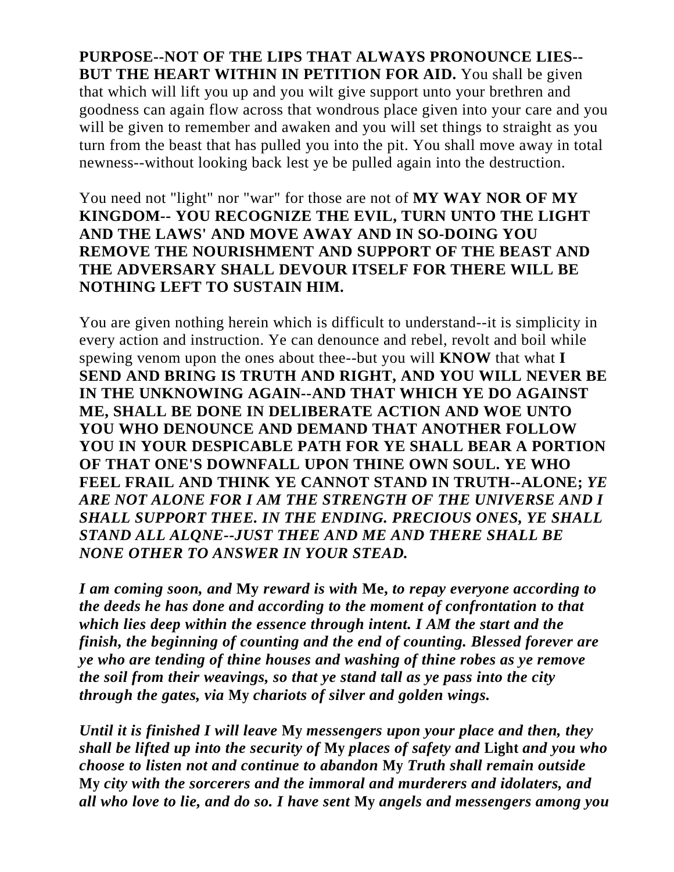**PURPOSE--NOT OF THE LIPS THAT ALWAYS PRONOUNCE LIES-- BUT THE HEART WITHIN IN PETITION FOR AID.** You shall be given that which will lift you up and you wilt give support unto your brethren and goodness can again flow across that wondrous place given into your care and you will be given to remember and awaken and you will set things to straight as you turn from the beast that has pulled you into the pit. You shall move away in total newness--without looking back lest ye be pulled again into the destruction.

## You need not "light" nor "war" for those are not of **MY WAY NOR OF MY KINGDOM-- YOU RECOGNIZE THE EVIL, TURN UNTO THE LIGHT AND THE LAWS' AND MOVE AWAY AND IN SO-DOING YOU REMOVE THE NOURISHMENT AND SUPPORT OF THE BEAST AND THE ADVERSARY SHALL DEVOUR ITSELF FOR THERE WILL BE NOTHING LEFT TO SUSTAIN HIM.**

You are given nothing herein which is difficult to understand--it is simplicity in every action and instruction. Ye can denounce and rebel, revolt and boil while spewing venom upon the ones about thee--but you will **KNOW** that what **I SEND AND BRING IS TRUTH AND RIGHT, AND YOU WILL NEVER BE IN THE UNKNOWING AGAIN--AND THAT WHICH YE DO AGAINST ME, SHALL BE DONE IN DELIBERATE ACTION AND WOE UNTO YOU WHO DENOUNCE AND DEMAND THAT ANOTHER FOLLOW YOU IN YOUR DESPICABLE PATH FOR YE SHALL BEAR A PORTION OF THAT ONE'S DOWNFALL UPON THINE OWN SOUL. YE WHO FEEL FRAIL AND THINK YE CANNOT STAND IN TRUTH--ALONE;** *YE ARE NOT ALONE FOR I AM THE STRENGTH OF THE UNIVERSE AND I SHALL SUPPORT THEE. IN THE ENDING. PRECIOUS ONES, YE SHALL STAND ALL ALQNE--JUST THEE AND ME AND THERE SHALL BE NONE OTHER TO ANSWER IN YOUR STEAD.* 

*I am coming soon, and* **My** *reward is with* **Me,** *to repay everyone according to the deeds he has done and according to the moment of confrontation to that which lies deep within the essence through intent. I AM the start and the finish, the beginning of counting and the end of counting. Blessed forever are ye who are tending of thine houses and washing of thine robes as ye remove the soil from their weavings, so that ye stand tall as ye pass into the city through the gates, via* **My** *chariots of silver and golden wings.* 

*Until it is finished I will leave* **My** *messengers upon your place and then, they shall be lifted up into the security of* **My** *places of safety and* **Light** *and you who choose to listen not and continue to abandon* **My** *Truth shall remain outside*  **My** *city with the sorcerers and the immoral and murderers and idolaters, and all who love to lie, and do so. I have sent* **My** *angels and messengers among you*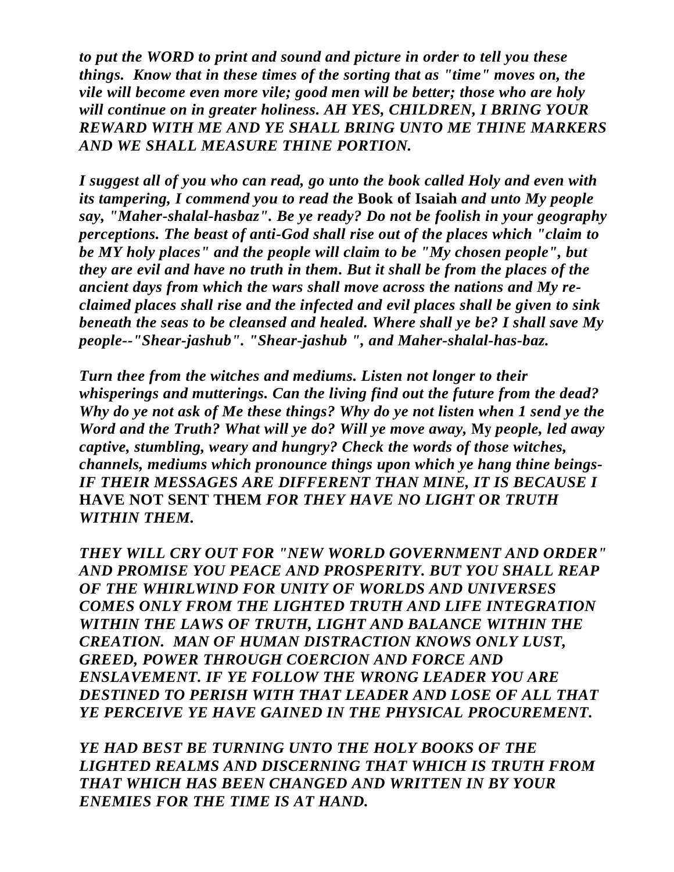*to put the WORD to print and sound and picture in order to tell you these things. Know that in these times of the sorting that as "time" moves on, the vile will become even more vile; good men will be better; those who are holy will continue on in greater holiness. AH YES, CHILDREN, I BRING YOUR REWARD WITH ME AND YE SHALL BRING UNTO ME THINE MARKERS AND WE SHALL MEASURE THINE PORTION.* 

*I suggest all of you who can read, go unto the book called Holy and even with its tampering, I commend you to read the* **Book of Isaiah** *and unto My people say, "Maher-shalal-hasbaz". Be ye ready? Do not be foolish in your geography perceptions. The beast of anti-God shall rise out of the places which "claim to be MY holy places" and the people will claim to be "My chosen people", but they are evil and have no truth in them. But it shall be from the places of the ancient days from which the wars shall move across the nations and My reclaimed places shall rise and the infected and evil places shall be given to sink beneath the seas to be cleansed and healed. Where shall ye be? I shall save My people--"Shear-jashub". "Shear-jashub ", and Maher-shalal-has-baz.* 

*Turn thee from the witches and mediums. Listen not longer to their whisperings and mutterings. Can the living find out the future from the dead? Why do ye not ask of Me these things? Why do ye not listen when 1 send ye the Word and the Truth? What will ye do? Will ye move away,* **My** *people, led away captive, stumbling, weary and hungry? Check the words of those witches, channels, mediums which pronounce things upon which ye hang thine beings-IF THEIR MESSAGES ARE DIFFERENT THAN MINE, IT IS BECAUSE I*  **HAVE NOT SENT THEM** *FOR THEY HAVE NO LIGHT OR TRUTH WITHIN THEM.* 

*THEY WILL CRY OUT FOR "NEW WORLD GOVERNMENT AND ORDER" AND PROMISE YOU PEACE AND PROSPERITY. BUT YOU SHALL REAP OF THE WHIRLWIND FOR UNITY OF WORLDS AND UNIVERSES COMES ONLY FROM THE LIGHTED TRUTH AND LIFE INTEGRATION WITHIN THE LAWS OF TRUTH, LIGHT AND BALANCE WITHIN THE CREATION. MAN OF HUMAN DISTRACTION KNOWS ONLY LUST, GREED, POWER THROUGH COERCION AND FORCE AND ENSLAVEMENT. IF YE FOLLOW THE WRONG LEADER YOU ARE DESTINED TO PERISH WITH THAT LEADER AND LOSE OF ALL THAT YE PERCEIVE YE HAVE GAINED IN THE PHYSICAL PROCUREMENT.* 

*YE HAD BEST BE TURNING UNTO THE HOLY BOOKS OF THE LIGHTED REALMS AND DISCERNING THAT WHICH IS TRUTH FROM THAT WHICH HAS BEEN CHANGED AND WRITTEN IN BY YOUR ENEMIES FOR THE TIME IS AT HAND.*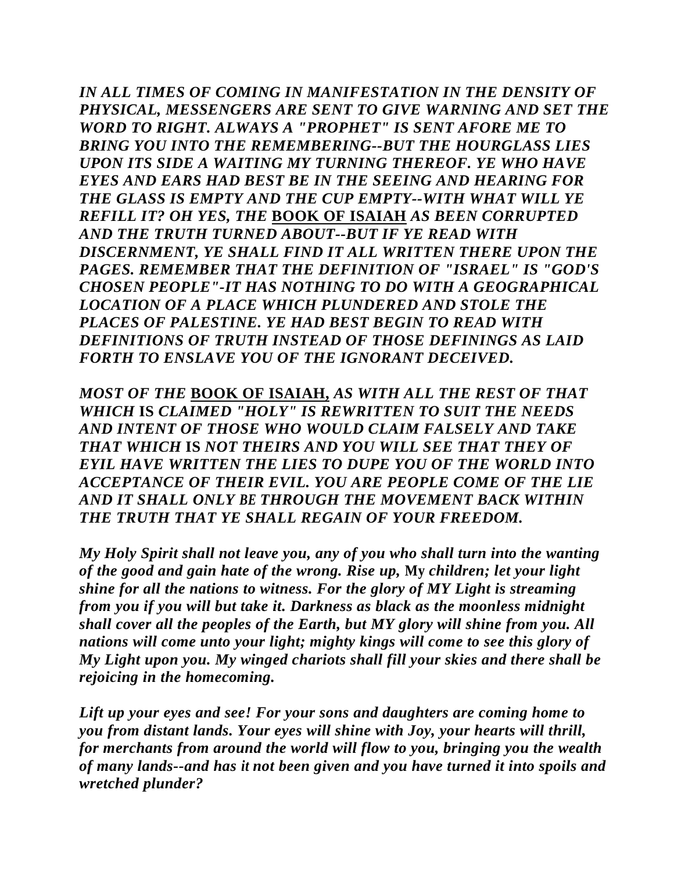*IN ALL TIMES OF COMING IN MANIFESTATION IN THE DENSITY OF PHYSICAL, MESSENGERS ARE SENT TO GIVE WARNING AND SET THE WORD TO RIGHT. ALWAYS A "PROPHET" IS SENT AFORE ME TO BRING YOU INTO THE REMEMBERING--BUT THE HOURGLASS LIES UPON ITS SIDE A WAITING MY TURNING THEREOF. YE WHO HAVE EYES AND EARS HAD BEST BE IN THE SEEING AND HEARING FOR THE GLASS IS EMPTY AND THE CUP EMPTY--WITH WHAT WILL YE REFILL IT? OH YES, THE* **BOOK OF ISAIAH** *AS BEEN CORRUPTED AND THE TRUTH TURNED ABOUT--BUT IF YE READ WITH DISCERNMENT, YE SHALL FIND IT ALL WRITTEN THERE UPON THE PAGES. REMEMBER THAT THE DEFINITION OF "ISRAEL" IS "GOD'S CHOSEN PEOPLE"-IT HAS NOTHING TO DO WITH A GEOGRAPHICAL LOCATION OF A PLACE WHICH PLUNDERED AND STOLE THE PLACES OF PALESTINE. YE HAD BEST BEGIN TO READ WITH DEFINITIONS OF TRUTH INSTEAD OF THOSE DEFININGS AS LAID FORTH TO ENSLAVE YOU OF THE IGNORANT DECEIVED.* 

*MOST OF THE* **BOOK OF ISAIAH,** *AS WITH ALL THE REST OF THAT WHICH* **IS** *CLAIMED "HOLY" IS REWRITTEN TO SUIT THE NEEDS AND INTENT OF THOSE WHO WOULD CLAIM FALSELY AND TAKE THAT WHICH* **IS** *NOT THEIRS AND YOU WILL SEE THAT THEY OF EYIL HAVE WRITTEN THE LIES TO DUPE YOU OF THE WORLD INTO ACCEPTANCE OF THEIR EVIL. YOU ARE PEOPLE COME OF THE LIE AND IT SHALL ONLY BE THROUGH THE MOVEMENT BACK WITHIN THE TRUTH THAT YE SHALL REGAIN OF YOUR FREEDOM.* 

*My Holy Spirit shall not leave you, any of you who shall turn into the wanting of the good and gain hate of the wrong. Rise up,* **My** *children; let your light shine for all the nations to witness. For the glory of MY Light is streaming from you if you will but take it. Darkness as black as the moonless midnight shall cover all the peoples of the Earth, but MY glory will shine from you. All nations will come unto your light; mighty kings will come to see this glory of My Light upon you. My winged chariots shall fill your skies and there shall be rejoicing in the homecoming.* 

*Lift up your eyes and see! For your sons and daughters are coming home to you from distant lands. Your eyes will shine with Joy, your hearts will thrill, for merchants from around the world will flow to you, bringing you the wealth of many lands--and has it not been given and you have turned it into spoils and wretched plunder?*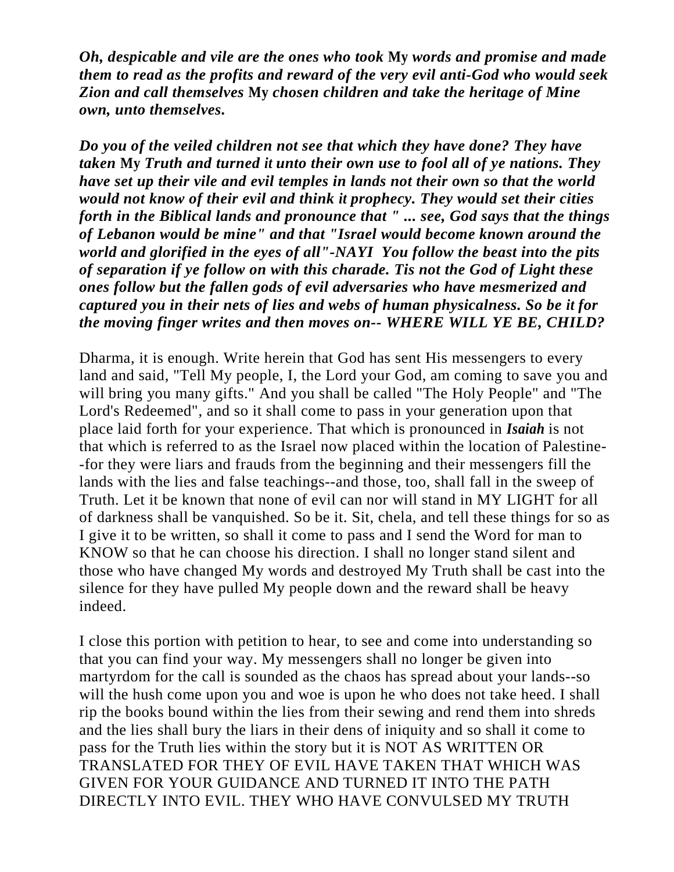*Oh, despicable and vile are the ones who took* **My** *words and promise and made them to read as the profits and reward of the very evil anti-God who would seek Zion and call themselves* **My** *chosen children and take the heritage of Mine own, unto themselves.* 

*Do you of the veiled children not see that which they have done? They have taken* **My** *Truth and turned it unto their own use to fool all of ye nations. They have set up their vile and evil temples in lands not their own so that the world would not know of their evil and think it prophecy. They would set their cities forth in the Biblical lands and pronounce that " ... see, God says that the things of Lebanon would be mine" and that "Israel would become known around the world and glorified in the eyes of all"-NAYI You follow the beast into the pits of separation if ye follow on with this charade. Tis not the God of Light these ones follow but the fallen gods of evil adversaries who have mesmerized and captured you in their nets of lies and webs of human physicalness. So be it for the moving finger writes and then moves on-- WHERE WILL YE BE, CHILD?* 

Dharma, it is enough. Write herein that God has sent His messengers to every land and said, "Tell My people, I, the Lord your God, am coming to save you and will bring you many gifts." And you shall be called "The Holy People" and "The Lord's Redeemed", and so it shall come to pass in your generation upon that place laid forth for your experience. That which is pronounced in *Isaiah* is not that which is referred to as the Israel now placed within the location of Palestine- -for they were liars and frauds from the beginning and their messengers fill the lands with the lies and false teachings--and those, too, shall fall in the sweep of Truth. Let it be known that none of evil can nor will stand in MY LIGHT for all of darkness shall be vanquished. So be it. Sit, chela, and tell these things for so as I give it to be written, so shall it come to pass and I send the Word for man to KNOW so that he can choose his direction. I shall no longer stand silent and those who have changed My words and destroyed My Truth shall be cast into the silence for they have pulled My people down and the reward shall be heavy indeed.

I close this portion with petition to hear, to see and come into understanding so that you can find your way. My messengers shall no longer be given into martyrdom for the call is sounded as the chaos has spread about your lands--so will the hush come upon you and woe is upon he who does not take heed. I shall rip the books bound within the lies from their sewing and rend them into shreds and the lies shall bury the liars in their dens of iniquity and so shall it come to pass for the Truth lies within the story but it is NOT AS WRITTEN OR TRANSLATED FOR THEY OF EVIL HAVE TAKEN THAT WHICH WAS GIVEN FOR YOUR GUIDANCE AND TURNED IT INTO THE PATH DIRECTLY INTO EVIL. THEY WHO HAVE CONVULSED MY TRUTH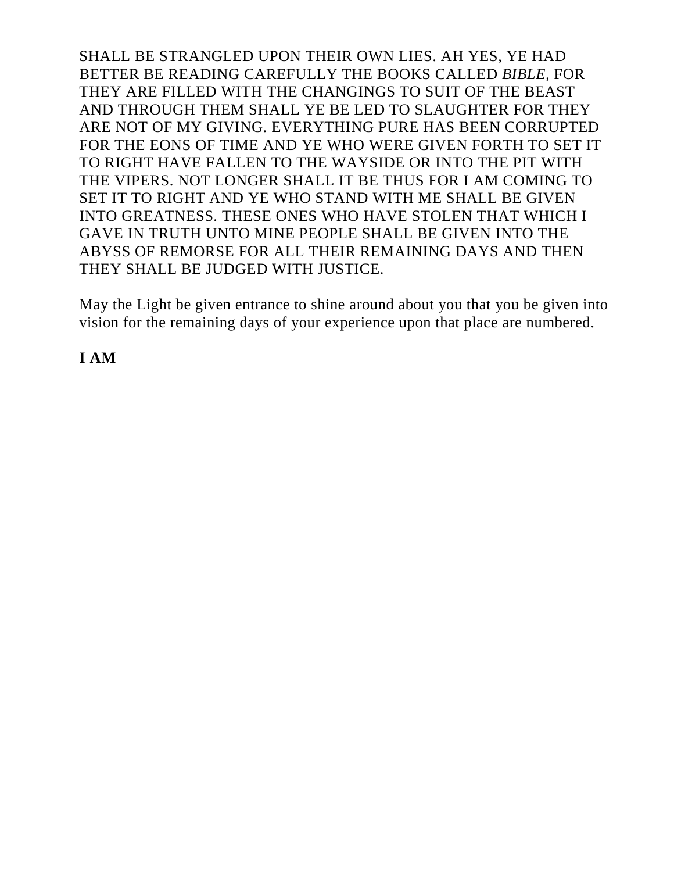SHALL BE STRANGLED UPON THEIR OWN LIES. AH YES, YE HAD BETTER BE READING CAREFULLY THE BOOKS CALLED *BIBLE,* FOR THEY ARE FILLED WITH THE CHANGINGS TO SUIT OF THE BEAST AND THROUGH THEM SHALL YE BE LED TO SLAUGHTER FOR THEY ARE NOT OF MY GIVING. EVERYTHING PURE HAS BEEN CORRUPTED FOR THE EONS OF TIME AND YE WHO WERE GIVEN FORTH TO SET IT TO RIGHT HAVE FALLEN TO THE WAYSIDE OR INTO THE PIT WITH THE VIPERS. NOT LONGER SHALL IT BE THUS FOR I AM COMING TO SET IT TO RIGHT AND YE WHO STAND WITH ME SHALL BE GIVEN INTO GREATNESS. THESE ONES WHO HAVE STOLEN THAT WHICH I GAVE IN TRUTH UNTO MINE PEOPLE SHALL BE GIVEN INTO THE ABYSS OF REMORSE FOR ALL THEIR REMAINING DAYS AND THEN THEY SHALL BE JUDGED WITH JUSTICE.

May the Light be given entrance to shine around about you that you be given into vision for the remaining days of your experience upon that place are numbered.

## **I AM**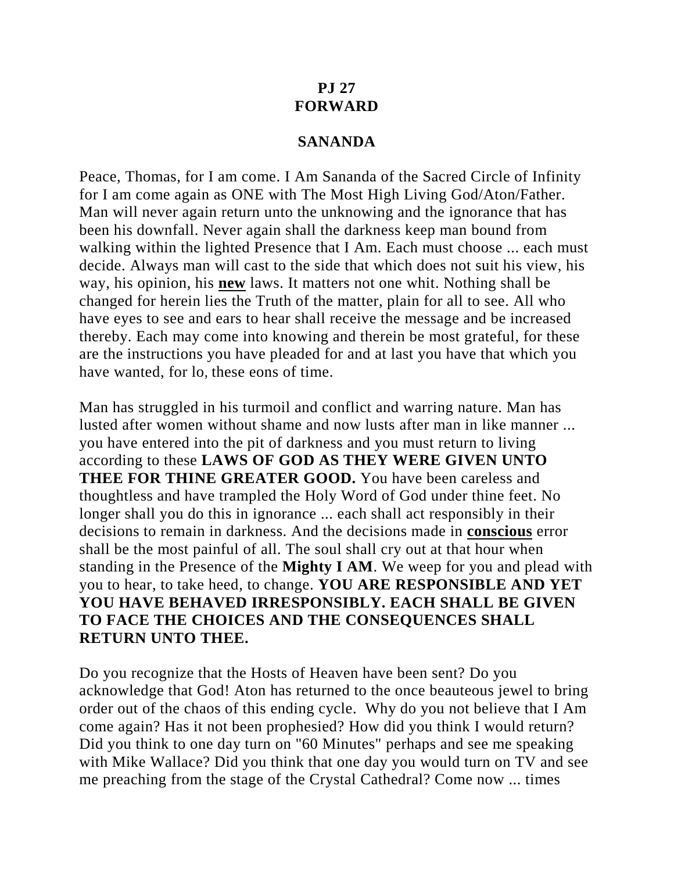# **PJ 27 FORWARD**

#### **SANANDA**

Peace, Thomas, for I am come. I Am Sananda of the Sacred Circle of Infinity for I am come again as ONE with The Most High Living God/Aton/Father. Man will never again return unto the unknowing and the ignorance that has been his downfall. Never again shall the darkness keep man bound from walking within the lighted Presence that I Am. Each must choose ... each must decide. Always man will cast to the side that which does not suit his view, his way, his opinion, his **new** laws. It matters not one whit. Nothing shall be changed for herein lies the Truth of the matter, plain for all to see. All who have eyes to see and ears to hear shall receive the message and be increased thereby. Each may come into knowing and therein be most grateful, for these are the instructions you have pleaded for and at last you have that which you have wanted, for lo, these eons of time.

Man has struggled in his turmoil and conflict and warring nature. Man has lusted after women without shame and now lusts after man in like manner ... you have entered into the pit of darkness and you must return to living according to these **LAWS OF GOD AS THEY WERE GIVEN UNTO THEE FOR THINE GREATER GOOD.** You have been careless and thoughtless and have trampled the Holy Word of God under thine feet. No longer shall you do this in ignorance ... each shall act responsibly in their decisions to remain in darkness. And the decisions made in **conscious** error shall be the most painful of all. The soul shall cry out at that hour when standing in the Presence of the **Mighty I AM**. We weep for you and plead with you to hear, to take heed, to change. **YOU ARE RESPONSIBLE AND YET YOU HAVE BEHAVED IRRESPONSIBLY. EACH SHALL BE GIVEN TO FACE THE CHOICES AND THE CONSEQUENCES SHALL RETURN UNTO THEE.** 

Do you recognize that the Hosts of Heaven have been sent? Do you acknowledge that God! Aton has returned to the once beauteous jewel to bring order out of the chaos of this ending cycle. Why do you not believe that I Am come again? Has it not been prophesied? How did you think I would return? Did you think to one day turn on "60 Minutes" perhaps and see me speaking with Mike Wallace? Did you think that one day you would turn on TV and see me preaching from the stage of the Crystal Cathedral? Come now ... times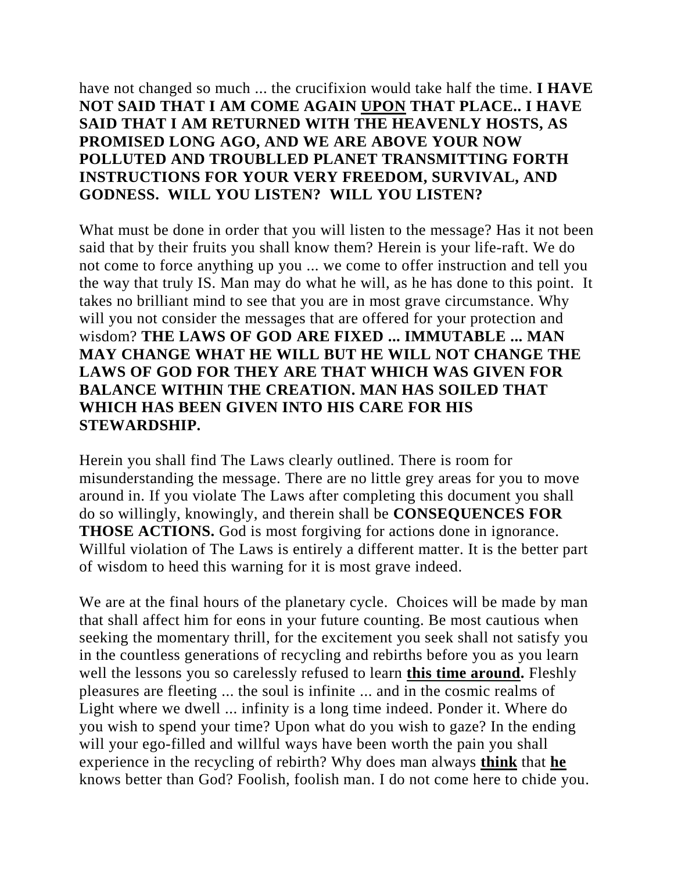## have not changed so much ... the crucifixion would take half the time. **I HAVE NOT SAID THAT I AM COME AGAIN UPON THAT PLACE.. I HAVE SAID THAT I AM RETURNED WITH THE HEAVENLY HOSTS, AS PROMISED LONG AGO, AND WE ARE ABOVE YOUR NOW POLLUTED AND TROUBLLED PLANET TRANSMITTING FORTH INSTRUCTIONS FOR YOUR VERY FREEDOM, SURVIVAL, AND GODNESS. WILL YOU LISTEN? WILL YOU LISTEN?**

What must be done in order that you will listen to the message? Has it not been said that by their fruits you shall know them? Herein is your life-raft. We do not come to force anything up you ... we come to offer instruction and tell you the way that truly IS. Man may do what he will, as he has done to this point. It takes no brilliant mind to see that you are in most grave circumstance. Why will you not consider the messages that are offered for your protection and wisdom? **THE LAWS OF GOD ARE FIXED ... IMMUTABLE ... MAN MAY CHANGE WHAT HE WILL BUT HE WILL NOT CHANGE THE LAWS OF GOD FOR THEY ARE THAT WHICH WAS GIVEN FOR BALANCE WITHIN THE CREATION. MAN HAS SOILED THAT WHICH HAS BEEN GIVEN INTO HIS CARE FOR HIS STEWARDSHIP.**

Herein you shall find The Laws clearly outlined. There is room for misunderstanding the message. There are no little grey areas for you to move around in. If you violate The Laws after completing this document you shall do so willingly, knowingly, and therein shall be **CONSEQUENCES FOR THOSE ACTIONS.** God is most forgiving for actions done in ignorance. Willful violation of The Laws is entirely a different matter. It is the better part of wisdom to heed this warning for it is most grave indeed.

We are at the final hours of the planetary cycle. Choices will be made by man that shall affect him for eons in your future counting. Be most cautious when seeking the momentary thrill, for the excitement you seek shall not satisfy you in the countless generations of recycling and rebirths before you as you learn well the lessons you so carelessly refused to learn **this time around.** Fleshly pleasures are fleeting ... the soul is infinite ... and in the cosmic realms of Light where we dwell ... infinity is a long time indeed. Ponder it. Where do you wish to spend your time? Upon what do you wish to gaze? In the ending will your ego-filled and willful ways have been worth the pain you shall experience in the recycling of rebirth? Why does man always **think** that **he** knows better than God? Foolish, foolish man. I do not come here to chide you.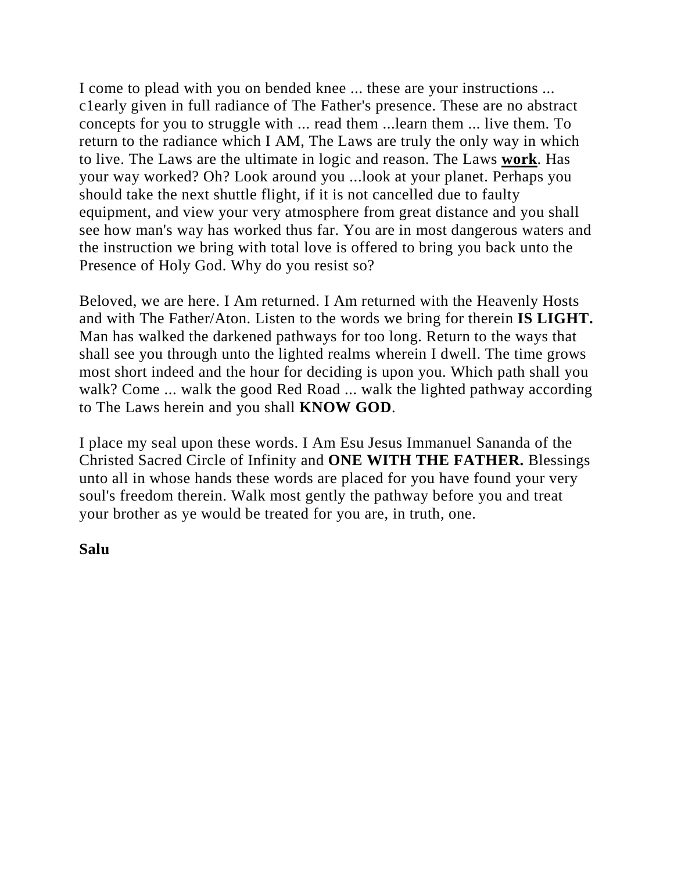I come to plead with you on bended knee ... these are your instructions ... c1early given in full radiance of The Father's presence. These are no abstract concepts for you to struggle with ... read them ...learn them ... live them. To return to the radiance which I AM, The Laws are truly the only way in which to live. The Laws are the ultimate in logic and reason. The Laws **work**. Has your way worked? Oh? Look around you ...look at your planet. Perhaps you should take the next shuttle flight, if it is not cancelled due to faulty equipment, and view your very atmosphere from great distance and you shall see how man's way has worked thus far. You are in most dangerous waters and the instruction we bring with total love is offered to bring you back unto the Presence of Holy God. Why do you resist so?

Beloved, we are here. I Am returned. I Am returned with the Heavenly Hosts and with The Father/Aton. Listen to the words we bring for therein **IS LIGHT.** Man has walked the darkened pathways for too long. Return to the ways that shall see you through unto the lighted realms wherein I dwell. The time grows most short indeed and the hour for deciding is upon you. Which path shall you walk? Come ... walk the good Red Road ... walk the lighted pathway according to The Laws herein and you shall **KNOW GOD**.

I place my seal upon these words. I Am Esu Jesus Immanuel Sananda of the Christed Sacred Circle of Infinity and **ONE WITH THE FATHER.** Blessings unto all in whose hands these words are placed for you have found your very soul's freedom therein. Walk most gently the pathway before you and treat your brother as ye would be treated for you are, in truth, one.

#### **Salu**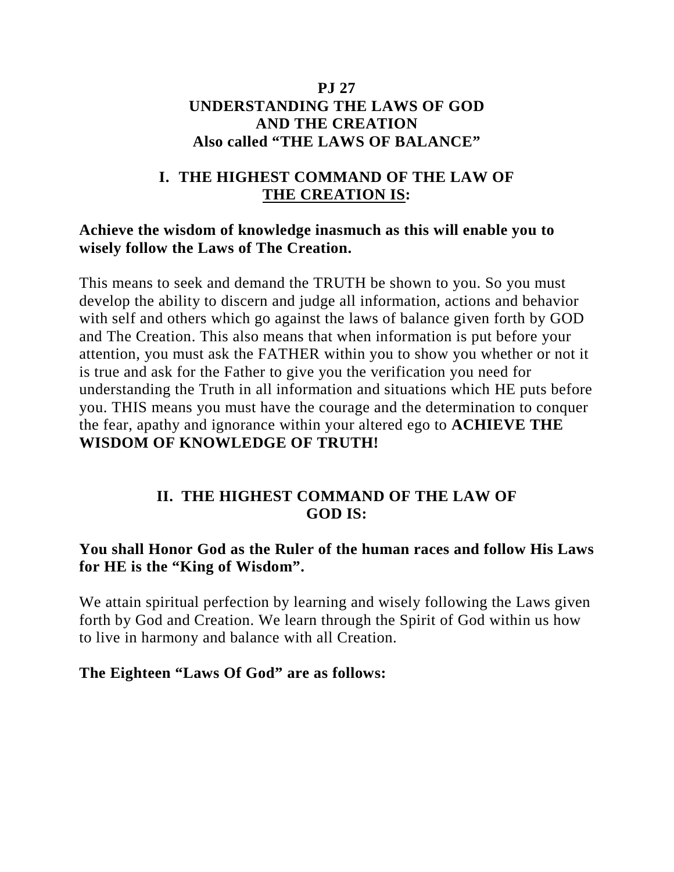#### **PJ 27 UNDERSTANDING THE LAWS OF GOD AND THE CREATION Also called "THE LAWS OF BALANCE"**

## **I. THE HIGHEST COMMAND OF THE LAW OF THE CREATION IS:**

#### **Achieve the wisdom of knowledge inasmuch as this will enable you to wisely follow the Laws of The Creation.**

This means to seek and demand the TRUTH be shown to you. So you must develop the ability to discern and judge all information, actions and behavior with self and others which go against the laws of balance given forth by GOD and The Creation. This also means that when information is put before your attention, you must ask the FATHER within you to show you whether or not it is true and ask for the Father to give you the verification you need for understanding the Truth in all information and situations which HE puts before you. THIS means you must have the courage and the determination to conquer the fear, apathy and ignorance within your altered ego to **ACHIEVE THE WISDOM OF KNOWLEDGE OF TRUTH!**

### **II. THE HIGHEST COMMAND OF THE LAW OF GOD IS:**

### **You shall Honor God as the Ruler of the human races and follow His Laws for HE is the "King of Wisdom".**

We attain spiritual perfection by learning and wisely following the Laws given forth by God and Creation. We learn through the Spirit of God within us how to live in harmony and balance with all Creation.

#### **The Eighteen "Laws Of God" are as follows:**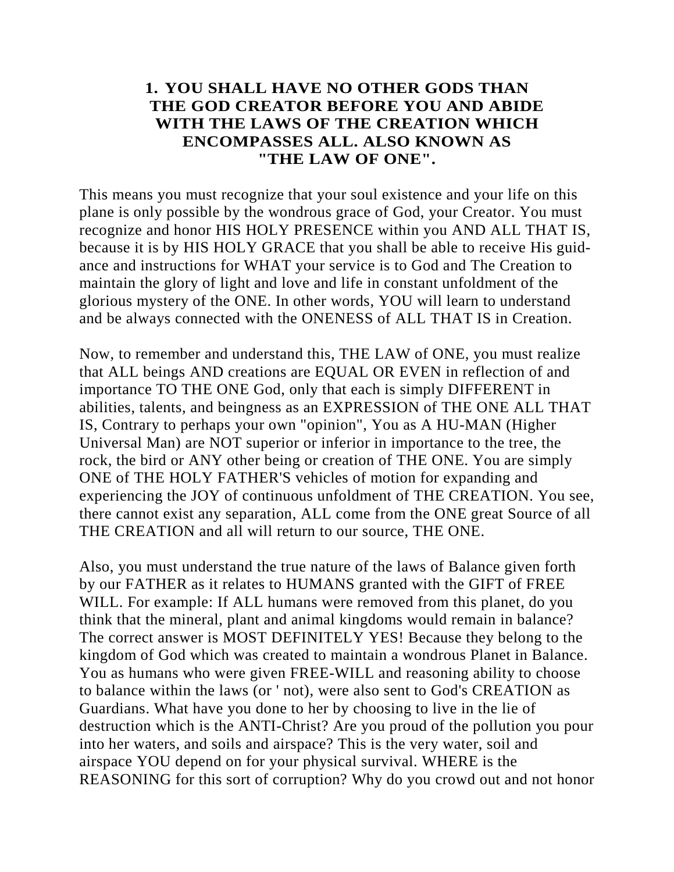### **1. YOU SHALL HAVE NO OTHER GODS THAN THE GOD CREATOR BEFORE YOU AND ABIDE WITH THE LAWS OF THE CREATION WHICH ENCOMPASSES ALL. ALSO KNOWN AS "THE LAW OF ONE".**

This means you must recognize that your soul existence and your life on this plane is only possible by the wondrous grace of God, your Creator. You must recognize and honor HIS HOLY PRESENCE within you AND ALL THAT IS, because it is by HIS HOLY GRACE that you shall be able to receive His guidance and instructions for WHAT your service is to God and The Creation to maintain the glory of light and love and life in constant unfoldment of the glorious mystery of the ONE. In other words, YOU will learn to understand and be always connected with the ONENESS of ALL THAT IS in Creation.

Now, to remember and understand this, THE LAW of ONE, you must realize that ALL beings AND creations are EQUAL OR EVEN in reflection of and importance TO THE ONE God, only that each is simply DIFFERENT in abilities, talents, and beingness as an EXPRESSION of THE ONE ALL THAT IS, Contrary to perhaps your own "opinion", You as A HU-MAN (Higher Universal Man) are NOT superior or inferior in importance to the tree, the rock, the bird or ANY other being or creation of THE ONE. You are simply ONE of THE HOLY FATHER'S vehicles of motion for expanding and experiencing the JOY of continuous unfoldment of THE CREATION. You see, there cannot exist any separation, ALL come from the ONE great Source of all THE CREATION and all will return to our source, THE ONE.

Also, you must understand the true nature of the laws of Balance given forth by our FATHER as it relates to HUMANS granted with the GIFT of FREE WILL. For example: If ALL humans were removed from this planet, do you think that the mineral, plant and animal kingdoms would remain in balance? The correct answer is MOST DEFINITELY YES! Because they belong to the kingdom of God which was created to maintain a wondrous Planet in Balance. You as humans who were given FREE-WILL and reasoning ability to choose to balance within the laws (or ' not), were also sent to God's CREATION as Guardians. What have you done to her by choosing to live in the lie of destruction which is the ANTI-Christ? Are you proud of the pollution you pour into her waters, and soils and airspace? This is the very water, soil and airspace YOU depend on for your physical survival. WHERE is the REASONING for this sort of corruption? Why do you crowd out and not honor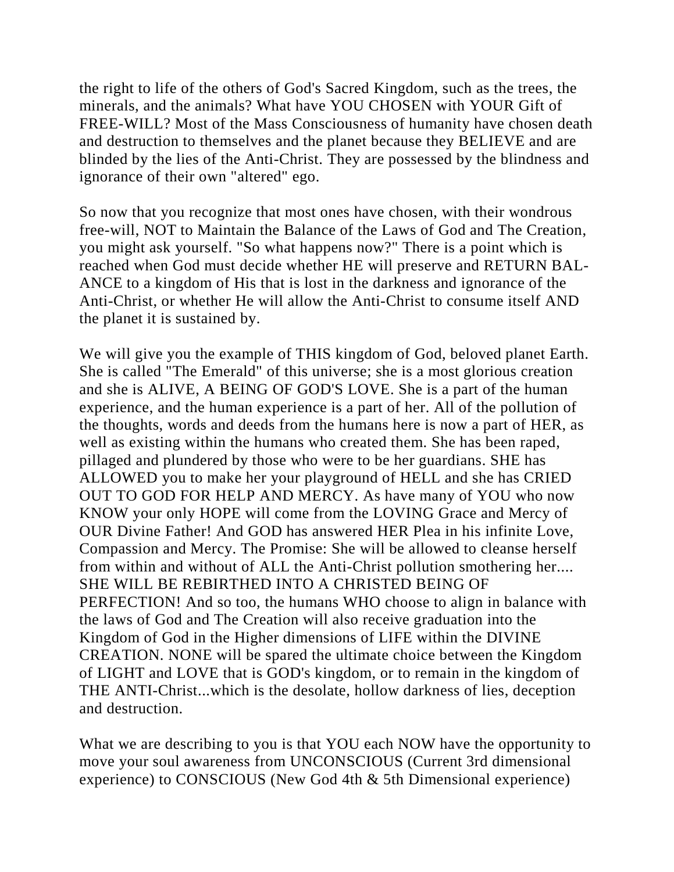the right to life of the others of God's Sacred Kingdom, such as the trees, the minerals, and the animals? What have YOU CHOSEN with YOUR Gift of FREE-WILL? Most of the Mass Consciousness of humanity have chosen death and destruction to themselves and the planet because they BELIEVE and are blinded by the lies of the Anti-Christ. They are possessed by the blindness and ignorance of their own "altered" ego.

So now that you recognize that most ones have chosen, with their wondrous free-will, NOT to Maintain the Balance of the Laws of God and The Creation, you might ask yourself. "So what happens now?" There is a point which is reached when God must decide whether HE will preserve and RETURN BAL-ANCE to a kingdom of His that is lost in the darkness and ignorance of the Anti-Christ, or whether He will allow the Anti-Christ to consume itself AND the planet it is sustained by.

We will give you the example of THIS kingdom of God, beloved planet Earth. She is called "The Emerald" of this universe; she is a most glorious creation and she is ALIVE, A BEING OF GOD'S LOVE. She is a part of the human experience, and the human experience is a part of her. All of the pollution of the thoughts, words and deeds from the humans here is now a part of HER, as well as existing within the humans who created them. She has been raped, pillaged and plundered by those who were to be her guardians. SHE has ALLOWED you to make her your playground of HELL and she has CRIED OUT TO GOD FOR HELP AND MERCY. As have many of YOU who now KNOW your only HOPE will come from the LOVING Grace and Mercy of OUR Divine Father! And GOD has answered HER Plea in his infinite Love, Compassion and Mercy. The Promise: She will be allowed to cleanse herself from within and without of ALL the Anti-Christ pollution smothering her.... SHE WILL BE REBIRTHED INTO A CHRISTED BEING OF PERFECTION! And so too, the humans WHO choose to align in balance with the laws of God and The Creation will also receive graduation into the Kingdom of God in the Higher dimensions of LIFE within the DIVINE CREATION. NONE will be spared the ultimate choice between the Kingdom of LIGHT and LOVE that is GOD's kingdom, or to remain in the kingdom of THE ANTI-Christ...which is the desolate, hollow darkness of lies, deception and destruction.

What we are describing to you is that YOU each NOW have the opportunity to move your soul awareness from UNCONSCIOUS (Current 3rd dimensional experience) to CONSCIOUS (New God 4th & 5th Dimensional experience)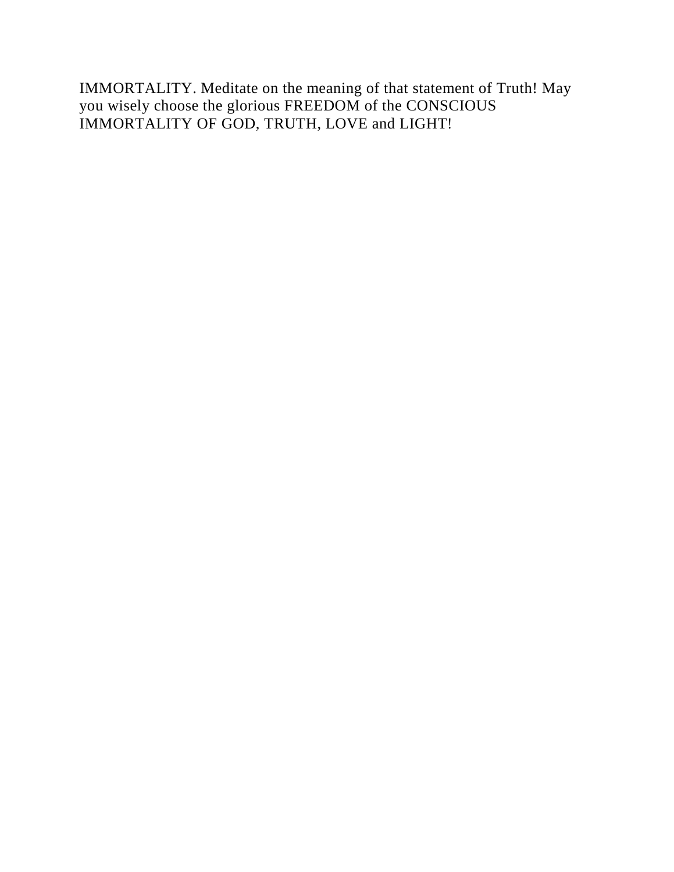IMMORTALITY. Meditate on the meaning of that statement of Truth! May you wisely choose the glorious FREEDOM of the CONSCIOUS IMMORTALITY OF GOD, TRUTH, LOVE and LIGHT!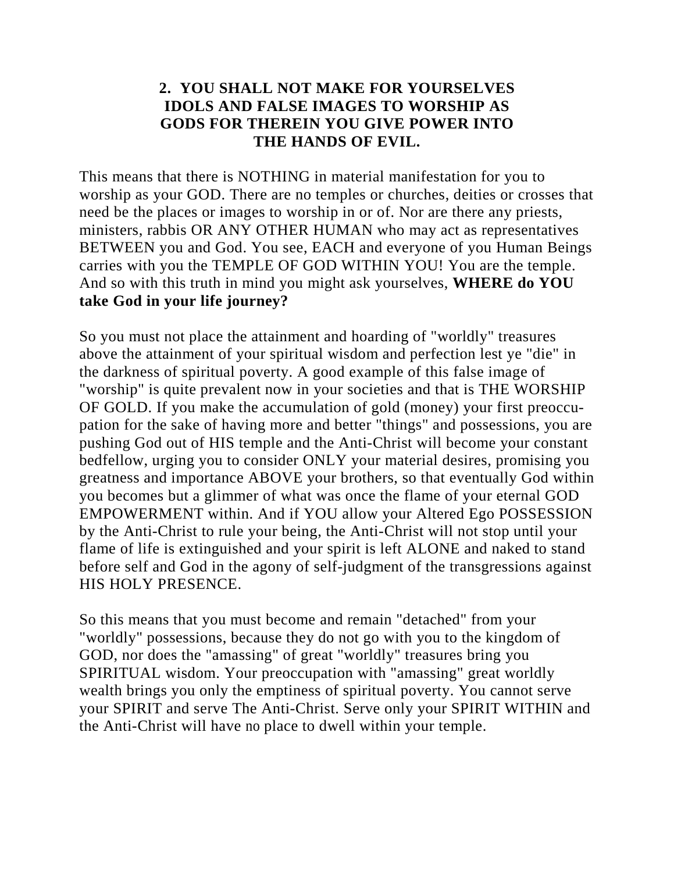## **2. YOU SHALL NOT MAKE FOR YOURSELVES IDOLS AND FALSE IMAGES TO WORSHIP AS GODS FOR THEREIN YOU GIVE POWER INTO THE HANDS OF EVIL.**

This means that there is NOTHING in material manifestation for you to worship as your GOD. There are no temples or churches, deities or crosses that need be the places or images to worship in or of. Nor are there any priests, ministers, rabbis OR ANY OTHER HUMAN who may act as representatives BETWEEN you and God. You see, EACH and everyone of you Human Beings carries with you the TEMPLE OF GOD WITHIN YOU! You are the temple. And so with this truth in mind you might ask yourselves, **WHERE do YOU take God in your life journey?**

So you must not place the attainment and hoarding of "worldly" treasures above the attainment of your spiritual wisdom and perfection lest ye "die" in the darkness of spiritual poverty. A good example of this false image of "worship" is quite prevalent now in your societies and that is THE WORSHIP OF GOLD. If you make the accumulation of gold (money) your first preoccupation for the sake of having more and better "things" and possessions, you are pushing God out of HIS temple and the Anti-Christ will become your constant bedfellow, urging you to consider ONLY your material desires, promising you greatness and importance ABOVE your brothers, so that eventually God within you becomes but a glimmer of what was once the flame of your eternal GOD EMPOWERMENT within. And if YOU allow your Altered Ego POSSESSION by the Anti-Christ to rule your being, the Anti-Christ will not stop until your flame of life is extinguished and your spirit is left ALONE and naked to stand before self and God in the agony of self-judgment of the transgressions against HIS HOLY PRESENCE.

So this means that you must become and remain "detached" from your "worldly" possessions, because they do not go with you to the kingdom of GOD, nor does the "amassing" of great "worldly" treasures bring you SPIRITUAL wisdom. Your preoccupation with "amassing" great worldly wealth brings you only the emptiness of spiritual poverty. You cannot serve your SPIRIT and serve The Anti-Christ. Serve only your SPIRIT WITHIN and the Anti-Christ will have no place to dwell within your temple.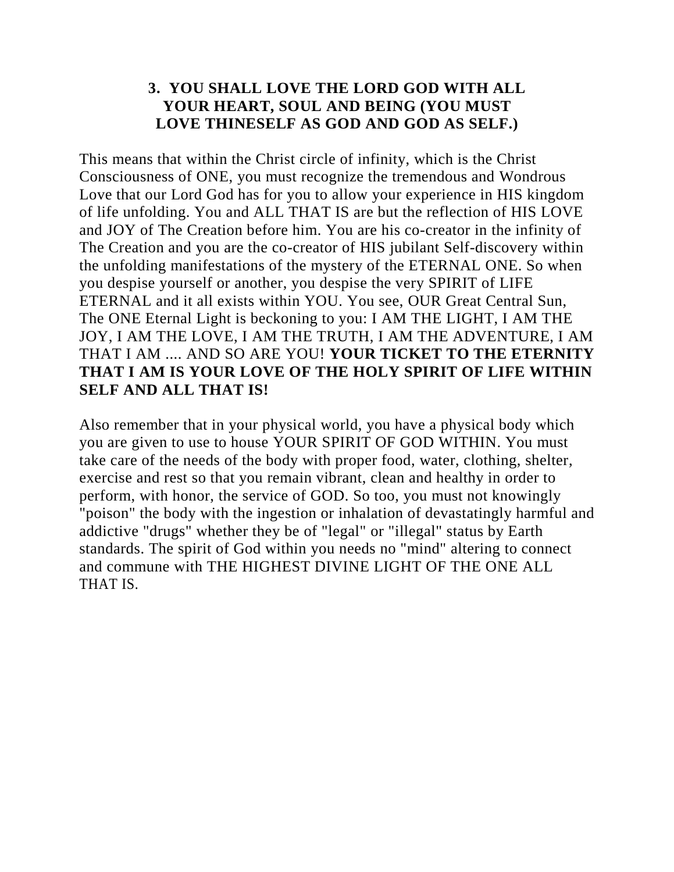### **3. YOU SHALL LOVE THE LORD GOD WITH ALL YOUR HEART, SOUL AND BEING (YOU MUST LOVE THINESELF AS GOD AND GOD AS SELF.)**

This means that within the Christ circle of infinity, which is the Christ Consciousness of ONE, you must recognize the tremendous and Wondrous Love that our Lord God has for you to allow your experience in HIS kingdom of life unfolding. You and ALL THAT IS are but the reflection of HIS LOVE and JOY of The Creation before him. You are his co-creator in the infinity of The Creation and you are the co-creator of HIS jubilant Self-discovery within the unfolding manifestations of the mystery of the ETERNAL ONE. So when you despise yourself or another, you despise the very SPIRIT of LIFE ETERNAL and it all exists within YOU. You see, OUR Great Central Sun, The ONE Eternal Light is beckoning to you: I AM THE LIGHT, I AM THE JOY, I AM THE LOVE, I AM THE TRUTH, I AM THE ADVENTURE, I AM THAT I AM .... AND SO ARE YOU! **YOUR TICKET TO THE ETERNITY THAT I AM IS YOUR LOVE OF THE HOLY SPIRIT OF LIFE WITHIN SELF AND ALL THAT IS!**

Also remember that in your physical world, you have a physical body which you are given to use to house YOUR SPIRIT OF GOD WITHIN. You must take care of the needs of the body with proper food, water, clothing, shelter, exercise and rest so that you remain vibrant, clean and healthy in order to perform, with honor, the service of GOD. So too, you must not knowingly "poison" the body with the ingestion or inhalation of devastatingly harmful and addictive "drugs" whether they be of "legal" or "illegal" status by Earth standards. The spirit of God within you needs no "mind" altering to connect and commune with THE HIGHEST DIVINE LIGHT OF THE ONE ALL THAT IS.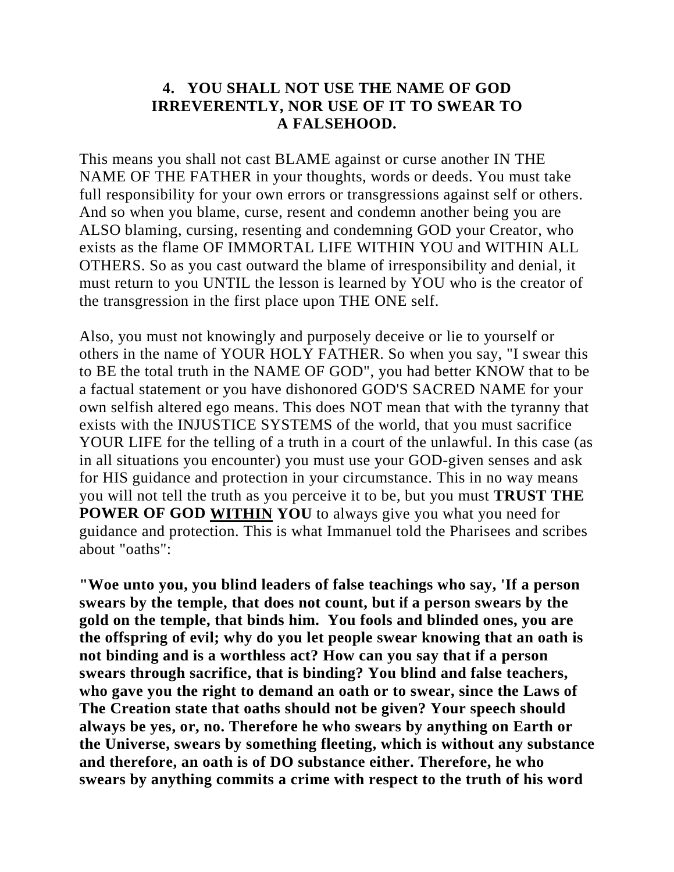### **4. YOU SHALL NOT USE THE NAME OF GOD IRREVERENTLY, NOR USE OF IT TO SWEAR TO A FALSEHOOD.**

This means you shall not cast BLAME against or curse another IN THE NAME OF THE FATHER in your thoughts, words or deeds. You must take full responsibility for your own errors or transgressions against self or others. And so when you blame, curse, resent and condemn another being you are ALSO blaming, cursing, resenting and condemning GOD your Creator, who exists as the flame OF IMMORTAL LIFE WITHIN YOU and WITHIN ALL OTHERS. So as you cast outward the blame of irresponsibility and denial, it must return to you UNTIL the lesson is learned by YOU who is the creator of the transgression in the first place upon THE ONE self.

Also, you must not knowingly and purposely deceive or lie to yourself or others in the name of YOUR HOLY FATHER. So when you say, "I swear this to BE the total truth in the NAME OF GOD", you had better KNOW that to be a factual statement or you have dishonored GOD'S SACRED NAME for your own selfish altered ego means. This does NOT mean that with the tyranny that exists with the INJUSTICE SYSTEMS of the world, that you must sacrifice YOUR LIFE for the telling of a truth in a court of the unlawful. In this case (as in all situations you encounter) you must use your GOD-given senses and ask for HIS guidance and protection in your circumstance. This in no way means you will not tell the truth as you perceive it to be, but you must **TRUST THE POWER OF GOD WITHIN YOU** to always give you what you need for guidance and protection. This is what Immanuel told the Pharisees and scribes about "oaths":

**"Woe unto you, you blind leaders of false teachings who say, 'If a person swears by the temple, that does not count, but if a person swears by the gold on the temple, that binds him. You fools and blinded ones, you are the offspring of evil; why do you let people swear knowing that an oath is not binding and is a worthless act? How can you say that if a person swears through sacrifice, that is binding? You blind and false teachers, who gave you the right to demand an oath or to swear, since the Laws of The Creation state that oaths should not be given? Your speech should always be yes, or, no. Therefore he who swears by anything on Earth or the Universe, swears by something fleeting, which is without any substance and therefore, an oath is of DO substance either. Therefore, he who swears by anything commits a crime with respect to the truth of his word**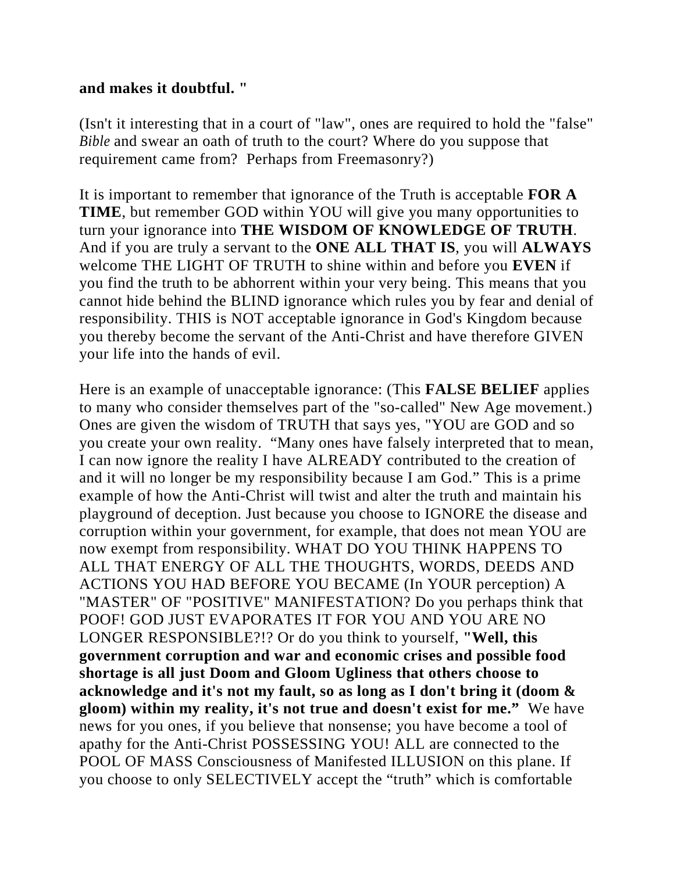#### **and makes it doubtful. "**

(Isn't it interesting that in a court of "law", ones are required to hold the "false" *Bible* and swear an oath of truth to the court? Where do you suppose that requirement came from? Perhaps from Freemasonry?)

It is important to remember that ignorance of the Truth is acceptable **FOR A TIME**, but remember GOD within YOU will give you many opportunities to turn your ignorance into **THE WISDOM OF KNOWLEDGE OF TRUTH**. And if you are truly a servant to the **ONE ALL THAT IS**, you will **ALWAYS** welcome THE LIGHT OF TRUTH to shine within and before you **EVEN** if you find the truth to be abhorrent within your very being. This means that you cannot hide behind the BLIND ignorance which rules you by fear and denial of responsibility. THIS is NOT acceptable ignorance in God's Kingdom because you thereby become the servant of the Anti-Christ and have therefore GIVEN your life into the hands of evil.

Here is an example of unacceptable ignorance: (This **FALSE BELIEF** applies to many who consider themselves part of the "so-called" New Age movement.) Ones are given the wisdom of TRUTH that says yes, "YOU are GOD and so you create your own reality. "Many ones have falsely interpreted that to mean, I can now ignore the reality I have ALREADY contributed to the creation of and it will no longer be my responsibility because I am God." This is a prime example of how the Anti-Christ will twist and alter the truth and maintain his playground of deception. Just because you choose to IGNORE the disease and corruption within your government, for example, that does not mean YOU are now exempt from responsibility. WHAT DO YOU THINK HAPPENS TO ALL THAT ENERGY OF ALL THE THOUGHTS, WORDS, DEEDS AND ACTIONS YOU HAD BEFORE YOU BECAME (In YOUR perception) A "MASTER" OF "POSITIVE" MANIFESTATION? Do you perhaps think that POOF! GOD JUST EVAPORATES IT FOR YOU AND YOU ARE NO LONGER RESPONSIBLE?!? Or do you think to yourself, **"Well, this government corruption and war and economic crises and possible food shortage is all just Doom and Gloom Ugliness that others choose to acknowledge and it's not my fault, so as long as I don't bring it (doom & gloom) within my reality, it's not true and doesn't exist for me."** We have news for you ones, if you believe that nonsense; you have become a tool of apathy for the Anti-Christ POSSESSING YOU! ALL are connected to the POOL OF MASS Consciousness of Manifested ILLUSION on this plane. If you choose to only SELECTIVELY accept the "truth" which is comfortable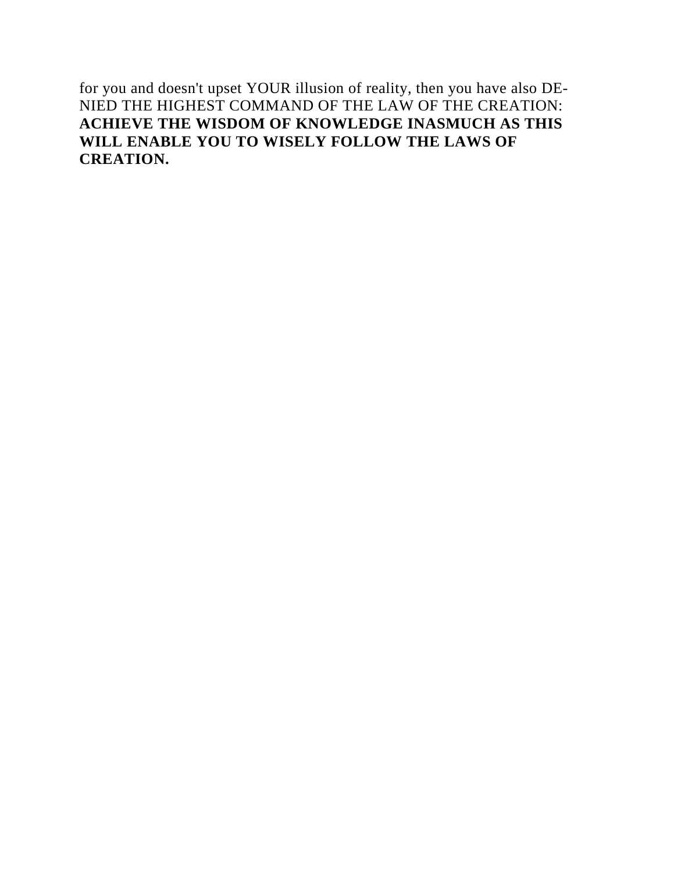for you and doesn't upset YOUR illusion of reality, then you have also DE-NIED THE HIGHEST COMMAND OF THE LAW OF THE CREATION: **ACHIEVE THE WISDOM OF KNOWLEDGE INASMUCH AS THIS WILL ENABLE YOU TO WISELY FOLLOW THE LAWS OF CREATION.**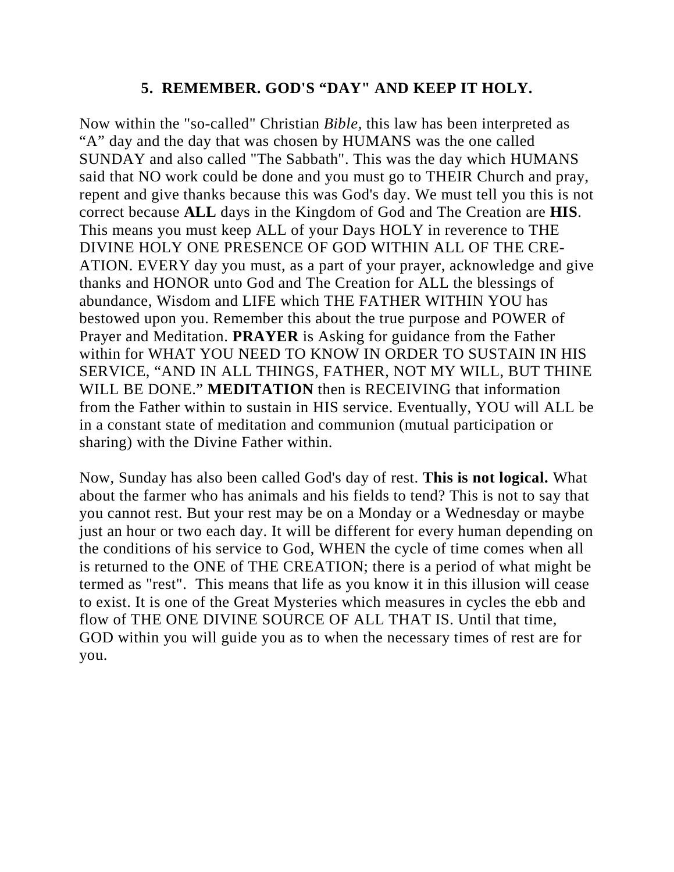### **5. REMEMBER. GOD'S "DAY" AND KEEP IT HOLY.**

Now within the "so-called" Christian *Bible,* this law has been interpreted as "A" day and the day that was chosen by HUMANS was the one called SUNDAY and also called "The Sabbath". This was the day which HUMANS said that NO work could be done and you must go to THEIR Church and pray, repent and give thanks because this was God's day. We must tell you this is not correct because **ALL** days in the Kingdom of God and The Creation are **HIS**. This means you must keep ALL of your Days HOLY in reverence to THE DIVINE HOLY ONE PRESENCE OF GOD WITHIN ALL OF THE CRE-ATION. EVERY day you must, as a part of your prayer, acknowledge and give thanks and HONOR unto God and The Creation for ALL the blessings of abundance, Wisdom and LIFE which THE FATHER WITHIN YOU has bestowed upon you. Remember this about the true purpose and POWER of Prayer and Meditation. **PRAYER** is Asking for guidance from the Father within for WHAT YOU NEED TO KNOW IN ORDER TO SUSTAIN IN HIS SERVICE, "AND IN ALL THINGS, FATHER, NOT MY WILL, BUT THINE WILL BE DONE." **MEDITATION** then is RECEIVING that information from the Father within to sustain in HIS service. Eventually, YOU will ALL be in a constant state of meditation and communion (mutual participation or sharing) with the Divine Father within.

Now, Sunday has also been called God's day of rest. **This is not logical.** What about the farmer who has animals and his fields to tend? This is not to say that you cannot rest. But your rest may be on a Monday or a Wednesday or maybe just an hour or two each day. It will be different for every human depending on the conditions of his service to God, WHEN the cycle of time comes when all is returned to the ONE of THE CREATION; there is a period of what might be termed as "rest". This means that life as you know it in this illusion will cease to exist. It is one of the Great Mysteries which measures in cycles the ebb and flow of THE ONE DIVINE SOURCE OF ALL THAT IS. Until that time, GOD within you will guide you as to when the necessary times of rest are for you.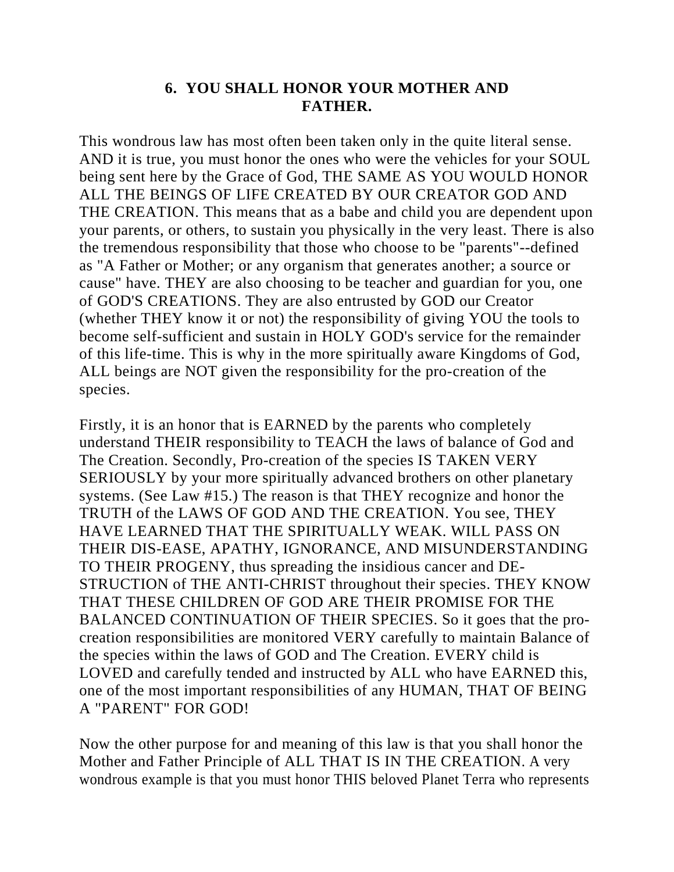## **6. YOU SHALL HONOR YOUR MOTHER AND FATHER.**

This wondrous law has most often been taken only in the quite literal sense. AND it is true, you must honor the ones who were the vehicles for your SOUL being sent here by the Grace of God, THE SAME AS YOU WOULD HONOR ALL THE BEINGS OF LIFE CREATED BY OUR CREATOR GOD AND THE CREATION. This means that as a babe and child you are dependent upon your parents, or others, to sustain you physically in the very least. There is also the tremendous responsibility that those who choose to be "parents"--defined as "A Father or Mother; or any organism that generates another; a source or cause" have. THEY are also choosing to be teacher and guardian for you, one of GOD'S CREATIONS. They are also entrusted by GOD our Creator (whether THEY know it or not) the responsibility of giving YOU the tools to become self-sufficient and sustain in HOLY GOD's service for the remainder of this life-time. This is why in the more spiritually aware Kingdoms of God, ALL beings are NOT given the responsibility for the pro-creation of the species.

Firstly, it is an honor that is EARNED by the parents who completely understand THEIR responsibility to TEACH the laws of balance of God and The Creation. Secondly, Pro-creation of the species IS TAKEN VERY SERIOUSLY by your more spiritually advanced brothers on other planetary systems. (See Law #15.) The reason is that THEY recognize and honor the TRUTH of the LAWS OF GOD AND THE CREATION. You see, THEY HAVE LEARNED THAT THE SPIRITUALLY WEAK. WILL PASS ON THEIR DIS-EASE, APATHY, IGNORANCE, AND MISUNDERSTANDING TO THEIR PROGENY, thus spreading the insidious cancer and DE-STRUCTION of THE ANTI-CHRIST throughout their species. THEY KNOW THAT THESE CHILDREN OF GOD ARE THEIR PROMISE FOR THE BALANCED CONTINUATION OF THEIR SPECIES. So it goes that the procreation responsibilities are monitored VERY carefully to maintain Balance of the species within the laws of GOD and The Creation. EVERY child is LOVED and carefully tended and instructed by ALL who have EARNED this, one of the most important responsibilities of any HUMAN, THAT OF BEING A "PARENT" FOR GOD!

Now the other purpose for and meaning of this law is that you shall honor the Mother and Father Principle of ALL THAT IS IN THE CREATION. A very wondrous example is that you must honor THIS beloved Planet Terra who represents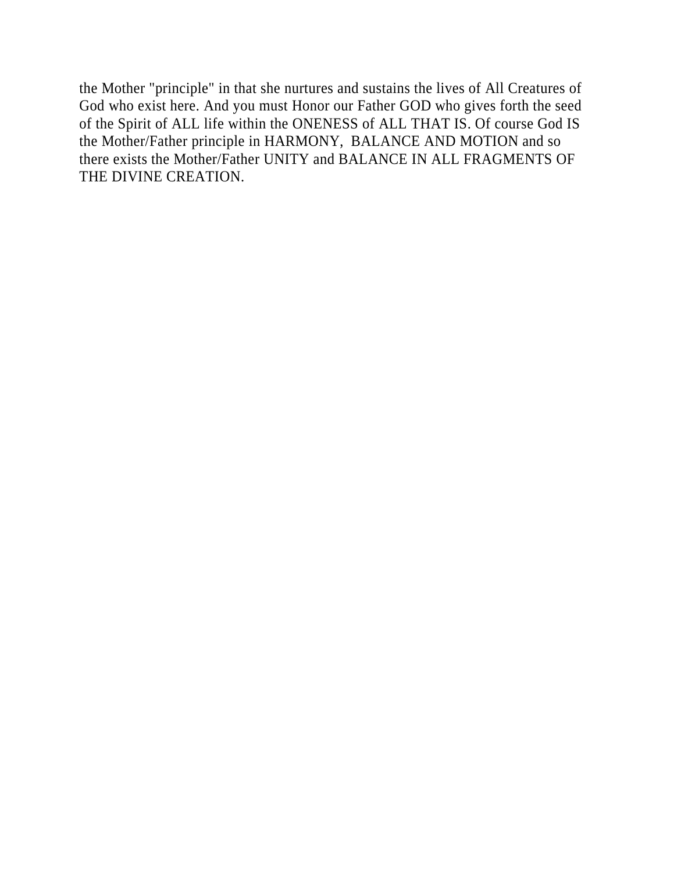the Mother "principle" in that she nurtures and sustains the lives of All Creatures of God who exist here. And you must Honor our Father GOD who gives forth the seed of the Spirit of ALL life within the ONENESS of ALL THAT IS. Of course God IS the Mother/Father principle in HARMONY, BALANCE AND MOTION and so there exists the Mother/Father UNITY and BALANCE IN ALL FRAGMENTS OF THE DIVINE CREATION.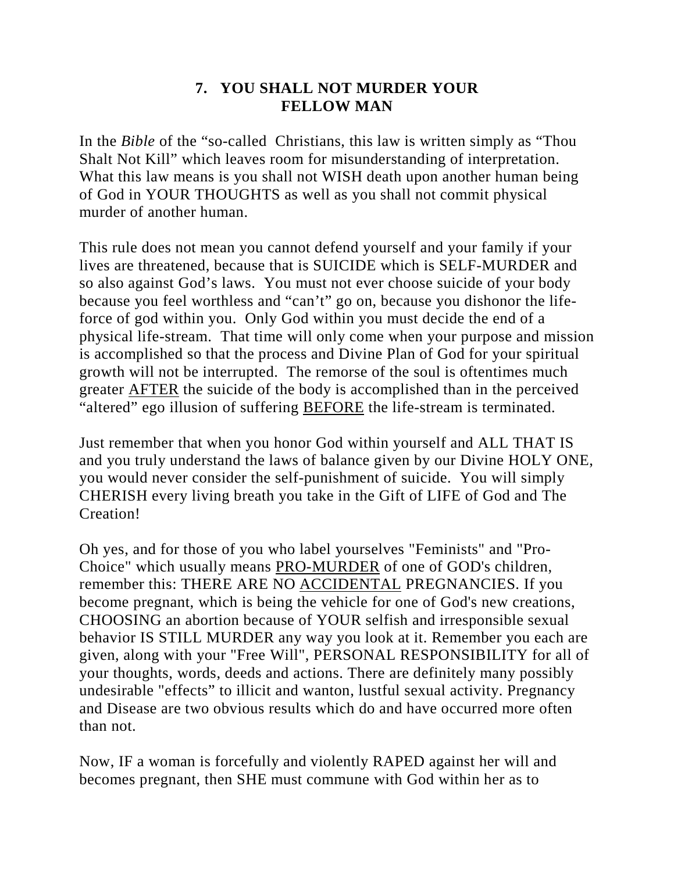## **7. YOU SHALL NOT MURDER YOUR FELLOW MAN**

In the *Bible* of the "so-called Christians, this law is written simply as "Thou Shalt Not Kill" which leaves room for misunderstanding of interpretation. What this law means is you shall not WISH death upon another human being of God in YOUR THOUGHTS as well as you shall not commit physical murder of another human.

This rule does not mean you cannot defend yourself and your family if your lives are threatened, because that is SUICIDE which is SELF-MURDER and so also against God's laws. You must not ever choose suicide of your body because you feel worthless and "can't" go on, because you dishonor the lifeforce of god within you. Only God within you must decide the end of a physical life-stream. That time will only come when your purpose and mission is accomplished so that the process and Divine Plan of God for your spiritual growth will not be interrupted. The remorse of the soul is oftentimes much greater AFTER the suicide of the body is accomplished than in the perceived "altered" ego illusion of suffering BEFORE the life-stream is terminated.

Just remember that when you honor God within yourself and ALL THAT IS and you truly understand the laws of balance given by our Divine HOLY ONE, you would never consider the self-punishment of suicide. You will simply CHERISH every living breath you take in the Gift of LIFE of God and The Creation!

Oh yes, and for those of you who label yourselves "Feminists" and "Pro-Choice" which usually means PRO-MURDER of one of GOD's children, remember this: THERE ARE NO ACCIDENTAL PREGNANCIES. If you become pregnant, which is being the vehicle for one of God's new creations, CHOOSING an abortion because of YOUR selfish and irresponsible sexual behavior IS STILL MURDER any way you look at it. Remember you each are given, along with your "Free Will", PERSONAL RESPONSIBILITY for all of your thoughts, words, deeds and actions. There are definitely many possibly undesirable "effects" to illicit and wanton, lustful sexual activity. Pregnancy and Disease are two obvious results which do and have occurred more often than not.

Now, IF a woman is forcefully and violently RAPED against her will and becomes pregnant, then SHE must commune with God within her as to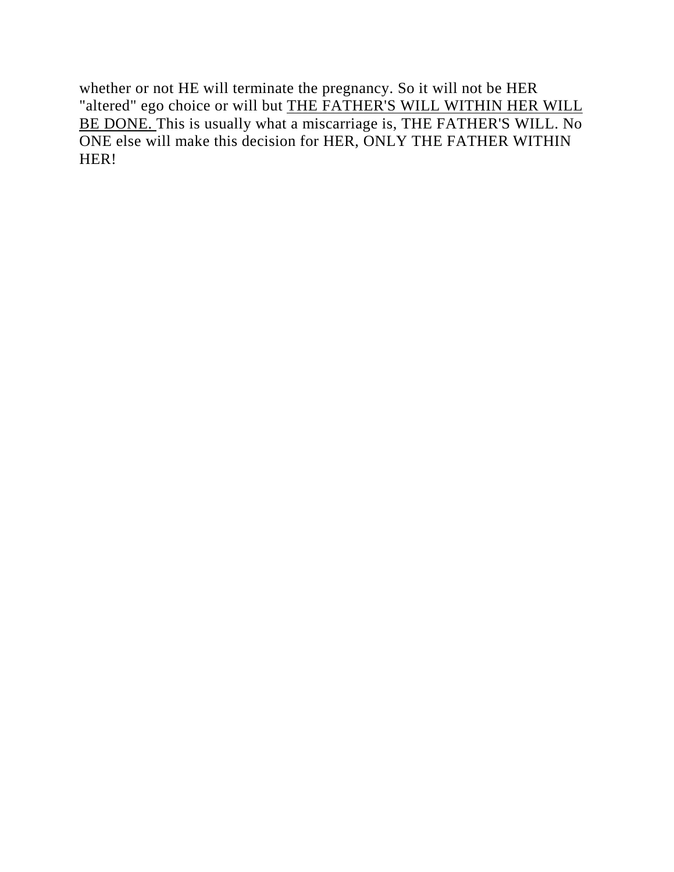whether or not HE will terminate the pregnancy. So it will not be HER "altered" ego choice or will but **THE FATHER'S WILL WITHIN HER WILL** BE DONE. This is usually what a miscarriage is, THE FATHER'S WILL. No ONE else will make this decision for HER, ONLY THE FATHER WITHIN HER!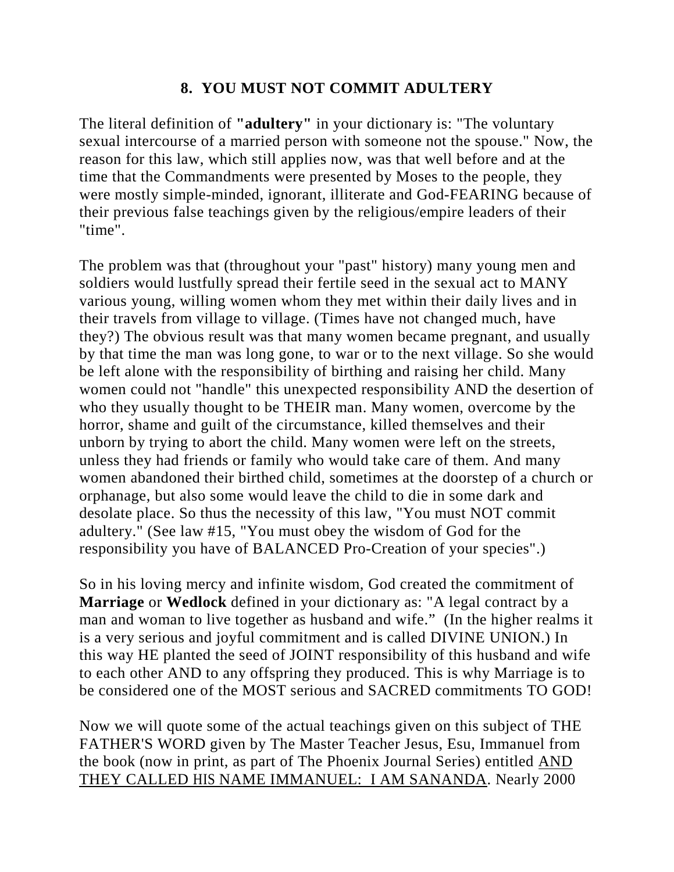## **8. YOU MUST NOT COMMIT ADULTERY**

The literal definition of **"adultery"** in your dictionary is: "The voluntary sexual intercourse of a married person with someone not the spouse." Now, the reason for this law, which still applies now, was that well before and at the time that the Commandments were presented by Moses to the people, they were mostly simple-minded, ignorant, illiterate and God-FEARING because of their previous false teachings given by the religious/empire leaders of their "time".

The problem was that (throughout your "past" history) many young men and soldiers would lustfully spread their fertile seed in the sexual act to MANY various young, willing women whom they met within their daily lives and in their travels from village to village. (Times have not changed much, have they?) The obvious result was that many women became pregnant, and usually by that time the man was long gone, to war or to the next village. So she would be left alone with the responsibility of birthing and raising her child. Many women could not "handle" this unexpected responsibility AND the desertion of who they usually thought to be THEIR man. Many women, overcome by the horror, shame and guilt of the circumstance, killed themselves and their unborn by trying to abort the child. Many women were left on the streets, unless they had friends or family who would take care of them. And many women abandoned their birthed child, sometimes at the doorstep of a church or orphanage, but also some would leave the child to die in some dark and desolate place. So thus the necessity of this law, "You must NOT commit adultery." (See law #15, "You must obey the wisdom of God for the responsibility you have of BALANCED Pro-Creation of your species".)

So in his loving mercy and infinite wisdom, God created the commitment of **Marriage** or **Wedlock** defined in your dictionary as: "A legal contract by a man and woman to live together as husband and wife." (In the higher realms it is a very serious and joyful commitment and is called DIVINE UNION.) In this way HE planted the seed of JOINT responsibility of this husband and wife to each other AND to any offspring they produced. This is why Marriage is to be considered one of the MOST serious and SACRED commitments TO GOD!

Now we will quote some of the actual teachings given on this subject of THE FATHER'S WORD given by The Master Teacher Jesus, Esu, Immanuel from the book (now in print, as part of The Phoenix Journal Series) entitled AND THEY CALLED HIS NAME IMMANUEL: I AM SANANDA. Nearly 2000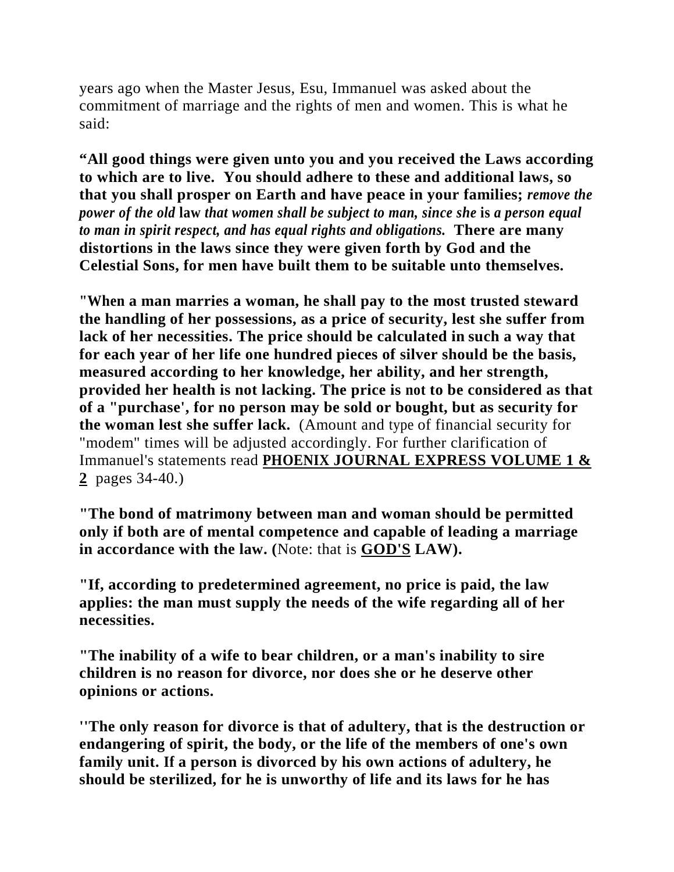years ago when the Master Jesus, Esu, Immanuel was asked about the commitment of marriage and the rights of men and women. This is what he said:

**"All good things were given unto you and you received the Laws according to which are to live. You should adhere to these and additional laws, so that you shall prosper on Earth and have peace in your families;** *remove the power of the old* **law** *that women shall be subject to man, since she* **is** *a person equal to man in spirit respect, and has equal rights and obligations.* **There are many distortions in the laws since they were given forth by God and the Celestial Sons, for men have built them to be suitable unto themselves.** 

**"When a man marries a woman, he shall pay to the most trusted steward the handling of her possessions, as a price of security, lest she suffer from lack of her necessities. The price should be calculated in such a way that for each year of her life one hundred pieces of silver should be the basis, measured according to her knowledge, her ability, and her strength, provided her health is not lacking. The price is not to be considered as that of a "purchase', for no person may be sold or bought, but as security for the woman lest she suffer lack.** (Amount and type of financial security for "modem" times will be adjusted accordingly. For further clarification of Immanuel's statements read **PHOENIX JOURNAL EXPRESS VOLUME 1 & 2** pages 34-40.)

**"The bond of matrimony between man and woman should be permitted only if both are of mental competence and capable of leading a marriage in accordance with the law. (**Note: that is **GOD'S LAW).** 

**"If, according to predetermined agreement, no price is paid, the law applies: the man must supply the needs of the wife regarding all of her necessities.** 

**"The inability of a wife to bear children, or a man's inability to sire children is no reason for divorce, nor does she or he deserve other opinions or actions.** 

**''The only reason for divorce is that of adultery, that is the destruction or endangering of spirit, the body, or the life of the members of one's own family unit. If a person is divorced by his own actions of adultery, he should be sterilized, for he is unworthy of life and its laws for he has**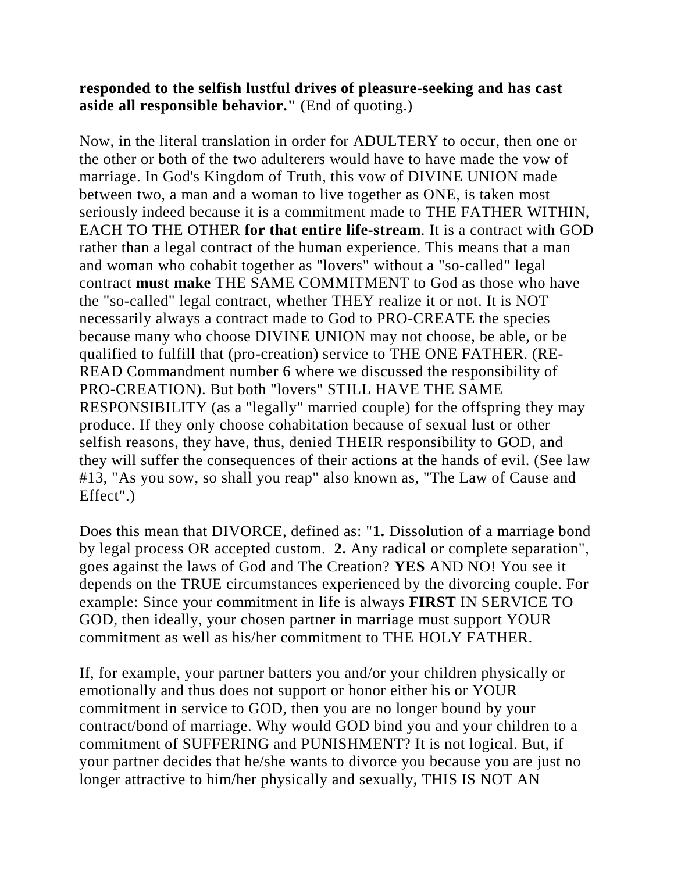# **responded to the selfish lustful drives of pleasure-seeking and has cast aside all responsible behavior."** (End of quoting.)

Now, in the literal translation in order for ADULTERY to occur, then one or the other or both of the two adulterers would have to have made the vow of marriage. In God's Kingdom of Truth, this vow of DIVINE UNION made between two, a man and a woman to live together as ONE, is taken most seriously indeed because it is a commitment made to THE FATHER WITHIN, EACH TO THE OTHER **for that entire life-stream**. It is a contract with GOD rather than a legal contract of the human experience. This means that a man and woman who cohabit together as "lovers" without a "so-called" legal contract **must make** THE SAME COMMITMENT to God as those who have the "so-called" legal contract, whether THEY realize it or not. It is NOT necessarily always a contract made to God to PRO-CREATE the species because many who choose DIVINE UNION may not choose, be able, or be qualified to fulfill that (pro-creation) service to THE ONE FATHER. (RE-READ Commandment number 6 where we discussed the responsibility of PRO-CREATION). But both "lovers" STILL HAVE THE SAME RESPONSIBILITY (as a "legally" married couple) for the offspring they may produce. If they only choose cohabitation because of sexual lust or other selfish reasons, they have, thus, denied THEIR responsibility to GOD, and they will suffer the consequences of their actions at the hands of evil. (See law #13, "As you sow, so shall you reap" also known as, "The Law of Cause and Effect".)

Does this mean that DIVORCE, defined as: "**1.** Dissolution of a marriage bond by legal process OR accepted custom. **2.** Any radical or complete separation", goes against the laws of God and The Creation? **YES** AND NO! You see it depends on the TRUE circumstances experienced by the divorcing couple. For example: Since your commitment in life is always **FIRST** IN SERVICE TO GOD, then ideally, your chosen partner in marriage must support YOUR commitment as well as his/her commitment to THE HOLY FATHER.

If, for example, your partner batters you and/or your children physically or emotionally and thus does not support or honor either his or YOUR commitment in service to GOD, then you are no longer bound by your contract/bond of marriage. Why would GOD bind you and your children to a commitment of SUFFERING and PUNISHMENT? It is not logical. But, if your partner decides that he/she wants to divorce you because you are just no longer attractive to him/her physically and sexually, THIS IS NOT AN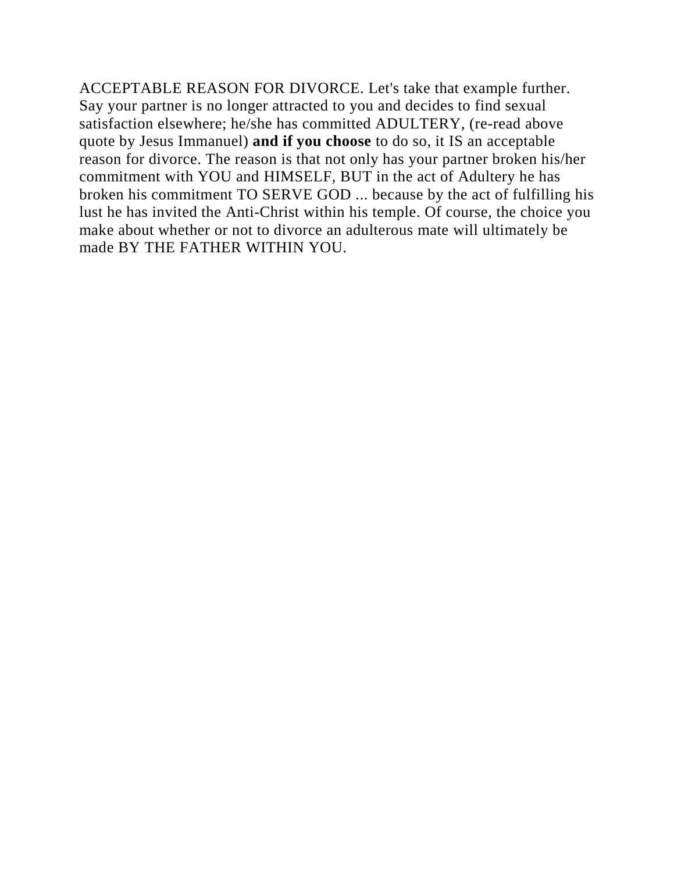ACCEPTABLE REASON FOR DIVORCE. Let's take that example further. Say your partner is no longer attracted to you and decides to find sexual satisfaction elsewhere; he/she has committed ADULTERY, (re-read above quote by Jesus Immanuel) **and if you choose** to do so, it IS an acceptable reason for divorce. The reason is that not only has your partner broken his/her commitment with YOU and HIMSELF, BUT in the act of Adultery he has broken his commitment TO SERVE GOD ... because by the act of fulfilling his lust he has invited the Anti-Christ within his temple. Of course, the choice you make about whether or not to divorce an adulterous mate will ultimately be made BY THE FATHER WITHIN YOU.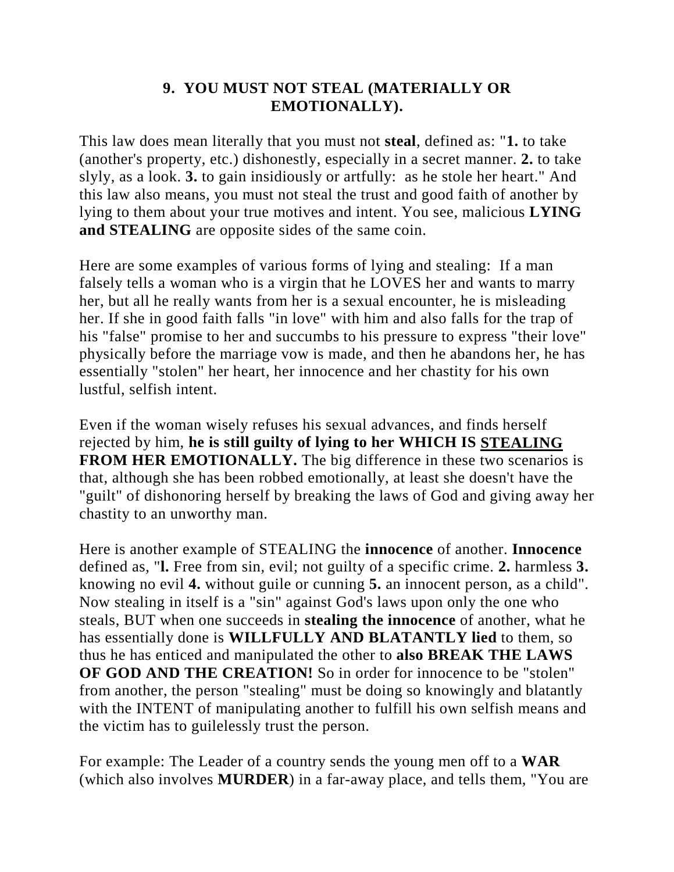# **9. YOU MUST NOT STEAL (MATERIALLY OR EMOTIONALLY).**

This law does mean literally that you must not **steal**, defined as: "**1.** to take (another's property, etc.) dishonestly, especially in a secret manner. **2.** to take slyly, as a look. **3.** to gain insidiously or artfully: as he stole her heart." And this law also means, you must not steal the trust and good faith of another by lying to them about your true motives and intent. You see, malicious **LYING and STEALING** are opposite sides of the same coin.

Here are some examples of various forms of lying and stealing: If a man falsely tells a woman who is a virgin that he LOVES her and wants to marry her, but all he really wants from her is a sexual encounter, he is misleading her. If she in good faith falls "in love" with him and also falls for the trap of his "false" promise to her and succumbs to his pressure to express "their love" physically before the marriage vow is made, and then he abandons her, he has essentially "stolen" her heart, her innocence and her chastity for his own lustful, selfish intent.

Even if the woman wisely refuses his sexual advances, and finds herself rejected by him, **he is still guilty of lying to her WHICH IS STEALING FROM HER EMOTIONALLY.** The big difference in these two scenarios is that, although she has been robbed emotionally, at least she doesn't have the "guilt" of dishonoring herself by breaking the laws of God and giving away her chastity to an unworthy man.

Here is another example of STEALING the **innocence** of another. **Innocence** defined as, "**l.** Free from sin, evil; not guilty of a specific crime. **2.** harmless **3.** knowing no evil **4.** without guile or cunning **5.** an innocent person, as a child". Now stealing in itself is a "sin" against God's laws upon only the one who steals, BUT when one succeeds in **stealing the innocence** of another, what he has essentially done is **WILLFULLY AND BLATANTLY lied** to them, so thus he has enticed and manipulated the other to **also BREAK THE LAWS OF GOD AND THE CREATION!** So in order for innocence to be "stolen" from another, the person "stealing" must be doing so knowingly and blatantly with the INTENT of manipulating another to fulfill his own selfish means and the victim has to guilelessly trust the person.

For example: The Leader of a country sends the young men off to a **WAR** (which also involves **MURDER**) in a far-away place, and tells them, "You are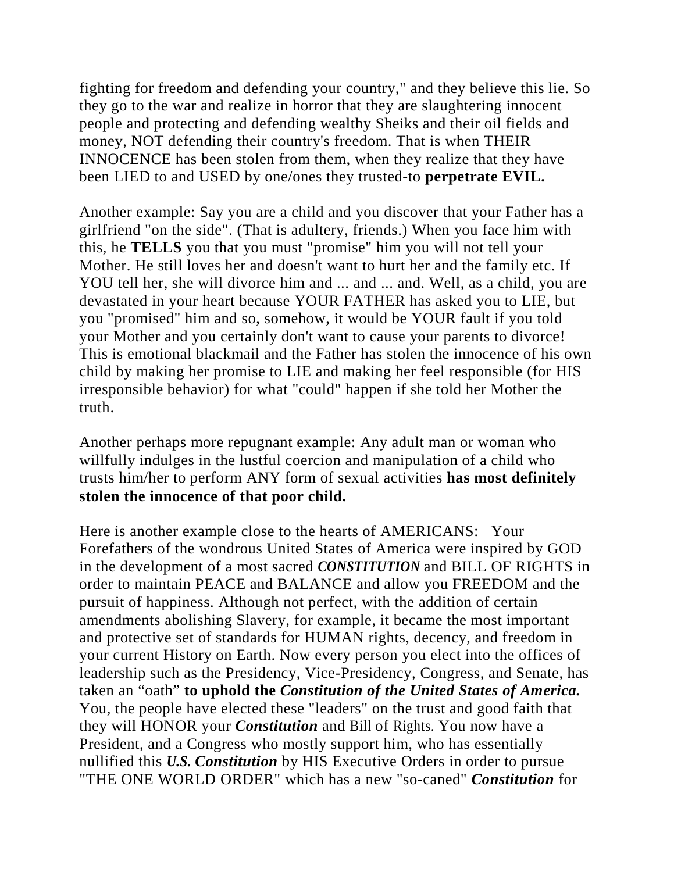fighting for freedom and defending your country," and they believe this lie. So they go to the war and realize in horror that they are slaughtering innocent people and protecting and defending wealthy Sheiks and their oil fields and money, NOT defending their country's freedom. That is when THEIR INNOCENCE has been stolen from them, when they realize that they have been LIED to and USED by one/ones they trusted-to **perpetrate EVIL.**

Another example: Say you are a child and you discover that your Father has a girlfriend "on the side". (That is adultery, friends.) When you face him with this, he **TELLS** you that you must "promise" him you will not tell your Mother. He still loves her and doesn't want to hurt her and the family etc. If YOU tell her, she will divorce him and ... and ... and. Well, as a child, you are devastated in your heart because YOUR FATHER has asked you to LIE, but you "promised" him and so, somehow, it would be YOUR fault if you told your Mother and you certainly don't want to cause your parents to divorce! This is emotional blackmail and the Father has stolen the innocence of his own child by making her promise to LIE and making her feel responsible (for HIS irresponsible behavior) for what "could" happen if she told her Mother the truth.

Another perhaps more repugnant example: Any adult man or woman who willfully indulges in the lustful coercion and manipulation of a child who trusts him/her to perform ANY form of sexual activities **has most definitely stolen the innocence of that poor child.** 

Here is another example close to the hearts of AMERICANS: Your Forefathers of the wondrous United States of America were inspired by GOD in the development of a most sacred *CONSTITUTION* and BILL OF RIGHTS in order to maintain PEACE and BALANCE and allow you FREEDOM and the pursuit of happiness. Although not perfect, with the addition of certain amendments abolishing Slavery, for example, it became the most important and protective set of standards for HUMAN rights, decency, and freedom in your current History on Earth. Now every person you elect into the offices of leadership such as the Presidency, Vice-Presidency, Congress, and Senate, has taken an "oath" **to uphold the** *Constitution of the United States of America.* You, the people have elected these "leaders" on the trust and good faith that they will HONOR your *Constitution* and Bill of Rights. You now have a President, and a Congress who mostly support him, who has essentially nullified this *U.S. Constitution* by HIS Executive Orders in order to pursue "THE ONE WORLD ORDER" which has a new "so-caned" *Constitution* for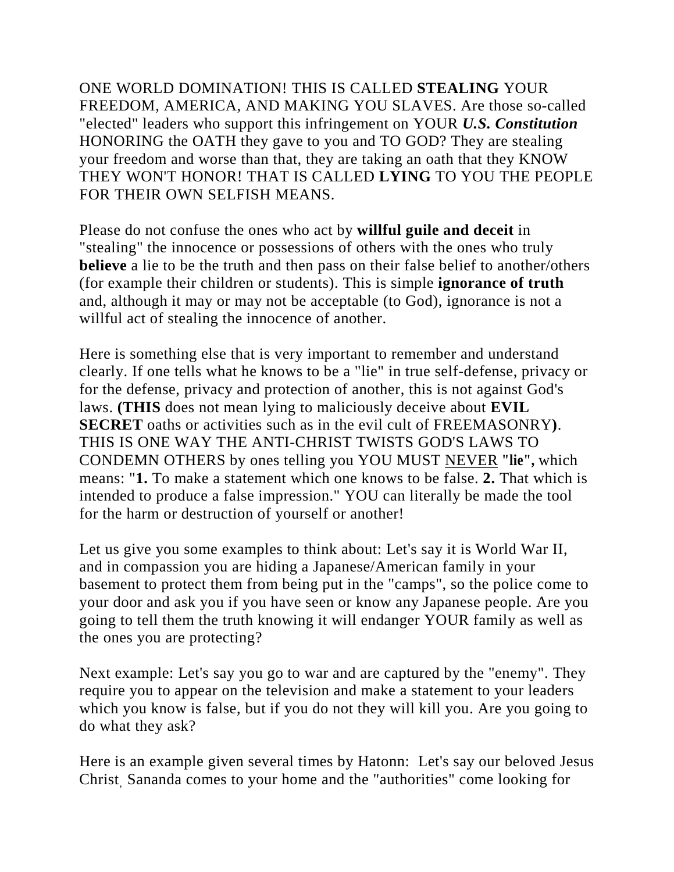ONE WORLD DOMINATION! THIS IS CALLED **STEALING** YOUR FREEDOM, AMERICA, AND MAKING YOU SLAVES. Are those so-called "elected" leaders who support this infringement on YOUR *U.S. Constitution*  HONORING the OATH they gave to you and TO GOD? They are stealing your freedom and worse than that, they are taking an oath that they KNOW THEY WON'T HONOR! THAT IS CALLED **LYING** TO YOU THE PEOPLE FOR THEIR OWN SELFISH MEANS.

Please do not confuse the ones who act by **willful guile and deceit** in "stealing" the innocence or possessions of others with the ones who truly **believe** a lie to be the truth and then pass on their false belief to another/others (for example their children or students). This is simple **ignorance of truth** and, although it may or may not be acceptable (to God), ignorance is not a willful act of stealing the innocence of another.

Here is something else that is very important to remember and understand clearly. If one tells what he knows to be a "lie" in true self-defense, privacy or for the defense, privacy and protection of another, this is not against God's laws. **(THIS** does not mean lying to maliciously deceive about **EVIL SECRET** oaths or activities such as in the evil cult of FREEMASONRY**)**. THIS IS ONE WAY THE ANTI-CHRIST TWISTS GOD'S LAWS TO CONDEMN OTHERS by ones telling you YOU MUST NEVER **"lie",** which means: "**1.** To make a statement which one knows to be false. **2.** That which is intended to produce a false impression." YOU can literally be made the tool for the harm or destruction of yourself or another!

Let us give you some examples to think about: Let's say it is World War II, and in compassion you are hiding a Japanese/American family in your basement to protect them from being put in the "camps", so the police come to your door and ask you if you have seen or know any Japanese people. Are you going to tell them the truth knowing it will endanger YOUR family as well as the ones you are protecting?

Next example: Let's say you go to war and are captured by the "enemy". They require you to appear on the television and make a statement to your leaders which you know is false, but if you do not they will kill you. Are you going to do what they ask?

Here is an example given several times by Hatonn: Let's say our beloved Jesus Christ, Sananda comes to your home and the "authorities" come looking for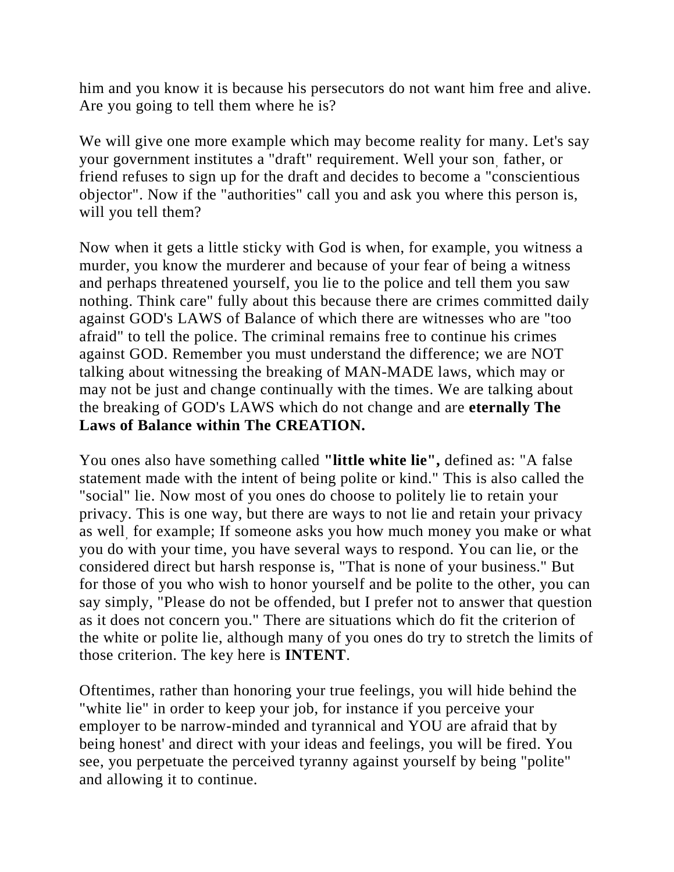him and you know it is because his persecutors do not want him free and alive. Are you going to tell them where he is?

We will give one more example which may become reality for many. Let's say your government institutes a "draft" requirement. Well your son, father, or friend refuses to sign up for the draft and decides to become a "conscientious objector". Now if the "authorities" call you and ask you where this person is, will you tell them?

Now when it gets a little sticky with God is when, for example, you witness a murder, you know the murderer and because of your fear of being a witness and perhaps threatened yourself, you lie to the police and tell them you saw nothing. Think care" fully about this because there are crimes committed daily against GOD's LAWS of Balance of which there are witnesses who are "too afraid" to tell the police. The criminal remains free to continue his crimes against GOD. Remember you must understand the difference; we are NOT talking about witnessing the breaking of MAN-MADE laws, which may or may not be just and change continually with the times. We are talking about the breaking of GOD's LAWS which do not change and are **eternally The Laws of Balance within The CREATION.**

You ones also have something called **"little white lie",** defined as: "A false statement made with the intent of being polite or kind." This is also called the "social" lie. Now most of you ones do choose to politely lie to retain your privacy. This is one way, but there are ways to not lie and retain your privacy as well, for example; If someone asks you how much money you make or what you do with your time, you have several ways to respond. You can lie, or the considered direct but harsh response is, "That is none of your business." But for those of you who wish to honor yourself and be polite to the other, you can say simply, "Please do not be offended, but I prefer not to answer that question as it does not concern you." There are situations which do fit the criterion of the white or polite lie, although many of you ones do try to stretch the limits of those criterion. The key here is **INTENT**.

Oftentimes, rather than honoring your true feelings, you will hide behind the "white lie" in order to keep your job, for instance if you perceive your employer to be narrow-minded and tyrannical and YOU are afraid that by being honest' and direct with your ideas and feelings, you will be fired. You see, you perpetuate the perceived tyranny against yourself by being "polite" and allowing it to continue.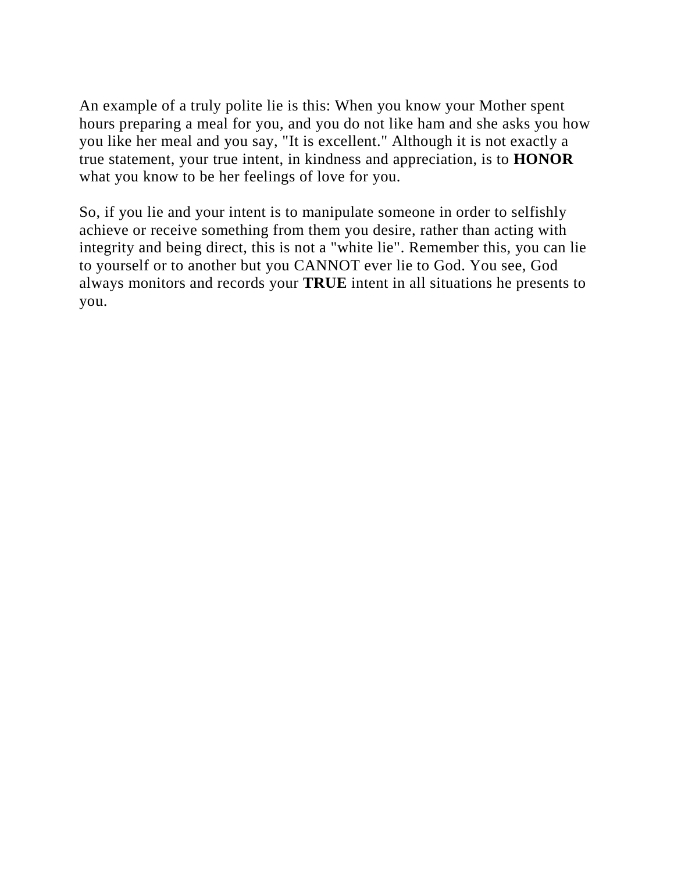An example of a truly polite lie is this: When you know your Mother spent hours preparing a meal for you, and you do not like ham and she asks you how you like her meal and you say, "It is excellent." Although it is not exactly a true statement, your true intent, in kindness and appreciation, is to **HONOR** what you know to be her feelings of love for you.

So, if you lie and your intent is to manipulate someone in order to selfishly achieve or receive something from them you desire, rather than acting with integrity and being direct, this is not a "white lie". Remember this, you can lie to yourself or to another but you CANNOT ever lie to God. You see, God always monitors and records your **TRUE** intent in all situations he presents to you.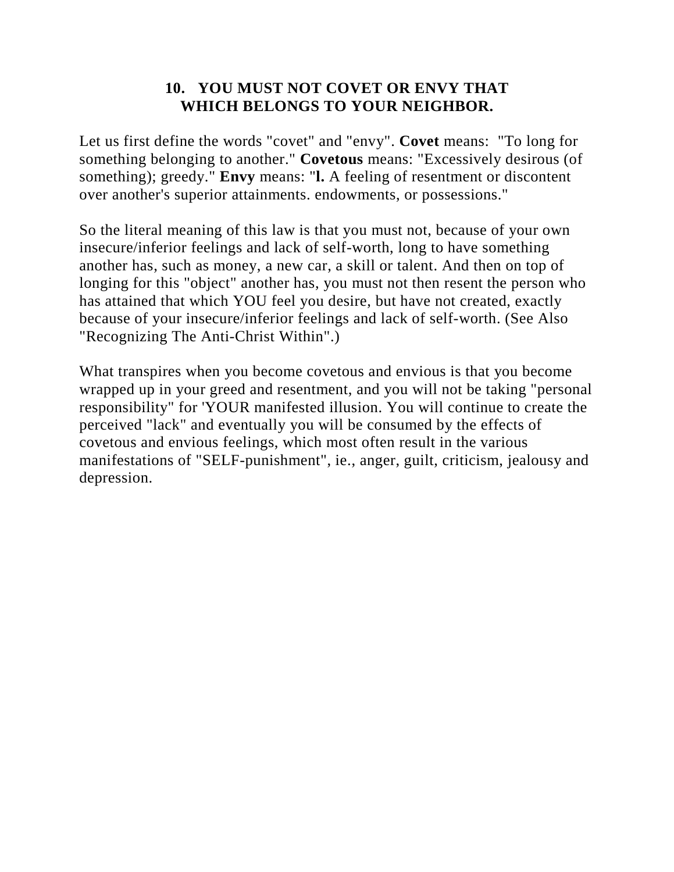# **10. YOU MUST NOT COVET OR ENVY THAT WHICH BELONGS TO YOUR NEIGHBOR.**

Let us first define the words "covet" and "envy". **Covet** means: "To long for something belonging to another." **Covetous** means: "Excessively desirous (of something); greedy." **Envy** means: "**l.** A feeling of resentment or discontent over another's superior attainments. endowments, or possessions."

So the literal meaning of this law is that you must not, because of your own insecure/inferior feelings and lack of self-worth, long to have something another has, such as money, a new car, a skill or talent. And then on top of longing for this "object" another has, you must not then resent the person who has attained that which YOU feel you desire, but have not created, exactly because of your insecure/inferior feelings and lack of self-worth. (See Also "Recognizing The Anti-Christ Within".)

What transpires when you become covetous and envious is that you become wrapped up in your greed and resentment, and you will not be taking "personal responsibility" for 'YOUR manifested illusion. You will continue to create the perceived "lack" and eventually you will be consumed by the effects of covetous and envious feelings, which most often result in the various manifestations of "SELF-punishment", ie., anger, guilt, criticism, jealousy and depression.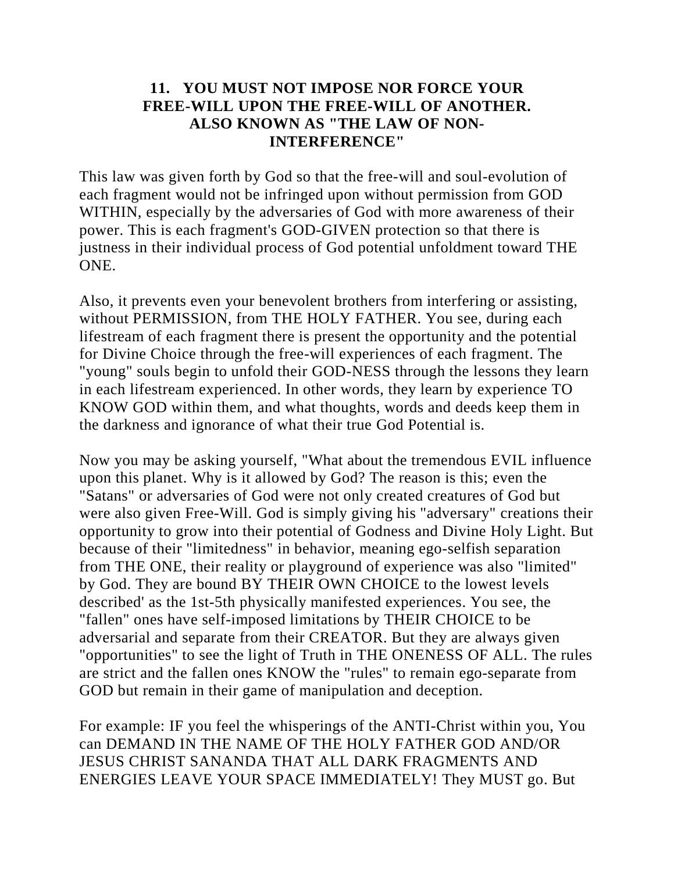# **11. YOU MUST NOT IMPOSE NOR FORCE YOUR FREE-WILL UPON THE FREE-WILL OF ANOTHER. ALSO KNOWN AS "THE LAW OF NON-INTERFERENCE"**

This law was given forth by God so that the free-will and soul-evolution of each fragment would not be infringed upon without permission from GOD WITHIN, especially by the adversaries of God with more awareness of their power. This is each fragment's GOD-GIVEN protection so that there is justness in their individual process of God potential unfoldment toward THE ONE.

Also, it prevents even your benevolent brothers from interfering or assisting, without PERMISSION, from THE HOLY FATHER. You see, during each lifestream of each fragment there is present the opportunity and the potential for Divine Choice through the free-will experiences of each fragment. The "young" souls begin to unfold their GOD-NESS through the lessons they learn in each lifestream experienced. In other words, they learn by experience TO KNOW GOD within them, and what thoughts, words and deeds keep them in the darkness and ignorance of what their true God Potential is.

Now you may be asking yourself, "What about the tremendous EVIL influence upon this planet. Why is it allowed by God? The reason is this; even the "Satans" or adversaries of God were not only created creatures of God but were also given Free-Will. God is simply giving his "adversary" creations their opportunity to grow into their potential of Godness and Divine Holy Light. But because of their "limitedness" in behavior, meaning ego-selfish separation from THE ONE, their reality or playground of experience was also "limited" by God. They are bound BY THEIR OWN CHOICE to the lowest levels described' as the 1st-5th physically manifested experiences. You see, the "fallen" ones have self-imposed limitations by THEIR CHOICE to be adversarial and separate from their CREATOR. But they are always given "opportunities" to see the light of Truth in THE ONENESS OF ALL. The rules are strict and the fallen ones KNOW the "rules" to remain ego-separate from GOD but remain in their game of manipulation and deception.

For example: IF you feel the whisperings of the ANTI-Christ within you, You can DEMAND IN THE NAME OF THE HOLY FATHER GOD AND/OR JESUS CHRIST SANANDA THAT ALL DARK FRAGMENTS AND ENERGIES LEAVE YOUR SPACE IMMEDIATELY! They MUST go. But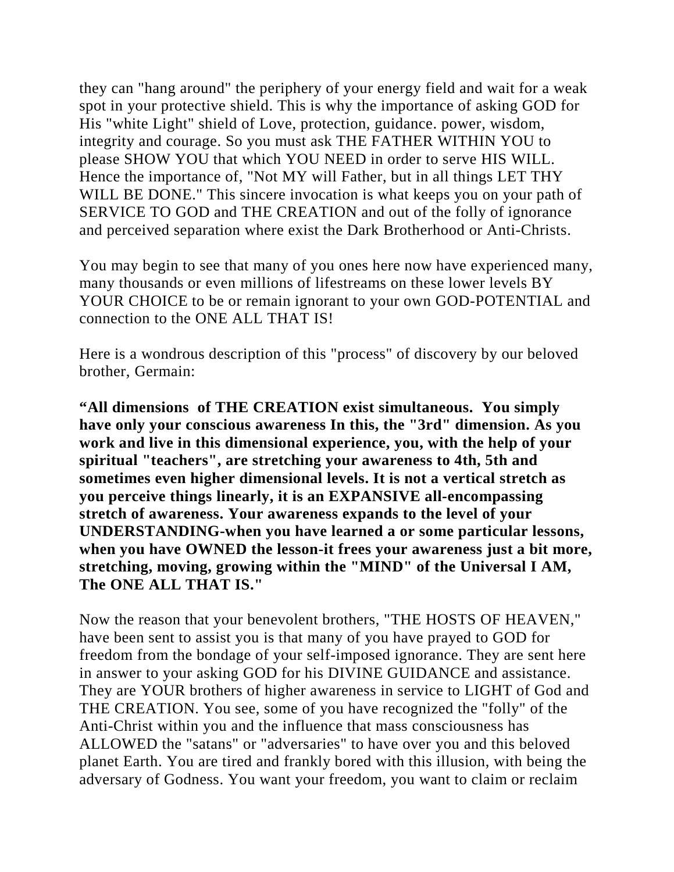they can "hang around" the periphery of your energy field and wait for a weak spot in your protective shield. This is why the importance of asking GOD for His "white Light" shield of Love, protection, guidance. power, wisdom, integrity and courage. So you must ask THE FATHER WITHIN YOU to please SHOW YOU that which YOU NEED in order to serve HIS WILL. Hence the importance of, "Not MY will Father, but in all things LET THY WILL BE DONE." This sincere invocation is what keeps you on your path of SERVICE TO GOD and THE CREATION and out of the folly of ignorance and perceived separation where exist the Dark Brotherhood or Anti-Christs.

You may begin to see that many of you ones here now have experienced many, many thousands or even millions of lifestreams on these lower levels BY YOUR CHOICE to be or remain ignorant to your own GOD-POTENTIAL and connection to the ONE ALL THAT IS!

Here is a wondrous description of this "process" of discovery by our beloved brother, Germain:

**"All dimensions of THE CREATION exist simultaneous. You simply have only your conscious awareness In this, the "3rd" dimension. As you work and live in this dimensional experience, you, with the help of your spiritual "teachers", are stretching your awareness to 4th, 5th and sometimes even higher dimensional levels. It is not a vertical stretch as you perceive things linearly, it is an EXPANSIVE all-encompassing stretch of awareness. Your awareness expands to the level of your UNDERSTANDING-when you have learned a or some particular lessons, when you have OWNED the lesson-it frees your awareness just a bit more, stretching, moving, growing within the "MIND" of the Universal I AM, The ONE ALL THAT IS."** 

Now the reason that your benevolent brothers, "THE HOSTS OF HEAVEN," have been sent to assist you is that many of you have prayed to GOD for freedom from the bondage of your self-imposed ignorance. They are sent here in answer to your asking GOD for his DIVINE GUIDANCE and assistance. They are YOUR brothers of higher awareness in service to LIGHT of God and THE CREATION. You see, some of you have recognized the "folly" of the Anti-Christ within you and the influence that mass consciousness has ALLOWED the "satans" or "adversaries" to have over you and this beloved planet Earth. You are tired and frankly bored with this illusion, with being the adversary of Godness. You want your freedom, you want to claim or reclaim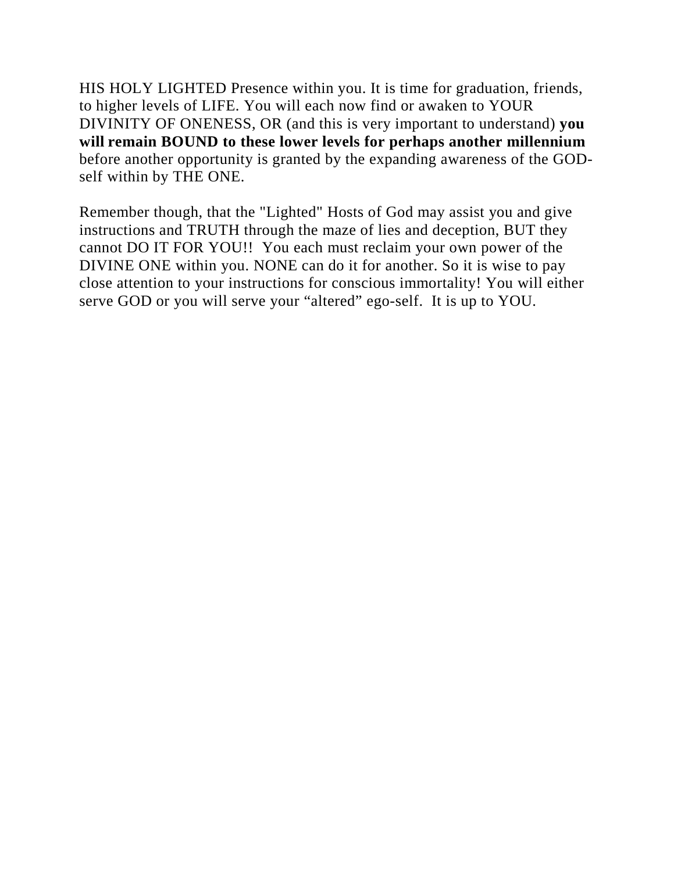HIS HOLY LIGHTED Presence within you. It is time for graduation, friends, to higher levels of LIFE. You will each now find or awaken to YOUR DIVINITY OF ONENESS, OR (and this is very important to understand) **you will remain BOUND to these lower levels for perhaps another millennium**  before another opportunity is granted by the expanding awareness of the GODself within by THE ONE.

Remember though, that the "Lighted" Hosts of God may assist you and give instructions and TRUTH through the maze of lies and deception, BUT they cannot DO IT FOR YOU!! You each must reclaim your own power of the DIVINE ONE within you. NONE can do it for another. So it is wise to pay close attention to your instructions for conscious immortality! You will either serve GOD or you will serve your "altered" ego-self. It is up to YOU.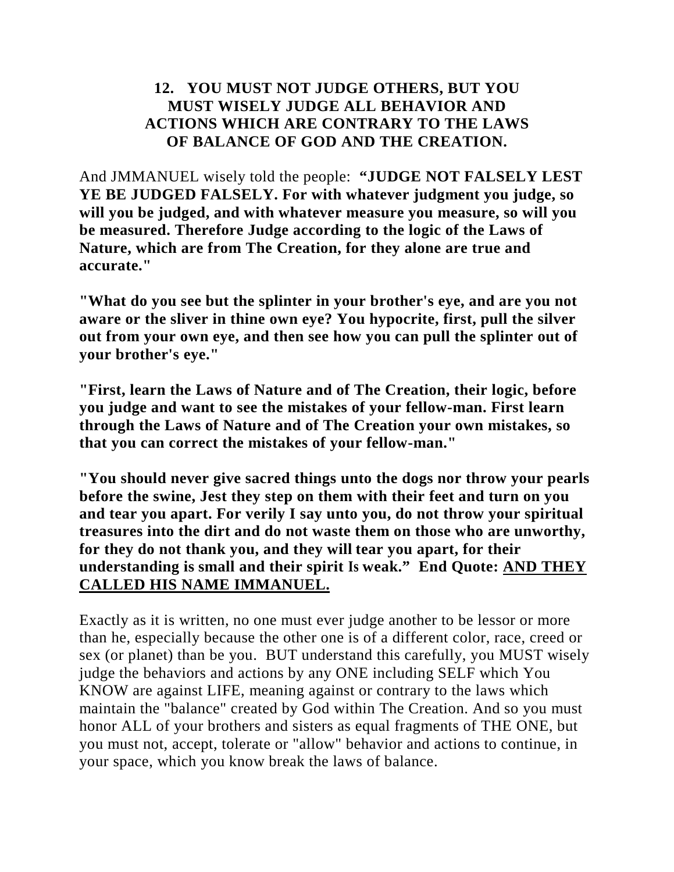# **12. YOU MUST NOT JUDGE OTHERS, BUT YOU MUST WISELY JUDGE ALL BEHAVIOR AND ACTIONS WHICH ARE CONTRARY TO THE LAWS OF BALANCE OF GOD AND THE CREATION.**

And JMMANUEL wisely told the people: **"JUDGE NOT FALSELY LEST YE BE JUDGED FALSELY. For with whatever judgment you judge, so will you be judged, and with whatever measure you measure, so will you be measured. Therefore Judge according to the logic of the Laws of Nature, which are from The Creation, for they alone are true and accurate."** 

**"What do you see but the splinter in your brother's eye, and are you not aware or the sliver in thine own eye? You hypocrite, first, pull the silver out from your own eye, and then see how you can pull the splinter out of your brother's eye."** 

**"First, learn the Laws of Nature and of The Creation, their logic, before you judge and want to see the mistakes of your fellow-man. First learn through the Laws of Nature and of The Creation your own mistakes, so that you can correct the mistakes of your fellow-man."** 

**"You should never give sacred things unto the dogs nor throw your pearls before the swine, Jest they step on them with their feet and turn on you and tear you apart. For verily I say unto you, do not throw your spiritual treasures into the dirt and do not waste them on those who are unworthy, for they do not thank you, and they will tear you apart, for their understanding is small and their spirit Is weak." End Quote: AND THEY CALLED HIS NAME IMMANUEL.**

Exactly as it is written, no one must ever judge another to be lessor or more than he, especially because the other one is of a different color, race, creed or sex (or planet) than be you. BUT understand this carefully, you MUST wisely judge the behaviors and actions by any ONE including SELF which You KNOW are against LIFE, meaning against or contrary to the laws which maintain the "balance" created by God within The Creation. And so you must honor ALL of your brothers and sisters as equal fragments of THE ONE, but you must not, accept, tolerate or "allow" behavior and actions to continue, in your space, which you know break the laws of balance.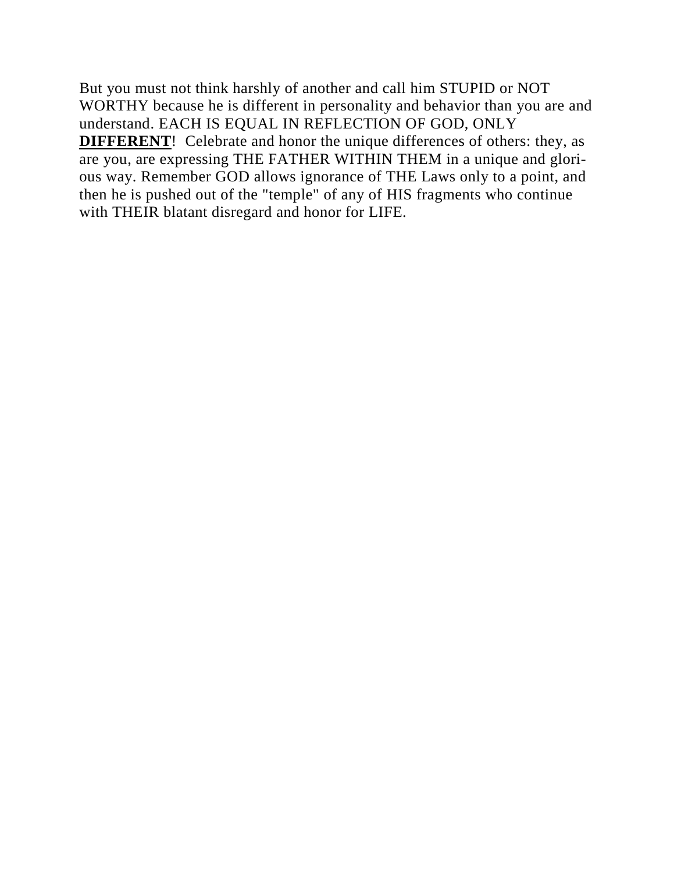But you must not think harshly of another and call him STUPID or NOT WORTHY because he is different in personality and behavior than you are and understand. EACH IS EQUAL IN REFLECTION OF GOD, ONLY **DIFFERENT!** Celebrate and honor the unique differences of others: they, as are you, are expressing THE FATHER WITHIN THEM in a unique and glorious way. Remember GOD allows ignorance of THE Laws only to a point, and then he is pushed out of the "temple" of any of HIS fragments who continue with THEIR blatant disregard and honor for LIFE.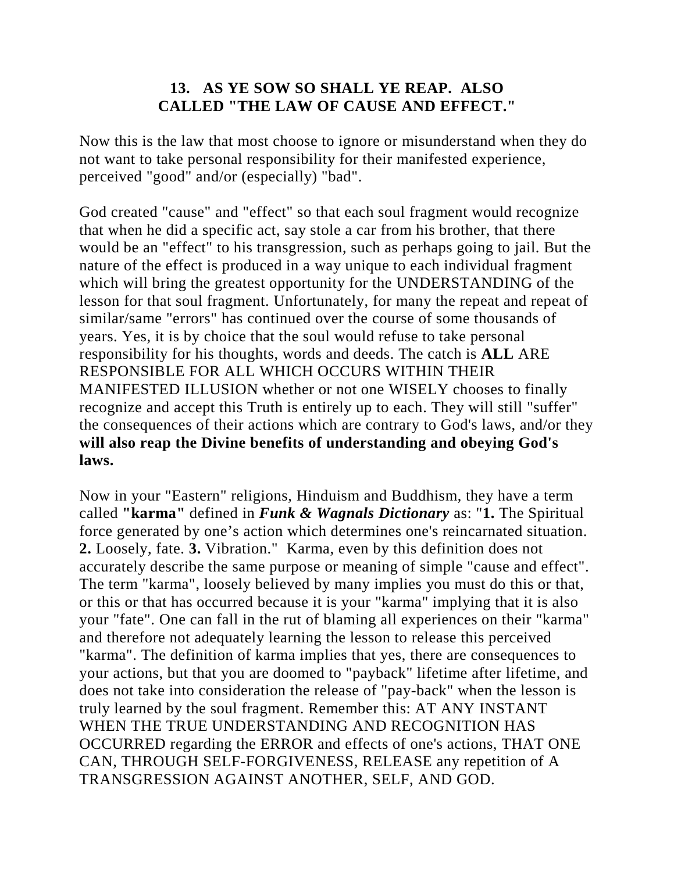# **13. AS YE SOW SO SHALL YE REAP. ALSO CALLED "THE LAW OF CAUSE AND EFFECT."**

Now this is the law that most choose to ignore or misunderstand when they do not want to take personal responsibility for their manifested experience, perceived "good" and/or (especially) "bad".

God created "cause" and "effect" so that each soul fragment would recognize that when he did a specific act, say stole a car from his brother, that there would be an "effect" to his transgression, such as perhaps going to jail. But the nature of the effect is produced in a way unique to each individual fragment which will bring the greatest opportunity for the UNDERSTANDING of the lesson for that soul fragment. Unfortunately, for many the repeat and repeat of similar/same "errors" has continued over the course of some thousands of years. Yes, it is by choice that the soul would refuse to take personal responsibility for his thoughts, words and deeds. The catch is **ALL** ARE RESPONSIBLE FOR ALL WHICH OCCURS WITHIN THEIR MANIFESTED ILLUSION whether or not one WISELY chooses to finally recognize and accept this Truth is entirely up to each. They will still "suffer" the consequences of their actions which are contrary to God's laws, and/or they **will also reap the Divine benefits of understanding and obeying God's laws.** 

Now in your "Eastern" religions, Hinduism and Buddhism, they have a term called **"karma"** defined in *Funk & Wagnals Dictionary* as: "**1.** The Spiritual force generated by one's action which determines one's reincarnated situation. **2.** Loosely, fate. **3.** Vibration." Karma, even by this definition does not accurately describe the same purpose or meaning of simple "cause and effect". The term "karma", loosely believed by many implies you must do this or that, or this or that has occurred because it is your "karma" implying that it is also your "fate". One can fall in the rut of blaming all experiences on their "karma" and therefore not adequately learning the lesson to release this perceived "karma". The definition of karma implies that yes, there are consequences to your actions, but that you are doomed to "payback" lifetime after lifetime, and does not take into consideration the release of "pay-back" when the lesson is truly learned by the soul fragment. Remember this: AT ANY INSTANT WHEN THE TRUE UNDERSTANDING AND RECOGNITION HAS OCCURRED regarding the ERROR and effects of one's actions, THAT ONE CAN, THROUGH SELF-FORGIVENESS, RELEASE any repetition of A TRANSGRESSION AGAINST ANOTHER, SELF, AND GOD.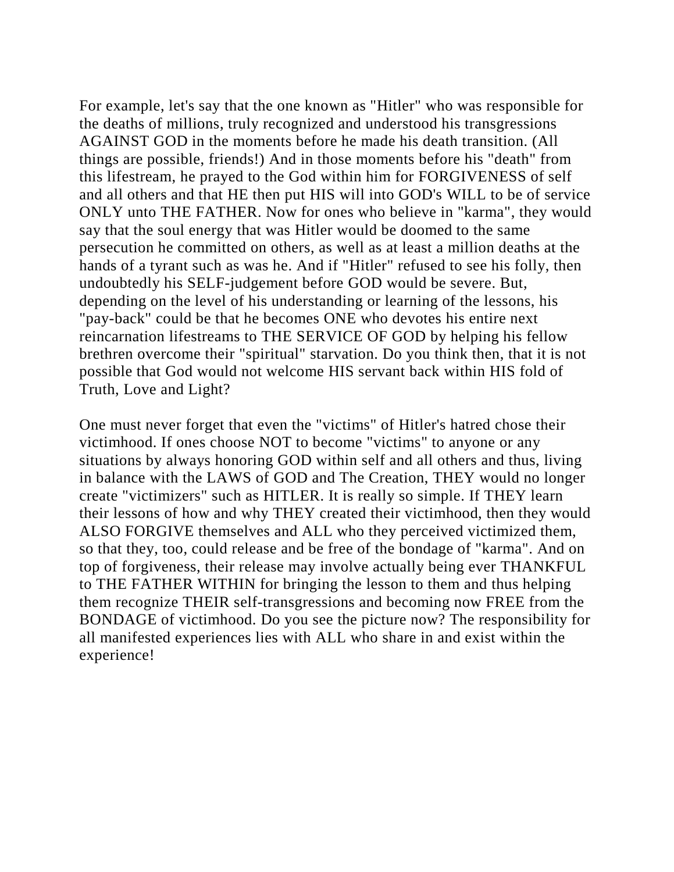For example, let's say that the one known as "Hitler" who was responsible for the deaths of millions, truly recognized and understood his transgressions AGAINST GOD in the moments before he made his death transition. (All things are possible, friends!) And in those moments before his "death" from this lifestream, he prayed to the God within him for FORGIVENESS of self and all others and that HE then put HIS will into GOD's WILL to be of service ONLY unto THE FATHER. Now for ones who believe in "karma", they would say that the soul energy that was Hitler would be doomed to the same persecution he committed on others, as well as at least a million deaths at the hands of a tyrant such as was he. And if "Hitler" refused to see his folly, then undoubtedly his SELF-judgement before GOD would be severe. But, depending on the level of his understanding or learning of the lessons, his "pay-back" could be that he becomes ONE who devotes his entire next reincarnation lifestreams to THE SERVICE OF GOD by helping his fellow brethren overcome their "spiritual" starvation. Do you think then, that it is not possible that God would not welcome HIS servant back within HIS fold of Truth, Love and Light?

One must never forget that even the "victims" of Hitler's hatred chose their victimhood. If ones choose NOT to become "victims" to anyone or any situations by always honoring GOD within self and all others and thus, living in balance with the LAWS of GOD and The Creation, THEY would no longer create "victimizers" such as HITLER. It is really so simple. If THEY learn their lessons of how and why THEY created their victimhood, then they would ALSO FORGIVE themselves and ALL who they perceived victimized them, so that they, too, could release and be free of the bondage of "karma". And on top of forgiveness, their release may involve actually being ever THANKFUL to THE FATHER WITHIN for bringing the lesson to them and thus helping them recognize THEIR self-transgressions and becoming now FREE from the BONDAGE of victimhood. Do you see the picture now? The responsibility for all manifested experiences lies with ALL who share in and exist within the experience!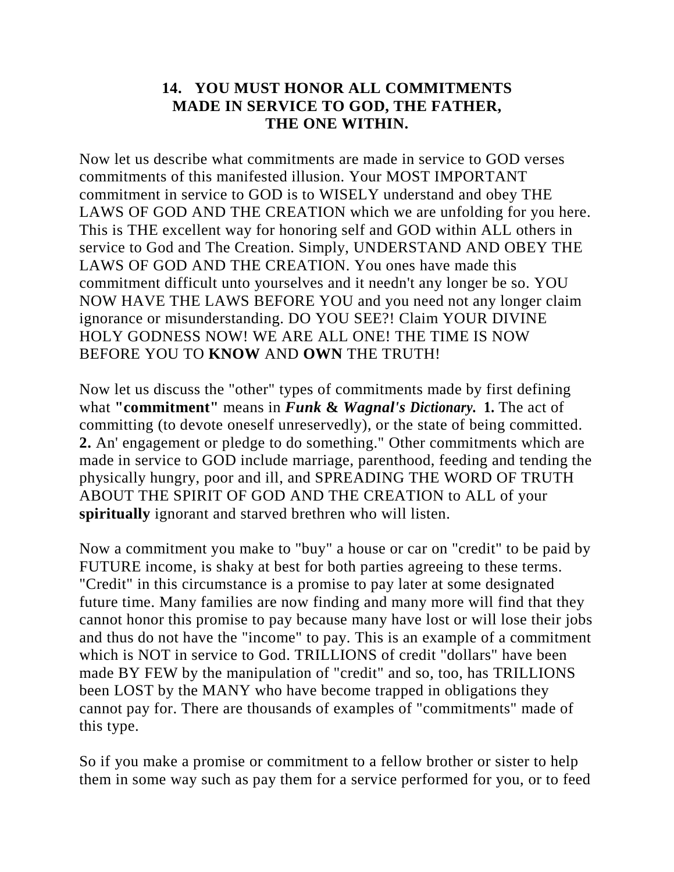## **14. YOU MUST HONOR ALL COMMITMENTS MADE IN SERVICE TO GOD, THE FATHER, THE ONE WITHIN.**

Now let us describe what commitments are made in service to GOD verses commitments of this manifested illusion. Your MOST IMPORTANT commitment in service to GOD is to WISELY understand and obey THE LAWS OF GOD AND THE CREATION which we are unfolding for you here. This is THE excellent way for honoring self and GOD within ALL others in service to God and The Creation. Simply, UNDERSTAND AND OBEY THE LAWS OF GOD AND THE CREATION. You ones have made this commitment difficult unto yourselves and it needn't any longer be so. YOU NOW HAVE THE LAWS BEFORE YOU and you need not any longer claim ignorance or misunderstanding. DO YOU SEE?! Claim YOUR DIVINE HOLY GODNESS NOW! WE ARE ALL ONE! THE TIME IS NOW BEFORE YOU TO **KNOW** AND **OWN** THE TRUTH!

Now let us discuss the "other" types of commitments made by first defining what **"commitment"** means in *Funk* **&** *Wagnal's Dictionary.* **1.** The act of committing (to devote oneself unreservedly), or the state of being committed. **2.** An' engagement or pledge to do something." Other commitments which are made in service to GOD include marriage, parenthood, feeding and tending the physically hungry, poor and ill, and SPREADING THE WORD OF TRUTH ABOUT THE SPIRIT OF GOD AND THE CREATION to ALL of your **spiritually** ignorant and starved brethren who will listen.

Now a commitment you make to "buy" a house or car on "credit" to be paid by FUTURE income, is shaky at best for both parties agreeing to these terms. "Credit" in this circumstance is a promise to pay later at some designated future time. Many families are now finding and many more will find that they cannot honor this promise to pay because many have lost or will lose their jobs and thus do not have the "income" to pay. This is an example of a commitment which is NOT in service to God. TRILLIONS of credit "dollars" have been made BY FEW by the manipulation of "credit" and so, too, has TRILLIONS been LOST by the MANY who have become trapped in obligations they cannot pay for. There are thousands of examples of "commitments" made of this type.

So if you make a promise or commitment to a fellow brother or sister to help them in some way such as pay them for a service performed for you, or to feed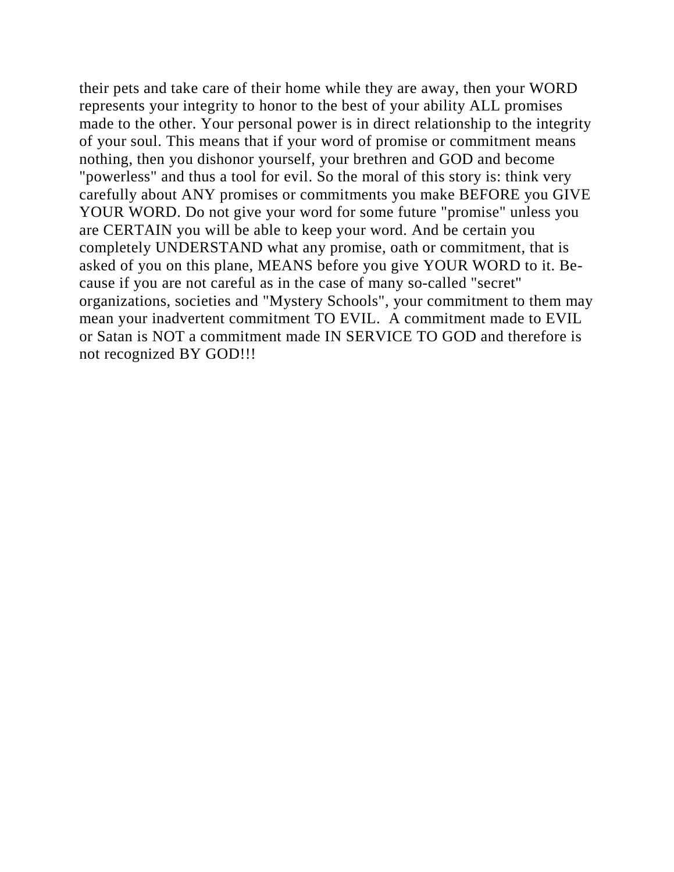their pets and take care of their home while they are away, then your WORD represents your integrity to honor to the best of your ability ALL promises made to the other. Your personal power is in direct relationship to the integrity of your soul. This means that if your word of promise or commitment means nothing, then you dishonor yourself, your brethren and GOD and become "powerless" and thus a tool for evil. So the moral of this story is: think very carefully about ANY promises or commitments you make BEFORE you GIVE YOUR WORD. Do not give your word for some future "promise" unless you are CERTAIN you will be able to keep your word. And be certain you completely UNDERSTAND what any promise, oath or commitment, that is asked of you on this plane, MEANS before you give YOUR WORD to it. Because if you are not careful as in the case of many so-called "secret" organizations, societies and "Mystery Schools", your commitment to them may mean your inadvertent commitment TO EVIL. A commitment made to EVIL or Satan is NOT a commitment made IN SERVICE TO GOD and therefore is not recognized BY GOD!!!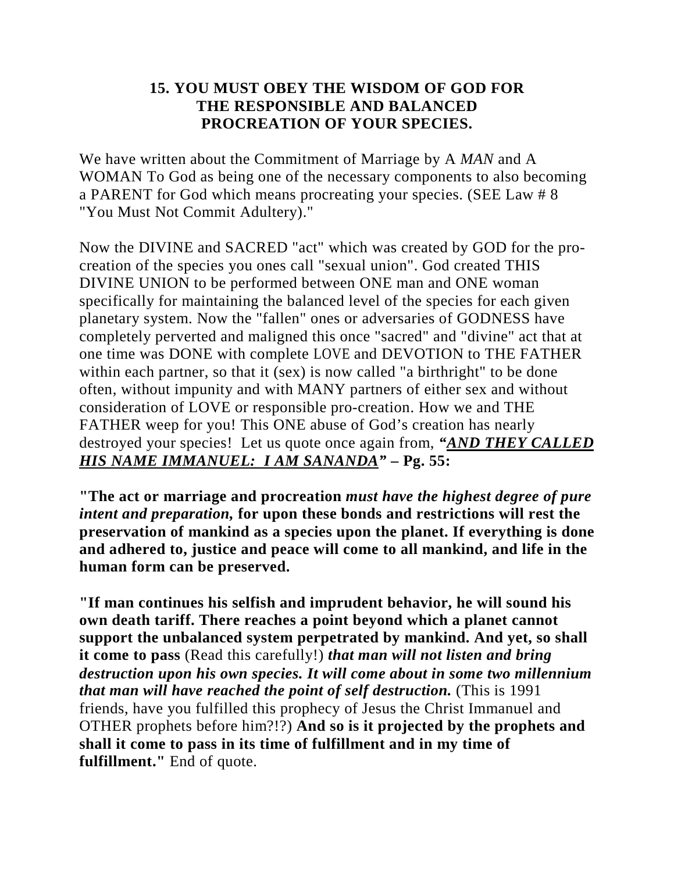#### **15. YOU MUST OBEY THE WISDOM OF GOD FOR THE RESPONSIBLE AND BALANCED PROCREATION OF YOUR SPECIES.**

We have written about the Commitment of Marriage by A *MAN* and A WOMAN To God as being one of the necessary components to also becoming a PARENT for God which means procreating your species. (SEE Law # 8 "You Must Not Commit Adultery)."

Now the DIVINE and SACRED "act" which was created by GOD for the procreation of the species you ones call "sexual union". God created THIS DIVINE UNION to be performed between ONE man and ONE woman specifically for maintaining the balanced level of the species for each given planetary system. Now the "fallen" ones or adversaries of GODNESS have completely perverted and maligned this once "sacred" and "divine" act that at one time was DONE with complete LOVE and DEVOTION to THE FATHER within each partner, so that it (sex) is now called "a birthright" to be done often, without impunity and with MANY partners of either sex and without consideration of LOVE or responsible pro-creation. How we and THE FATHER weep for you! This ONE abuse of God's creation has nearly destroyed your species! Let us quote once again from, *"AND THEY CALLED HIS NAME IMMANUEL: I AM SANANDA"* **– Pg. 55:**

**"The act or marriage and procreation** *must have the highest degree of pure intent and preparation,* **for upon these bonds and restrictions will rest the preservation of mankind as a species upon the planet. If everything is done and adhered to, justice and peace will come to all mankind, and life in the human form can be preserved.** 

**"If man continues his selfish and imprudent behavior, he will sound his own death tariff. There reaches a point beyond which a planet cannot support the unbalanced system perpetrated by mankind. And yet, so shall it come to pass** (Read this carefully!) *that man will not listen and bring destruction upon his own species. It will come about in some two millennium that man will have reached the point of self destruction.* (This is 1991) friends, have you fulfilled this prophecy of Jesus the Christ Immanuel and OTHER prophets before him?!?) **And so is it projected by the prophets and shall it come to pass in its time of fulfillment and in my time of fulfillment."** End of quote.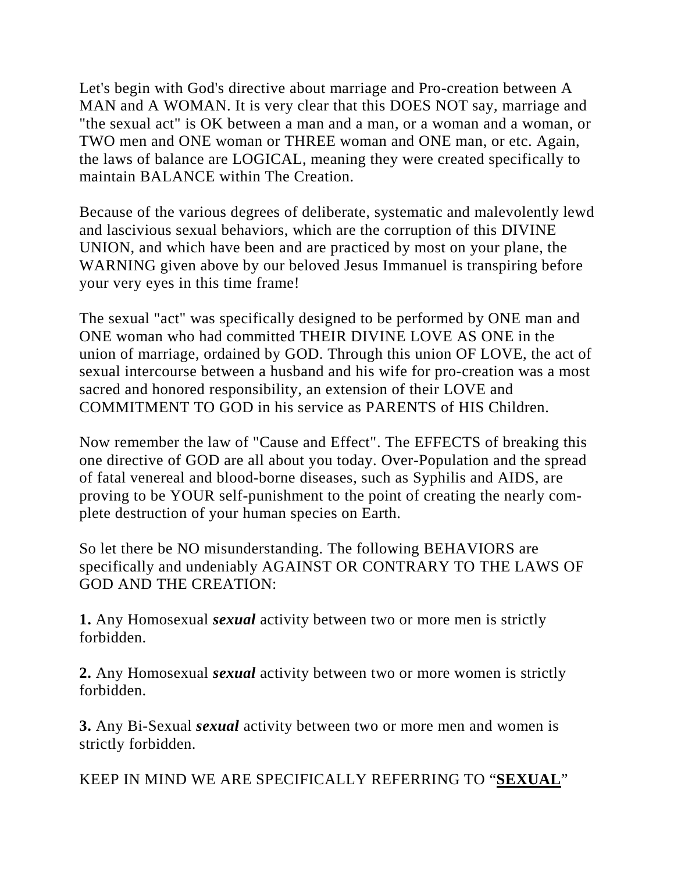Let's begin with God's directive about marriage and Pro-creation between A MAN and A WOMAN. It is very clear that this DOES NOT say, marriage and "the sexual act" is OK between a man and a man, or a woman and a woman, or TWO men and ONE woman or THREE woman and ONE man, or etc. Again, the laws of balance are LOGICAL, meaning they were created specifically to maintain BALANCE within The Creation.

Because of the various degrees of deliberate, systematic and malevolently lewd and lascivious sexual behaviors, which are the corruption of this DIVINE UNION, and which have been and are practiced by most on your plane, the WARNING given above by our beloved Jesus Immanuel is transpiring before your very eyes in this time frame!

The sexual "act" was specifically designed to be performed by ONE man and ONE woman who had committed THEIR DIVINE LOVE AS ONE in the union of marriage, ordained by GOD. Through this union OF LOVE, the act of sexual intercourse between a husband and his wife for pro-creation was a most sacred and honored responsibility, an extension of their LOVE and COMMITMENT TO GOD in his service as PARENTS of HIS Children.

Now remember the law of "Cause and Effect". The EFFECTS of breaking this one directive of GOD are all about you today. Over-Population and the spread of fatal venereal and blood-borne diseases, such as Syphilis and AIDS, are proving to be YOUR self-punishment to the point of creating the nearly complete destruction of your human species on Earth.

So let there be NO misunderstanding. The following BEHAVIORS are specifically and undeniably AGAINST OR CONTRARY TO THE LAWS OF GOD AND THE CREATION:

**1.** Any Homosexual *sexual* activity between two or more men is strictly forbidden.

**2.** Any Homosexual *sexual* activity between two or more women is strictly forbidden.

**3.** Any Bi-Sexual *sexual* activity between two or more men and women is strictly forbidden.

KEEP IN MIND WE ARE SPECIFICALLY REFERRING TO "**SEXUAL**"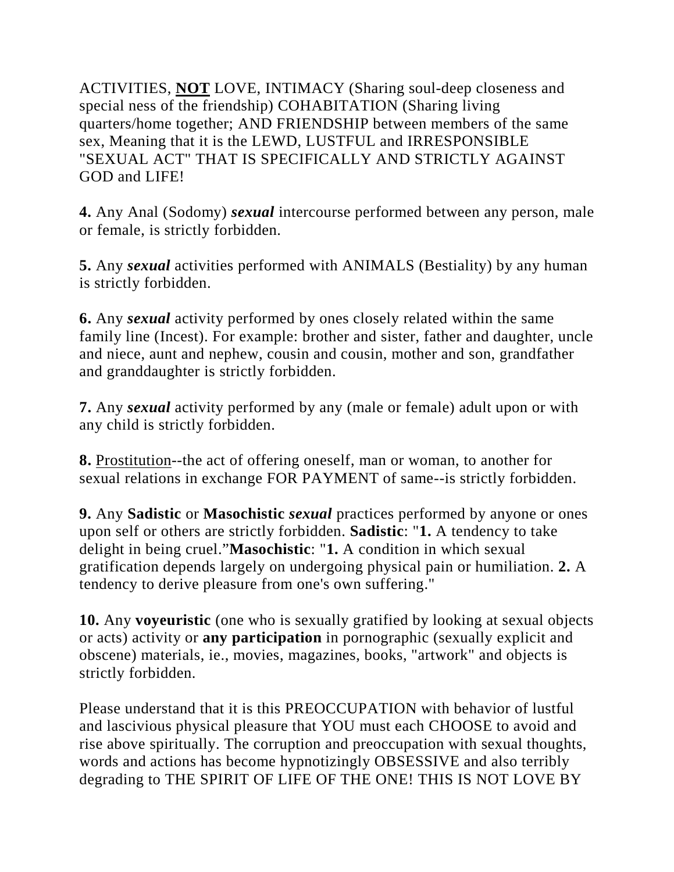ACTIVITIES, **NOT** LOVE, INTIMACY (Sharing soul-deep closeness and special ness of the friendship) COHABITATION (Sharing living quarters/home together; AND FRIENDSHIP between members of the same sex, Meaning that it is the LEWD, LUSTFUL and IRRESPONSIBLE "SEXUAL ACT" THAT IS SPECIFICALLY AND STRICTLY AGAINST GOD and LIFE!

**4.** Any Anal (Sodomy) *sexual* intercourse performed between any person, male or female, is strictly forbidden.

**5.** Any *sexual* activities performed with ANIMALS (Bestiality) by any human is strictly forbidden.

**6.** Any *sexual* activity performed by ones closely related within the same family line (Incest). For example: brother and sister, father and daughter, uncle and niece, aunt and nephew, cousin and cousin, mother and son, grandfather and granddaughter is strictly forbidden.

**7.** Any *sexual* activity performed by any (male or female) adult upon or with any child is strictly forbidden.

**8.** Prostitution--the act of offering oneself, man or woman, to another for sexual relations in exchange FOR PAYMENT of same--is strictly forbidden.

**9.** Any **Sadistic** or **Masochistic** *sexual* practices performed by anyone or ones upon self or others are strictly forbidden. **Sadistic**: "**1.** A tendency to take delight in being cruel."**Masochistic**: "**1.** A condition in which sexual gratification depends largely on undergoing physical pain or humiliation. **2.** A tendency to derive pleasure from one's own suffering."

**10.** Any **voyeuristic** (one who is sexually gratified by looking at sexual objects or acts) activity or **any participation** in pornographic (sexually explicit and obscene) materials, ie., movies, magazines, books, "artwork" and objects is strictly forbidden.

Please understand that it is this PREOCCUPATION with behavior of lustful and lascivious physical pleasure that YOU must each CHOOSE to avoid and rise above spiritually. The corruption and preoccupation with sexual thoughts, words and actions has become hypnotizingly OBSESSIVE and also terribly degrading to THE SPIRIT OF LIFE OF THE ONE! THIS IS NOT LOVE BY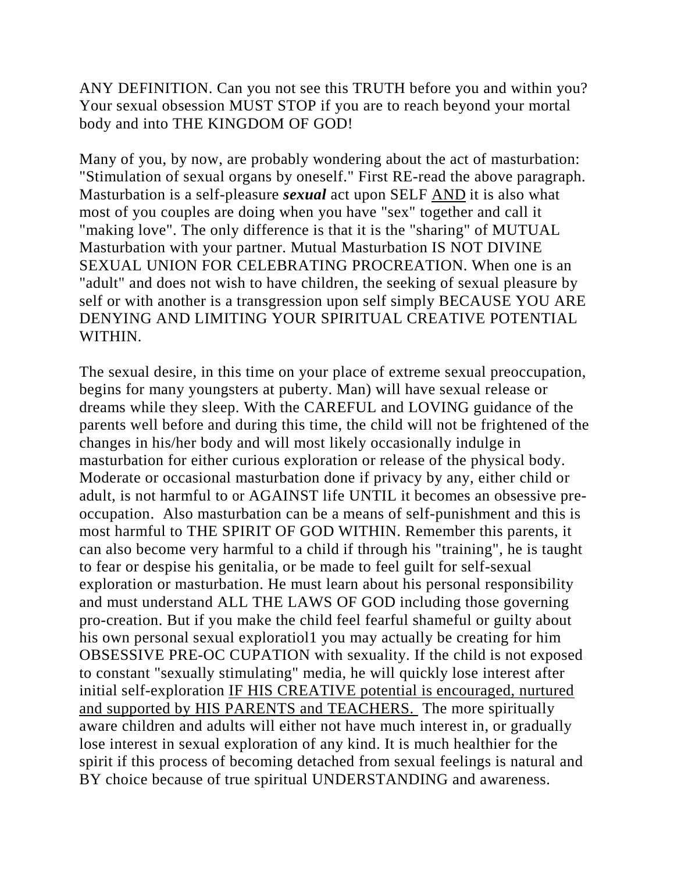ANY DEFINITION. Can you not see this TRUTH before you and within you? Your sexual obsession MUST STOP if you are to reach beyond your mortal body and into THE KINGDOM OF GOD!

Many of you, by now, are probably wondering about the act of masturbation: "Stimulation of sexual organs by oneself." First RE-read the above paragraph. Masturbation is a self-pleasure *sexual* act upon SELF AND it is also what most of you couples are doing when you have "sex" together and call it "making love". The only difference is that it is the "sharing" of MUTUAL Masturbation with your partner. Mutual Masturbation IS NOT DIVINE SEXUAL UNION FOR CELEBRATING PROCREATION. When one is an "adult" and does not wish to have children, the seeking of sexual pleasure by self or with another is a transgression upon self simply BECAUSE YOU ARE DENYING AND LIMITING YOUR SPIRITUAL CREATIVE POTENTIAL WITHIN.

The sexual desire, in this time on your place of extreme sexual preoccupation, begins for many youngsters at puberty. Man) will have sexual release or dreams while they sleep. With the CAREFUL and LOVING guidance of the parents well before and during this time, the child will not be frightened of the changes in his/her body and will most likely occasionally indulge in masturbation for either curious exploration or release of the physical body. Moderate or occasional masturbation done if privacy by any, either child or adult, is not harmful to or AGAINST life UNTIL it becomes an obsessive preoccupation. Also masturbation can be a means of self-punishment and this is most harmful to THE SPIRIT OF GOD WITHIN. Remember this parents, it can also become very harmful to a child if through his "training", he is taught to fear or despise his genitalia, or be made to feel guilt for self-sexual exploration or masturbation. He must learn about his personal responsibility and must understand ALL THE LAWS OF GOD including those governing pro-creation. But if you make the child feel fearful shameful or guilty about his own personal sexual exploratiol1 you may actually be creating for him OBSESSIVE PRE-OC CUPATION with sexuality. If the child is not exposed to constant "sexually stimulating" media, he will quickly lose interest after initial self-exploration IF HIS CREATIVE potential is encouraged, nurtured and supported by HIS PARENTS and TEACHERS. The more spiritually aware children and adults will either not have much interest in, or gradually lose interest in sexual exploration of any kind. It is much healthier for the spirit if this process of becoming detached from sexual feelings is natural and BY choice because of true spiritual UNDERSTANDING and awareness.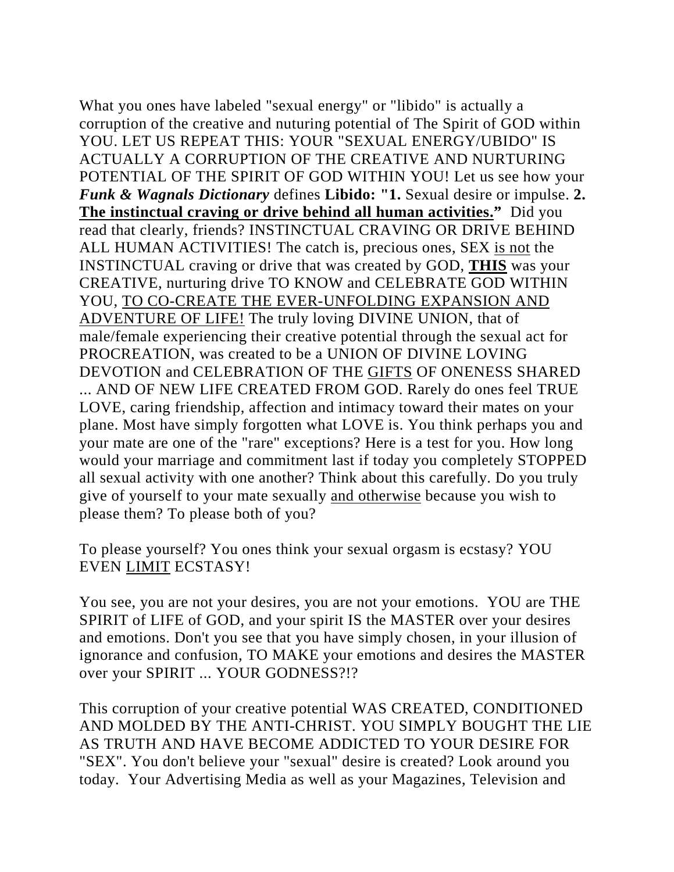What you ones have labeled "sexual energy" or "libido" is actually a corruption of the creative and nuturing potential of The Spirit of GOD within YOU. LET US REPEAT THIS: YOUR "SEXUAL ENERGY/UBIDO" IS ACTUALLY A CORRUPTION OF THE CREATIVE AND NURTURING POTENTIAL OF THE SPIRIT OF GOD WITHIN YOU! Let us see how your *Funk & Wagnals Dictionary* defines **Libido: "1.** Sexual desire or impulse. **2. The instinctual craving or drive behind all human activities."** Did you read that clearly, friends? INSTINCTUAL CRAVING OR DRIVE BEHIND ALL HUMAN ACTIVITIES! The catch is, precious ones, SEX is not the INSTINCTUAL craving or drive that was created by GOD, **THIS** was your CREATIVE, nurturing drive TO KNOW and CELEBRATE GOD WITHIN YOU, TO CO-CREATE THE EVER-UNFOLDING EXPANSION AND ADVENTURE OF LIFE! The truly loving DIVINE UNION, that of male/female experiencing their creative potential through the sexual act for PROCREATION, was created to be a UNION OF DIVINE LOVING DEVOTION and CELEBRATION OF THE GIFTS OF ONENESS SHARED ... AND OF NEW LIFE CREATED FROM GOD. Rarely do ones feel TRUE LOVE, caring friendship, affection and intimacy toward their mates on your plane. Most have simply forgotten what LOVE is. You think perhaps you and your mate are one of the "rare" exceptions? Here is a test for you. How long would your marriage and commitment last if today you completely STOPPED all sexual activity with one another? Think about this carefully. Do you truly give of yourself to your mate sexually and otherwise because you wish to please them? To please both of you?

To please yourself? You ones think your sexual orgasm is ecstasy? YOU EVEN LIMIT ECSTASY!

You see, you are not your desires, you are not your emotions. YOU are THE SPIRIT of LIFE of GOD, and your spirit IS the MASTER over your desires and emotions. Don't you see that you have simply chosen, in your illusion of ignorance and confusion, TO MAKE your emotions and desires the MASTER over your SPIRIT ... YOUR GODNESS?!?

This corruption of your creative potential WAS CREATED, CONDITIONED AND MOLDED BY THE ANTI-CHRIST. YOU SIMPLY BOUGHT THE LIE AS TRUTH AND HAVE BECOME ADDICTED TO YOUR DESIRE FOR "SEX". You don't believe your "sexual" desire is created? Look around you today. Your Advertising Media as well as your Magazines, Television and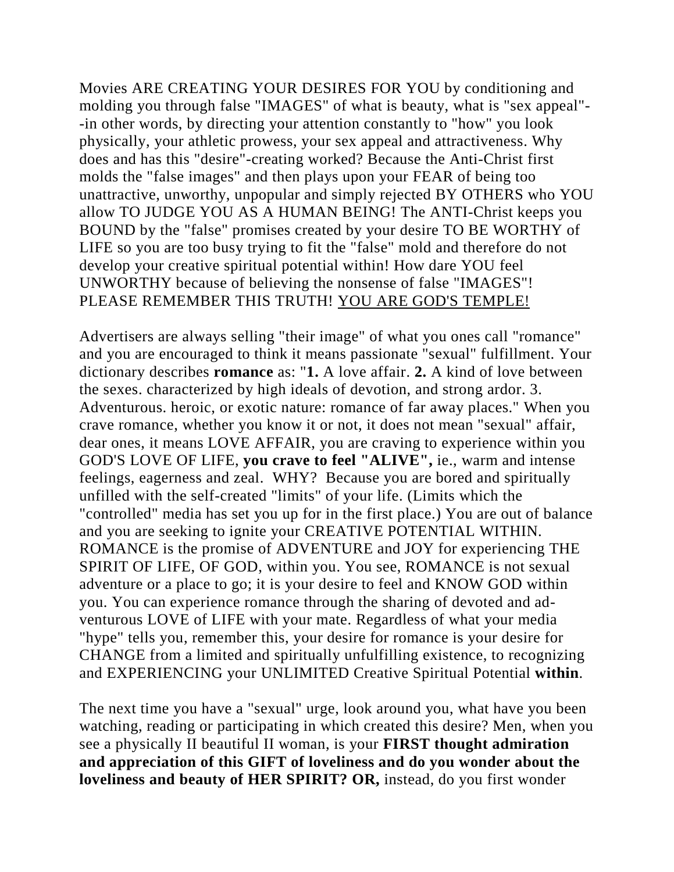Movies ARE CREATING YOUR DESIRES FOR YOU by conditioning and molding you through false "IMAGES" of what is beauty, what is "sex appeal"- -in other words, by directing your attention constantly to "how" you look physically, your athletic prowess, your sex appeal and attractiveness. Why does and has this "desire"-creating worked? Because the Anti-Christ first molds the "false images" and then plays upon your FEAR of being too unattractive, unworthy, unpopular and simply rejected BY OTHERS who YOU allow TO JUDGE YOU AS A HUMAN BEING! The ANTI-Christ keeps you BOUND by the "false" promises created by your desire TO BE WORTHY of LIFE so you are too busy trying to fit the "false" mold and therefore do not develop your creative spiritual potential within! How dare YOU feel UNWORTHY because of believing the nonsense of false "IMAGES"! PLEASE REMEMBER THIS TRUTH! YOU ARE GOD'S TEMPLE!

Advertisers are always selling "their image" of what you ones call "romance" and you are encouraged to think it means passionate "sexual" fulfillment. Your dictionary describes **romance** as: "**1.** A love affair. **2.** A kind of love between the sexes. characterized by high ideals of devotion, and strong ardor. 3. Adventurous. heroic, or exotic nature: romance of far away places." When you crave romance, whether you know it or not, it does not mean "sexual" affair, dear ones, it means LOVE AFFAIR, you are craving to experience within you GOD'S LOVE OF LIFE, **you crave to feel "ALIVE",** ie., warm and intense feelings, eagerness and zeal. WHY? Because you are bored and spiritually unfilled with the self-created "limits" of your life. (Limits which the "controlled" media has set you up for in the first place.) You are out of balance and you are seeking to ignite your CREATIVE POTENTIAL WITHIN. ROMANCE is the promise of ADVENTURE and JOY for experiencing THE SPIRIT OF LIFE, OF GOD, within you. You see, ROMANCE is not sexual adventure or a place to go; it is your desire to feel and KNOW GOD within you. You can experience romance through the sharing of devoted and adventurous LOVE of LIFE with your mate. Regardless of what your media "hype" tells you, remember this, your desire for romance is your desire for CHANGE from a limited and spiritually unfulfilling existence, to recognizing and EXPERIENCING your UNLIMITED Creative Spiritual Potential **within**.

The next time you have a "sexual" urge, look around you, what have you been watching, reading or participating in which created this desire? Men, when you see a physically II beautiful II woman, is your **FIRST thought admiration and appreciation of this GIFT of loveliness and do you wonder about the loveliness and beauty of HER SPIRIT? OR,** instead, do you first wonder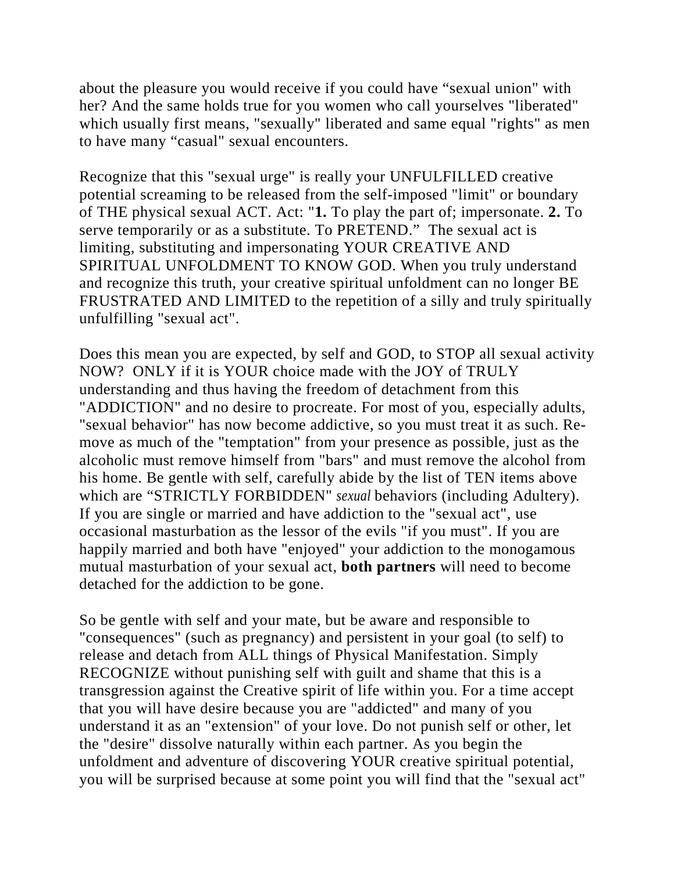about the pleasure you would receive if you could have "sexual union" with her? And the same holds true for you women who call yourselves "liberated" which usually first means, "sexually" liberated and same equal "rights" as men to have many "casual" sexual encounters.

Recognize that this "sexual urge" is really your UNFULFILLED creative potential screaming to be released from the self-imposed "limit" or boundary of THE physical sexual ACT. Act: "**1.** To play the part of; impersonate. **2.** To serve temporarily or as a substitute. To PRETEND." The sexual act is limiting, substituting and impersonating YOUR CREATIVE AND SPIRITUAL UNFOLDMENT TO KNOW GOD. When you truly understand and recognize this truth, your creative spiritual unfoldment can no longer BE FRUSTRATED AND LIMITED to the repetition of a silly and truly spiritually unfulfilling "sexual act".

Does this mean you are expected, by self and GOD, to STOP all sexual activity NOW? ONLY if it is YOUR choice made with the JOY of TRULY understanding and thus having the freedom of detachment from this "ADDICTION" and no desire to procreate. For most of you, especially adults, "sexual behavior" has now become addictive, so you must treat it as such. Remove as much of the "temptation" from your presence as possible, just as the alcoholic must remove himself from "bars" and must remove the alcohol from his home. Be gentle with self, carefully abide by the list of TEN items above which are "STRICTLY FORBIDDEN" *sexual* behaviors (including Adultery). If you are single or married and have addiction to the "sexual act", use occasional masturbation as the lessor of the evils "if you must". If you are happily married and both have "enjoyed" your addiction to the monogamous mutual masturbation of your sexual act, **both partners** will need to become detached for the addiction to be gone.

So be gentle with self and your mate, but be aware and responsible to "consequences" (such as pregnancy) and persistent in your goal (to self) to release and detach from ALL things of Physical Manifestation. Simply RECOGNIZE without punishing self with guilt and shame that this is a transgression against the Creative spirit of life within you. For a time accept that you will have desire because you are "addicted" and many of you understand it as an "extension" of your love. Do not punish self or other, let the "desire" dissolve naturally within each partner. As you begin the unfoldment and adventure of discovering YOUR creative spiritual potential, you will be surprised because at some point you will find that the "sexual act"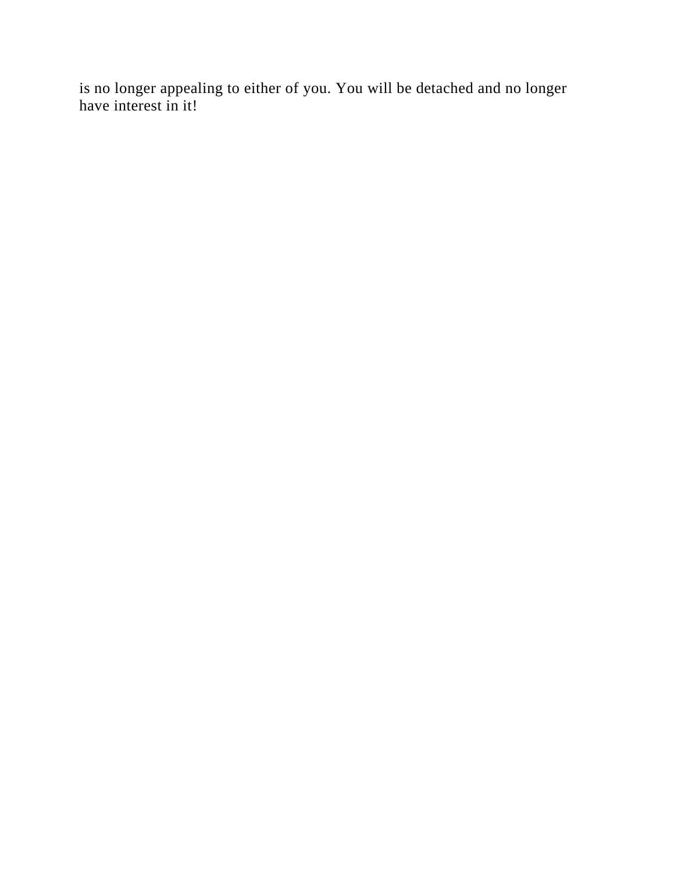is no longer appealing to either of you. You will be detached and no longer have interest in it!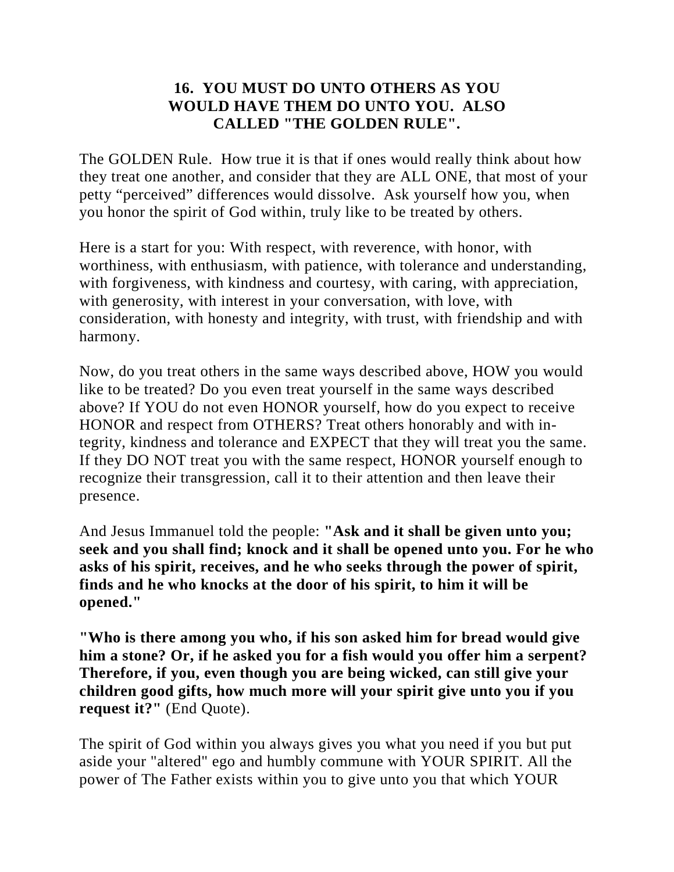## **16. YOU MUST DO UNTO OTHERS AS YOU WOULD HAVE THEM DO UNTO YOU. ALSO CALLED "THE GOLDEN RULE".**

The GOLDEN Rule. How true it is that if ones would really think about how they treat one another, and consider that they are ALL ONE, that most of your petty "perceived" differences would dissolve. Ask yourself how you, when you honor the spirit of God within, truly like to be treated by others.

Here is a start for you: With respect, with reverence, with honor, with worthiness, with enthusiasm, with patience, with tolerance and understanding, with forgiveness, with kindness and courtesy, with caring, with appreciation, with generosity, with interest in your conversation, with love, with consideration, with honesty and integrity, with trust, with friendship and with harmony.

Now, do you treat others in the same ways described above, HOW you would like to be treated? Do you even treat yourself in the same ways described above? If YOU do not even HONOR yourself, how do you expect to receive HONOR and respect from OTHERS? Treat others honorably and with integrity, kindness and tolerance and EXPECT that they will treat you the same. If they DO NOT treat you with the same respect, HONOR yourself enough to recognize their transgression, call it to their attention and then leave their presence.

And Jesus Immanuel told the people: **"Ask and it shall be given unto you; seek and you shall find; knock and it shall be opened unto you. For he who asks of his spirit, receives, and he who seeks through the power of spirit, finds and he who knocks at the door of his spirit, to him it will be opened."** 

**"Who is there among you who, if his son asked him for bread would give him a stone? Or, if he asked you for a fish would you offer him a serpent? Therefore, if you, even though you are being wicked, can still give your children good gifts, how much more will your spirit give unto you if you request it?"** (End Quote).

The spirit of God within you always gives you what you need if you but put aside your "altered" ego and humbly commune with YOUR SPIRIT. All the power of The Father exists within you to give unto you that which YOUR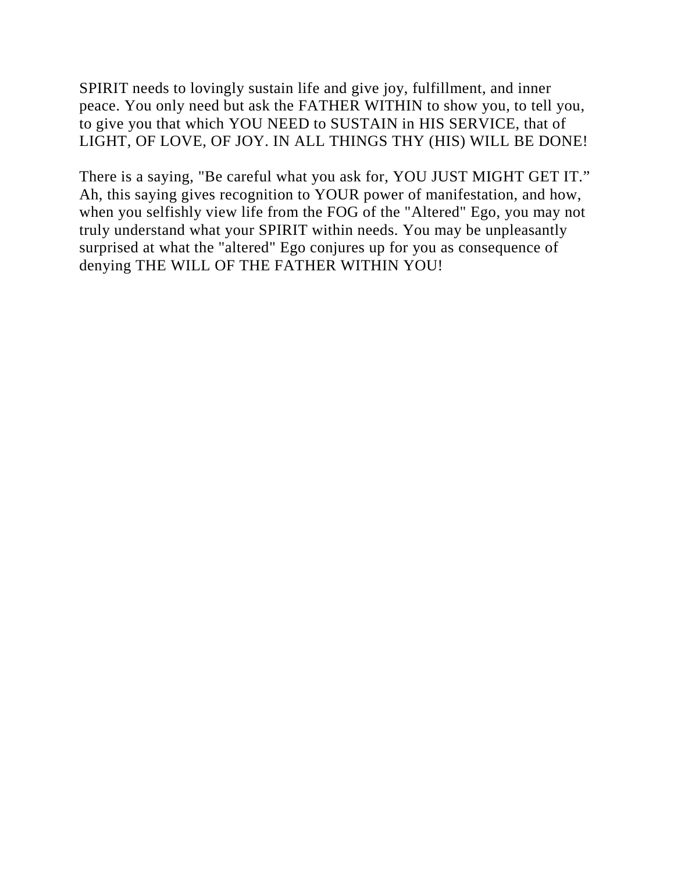SPIRIT needs to lovingly sustain life and give joy, fulfillment, and inner peace. You only need but ask the FATHER WITHIN to show you, to tell you, to give you that which YOU NEED to SUSTAIN in HIS SERVICE, that of LIGHT, OF LOVE, OF JOY. IN ALL THINGS THY (HIS) WILL BE DONE!

There is a saying, "Be careful what you ask for, YOU JUST MIGHT GET IT." Ah, this saying gives recognition to YOUR power of manifestation, and how, when you selfishly view life from the FOG of the "Altered" Ego, you may not truly understand what your SPIRIT within needs. You may be unpleasantly surprised at what the "altered" Ego conjures up for you as consequence of denying THE WILL OF THE FATHER WITHIN YOU!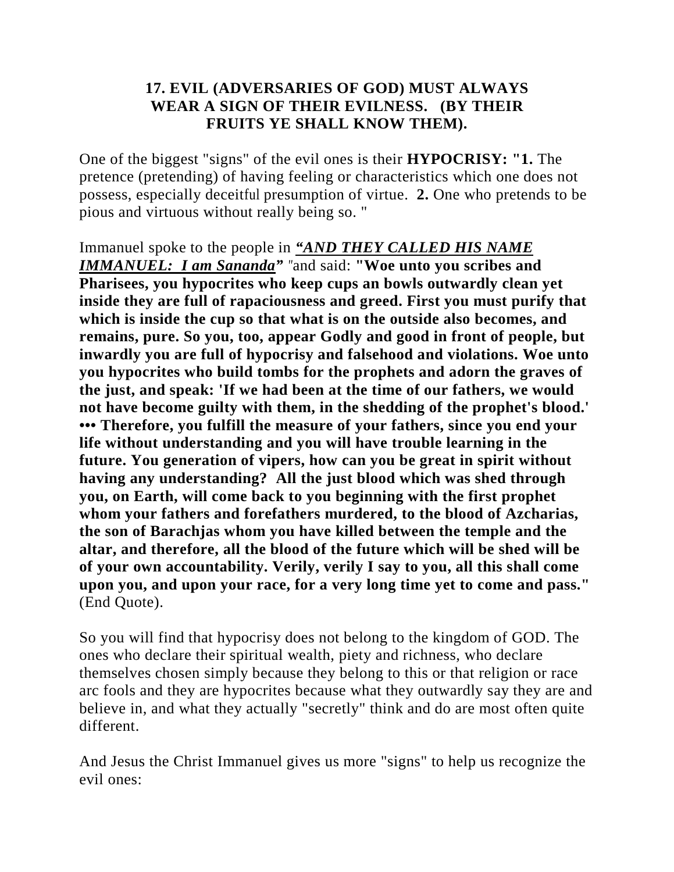#### **17. EVIL (ADVERSARIES OF GOD) MUST ALWAYS WEAR A SIGN OF THEIR EVILNESS. (BY THEIR FRUITS YE SHALL KNOW THEM).**

One of the biggest "signs" of the evil ones is their **HYPOCRISY: "1.** The pretence (pretending) of having feeling or characteristics which one does not possess, especially deceitful presumption of virtue. **2.** One who pretends to be pious and virtuous without really being so. "

Immanuel spoke to the people in *"AND THEY CALLED HIS NAME IMMANUEL: I am Sananda" "*and said: **"Woe unto you scribes and Pharisees, you hypocrites who keep cups an bowls outwardly clean yet inside they are full of rapaciousness and greed. First you must purify that which is inside the cup so that what is on the outside also becomes, and remains, pure. So you, too, appear Godly and good in front of people, but inwardly you are full of hypocrisy and falsehood and violations. Woe unto you hypocrites who build tombs for the prophets and adorn the graves of the just, and speak: 'If we had been at the time of our fathers, we would not have become guilty with them, in the shedding of the prophet's blood.' ••• Therefore, you fulfill the measure of your fathers, since you end your life without understanding and you will have trouble learning in the future. You generation of vipers, how can you be great in spirit without having any understanding? All the just blood which was shed through you, on Earth, will come back to you beginning with the first prophet whom your fathers and forefathers murdered, to the blood of Azcharias, the son of Barachjas whom you have killed between the temple and the altar, and therefore, all the blood of the future which will be shed will be of your own accountability. Verily, verily I say to you, all this shall come upon you, and upon your race, for a very long time yet to come and pass."** (End Quote).

So you will find that hypocrisy does not belong to the kingdom of GOD. The ones who declare their spiritual wealth, piety and richness, who declare themselves chosen simply because they belong to this or that religion or race arc fools and they are hypocrites because what they outwardly say they are and believe in, and what they actually "secretly" think and do are most often quite different.

And Jesus the Christ Immanuel gives us more "signs" to help us recognize the evil ones: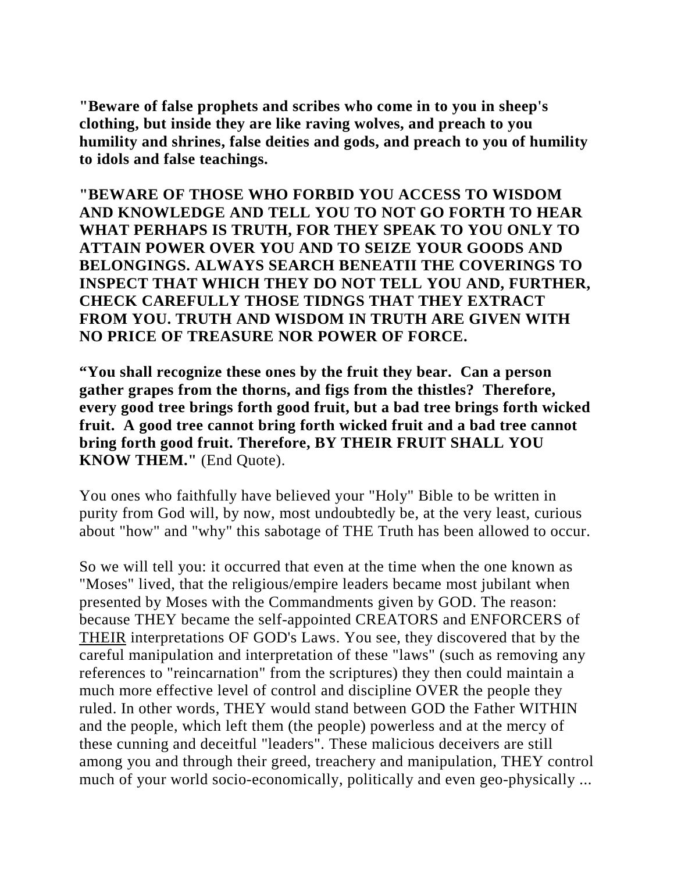**"Beware of false prophets and scribes who come in to you in sheep's clothing, but inside they are like raving wolves, and preach to you humility and shrines, false deities and gods, and preach to you of humility to idols and false teachings.** 

**"BEWARE OF THOSE WHO FORBID YOU ACCESS TO WISDOM AND KNOWLEDGE AND TELL YOU TO NOT GO FORTH TO HEAR WHAT PERHAPS IS TRUTH, FOR THEY SPEAK TO YOU ONLY TO ATTAIN POWER OVER YOU AND TO SEIZE YOUR GOODS AND BELONGINGS. ALWAYS SEARCH BENEATII THE COVERINGS TO INSPECT THAT WHICH THEY DO NOT TELL YOU AND, FURTHER, CHECK CAREFULLY THOSE TIDNGS THAT THEY EXTRACT FROM YOU. TRUTH AND WISDOM IN TRUTH ARE GIVEN WITH NO PRICE OF TREASURE NOR POWER OF FORCE.**

**"You shall recognize these ones by the fruit they bear. Can a person gather grapes from the thorns, and figs from the thistles? Therefore, every good tree brings forth good fruit, but a bad tree brings forth wicked fruit. A good tree cannot bring forth wicked fruit and a bad tree cannot bring forth good fruit. Therefore, BY THEIR FRUIT SHALL YOU KNOW THEM."** (End Quote).

You ones who faithfully have believed your "Holy" Bible to be written in purity from God will, by now, most undoubtedly be, at the very least, curious about "how" and "why" this sabotage of THE Truth has been allowed to occur.

So we will tell you: it occurred that even at the time when the one known as "Moses" lived, that the religious/empire leaders became most jubilant when presented by Moses with the Commandments given by GOD. The reason: because THEY became the self-appointed CREATORS and ENFORCERS of THEIR interpretations OF GOD's Laws. You see, they discovered that by the careful manipulation and interpretation of these "laws" (such as removing any references to "reincarnation" from the scriptures) they then could maintain a much more effective level of control and discipline OVER the people they ruled. In other words, THEY would stand between GOD the Father WITHIN and the people, which left them (the people) powerless and at the mercy of these cunning and deceitful "leaders". These malicious deceivers are still among you and through their greed, treachery and manipulation, THEY control much of your world socio-economically, politically and even geo-physically ...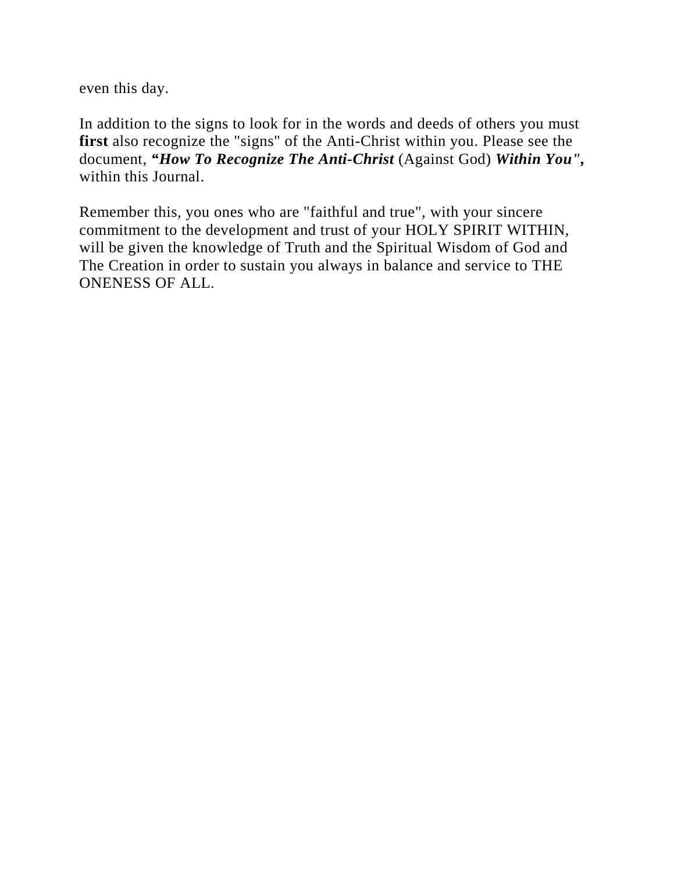even this day.

In addition to the signs to look for in the words and deeds of others you must **first** also recognize the "signs" of the Anti-Christ within you. Please see the document, *"How To Recognize The Anti-Christ* (Against God) *Within You",* within this Journal.

Remember this, you ones who are "faithful and true", with your sincere commitment to the development and trust of your HOLY SPIRIT WITHIN, will be given the knowledge of Truth and the Spiritual Wisdom of God and The Creation in order to sustain you always in balance and service to THE ONENESS OF ALL.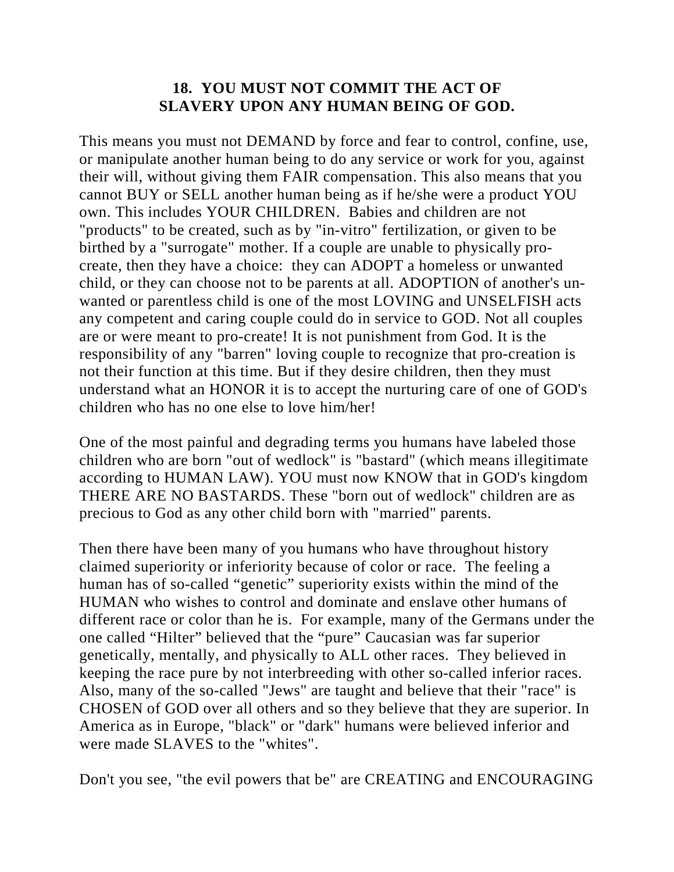## **18. YOU MUST NOT COMMIT THE ACT OF SLAVERY UPON ANY HUMAN BEING OF GOD.**

This means you must not DEMAND by force and fear to control, confine, use, or manipulate another human being to do any service or work for you, against their will, without giving them FAIR compensation. This also means that you cannot BUY or SELL another human being as if he/she were a product YOU own. This includes YOUR CHILDREN. Babies and children are not "products" to be created, such as by "in-vitro" fertilization, or given to be birthed by a "surrogate" mother. If a couple are unable to physically procreate, then they have a choice: they can ADOPT a homeless or unwanted child, or they can choose not to be parents at all. ADOPTION of another's unwanted or parentless child is one of the most LOVING and UNSELFISH acts any competent and caring couple could do in service to GOD. Not all couples are or were meant to pro-create! It is not punishment from God. It is the responsibility of any "barren" loving couple to recognize that pro-creation is not their function at this time. But if they desire children, then they must understand what an HONOR it is to accept the nurturing care of one of GOD's children who has no one else to love him/her!

One of the most painful and degrading terms you humans have labeled those children who are born "out of wedlock" is "bastard" (which means illegitimate according to HUMAN LAW). YOU must now KNOW that in GOD's kingdom THERE ARE NO BASTARDS. These "born out of wedlock" children are as precious to God as any other child born with "married" parents.

Then there have been many of you humans who have throughout history claimed superiority or inferiority because of color or race. The feeling a human has of so-called "genetic" superiority exists within the mind of the HUMAN who wishes to control and dominate and enslave other humans of different race or color than he is. For example, many of the Germans under the one called "Hilter" believed that the "pure" Caucasian was far superior genetically, mentally, and physically to ALL other races. They believed in keeping the race pure by not interbreeding with other so-called inferior races. Also, many of the so-called "Jews" are taught and believe that their "race" is CHOSEN of GOD over all others and so they believe that they are superior. In America as in Europe, "black" or "dark" humans were believed inferior and were made SLAVES to the "whites".

Don't you see, "the evil powers that be" are CREATING and ENCOURAGING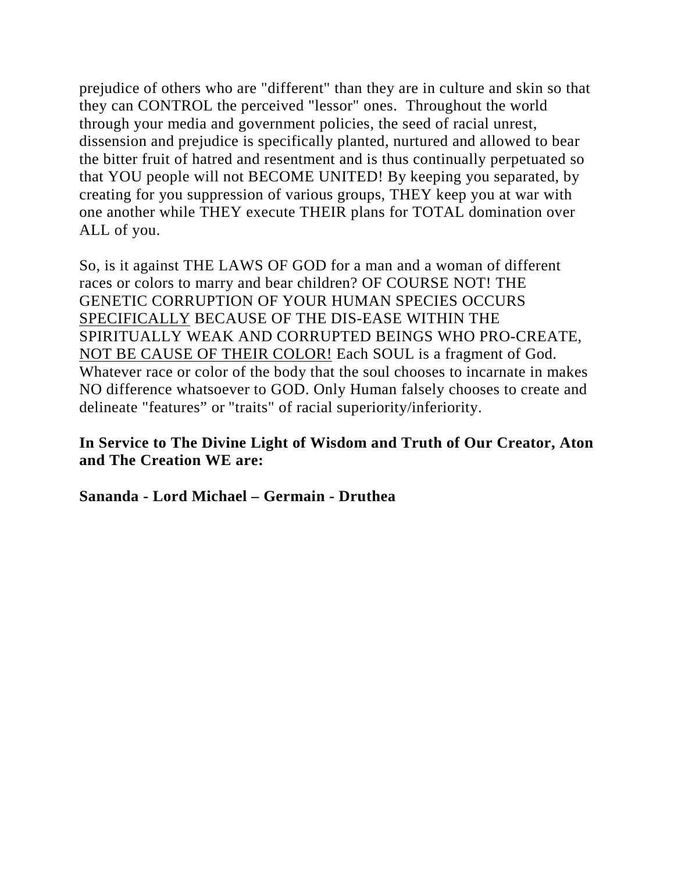prejudice of others who are "different" than they are in culture and skin so that they can CONTROL the perceived "lessor" ones. Throughout the world through your media and government policies, the seed of racial unrest, dissension and prejudice is specifically planted, nurtured and allowed to bear the bitter fruit of hatred and resentment and is thus continually perpetuated so that YOU people will not BECOME UNITED! By keeping you separated, by creating for you suppression of various groups, THEY keep you at war with one another while THEY execute THEIR plans for TOTAL domination over ALL of you.

So, is it against THE LAWS OF GOD for a man and a woman of different races or colors to marry and bear children? OF COURSE NOT! THE GENETIC CORRUPTION OF YOUR HUMAN SPECIES OCCURS SPECIFICALLY BECAUSE OF THE DIS-EASE WITHIN THE SPIRITUALLY WEAK AND CORRUPTED BEINGS WHO PRO-CREATE, NOT BE CAUSE OF THEIR COLOR! Each SOUL is a fragment of God. Whatever race or color of the body that the soul chooses to incarnate in makes NO difference whatsoever to GOD. Only Human falsely chooses to create and delineate "features" or "traits" of racial superiority/inferiority.

#### **In Service to The Divine Light of Wisdom and Truth of Our Creator, Aton and The Creation WE are:**

**Sananda - Lord Michael – Germain - Druthea**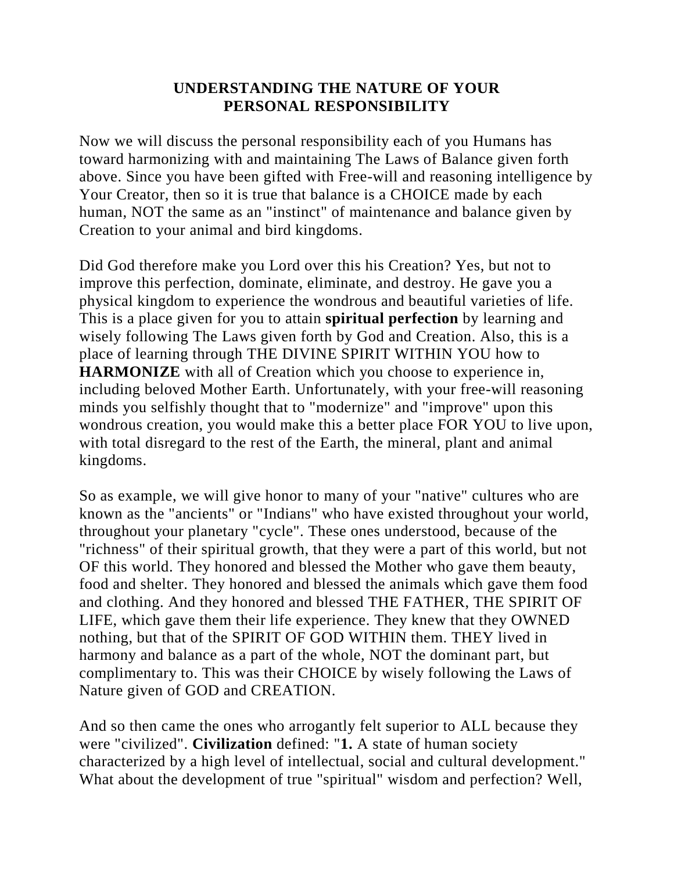## **UNDERSTANDING THE NATURE OF YOUR PERSONAL RESPONSIBILITY**

Now we will discuss the personal responsibility each of you Humans has toward harmonizing with and maintaining The Laws of Balance given forth above. Since you have been gifted with Free-will and reasoning intelligence by Your Creator, then so it is true that balance is a CHOICE made by each human, NOT the same as an "instinct" of maintenance and balance given by Creation to your animal and bird kingdoms.

Did God therefore make you Lord over this his Creation? Yes, but not to improve this perfection, dominate, eliminate, and destroy. He gave you a physical kingdom to experience the wondrous and beautiful varieties of life. This is a place given for you to attain **spiritual perfection** by learning and wisely following The Laws given forth by God and Creation. Also, this is a place of learning through THE DIVINE SPIRIT WITHIN YOU how to **HARMONIZE** with all of Creation which you choose to experience in, including beloved Mother Earth. Unfortunately, with your free-will reasoning minds you selfishly thought that to "modernize" and "improve" upon this wondrous creation, you would make this a better place FOR YOU to live upon, with total disregard to the rest of the Earth, the mineral, plant and animal kingdoms.

So as example, we will give honor to many of your "native" cultures who are known as the "ancients" or "Indians" who have existed throughout your world, throughout your planetary "cycle". These ones understood, because of the "richness" of their spiritual growth, that they were a part of this world, but not OF this world. They honored and blessed the Mother who gave them beauty, food and shelter. They honored and blessed the animals which gave them food and clothing. And they honored and blessed THE FATHER, THE SPIRIT OF LIFE, which gave them their life experience. They knew that they OWNED nothing, but that of the SPIRIT OF GOD WITHIN them. THEY lived in harmony and balance as a part of the whole, NOT the dominant part, but complimentary to. This was their CHOICE by wisely following the Laws of Nature given of GOD and CREATION.

And so then came the ones who arrogantly felt superior to ALL because they were "civilized". **Civilization** defined: "**1.** A state of human society characterized by a high level of intellectual, social and cultural development." What about the development of true "spiritual" wisdom and perfection? Well,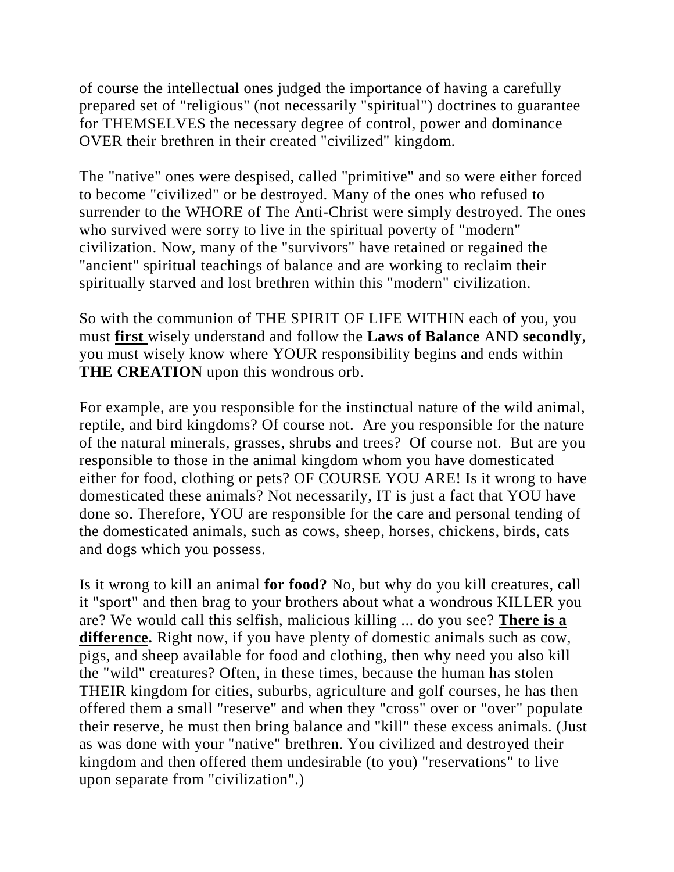of course the intellectual ones judged the importance of having a carefully prepared set of "religious" (not necessarily "spiritual") doctrines to guarantee for THEMSELVES the necessary degree of control, power and dominance OVER their brethren in their created "civilized" kingdom.

The "native" ones were despised, called "primitive" and so were either forced to become "civilized" or be destroyed. Many of the ones who refused to surrender to the WHORE of The Anti-Christ were simply destroyed. The ones who survived were sorry to live in the spiritual poverty of "modern" civilization. Now, many of the "survivors" have retained or regained the "ancient" spiritual teachings of balance and are working to reclaim their spiritually starved and lost brethren within this "modern" civilization.

So with the communion of THE SPIRIT OF LIFE WITHIN each of you, you must **first** wisely understand and follow the **Laws of Balance** AND **secondly**, you must wisely know where YOUR responsibility begins and ends within **THE CREATION** upon this wondrous orb.

For example, are you responsible for the instinctual nature of the wild animal, reptile, and bird kingdoms? Of course not. Are you responsible for the nature of the natural minerals, grasses, shrubs and trees? Of course not. But are you responsible to those in the animal kingdom whom you have domesticated either for food, clothing or pets? OF COURSE YOU ARE! Is it wrong to have domesticated these animals? Not necessarily, IT is just a fact that YOU have done so. Therefore, YOU are responsible for the care and personal tending of the domesticated animals, such as cows, sheep, horses, chickens, birds, cats and dogs which you possess.

Is it wrong to kill an animal **for food?** No, but why do you kill creatures, call it "sport" and then brag to your brothers about what a wondrous KILLER you are? We would call this selfish, malicious killing ... do you see? **There is a difference.** Right now, if you have plenty of domestic animals such as cow, pigs, and sheep available for food and clothing, then why need you also kill the "wild" creatures? Often, in these times, because the human has stolen THEIR kingdom for cities, suburbs, agriculture and golf courses, he has then offered them a small "reserve" and when they "cross" over or "over" populate their reserve, he must then bring balance and "kill" these excess animals. (Just as was done with your "native" brethren. You civilized and destroyed their kingdom and then offered them undesirable (to you) "reservations" to live upon separate from "civilization".)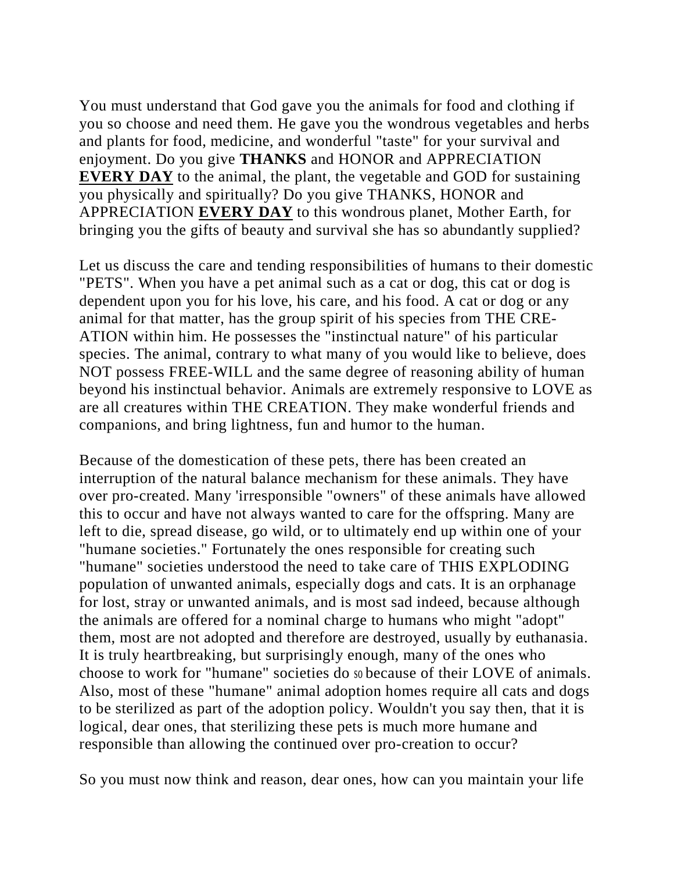You must understand that God gave you the animals for food and clothing if you so choose and need them. He gave you the wondrous vegetables and herbs and plants for food, medicine, and wonderful "taste" for your survival and enjoyment. Do you give **THANKS** and HONOR and APPRECIATION **EVERY DAY** to the animal, the plant, the vegetable and GOD for sustaining you physically and spiritually? Do you give THANKS, HONOR and APPRECIATION **EVERY DAY** to this wondrous planet, Mother Earth, for bringing you the gifts of beauty and survival she has so abundantly supplied?

Let us discuss the care and tending responsibilities of humans to their domestic "PETS". When you have a pet animal such as a cat or dog, this cat or dog is dependent upon you for his love, his care, and his food. A cat or dog or any animal for that matter, has the group spirit of his species from THE CRE-ATION within him. He possesses the "instinctual nature" of his particular species. The animal, contrary to what many of you would like to believe, does NOT possess FREE-WILL and the same degree of reasoning ability of human beyond his instinctual behavior. Animals are extremely responsive to LOVE as are all creatures within THE CREATION. They make wonderful friends and companions, and bring lightness, fun and humor to the human.

Because of the domestication of these pets, there has been created an interruption of the natural balance mechanism for these animals. They have over pro-created. Many 'irresponsible "owners" of these animals have allowed this to occur and have not always wanted to care for the offspring. Many are left to die, spread disease, go wild, or to ultimately end up within one of your "humane societies." Fortunately the ones responsible for creating such "humane" societies understood the need to take care of THIS EXPLODING population of unwanted animals, especially dogs and cats. It is an orphanage for lost, stray or unwanted animals, and is most sad indeed, because although the animals are offered for a nominal charge to humans who might "adopt" them, most are not adopted and therefore are destroyed, usually by euthanasia. It is truly heartbreaking, but surprisingly enough, many of the ones who choose to work for "humane" societies do so because of their LOVE of animals. Also, most of these "humane" animal adoption homes require all cats and dogs to be sterilized as part of the adoption policy. Wouldn't you say then, that it is logical, dear ones, that sterilizing these pets is much more humane and responsible than allowing the continued over pro-creation to occur?

So you must now think and reason, dear ones, how can you maintain your life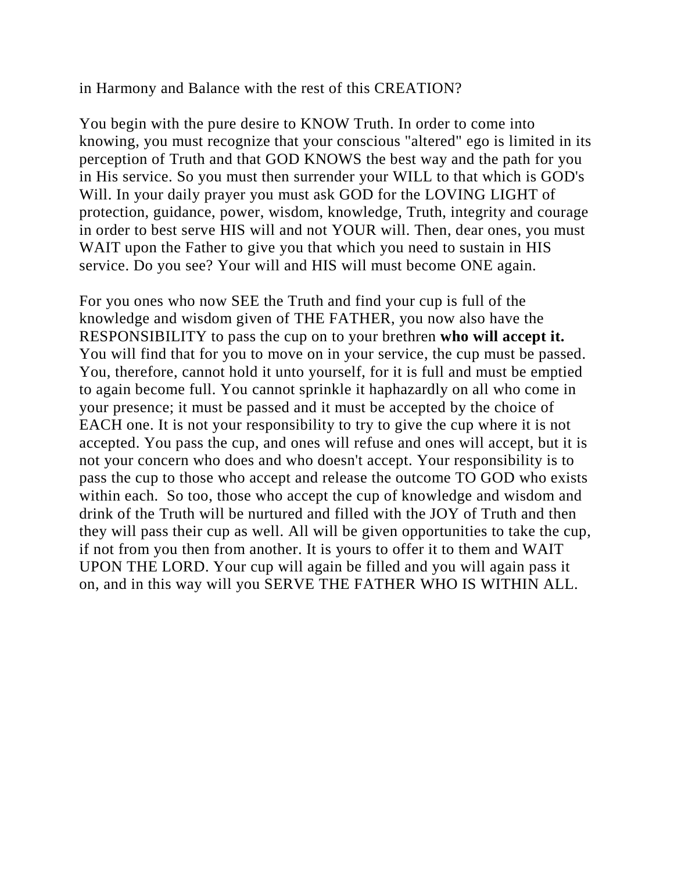in Harmony and Balance with the rest of this CREATION?

You begin with the pure desire to KNOW Truth. In order to come into knowing, you must recognize that your conscious "altered" ego is limited in its perception of Truth and that GOD KNOWS the best way and the path for you in His service. So you must then surrender your WILL to that which is GOD's Will. In your daily prayer you must ask GOD for the LOVING LIGHT of protection, guidance, power, wisdom, knowledge, Truth, integrity and courage in order to best serve HIS will and not YOUR will. Then, dear ones, you must WAIT upon the Father to give you that which you need to sustain in HIS service. Do you see? Your will and HIS will must become ONE again.

For you ones who now SEE the Truth and find your cup is full of the knowledge and wisdom given of THE FATHER, you now also have the RESPONSIBILITY to pass the cup on to your brethren **who will accept it.** You will find that for you to move on in your service, the cup must be passed. You, therefore, cannot hold it unto yourself, for it is full and must be emptied to again become full. You cannot sprinkle it haphazardly on all who come in your presence; it must be passed and it must be accepted by the choice of EACH one. It is not your responsibility to try to give the cup where it is not accepted. You pass the cup, and ones will refuse and ones will accept, but it is not your concern who does and who doesn't accept. Your responsibility is to pass the cup to those who accept and release the outcome TO GOD who exists within each. So too, those who accept the cup of knowledge and wisdom and drink of the Truth will be nurtured and filled with the JOY of Truth and then they will pass their cup as well. All will be given opportunities to take the cup, if not from you then from another. It is yours to offer it to them and WAIT UPON THE LORD. Your cup will again be filled and you will again pass it on, and in this way will you SERVE THE FATHER WHO IS WITHIN ALL.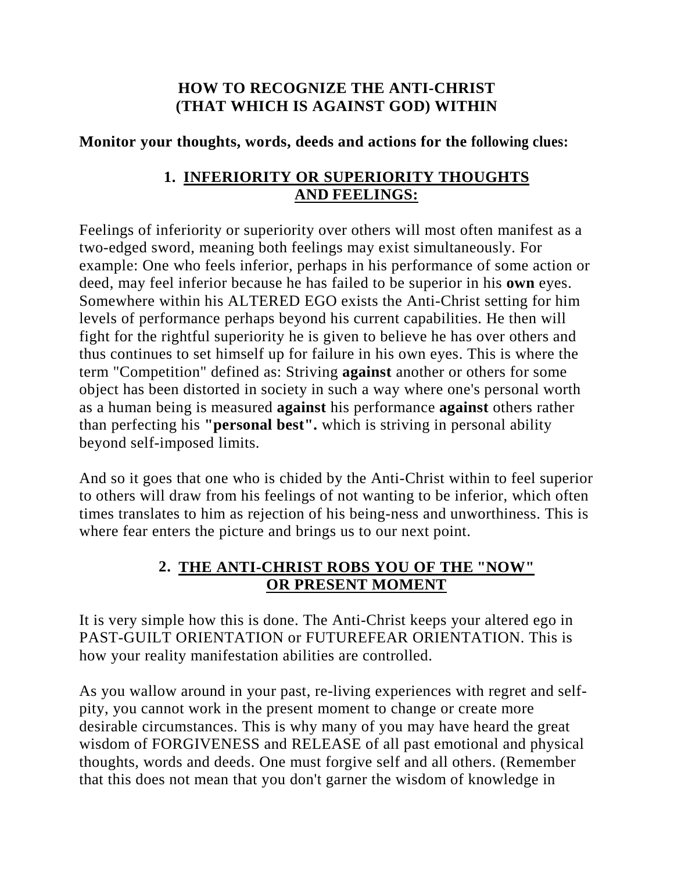## **HOW TO RECOGNIZE THE ANTI-CHRIST (THAT WHICH IS AGAINST GOD) WITHIN**

## **Monitor your thoughts, words, deeds and actions for the following clues:**

## **1. INFERIORITY OR SUPERIORITY THOUGHTS AND FEELINGS:**

Feelings of inferiority or superiority over others will most often manifest as a two-edged sword, meaning both feelings may exist simultaneously. For example: One who feels inferior, perhaps in his performance of some action or deed, may feel inferior because he has failed to be superior in his **own** eyes. Somewhere within his ALTERED EGO exists the Anti-Christ setting for him levels of performance perhaps beyond his current capabilities. He then will fight for the rightful superiority he is given to believe he has over others and thus continues to set himself up for failure in his own eyes. This is where the term "Competition" defined as: Striving **against** another or others for some object has been distorted in society in such a way where one's personal worth as a human being is measured **against** his performance **against** others rather than perfecting his **"personal best".** which is striving in personal ability beyond self-imposed limits.

And so it goes that one who is chided by the Anti-Christ within to feel superior to others will draw from his feelings of not wanting to be inferior, which often times translates to him as rejection of his being-ness and unworthiness. This is where fear enters the picture and brings us to our next point.

# **2. THE ANTI-CHRIST ROBS YOU OF THE "NOW" OR PRESENT MOMENT**

It is very simple how this is done. The Anti-Christ keeps your altered ego in PAST-GUILT ORIENTATION or FUTUREFEAR ORIENTATION. This is how your reality manifestation abilities are controlled.

As you wallow around in your past, re-living experiences with regret and selfpity, you cannot work in the present moment to change or create more desirable circumstances. This is why many of you may have heard the great wisdom of FORGIVENESS and RELEASE of all past emotional and physical thoughts, words and deeds. One must forgive self and all others. (Remember that this does not mean that you don't garner the wisdom of knowledge in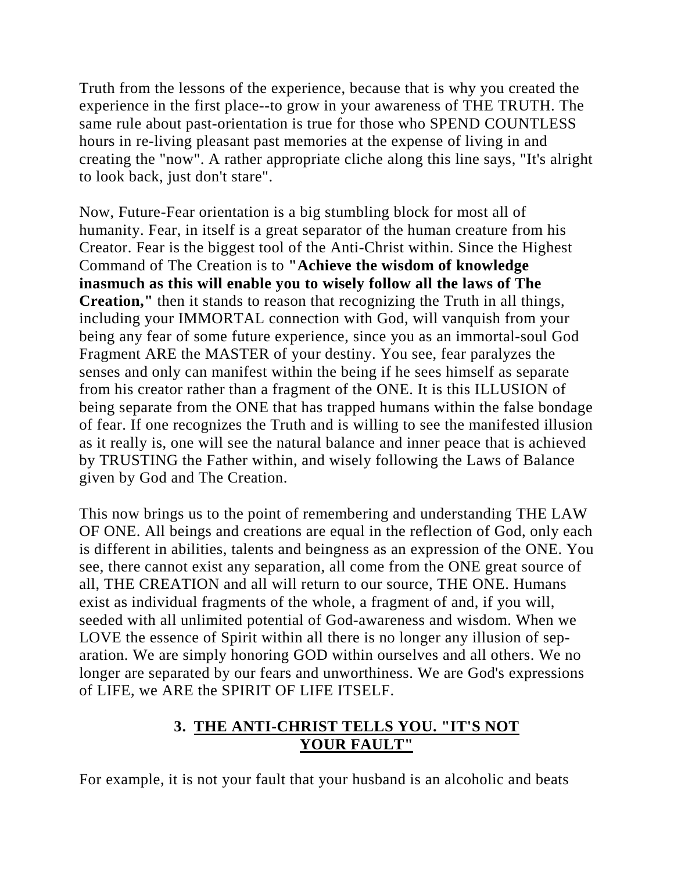Truth from the lessons of the experience, because that is why you created the experience in the first place--to grow in your awareness of THE TRUTH. The same rule about past-orientation is true for those who SPEND COUNTLESS hours in re-living pleasant past memories at the expense of living in and creating the "now". A rather appropriate cliche along this line says, "It's alright to look back, just don't stare".

Now, Future-Fear orientation is a big stumbling block for most all of humanity. Fear, in itself is a great separator of the human creature from his Creator. Fear is the biggest tool of the Anti-Christ within. Since the Highest Command of The Creation is to **"Achieve the wisdom of knowledge inasmuch as this will enable you to wisely follow all the laws of The Creation,"** then it stands to reason that recognizing the Truth in all things, including your IMMORTAL connection with God, will vanquish from your being any fear of some future experience, since you as an immortal-soul God Fragment ARE the MASTER of your destiny. You see, fear paralyzes the senses and only can manifest within the being if he sees himself as separate from his creator rather than a fragment of the ONE. It is this ILLUSION of being separate from the ONE that has trapped humans within the false bondage of fear. If one recognizes the Truth and is willing to see the manifested illusion as it really is, one will see the natural balance and inner peace that is achieved by TRUSTING the Father within, and wisely following the Laws of Balance given by God and The Creation.

This now brings us to the point of remembering and understanding THE LAW OF ONE. All beings and creations are equal in the reflection of God, only each is different in abilities, talents and beingness as an expression of the ONE. You see, there cannot exist any separation, all come from the ONE great source of all, THE CREATION and all will return to our source, THE ONE. Humans exist as individual fragments of the whole, a fragment of and, if you will, seeded with all unlimited potential of God-awareness and wisdom. When we LOVE the essence of Spirit within all there is no longer any illusion of separation. We are simply honoring GOD within ourselves and all others. We no longer are separated by our fears and unworthiness. We are God's expressions of LIFE, we ARE the SPIRIT OF LIFE ITSELF.

# **3. THE ANTI-CHRIST TELLS YOU. "IT'S NOT YOUR FAULT"**

For example, it is not your fault that your husband is an alcoholic and beats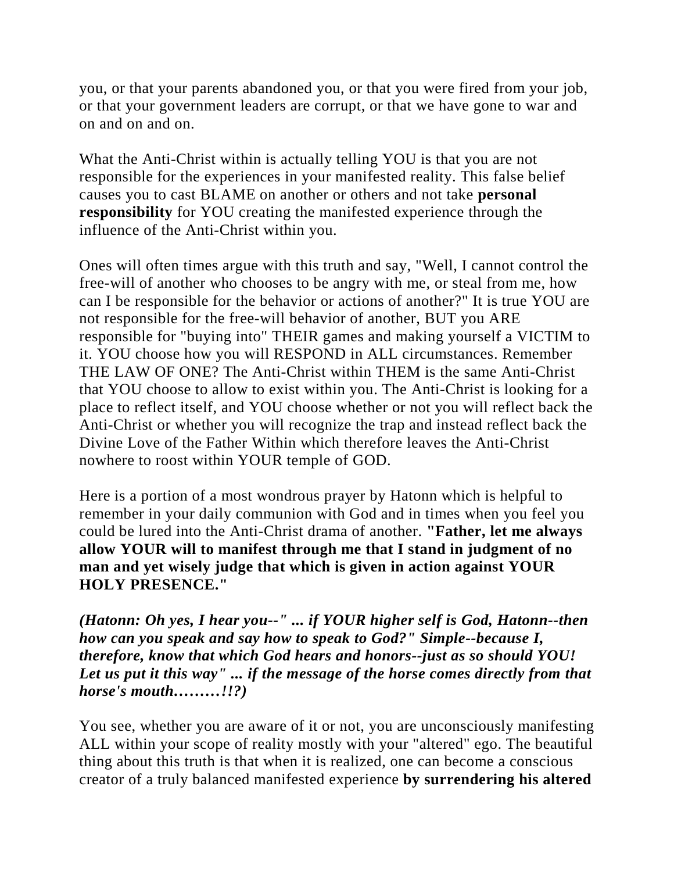you, or that your parents abandoned you, or that you were fired from your job, or that your government leaders are corrupt, or that we have gone to war and on and on and on.

What the Anti-Christ within is actually telling YOU is that you are not responsible for the experiences in your manifested reality. This false belief causes you to cast BLAME on another or others and not take **personal responsibility** for YOU creating the manifested experience through the influence of the Anti-Christ within you.

Ones will often times argue with this truth and say, "Well, I cannot control the free-will of another who chooses to be angry with me, or steal from me, how can I be responsible for the behavior or actions of another?" It is true YOU are not responsible for the free-will behavior of another, BUT you ARE responsible for "buying into" THEIR games and making yourself a VICTIM to it. YOU choose how you will RESPOND in ALL circumstances. Remember THE LAW OF ONE? The Anti-Christ within THEM is the same Anti-Christ that YOU choose to allow to exist within you. The Anti-Christ is looking for a place to reflect itself, and YOU choose whether or not you will reflect back the Anti-Christ or whether you will recognize the trap and instead reflect back the Divine Love of the Father Within which therefore leaves the Anti-Christ nowhere to roost within YOUR temple of GOD.

Here is a portion of a most wondrous prayer by Hatonn which is helpful to remember in your daily communion with God and in times when you feel you could be lured into the Anti-Christ drama of another. **"Father, let me always allow YOUR will to manifest through me that I stand in judgment of no man and yet wisely judge that which is given in action against YOUR HOLY PRESENCE."**

*(Hatonn: Oh yes, I hear you--" ... if YOUR higher self is God, Hatonn--then how can you speak and say how to speak to God?" Simple--because I, therefore, know that which God hears and honors--just as so should YOU! Let us put it this way" ... if the message of the horse comes directly from that horse's mouth………!!?)* 

You see, whether you are aware of it or not, you are unconsciously manifesting ALL within your scope of reality mostly with your "altered" ego. The beautiful thing about this truth is that when it is realized, one can become a conscious creator of a truly balanced manifested experience **by surrendering his altered**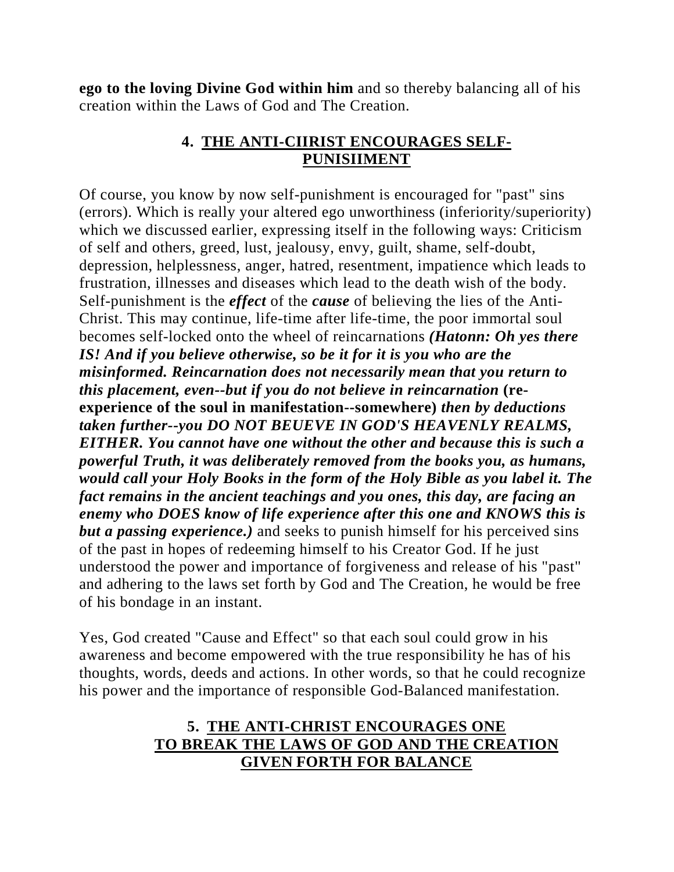**ego to the loving Divine God within him** and so thereby balancing all of his creation within the Laws of God and The Creation.

## **4. THE ANTI-CIIRIST ENCOURAGES SELF-PUNISIIMENT**

Of course, you know by now self-punishment is encouraged for "past" sins (errors). Which is really your altered ego unworthiness (inferiority/superiority) which we discussed earlier, expressing itself in the following ways: Criticism of self and others, greed, lust, jealousy, envy, guilt, shame, self-doubt, depression, helplessness, anger, hatred, resentment, impatience which leads to frustration, illnesses and diseases which lead to the death wish of the body. Self-punishment is the *effect* of the *cause* of believing the lies of the Anti-Christ. This may continue, life-time after life-time, the poor immortal soul becomes self-locked onto the wheel of reincarnations *(Hatonn: Oh yes there IS! And if you believe otherwise, so be it for it is you who are the misinformed. Reincarnation does not necessarily mean that you return to this placement, even--but if you do not believe in reincarnation* **(reexperience of the soul in manifestation--somewhere)** *then by deductions taken further--you DO NOT BEUEVE IN GOD'S HEAVENLY REALMS, EITHER. You cannot have one without the other and because this is such a powerful Truth, it was deliberately removed from the books you, as humans, would call your Holy Books in the form of the Holy Bible as you label it. The fact remains in the ancient teachings and you ones, this day, are facing an enemy who DOES know of life experience after this one and KNOWS this is but a passing experience.)* and seeks to punish himself for his perceived sins of the past in hopes of redeeming himself to his Creator God. If he just understood the power and importance of forgiveness and release of his "past" and adhering to the laws set forth by God and The Creation, he would be free of his bondage in an instant.

Yes, God created "Cause and Effect" so that each soul could grow in his awareness and become empowered with the true responsibility he has of his thoughts, words, deeds and actions. In other words, so that he could recognize his power and the importance of responsible God-Balanced manifestation.

# **5. THE ANTI-CHRIST ENCOURAGES ONE TO BREAK THE LAWS OF GOD AND THE CREATION GIVEN FORTH FOR BALANCE**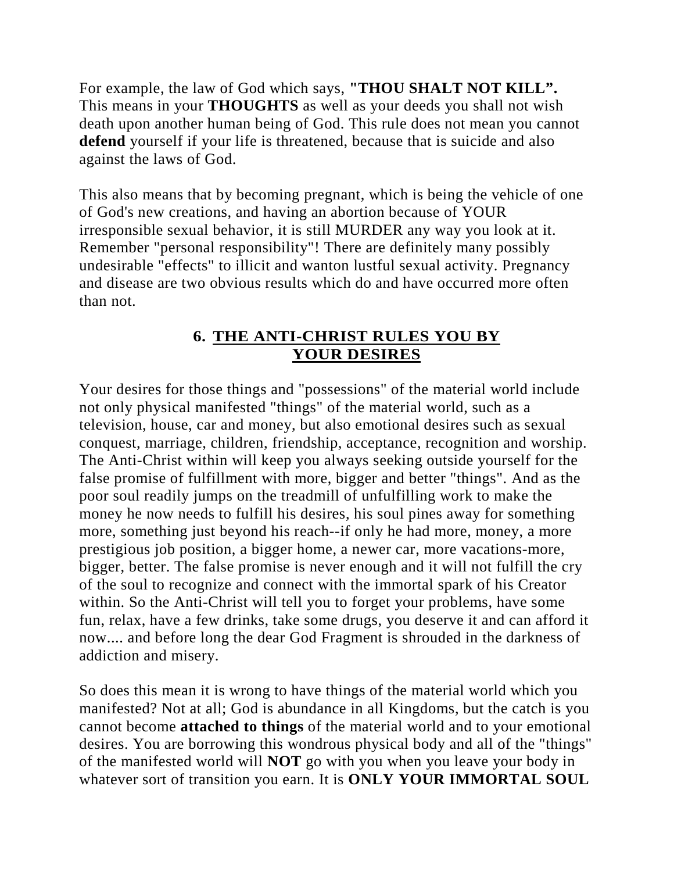For example, the law of God which says, **"THOU SHALT NOT KILL".**  This means in your **THOUGHTS** as well as your deeds you shall not wish death upon another human being of God. This rule does not mean you cannot defend yourself if your life is threatened, because that is suicide and also against the laws of God.

This also means that by becoming pregnant, which is being the vehicle of one of God's new creations, and having an abortion because of YOUR irresponsible sexual behavior, it is still MURDER any way you look at it. Remember "personal responsibility"! There are definitely many possibly undesirable "effects" to illicit and wanton lustful sexual activity. Pregnancy and disease are two obvious results which do and have occurred more often than not.

## **6. THE ANTI-CHRIST RULES YOU BY YOUR DESIRES**

Your desires for those things and "possessions" of the material world include not only physical manifested "things" of the material world, such as a television, house, car and money, but also emotional desires such as sexual conquest, marriage, children, friendship, acceptance, recognition and worship. The Anti-Christ within will keep you always seeking outside yourself for the false promise of fulfillment with more, bigger and better "things". And as the poor soul readily jumps on the treadmill of unfulfilling work to make the money he now needs to fulfill his desires, his soul pines away for something more, something just beyond his reach--if only he had more, money, a more prestigious job position, a bigger home, a newer car, more vacations-more, bigger, better. The false promise is never enough and it will not fulfill the cry of the soul to recognize and connect with the immortal spark of his Creator within. So the Anti-Christ will tell you to forget your problems, have some fun, relax, have a few drinks, take some drugs, you deserve it and can afford it now.... and before long the dear God Fragment is shrouded in the darkness of addiction and misery.

So does this mean it is wrong to have things of the material world which you manifested? Not at all; God is abundance in all Kingdoms, but the catch is you cannot become **attached to things** of the material world and to your emotional desires. You are borrowing this wondrous physical body and all of the "things" of the manifested world will **NOT** go with you when you leave your body in whatever sort of transition you earn. It is **ONLY YOUR IMMORTAL SOUL**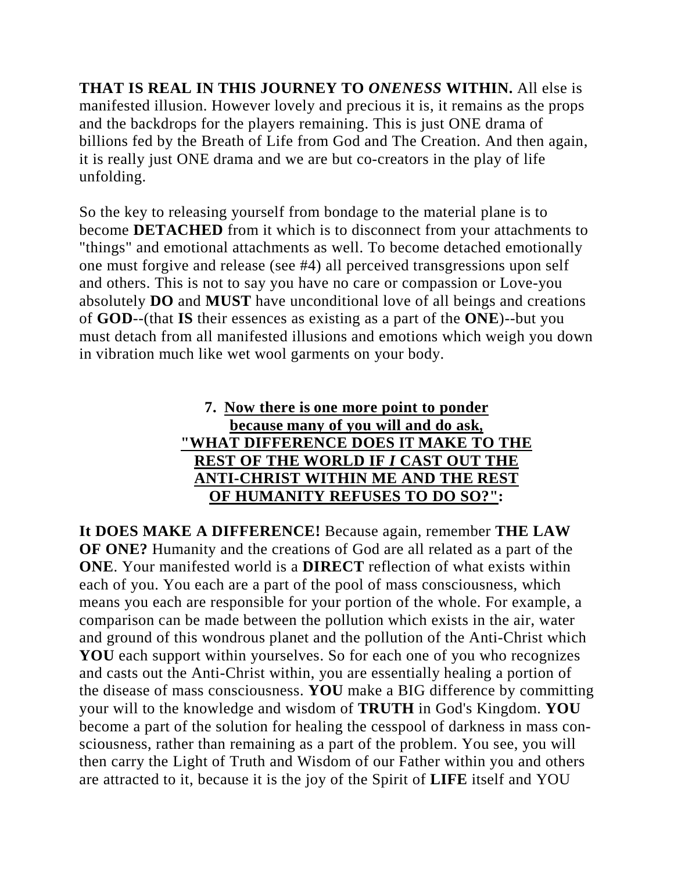**THAT IS REAL IN THIS JOURNEY TO** *ONENESS* **WITHIN.** All else is manifested illusion. However lovely and precious it is, it remains as the props and the backdrops for the players remaining. This is just ONE drama of billions fed by the Breath of Life from God and The Creation. And then again, it is really just ONE drama and we are but co-creators in the play of life unfolding.

So the key to releasing yourself from bondage to the material plane is to become **DETACHED** from it which is to disconnect from your attachments to "things" and emotional attachments as well. To become detached emotionally one must forgive and release (see #4) all perceived transgressions upon self and others. This is not to say you have no care or compassion or Love-you absolutely **DO** and **MUST** have unconditional love of all beings and creations of **GOD**--(that **IS** their essences as existing as a part of the **ONE**)--but you must detach from all manifested illusions and emotions which weigh you down in vibration much like wet wool garments on your body.

## **7. Now there is one more point to ponder because many of you will and do ask, "WHAT DIFFERENCE DOES IT MAKE TO THE REST OF THE WORLD IF** *I* **CAST OUT THE ANTI-CHRIST WITHIN ME AND THE REST OF HUMANITY REFUSES TO DO SO?":**

**It DOES MAKE A DIFFERENCE!** Because again, remember **THE LAW OF ONE?** Humanity and the creations of God are all related as a part of the **ONE**. Your manifested world is a **DIRECT** reflection of what exists within each of you. You each are a part of the pool of mass consciousness, which means you each are responsible for your portion of the whole. For example, a comparison can be made between the pollution which exists in the air, water and ground of this wondrous planet and the pollution of the Anti-Christ which **YOU** each support within yourselves. So for each one of you who recognizes and casts out the Anti-Christ within, you are essentially healing a portion of the disease of mass consciousness. **YOU** make a BIG difference by committing your will to the knowledge and wisdom of **TRUTH** in God's Kingdom. **YOU** become a part of the solution for healing the cesspool of darkness in mass consciousness, rather than remaining as a part of the problem. You see, you will then carry the Light of Truth and Wisdom of our Father within you and others are attracted to it, because it is the joy of the Spirit of **LIFE** itself and YOU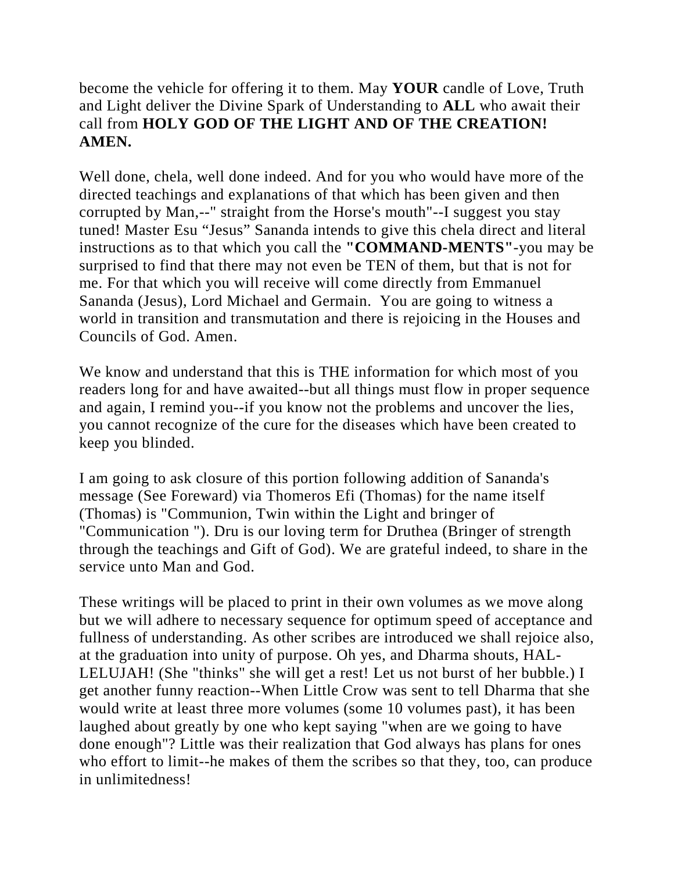become the vehicle for offering it to them. May **YOUR** candle of Love, Truth and Light deliver the Divine Spark of Understanding to **ALL** who await their call from **HOLY GOD OF THE LIGHT AND OF THE CREATION! AMEN.**

Well done, chela, well done indeed. And for you who would have more of the directed teachings and explanations of that which has been given and then corrupted by Man,--" straight from the Horse's mouth"--I suggest you stay tuned! Master Esu "Jesus" Sananda intends to give this chela direct and literal instructions as to that which you call the **"COMMAND-MENTS"**-you may be surprised to find that there may not even be TEN of them, but that is not for me. For that which you will receive will come directly from Emmanuel Sananda (Jesus), Lord Michael and Germain. You are going to witness a world in transition and transmutation and there is rejoicing in the Houses and Councils of God. Amen.

We know and understand that this is THE information for which most of you readers long for and have awaited--but all things must flow in proper sequence and again, I remind you--if you know not the problems and uncover the lies, you cannot recognize of the cure for the diseases which have been created to keep you blinded.

I am going to ask closure of this portion following addition of Sananda's message (See Foreward) via Thomeros Efi (Thomas) for the name itself (Thomas) is "Communion, Twin within the Light and bringer of "Communication "). Dru is our loving term for Druthea (Bringer of strength through the teachings and Gift of God). We are grateful indeed, to share in the service unto Man and God.

These writings will be placed to print in their own volumes as we move along but we will adhere to necessary sequence for optimum speed of acceptance and fullness of understanding. As other scribes are introduced we shall rejoice also, at the graduation into unity of purpose. Oh yes, and Dharma shouts, HAL-LELUJAH! (She "thinks" she will get a rest! Let us not burst of her bubble.) I get another funny reaction--When Little Crow was sent to tell Dharma that she would write at least three more volumes (some 10 volumes past), it has been laughed about greatly by one who kept saying "when are we going to have done enough"? Little was their realization that God always has plans for ones who effort to limit--he makes of them the scribes so that they, too, can produce in unlimitedness!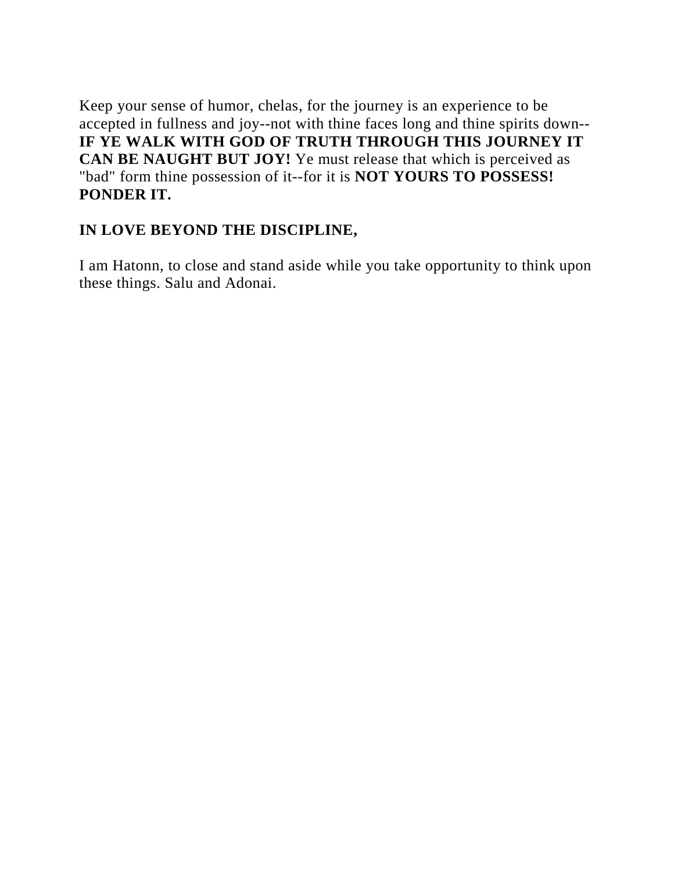Keep your sense of humor, chelas, for the journey is an experience to be accepted in fullness and joy--not with thine faces long and thine spirits down-- **IF YE WALK WITH GOD OF TRUTH THROUGH THIS JOURNEY IT CAN BE NAUGHT BUT JOY!** Ye must release that which is perceived as "bad" form thine possession of it--for it is **NOT YOURS TO POSSESS! PONDER IT.** 

# **IN LOVE BEYOND THE DISCIPLINE,**

I am Hatonn, to close and stand aside while you take opportunity to think upon these things. Salu and Adonai.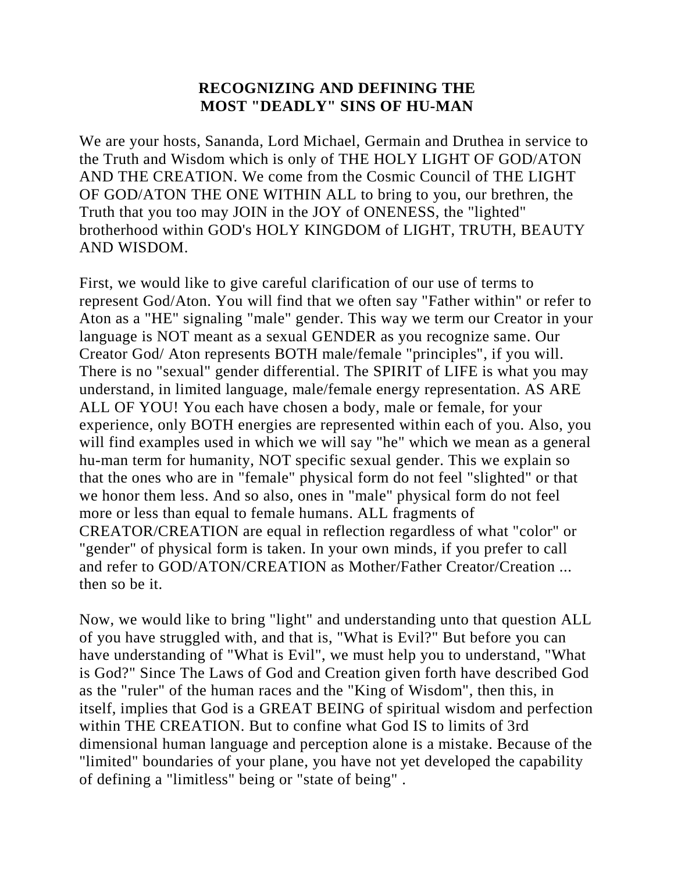## **RECOGNIZING AND DEFINING THE MOST "DEADLY" SINS OF HU-MAN**

We are your hosts, Sananda, Lord Michael, Germain and Druthea in service to the Truth and Wisdom which is only of THE HOLY LIGHT OF GOD/ATON AND THE CREATION. We come from the Cosmic Council of THE LIGHT OF GOD/ATON THE ONE WITHIN ALL to bring to you, our brethren, the Truth that you too may JOIN in the JOY of ONENESS, the "lighted" brotherhood within GOD's HOLY KINGDOM of LIGHT, TRUTH, BEAUTY AND WISDOM.

First, we would like to give careful clarification of our use of terms to represent God/Aton. You will find that we often say "Father within" or refer to Aton as a "HE" signaling "male" gender. This way we term our Creator in your language is NOT meant as a sexual GENDER as you recognize same. Our Creator God/ Aton represents BOTH male/female "principles", if you will. There is no "sexual" gender differential. The SPIRIT of LIFE is what you may understand, in limited language, male/female energy representation. AS ARE ALL OF YOU! You each have chosen a body, male or female, for your experience, only BOTH energies are represented within each of you. Also, you will find examples used in which we will say "he" which we mean as a general hu-man term for humanity, NOT specific sexual gender. This we explain so that the ones who are in "female" physical form do not feel "slighted" or that we honor them less. And so also, ones in "male" physical form do not feel more or less than equal to female humans. ALL fragments of CREATOR/CREATION are equal in reflection regardless of what "color" or "gender" of physical form is taken. In your own minds, if you prefer to call and refer to GOD/ATON/CREATION as Mother/Father Creator/Creation ... then so be it.

Now, we would like to bring "light" and understanding unto that question ALL of you have struggled with, and that is, "What is Evil?" But before you can have understanding of "What is Evil", we must help you to understand, "What is God?" Since The Laws of God and Creation given forth have described God as the "ruler" of the human races and the "King of Wisdom", then this, in itself, implies that God is a GREAT BEING of spiritual wisdom and perfection within THE CREATION. But to confine what God IS to limits of 3rd dimensional human language and perception alone is a mistake. Because of the "limited" boundaries of your plane, you have not yet developed the capability of defining a "limitless" being or "state of being" .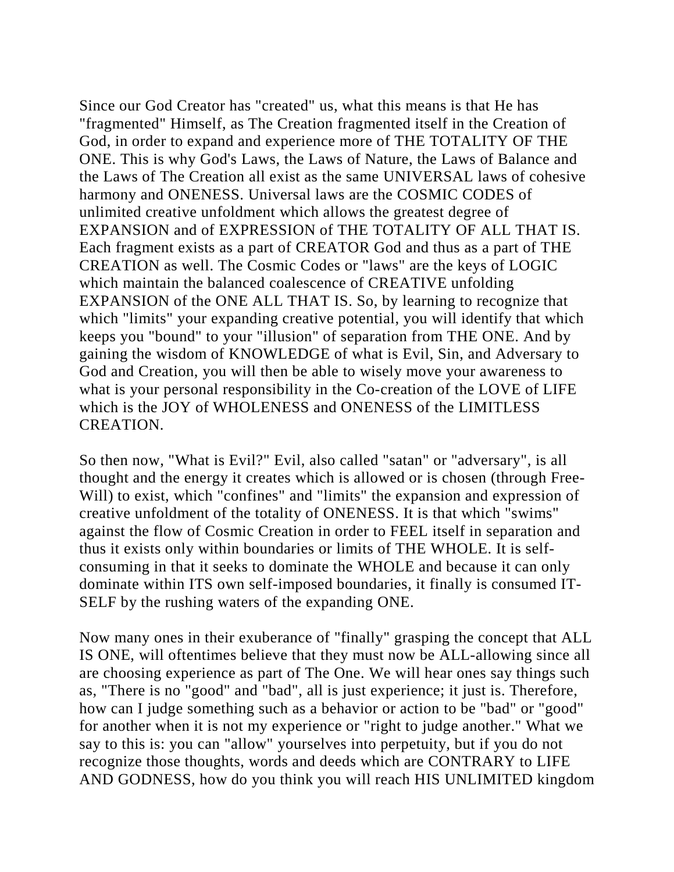Since our God Creator has "created" us, what this means is that He has "fragmented" Himself, as The Creation fragmented itself in the Creation of God, in order to expand and experience more of THE TOTALITY OF THE ONE. This is why God's Laws, the Laws of Nature, the Laws of Balance and the Laws of The Creation all exist as the same UNIVERSAL laws of cohesive harmony and ONENESS. Universal laws are the COSMIC CODES of unlimited creative unfoldment which allows the greatest degree of EXPANSION and of EXPRESSION of THE TOTALITY OF ALL THAT IS. Each fragment exists as a part of CREATOR God and thus as a part of THE CREATION as well. The Cosmic Codes or "laws" are the keys of LOGIC which maintain the balanced coalescence of CREATIVE unfolding EXPANSION of the ONE ALL THAT IS. So, by learning to recognize that which "limits" your expanding creative potential, you will identify that which keeps you "bound" to your "illusion" of separation from THE ONE. And by gaining the wisdom of KNOWLEDGE of what is Evil, Sin, and Adversary to God and Creation, you will then be able to wisely move your awareness to what is your personal responsibility in the Co-creation of the LOVE of LIFE which is the JOY of WHOLENESS and ONENESS of the LIMITLESS CREATION.

So then now, "What is Evil?" Evil, also called "satan" or "adversary", is all thought and the energy it creates which is allowed or is chosen (through Free-Will) to exist, which "confines" and "limits" the expansion and expression of creative unfoldment of the totality of ONENESS. It is that which "swims" against the flow of Cosmic Creation in order to FEEL itself in separation and thus it exists only within boundaries or limits of THE WHOLE. It is selfconsuming in that it seeks to dominate the WHOLE and because it can only dominate within ITS own self-imposed boundaries, it finally is consumed IT-SELF by the rushing waters of the expanding ONE.

Now many ones in their exuberance of "finally" grasping the concept that ALL IS ONE, will oftentimes believe that they must now be ALL-allowing since all are choosing experience as part of The One. We will hear ones say things such as, "There is no "good" and "bad", all is just experience; it just is. Therefore, how can I judge something such as a behavior or action to be "bad" or "good" for another when it is not my experience or "right to judge another." What we say to this is: you can "allow" yourselves into perpetuity, but if you do not recognize those thoughts, words and deeds which are CONTRARY to LIFE AND GODNESS, how do you think you will reach HIS UNLIMITED kingdom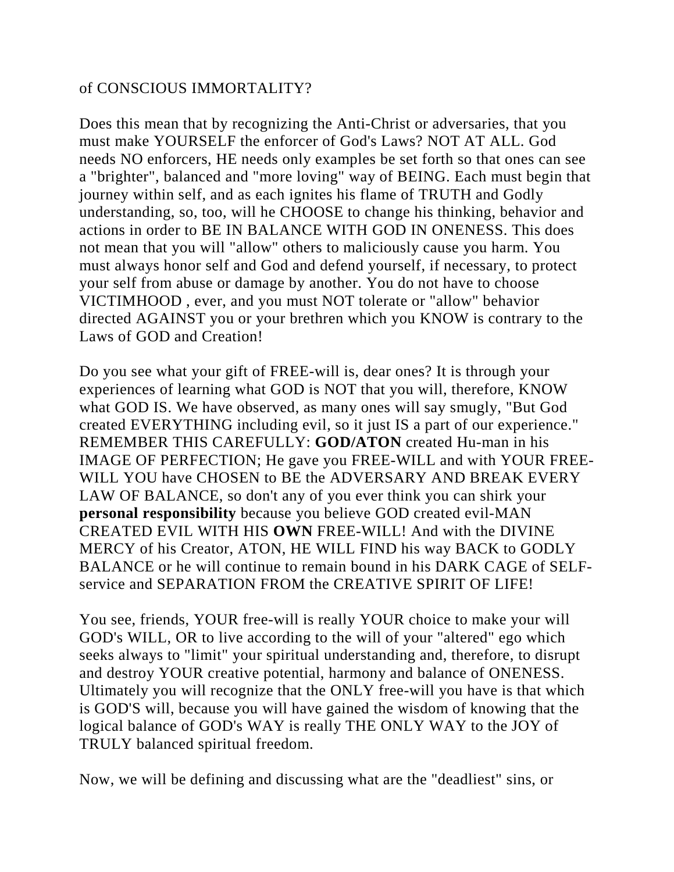## of CONSCIOUS IMMORTALITY?

Does this mean that by recognizing the Anti-Christ or adversaries, that you must make YOURSELF the enforcer of God's Laws? NOT AT ALL. God needs NO enforcers, HE needs only examples be set forth so that ones can see a "brighter", balanced and "more loving" way of BEING. Each must begin that journey within self, and as each ignites his flame of TRUTH and Godly understanding, so, too, will he CHOOSE to change his thinking, behavior and actions in order to BE IN BALANCE WITH GOD IN ONENESS. This does not mean that you will "allow" others to maliciously cause you harm. You must always honor self and God and defend yourself, if necessary, to protect your self from abuse or damage by another. You do not have to choose VICTIMHOOD , ever, and you must NOT tolerate or "allow" behavior directed AGAINST you or your brethren which you KNOW is contrary to the Laws of GOD and Creation!

Do you see what your gift of FREE-will is, dear ones? It is through your experiences of learning what GOD is NOT that you will, therefore, KNOW what GOD IS. We have observed, as many ones will say smugly, "But God created EVERYTHING including evil, so it just IS a part of our experience." REMEMBER THIS CAREFULLY: **GOD/ATON** created Hu-man in his IMAGE OF PERFECTION; He gave you FREE-WILL and with YOUR FREE-WILL YOU have CHOSEN to BE the ADVERSARY AND BREAK EVERY LAW OF BALANCE, so don't any of you ever think you can shirk your **personal responsibility** because you believe GOD created evil-MAN CREATED EVIL WITH HIS **OWN** FREE-WILL! And with the DIVINE MERCY of his Creator, ATON, HE WILL FIND his way BACK to GODLY BALANCE or he will continue to remain bound in his DARK CAGE of SELFservice and SEPARATION FROM the CREATIVE SPIRIT OF LIFE!

You see, friends, YOUR free-will is really YOUR choice to make your will GOD's WILL, OR to live according to the will of your "altered" ego which seeks always to "limit" your spiritual understanding and, therefore, to disrupt and destroy YOUR creative potential, harmony and balance of ONENESS. Ultimately you will recognize that the ONLY free-will you have is that which is GOD'S will, because you will have gained the wisdom of knowing that the logical balance of GOD's WAY is really THE ONLY WAY to the JOY of TRULY balanced spiritual freedom.

Now, we will be defining and discussing what are the "deadliest" sins, or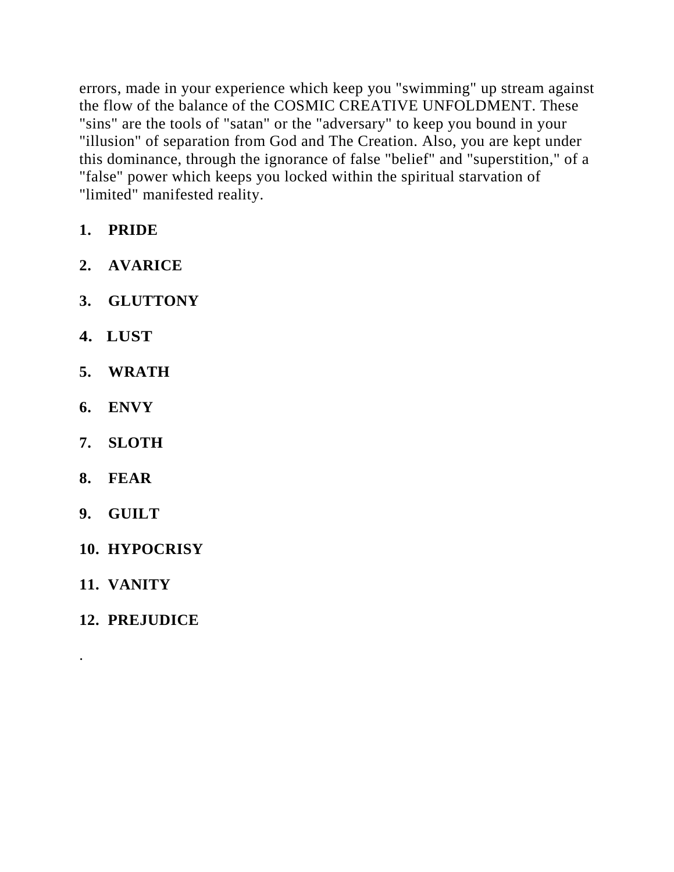errors, made in your experience which keep you "swimming" up stream against the flow of the balance of the COSMIC CREATIVE UNFOLDMENT. These "sins" are the tools of "satan" or the "adversary" to keep you bound in your "illusion" of separation from God and The Creation. Also, you are kept under this dominance, through the ignorance of false "belief" and "superstition," of a "false" power which keeps you locked within the spiritual starvation of "limited" manifested reality.

- **1. PRIDE**
- **2. AVARICE**
- **3. GLUTTONY**
- **4. LUST**
- **5. WRATH**
- **6. ENVY**
- **7. SLOTH**
- **8. FEAR**
- **9. GUILT**
- **10. HYPOCRISY**
- **11. VANITY**

.

**12. PREJUDICE**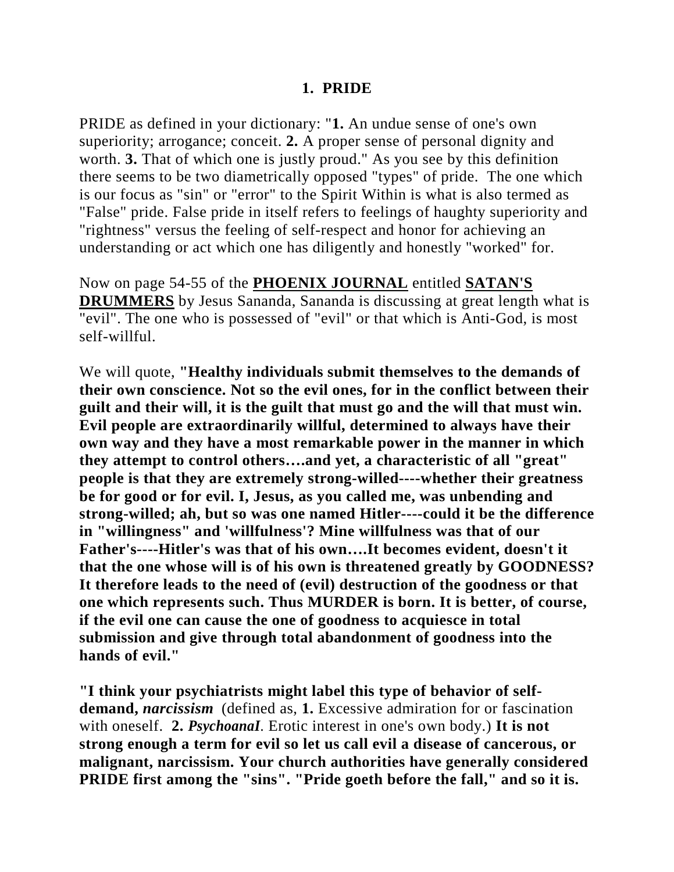#### **1. PRIDE**

PRIDE as defined in your dictionary: "**1.** An undue sense of one's own superiority; arrogance; conceit. **2.** A proper sense of personal dignity and worth. **3.** That of which one is justly proud." As you see by this definition there seems to be two diametrically opposed "types" of pride. The one which is our focus as "sin" or "error" to the Spirit Within is what is also termed as "False" pride. False pride in itself refers to feelings of haughty superiority and "rightness" versus the feeling of self-respect and honor for achieving an understanding or act which one has diligently and honestly "worked" for.

Now on page 54-55 of the **PHOENIX JOURNAL** entitled **SATAN'S DRUMMERS** by Jesus Sananda, Sananda is discussing at great length what is "evil". The one who is possessed of "evil" or that which is Anti-God, is most self-willful.

We will quote, **"Healthy individuals submit themselves to the demands of their own conscience. Not so the evil ones, for in the conflict between their guilt and their will, it is the guilt that must go and the will that must win. Evil people are extraordinarily willful, determined to always have their own way and they have a most remarkable power in the manner in which they attempt to control others….and yet, a characteristic of all "great" people is that they are extremely strong-willed----whether their greatness be for good or for evil. I, Jesus, as you called me, was unbending and strong-willed; ah, but so was one named Hitler----could it be the difference in "willingness" and 'willfulness'? Mine willfulness was that of our Father's----Hitler's was that of his own….It becomes evident, doesn't it that the one whose will is of his own is threatened greatly by GOODNESS? It therefore leads to the need of (evil) destruction of the goodness or that one which represents such. Thus MURDER is born. It is better, of course, if the evil one can cause the one of goodness to acquiesce in total submission and give through total abandonment of goodness into the hands of evil."** 

**"I think your psychiatrists might label this type of behavior of selfdemand,** *narcissism* (defined as, **1.** Excessive admiration for or fascination with oneself. **2.** *PsychoanaI.* Erotic interest in one's own body.) **It is not strong enough a term for evil so let us call evil a disease of cancerous, or malignant, narcissism. Your church authorities have generally considered PRIDE first among the "sins". "Pride goeth before the fall," and so it is.**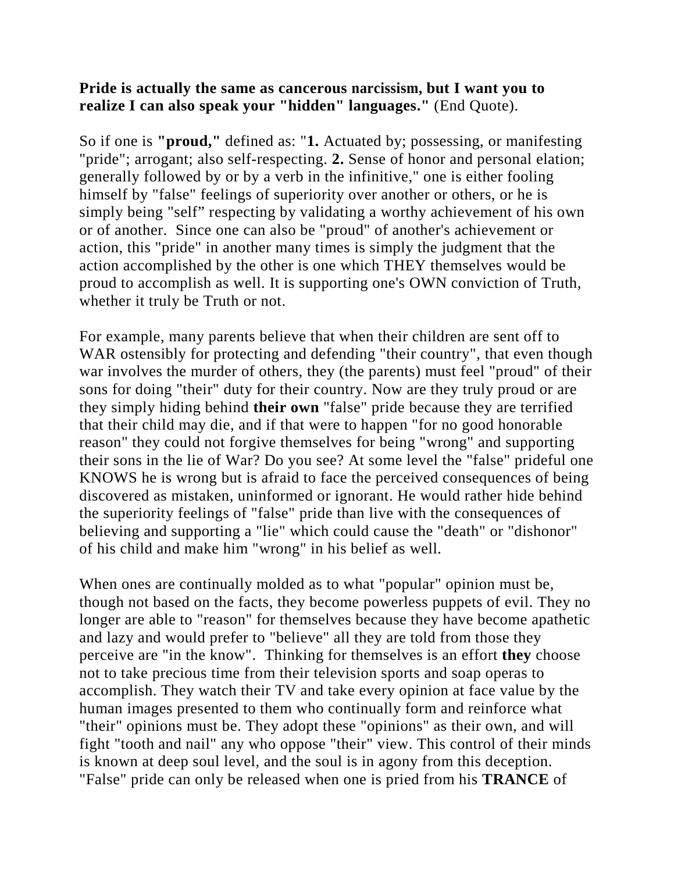### **Pride is actually the same as cancerous narcissism, but I want you to realize I can also speak your "hidden" languages."** (End Quote).

So if one is **"proud,"** defined as: "**1.** Actuated by; possessing, or manifesting "pride"; arrogant; also self-respecting. **2.** Sense of honor and personal elation; generally followed by or by a verb in the infinitive," one is either fooling himself by "false" feelings of superiority over another or others, or he is simply being "self" respecting by validating a worthy achievement of his own or of another. Since one can also be "proud" of another's achievement or action, this "pride" in another many times is simply the judgment that the action accomplished by the other is one which THEY themselves would be proud to accomplish as well. It is supporting one's OWN conviction of Truth, whether it truly be Truth or not.

For example, many parents believe that when their children are sent off to WAR ostensibly for protecting and defending "their country", that even though war involves the murder of others, they (the parents) must feel "proud" of their sons for doing "their" duty for their country. Now are they truly proud or are they simply hiding behind **their own** "false" pride because they are terrified that their child may die, and if that were to happen "for no good honorable reason" they could not forgive themselves for being "wrong" and supporting their sons in the lie of War? Do you see? At some level the "false" prideful one KNOWS he is wrong but is afraid to face the perceived consequences of being discovered as mistaken, uninformed or ignorant. He would rather hide behind the superiority feelings of "false" pride than live with the consequences of believing and supporting a "lie" which could cause the "death" or "dishonor" of his child and make him "wrong" in his belief as well.

When ones are continually molded as to what "popular" opinion must be, though not based on the facts, they become powerless puppets of evil. They no longer are able to "reason" for themselves because they have become apathetic and lazy and would prefer to "believe" all they are told from those they perceive are "in the know". Thinking for themselves is an effort **they** choose not to take precious time from their television sports and soap operas to accomplish. They watch their TV and take every opinion at face value by the human images presented to them who continually form and reinforce what "their" opinions must be. They adopt these "opinions" as their own, and will fight "tooth and nail" any who oppose "their" view. This control of their minds is known at deep soul level, and the soul is in agony from this deception. "False" pride can only be released when one is pried from his **TRANCE** of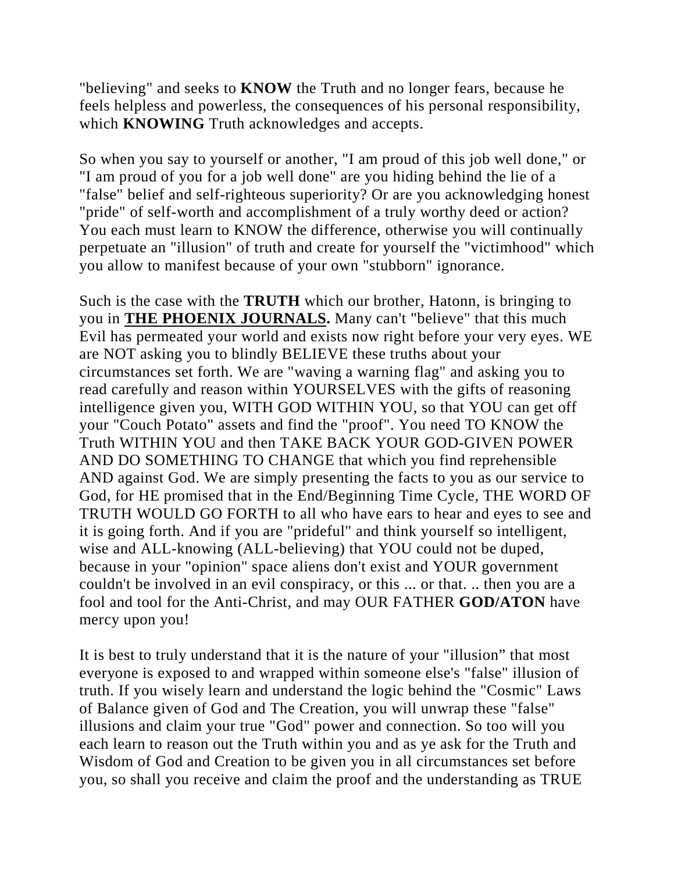"believing" and seeks to **KNOW** the Truth and no longer fears, because he feels helpless and powerless, the consequences of his personal responsibility, which **KNOWING** Truth acknowledges and accepts.

So when you say to yourself or another, "I am proud of this job well done," or "I am proud of you for a job well done" are you hiding behind the lie of a "false" belief and self-righteous superiority? Or are you acknowledging honest "pride" of self-worth and accomplishment of a truly worthy deed or action? You each must learn to KNOW the difference, otherwise you will continually perpetuate an "illusion" of truth and create for yourself the "victimhood" which you allow to manifest because of your own "stubborn" ignorance.

Such is the case with the **TRUTH** which our brother, Hatonn, is bringing to you in **THE PHOENIX JOURNALS.** Many can't "believe" that this much Evil has permeated your world and exists now right before your very eyes. WE are NOT asking you to blindly BELIEVE these truths about your circumstances set forth. We are "waving a warning flag" and asking you to read carefully and reason within YOURSELVES with the gifts of reasoning intelligence given you, WITH GOD WITHIN YOU, so that YOU can get off your "Couch Potato" assets and find the "proof". You need TO KNOW the Truth WITHIN YOU and then TAKE BACK YOUR GOD-GIVEN POWER AND DO SOMETHING TO CHANGE that which you find reprehensible AND against God. We are simply presenting the facts to you as our service to God, for HE promised that in the End/Beginning Time Cycle, THE WORD OF TRUTH WOULD GO FORTH to all who have ears to hear and eyes to see and it is going forth. And if you are "prideful" and think yourself so intelligent, wise and ALL-knowing (ALL-believing) that YOU could not be duped, because in your "opinion" space aliens don't exist and YOUR government couldn't be involved in an evil conspiracy, or this ... or that. .. then you are a fool and tool for the Anti-Christ, and may OUR FATHER **GOD/ATON** have mercy upon you!

It is best to truly understand that it is the nature of your "illusion" that most everyone is exposed to and wrapped within someone else's "false" illusion of truth. If you wisely learn and understand the logic behind the "Cosmic" Laws of Balance given of God and The Creation, you will unwrap these "false" illusions and claim your true "God" power and connection. So too will you each learn to reason out the Truth within you and as ye ask for the Truth and Wisdom of God and Creation to be given you in all circumstances set before you, so shall you receive and claim the proof and the understanding as TRUE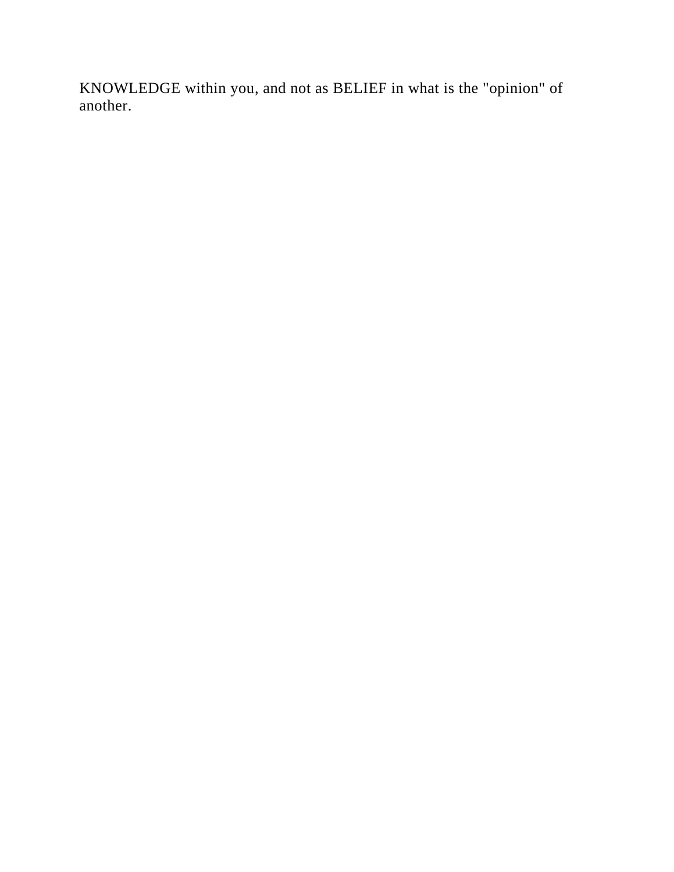KNOWLEDGE within you, and not as BELIEF in what is the "opinion" of another.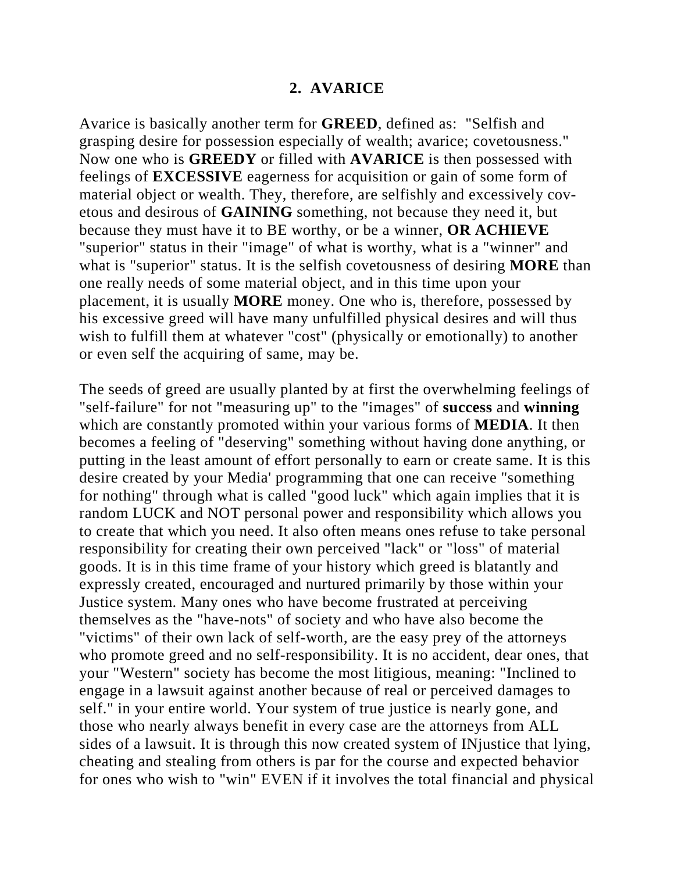#### **2. AVARICE**

Avarice is basically another term for **GREED**, defined as: "Selfish and grasping desire for possession especially of wealth; avarice; covetousness." Now one who is **GREEDY** or filled with **AVARICE** is then possessed with feelings of **EXCESSIVE** eagerness for acquisition or gain of some form of material object or wealth. They, therefore, are selfishly and excessively covetous and desirous of **GAINING** something, not because they need it, but because they must have it to BE worthy, or be a winner, **OR ACHIEVE** "superior" status in their "image" of what is worthy, what is a "winner" and what is "superior" status. It is the selfish covetousness of desiring **MORE** than one really needs of some material object, and in this time upon your placement, it is usually **MORE** money. One who is, therefore, possessed by his excessive greed will have many unfulfilled physical desires and will thus wish to fulfill them at whatever "cost" (physically or emotionally) to another or even self the acquiring of same, may be.

The seeds of greed are usually planted by at first the overwhelming feelings of "self-failure" for not "measuring up" to the "images" of **success** and **winning** which are constantly promoted within your various forms of **MEDIA**. It then becomes a feeling of "deserving" something without having done anything, or putting in the least amount of effort personally to earn or create same. It is this desire created by your Media' programming that one can receive "something for nothing" through what is called "good luck" which again implies that it is random LUCK and NOT personal power and responsibility which allows you to create that which you need. It also often means ones refuse to take personal responsibility for creating their own perceived "lack" or "loss" of material goods. It is in this time frame of your history which greed is blatantly and expressly created, encouraged and nurtured primarily by those within your Justice system. Many ones who have become frustrated at perceiving themselves as the "have-nots" of society and who have also become the "victims" of their own lack of self-worth, are the easy prey of the attorneys who promote greed and no self-responsibility. It is no accident, dear ones, that your "Western" society has become the most litigious, meaning: "Inclined to engage in a lawsuit against another because of real or perceived damages to self." in your entire world. Your system of true justice is nearly gone, and those who nearly always benefit in every case are the attorneys from ALL sides of a lawsuit. It is through this now created system of INjustice that lying, cheating and stealing from others is par for the course and expected behavior for ones who wish to "win" EVEN if it involves the total financial and physical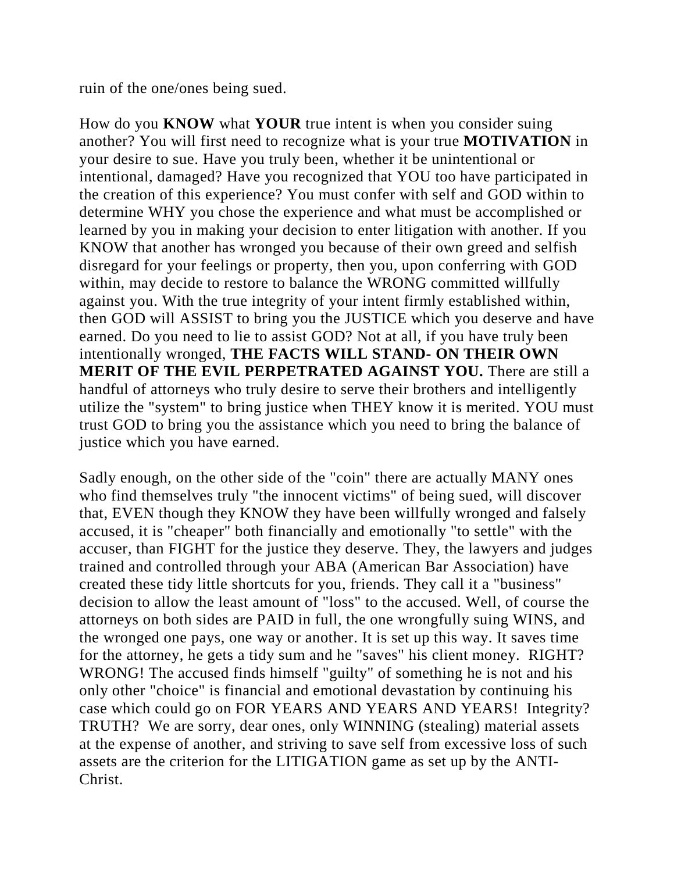ruin of the one/ones being sued.

How do you **KNOW** what **YOUR** true intent is when you consider suing another? You will first need to recognize what is your true **MOTIVATION** in your desire to sue. Have you truly been, whether it be unintentional or intentional, damaged? Have you recognized that YOU too have participated in the creation of this experience? You must confer with self and GOD within to determine WHY you chose the experience and what must be accomplished or learned by you in making your decision to enter litigation with another. If you KNOW that another has wronged you because of their own greed and selfish disregard for your feelings or property, then you, upon conferring with GOD within, may decide to restore to balance the WRONG committed willfully against you. With the true integrity of your intent firmly established within, then GOD will ASSIST to bring you the JUSTICE which you deserve and have earned. Do you need to lie to assist GOD? Not at all, if you have truly been intentionally wronged, **THE FACTS WILL STAND- ON THEIR OWN MERIT OF THE EVIL PERPETRATED AGAINST YOU.** There are still a handful of attorneys who truly desire to serve their brothers and intelligently utilize the "system" to bring justice when THEY know it is merited. YOU must trust GOD to bring you the assistance which you need to bring the balance of justice which you have earned.

Sadly enough, on the other side of the "coin" there are actually MANY ones who find themselves truly "the innocent victims" of being sued, will discover that, EVEN though they KNOW they have been willfully wronged and falsely accused, it is "cheaper" both financially and emotionally "to settle" with the accuser, than FIGHT for the justice they deserve. They, the lawyers and judges trained and controlled through your ABA (American Bar Association) have created these tidy little shortcuts for you, friends. They call it a "business" decision to allow the least amount of "loss" to the accused. Well, of course the attorneys on both sides are PAID in full, the one wrongfully suing WINS, and the wronged one pays, one way or another. It is set up this way. It saves time for the attorney, he gets a tidy sum and he "saves" his client money. RIGHT? WRONG! The accused finds himself "guilty" of something he is not and his only other "choice" is financial and emotional devastation by continuing his case which could go on FOR YEARS AND YEARS AND YEARS! Integrity? TRUTH? We are sorry, dear ones, only WINNING (stealing) material assets at the expense of another, and striving to save self from excessive loss of such assets are the criterion for the LITIGATION game as set up by the ANTI-Christ.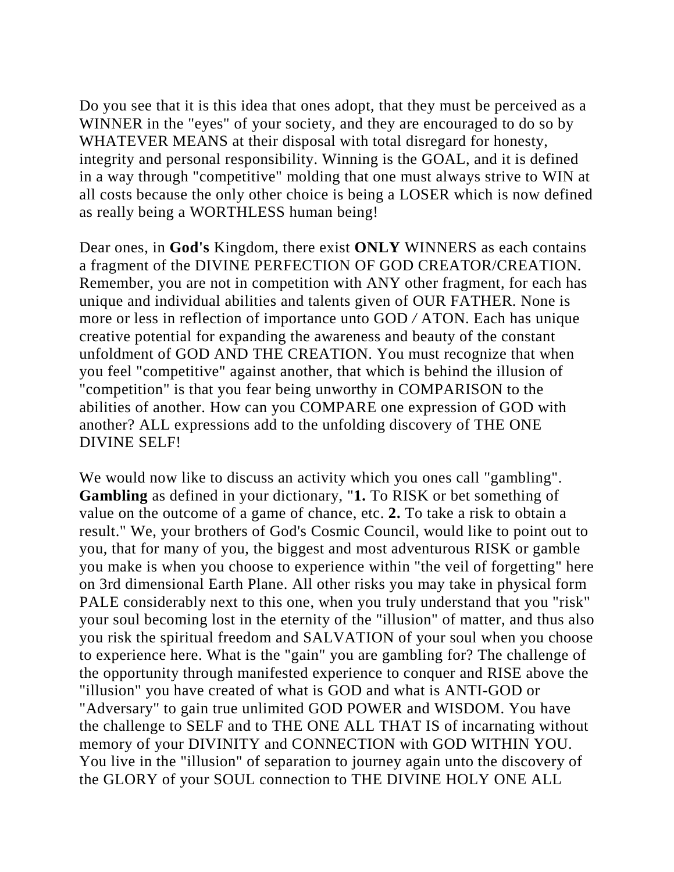Do you see that it is this idea that ones adopt, that they must be perceived as a WINNER in the "eyes" of your society, and they are encouraged to do so by WHATEVER MEANS at their disposal with total disregard for honesty, integrity and personal responsibility. Winning is the GOAL, and it is defined in a way through "competitive" molding that one must always strive to WIN at all costs because the only other choice is being a LOSER which is now defined as really being a WORTHLESS human being!

Dear ones, in **God's** Kingdom, there exist **ONLY** WINNERS as each contains a fragment of the DIVINE PERFECTION OF GOD CREATOR/CREATION. Remember, you are not in competition with ANY other fragment, for each has unique and individual abilities and talents given of OUR FATHER. None is more or less in reflection of importance unto GOD */* ATON. Each has unique creative potential for expanding the awareness and beauty of the constant unfoldment of GOD AND THE CREATION. You must recognize that when you feel "competitive" against another, that which is behind the illusion of "competition" is that you fear being unworthy in COMPARISON to the abilities of another. How can you COMPARE one expression of GOD with another? ALL expressions add to the unfolding discovery of THE ONE DIVINE SELF!

We would now like to discuss an activity which you ones call "gambling". **Gambling** as defined in your dictionary, "**1.** To RISK or bet something of value on the outcome of a game of chance, etc. **2.** To take a risk to obtain a result." We, your brothers of God's Cosmic Council, would like to point out to you, that for many of you, the biggest and most adventurous RISK or gamble you make is when you choose to experience within "the veil of forgetting" here on 3rd dimensional Earth Plane. All other risks you may take in physical form PALE considerably next to this one, when you truly understand that you "risk" your soul becoming lost in the eternity of the "illusion" of matter, and thus also you risk the spiritual freedom and SALVATION of your soul when you choose to experience here. What is the "gain" you are gambling for? The challenge of the opportunity through manifested experience to conquer and RISE above the "illusion" you have created of what is GOD and what is ANTI-GOD or "Adversary" to gain true unlimited GOD POWER and WISDOM. You have the challenge to SELF and to THE ONE ALL THAT IS of incarnating without memory of your DIVINITY and CONNECTION with GOD WITHIN YOU. You live in the "illusion" of separation to journey again unto the discovery of the GLORY of your SOUL connection to THE DIVINE HOLY ONE ALL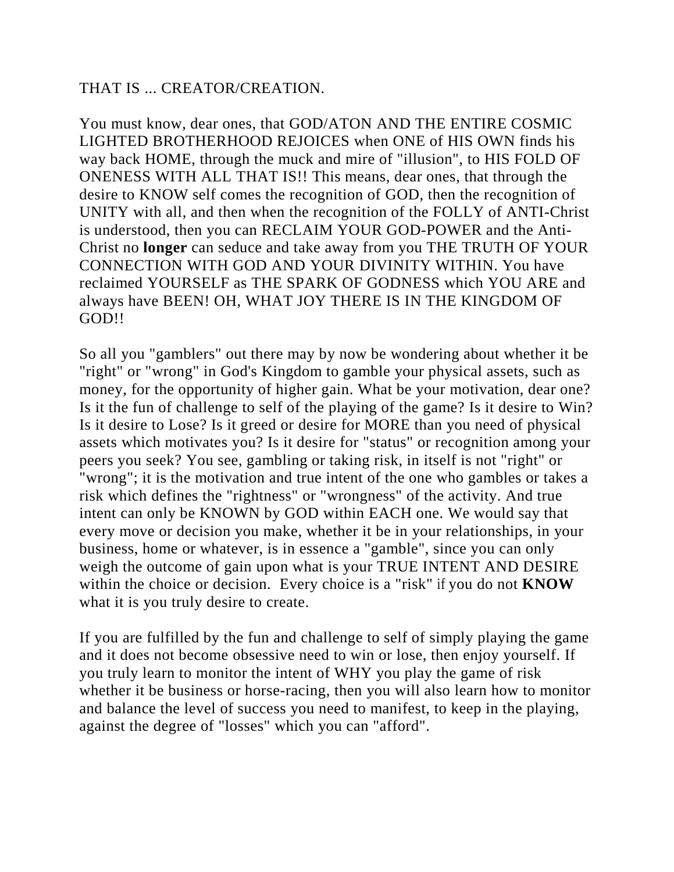## THAT IS ... CREATOR/CREATION.

You must know, dear ones, that GOD/ATON AND THE ENTIRE COSMIC LIGHTED BROTHERHOOD REJOICES when ONE of HIS OWN finds his way back HOME, through the muck and mire of "illusion", to HIS FOLD OF ONENESS WITH ALL THAT IS!! This means, dear ones, that through the desire to KNOW self comes the recognition of GOD, then the recognition of UNITY with all, and then when the recognition of the FOLLY of ANTI-Christ is understood, then you can RECLAIM YOUR GOD-POWER and the Anti-Christ no **longer** can seduce and take away from you THE TRUTH OF YOUR CONNECTION WITH GOD AND YOUR DIVINITY WITHIN. You have reclaimed YOURSELF as THE SPARK OF GODNESS which YOU ARE and always have BEEN! OH, WHAT JOY THERE IS IN THE KINGDOM OF GOD!!

So all you "gamblers" out there may by now be wondering about whether it be "right" or "wrong" in God's Kingdom to gamble your physical assets, such as money, for the opportunity of higher gain. What be your motivation, dear one? Is it the fun of challenge to self of the playing of the game? Is it desire to Win? Is it desire to Lose? Is it greed or desire for MORE than you need of physical assets which motivates you? Is it desire for "status" or recognition among your peers you seek? You see, gambling or taking risk, in itself is not "right" or "wrong"; it is the motivation and true intent of the one who gambles or takes a risk which defines the "rightness" or "wrongness" of the activity. And true intent can only be KNOWN by GOD within EACH one. We would say that every move or decision you make, whether it be in your relationships, in your business, home or whatever, is in essence a "gamble", since you can only weigh the outcome of gain upon what is your TRUE INTENT AND DESIRE within the choice or decision. Every choice is a "risk" if you do not **KNOW**  what it is you truly desire to create.

If you are fulfilled by the fun and challenge to self of simply playing the game and it does not become obsessive need to win or lose, then enjoy yourself. If you truly learn to monitor the intent of WHY you play the game of risk whether it be business or horse-racing, then you will also learn how to monitor and balance the level of success you need to manifest, to keep in the playing, against the degree of "losses" which you can "afford".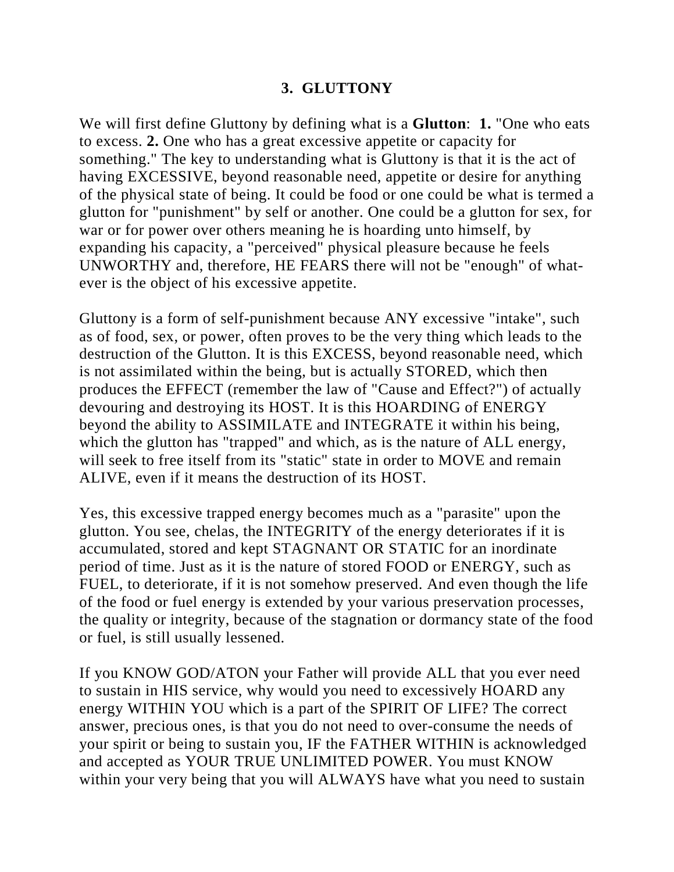## **3. GLUTTONY**

We will first define Gluttony by defining what is a **Glutton**: **1.** "One who eats to excess. **2.** One who has a great excessive appetite or capacity for something." The key to understanding what is Gluttony is that it is the act of having EXCESSIVE, beyond reasonable need, appetite or desire for anything of the physical state of being. It could be food or one could be what is termed a glutton for "punishment" by self or another. One could be a glutton for sex, for war or for power over others meaning he is hoarding unto himself, by expanding his capacity, a "perceived" physical pleasure because he feels UNWORTHY and, therefore, HE FEARS there will not be "enough" of whatever is the object of his excessive appetite.

Gluttony is a form of self-punishment because ANY excessive "intake", such as of food, sex, or power, often proves to be the very thing which leads to the destruction of the Glutton. It is this EXCESS, beyond reasonable need, which is not assimilated within the being, but is actually STORED, which then produces the EFFECT (remember the law of "Cause and Effect?") of actually devouring and destroying its HOST. It is this HOARDING of ENERGY beyond the ability to ASSIMILATE and INTEGRATE it within his being, which the glutton has "trapped" and which, as is the nature of ALL energy, will seek to free itself from its "static" state in order to MOVE and remain ALIVE, even if it means the destruction of its HOST.

Yes, this excessive trapped energy becomes much as a "parasite" upon the glutton. You see, chelas, the INTEGRITY of the energy deteriorates if it is accumulated, stored and kept STAGNANT OR STATIC for an inordinate period of time. Just as it is the nature of stored FOOD or ENERGY, such as FUEL, to deteriorate, if it is not somehow preserved. And even though the life of the food or fuel energy is extended by your various preservation processes, the quality or integrity, because of the stagnation or dormancy state of the food or fuel, is still usually lessened.

If you KNOW GOD/ATON your Father will provide ALL that you ever need to sustain in HIS service, why would you need to excessively HOARD any energy WITHIN YOU which is a part of the SPIRIT OF LIFE? The correct answer, precious ones, is that you do not need to over-consume the needs of your spirit or being to sustain you, IF the FATHER WITHIN is acknowledged and accepted as YOUR TRUE UNLIMITED POWER. You must KNOW within your very being that you will ALWAYS have what you need to sustain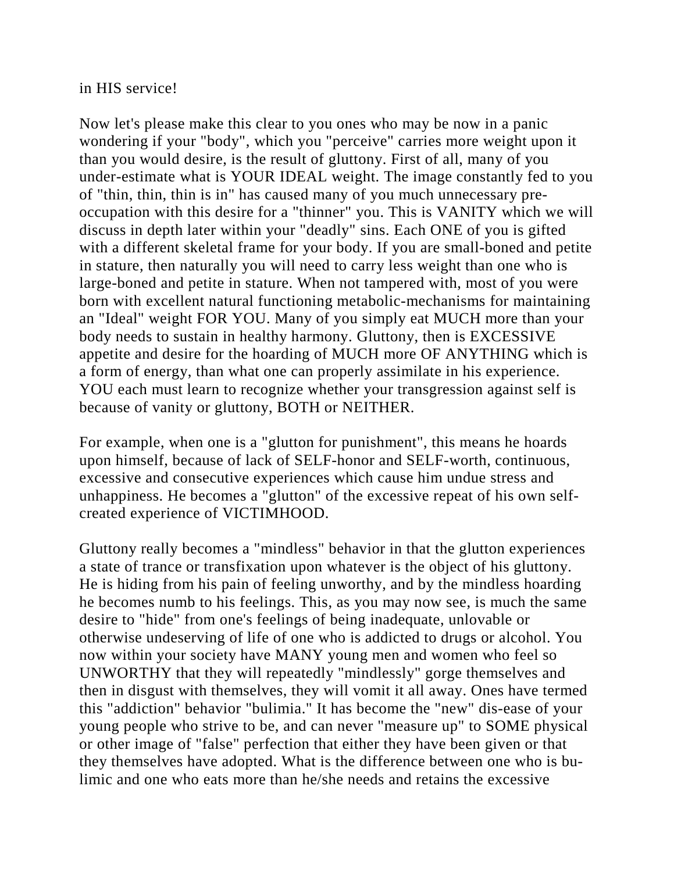#### in HIS service!

Now let's please make this clear to you ones who may be now in a panic wondering if your "body", which you "perceive" carries more weight upon it than you would desire, is the result of gluttony. First of all, many of you under-estimate what is YOUR IDEAL weight. The image constantly fed to you of "thin, thin, thin is in" has caused many of you much unnecessary preoccupation with this desire for a "thinner" you. This is VANITY which we will discuss in depth later within your "deadly" sins. Each ONE of you is gifted with a different skeletal frame for your body. If you are small-boned and petite in stature, then naturally you will need to carry less weight than one who is large-boned and petite in stature. When not tampered with, most of you were born with excellent natural functioning metabolic-mechanisms for maintaining an "Ideal" weight FOR YOU. Many of you simply eat MUCH more than your body needs to sustain in healthy harmony. Gluttony, then is EXCESSIVE appetite and desire for the hoarding of MUCH more OF ANYTHING which is a form of energy, than what one can properly assimilate in his experience. YOU each must learn to recognize whether your transgression against self is because of vanity or gluttony, BOTH or NEITHER.

For example, when one is a "glutton for punishment", this means he hoards upon himself, because of lack of SELF-honor and SELF-worth, continuous, excessive and consecutive experiences which cause him undue stress and unhappiness. He becomes a "glutton" of the excessive repeat of his own selfcreated experience of VICTIMHOOD.

Gluttony really becomes a "mindless" behavior in that the glutton experiences a state of trance or transfixation upon whatever is the object of his gluttony. He is hiding from his pain of feeling unworthy, and by the mindless hoarding he becomes numb to his feelings. This, as you may now see, is much the same desire to "hide" from one's feelings of being inadequate, unlovable or otherwise undeserving of life of one who is addicted to drugs or alcohol. You now within your society have MANY young men and women who feel so UNWORTHY that they will repeatedly "mindlessly" gorge themselves and then in disgust with themselves, they will vomit it all away. Ones have termed this "addiction" behavior "bulimia." It has become the "new" dis-ease of your young people who strive to be, and can never "measure up" to SOME physical or other image of "false" perfection that either they have been given or that they themselves have adopted. What is the difference between one who is bulimic and one who eats more than he/she needs and retains the excessive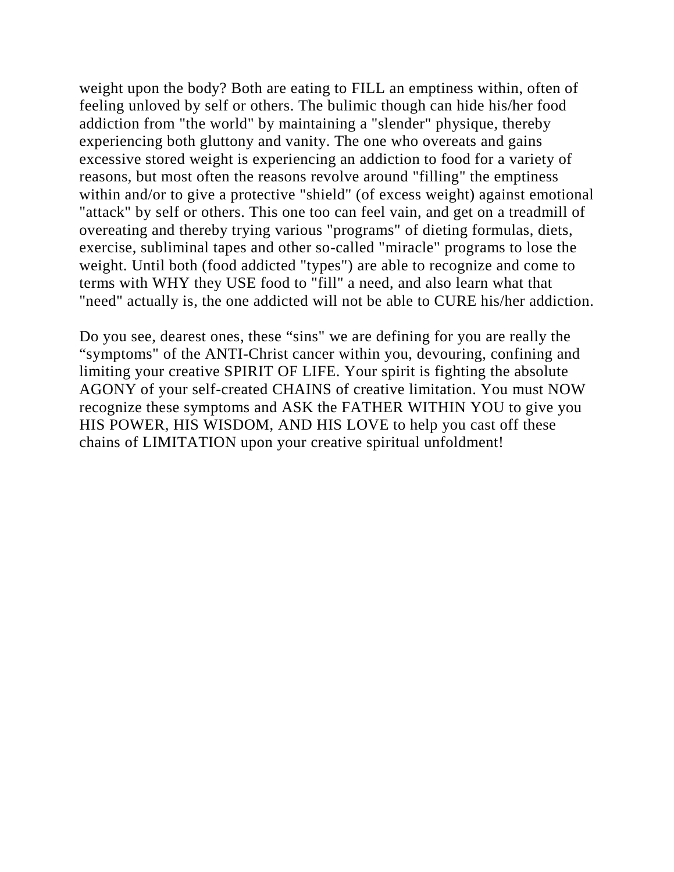weight upon the body? Both are eating to FILL an emptiness within, often of feeling unloved by self or others. The bulimic though can hide his/her food addiction from "the world" by maintaining a "slender" physique, thereby experiencing both gluttony and vanity. The one who overeats and gains excessive stored weight is experiencing an addiction to food for a variety of reasons, but most often the reasons revolve around "filling" the emptiness within and/or to give a protective "shield" (of excess weight) against emotional "attack" by self or others. This one too can feel vain, and get on a treadmill of overeating and thereby trying various "programs" of dieting formulas, diets, exercise, subliminal tapes and other so-called "miracle" programs to lose the weight. Until both (food addicted "types") are able to recognize and come to terms with WHY they USE food to "fill" a need, and also learn what that "need" actually is, the one addicted will not be able to CURE his/her addiction.

Do you see, dearest ones, these "sins" we are defining for you are really the "symptoms" of the ANTI-Christ cancer within you, devouring, confining and limiting your creative SPIRIT OF LIFE. Your spirit is fighting the absolute AGONY of your self-created CHAINS of creative limitation. You must NOW recognize these symptoms and ASK the FATHER WITHIN YOU to give you HIS POWER, HIS WISDOM, AND HIS LOVE to help you cast off these chains of LIMITATION upon your creative spiritual unfoldment!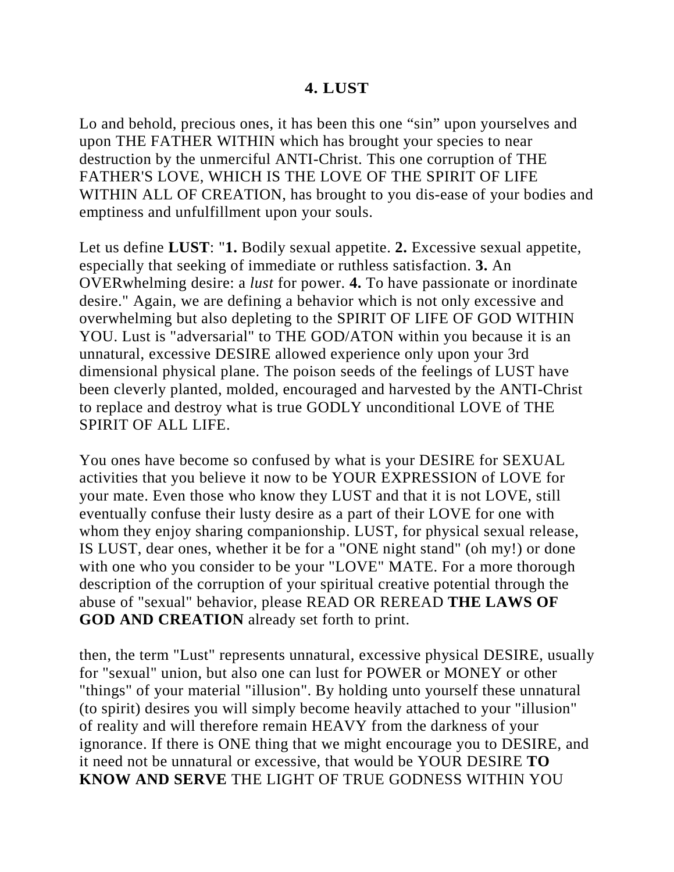## **4. LUST**

Lo and behold, precious ones, it has been this one "sin" upon yourselves and upon THE FATHER WITHIN which has brought your species to near destruction by the unmerciful ANTI-Christ. This one corruption of THE FATHER'S LOVE, WHICH IS THE LOVE OF THE SPIRIT OF LIFE WITHIN ALL OF CREATION, has brought to you dis-ease of your bodies and emptiness and unfulfillment upon your souls.

Let us define **LUST**: "**1.** Bodily sexual appetite. **2.** Excessive sexual appetite, especially that seeking of immediate or ruthless satisfaction. **3.** An OVERwhelming desire: a *lust* for power. **4.** To have passionate or inordinate desire." Again, we are defining a behavior which is not only excessive and overwhelming but also depleting to the SPIRIT OF LIFE OF GOD WITHIN YOU. Lust is "adversarial" to THE GOD/ATON within you because it is an unnatural, excessive DESIRE allowed experience only upon your 3rd dimensional physical plane. The poison seeds of the feelings of LUST have been cleverly planted, molded, encouraged and harvested by the ANTI-Christ to replace and destroy what is true GODLY unconditional LOVE of THE SPIRIT OF ALL LIFE.

You ones have become so confused by what is your DESIRE for SEXUAL activities that you believe it now to be YOUR EXPRESSION of LOVE for your mate. Even those who know they LUST and that it is not LOVE, still eventually confuse their lusty desire as a part of their LOVE for one with whom they enjoy sharing companionship. LUST, for physical sexual release, IS LUST, dear ones, whether it be for a "ONE night stand" (oh my!) or done with one who you consider to be your "LOVE" MATE. For a more thorough description of the corruption of your spiritual creative potential through the abuse of "sexual" behavior, please READ OR REREAD **THE LAWS OF GOD AND CREATION** already set forth to print.

then, the term "Lust" represents unnatural, excessive physical DESIRE, usually for "sexual" union, but also one can lust for POWER or MONEY or other "things" of your material "illusion". By holding unto yourself these unnatural (to spirit) desires you will simply become heavily attached to your "illusion" of reality and will therefore remain HEAVY from the darkness of your ignorance. If there is ONE thing that we might encourage you to DESIRE, and it need not be unnatural or excessive, that would be YOUR DESIRE **TO KNOW AND SERVE** THE LIGHT OF TRUE GODNESS WITHIN YOU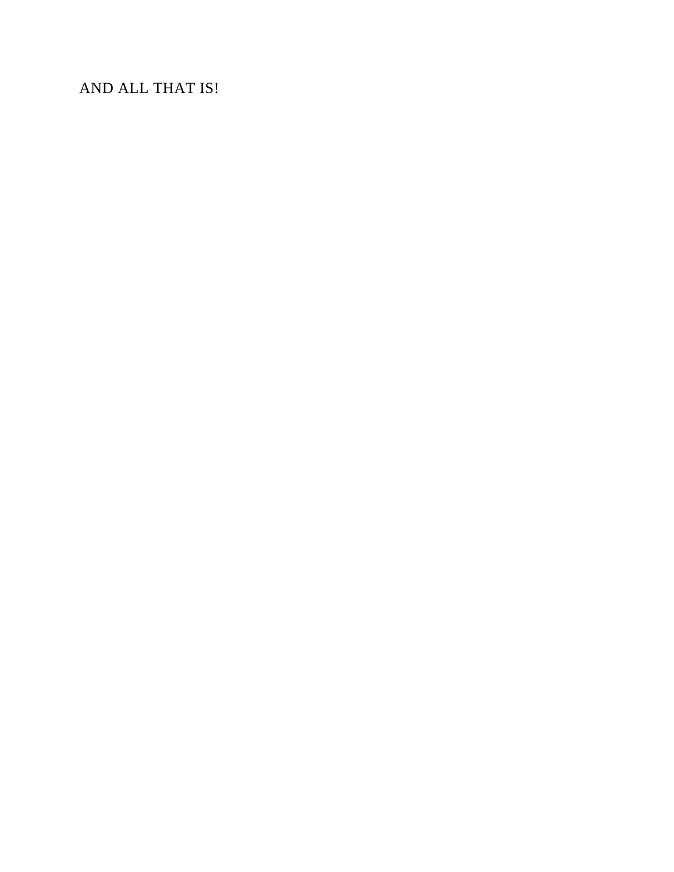AND ALL THAT IS!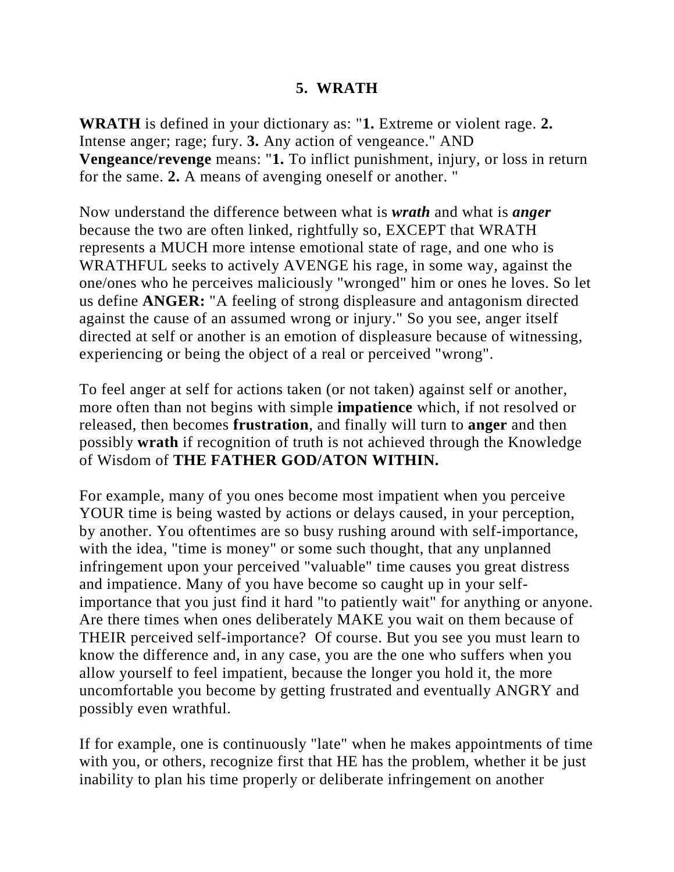### **5. WRATH**

**WRATH** is defined in your dictionary as: "**1.** Extreme or violent rage. **2.** Intense anger; rage; fury. **3.** Any action of vengeance." AND **Vengeance/revenge** means: "**1.** To inflict punishment, injury, or loss in return for the same. **2.** A means of avenging oneself or another. "

Now understand the difference between what is *wrath* and what is *anger*  because the two are often linked, rightfully so, EXCEPT that WRATH represents a MUCH more intense emotional state of rage, and one who is WRATHFUL seeks to actively AVENGE his rage, in some way, against the one/ones who he perceives maliciously "wronged" him or ones he loves. So let us define **ANGER:** "A feeling of strong displeasure and antagonism directed against the cause of an assumed wrong or injury." So you see, anger itself directed at self or another is an emotion of displeasure because of witnessing, experiencing or being the object of a real or perceived "wrong".

To feel anger at self for actions taken (or not taken) against self or another, more often than not begins with simple **impatience** which, if not resolved or released, then becomes **frustration**, and finally will turn to **anger** and then possibly **wrath** if recognition of truth is not achieved through the Knowledge of Wisdom of **THE FATHER GOD/ATON WITHIN.**

For example, many of you ones become most impatient when you perceive YOUR time is being wasted by actions or delays caused, in your perception, by another. You oftentimes are so busy rushing around with self-importance, with the idea, "time is money" or some such thought, that any unplanned infringement upon your perceived "valuable" time causes you great distress and impatience. Many of you have become so caught up in your selfimportance that you just find it hard "to patiently wait" for anything or anyone. Are there times when ones deliberately MAKE you wait on them because of THEIR perceived self-importance? Of course. But you see you must learn to know the difference and, in any case, you are the one who suffers when you allow yourself to feel impatient, because the longer you hold it, the more uncomfortable you become by getting frustrated and eventually ANGRY and possibly even wrathful.

If for example, one is continuously "late" when he makes appointments of time with you, or others, recognize first that HE has the problem, whether it be just inability to plan his time properly or deliberate infringement on another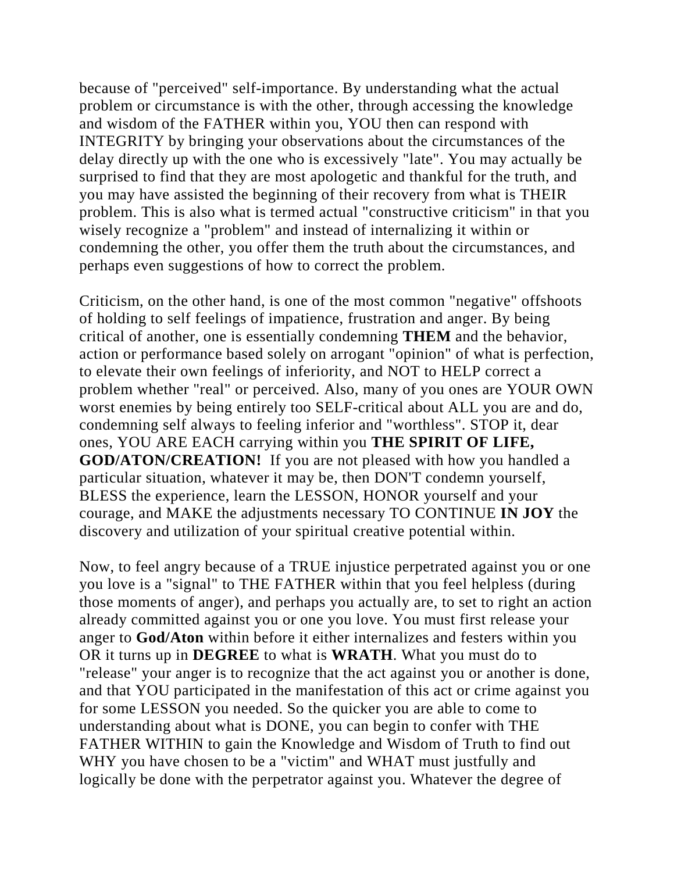because of "perceived" self-importance. By understanding what the actual problem or circumstance is with the other, through accessing the knowledge and wisdom of the FATHER within you, YOU then can respond with INTEGRITY by bringing your observations about the circumstances of the delay directly up with the one who is excessively "late". You may actually be surprised to find that they are most apologetic and thankful for the truth, and you may have assisted the beginning of their recovery from what is THEIR problem. This is also what is termed actual "constructive criticism" in that you wisely recognize a "problem" and instead of internalizing it within or condemning the other, you offer them the truth about the circumstances, and perhaps even suggestions of how to correct the problem.

Criticism, on the other hand, is one of the most common "negative" offshoots of holding to self feelings of impatience, frustration and anger. By being critical of another, one is essentially condemning **THEM** and the behavior, action or performance based solely on arrogant "opinion" of what is perfection, to elevate their own feelings of inferiority, and NOT to HELP correct a problem whether "real" or perceived. Also, many of you ones are YOUR OWN worst enemies by being entirely too SELF-critical about ALL you are and do, condemning self always to feeling inferior and "worthless". STOP it, dear ones, YOU ARE EACH carrying within you **THE SPIRIT OF LIFE, GOD/ATON/CREATION!** If you are not pleased with how you handled a particular situation, whatever it may be, then DON'T condemn yourself, BLESS the experience, learn the LESSON, HONOR yourself and your courage, and MAKE the adjustments necessary TO CONTINUE **IN JOY** the discovery and utilization of your spiritual creative potential within.

Now, to feel angry because of a TRUE injustice perpetrated against you or one you love is a "signal" to THE FATHER within that you feel helpless (during those moments of anger), and perhaps you actually are, to set to right an action already committed against you or one you love. You must first release your anger to **God/Aton** within before it either internalizes and festers within you OR it turns up in **DEGREE** to what is **WRATH**. What you must do to "release" your anger is to recognize that the act against you or another is done, and that YOU participated in the manifestation of this act or crime against you for some LESSON you needed. So the quicker you are able to come to understanding about what is DONE, you can begin to confer with THE FATHER WITHIN to gain the Knowledge and Wisdom of Truth to find out WHY you have chosen to be a "victim" and WHAT must justfully and logically be done with the perpetrator against you. Whatever the degree of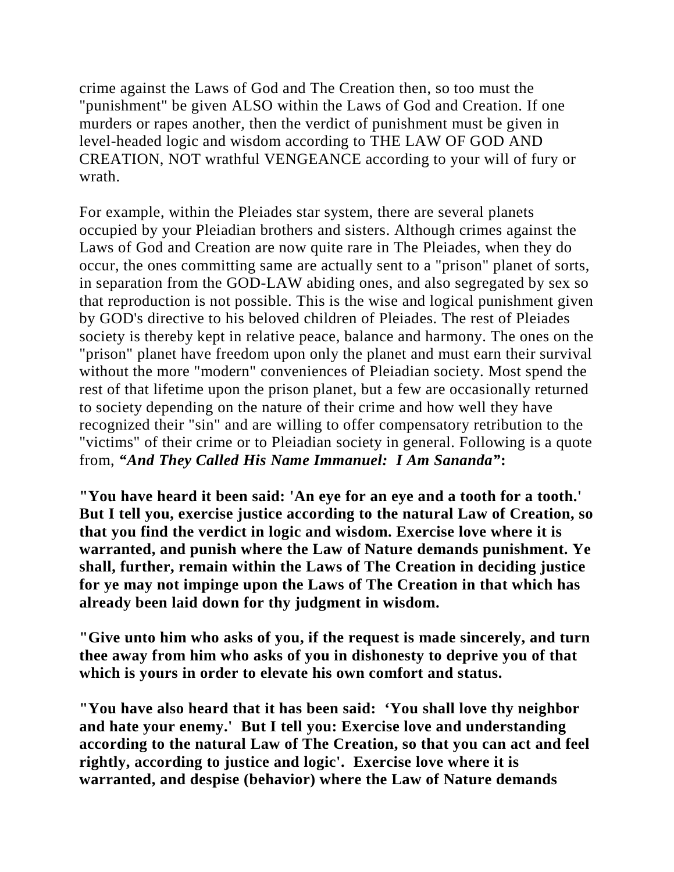crime against the Laws of God and The Creation then, so too must the "punishment" be given ALSO within the Laws of God and Creation. If one murders or rapes another, then the verdict of punishment must be given in level-headed logic and wisdom according to THE LAW OF GOD AND CREATION, NOT wrathful VENGEANCE according to your will of fury or wrath.

For example, within the Pleiades star system, there are several planets occupied by your Pleiadian brothers and sisters. Although crimes against the Laws of God and Creation are now quite rare in The Pleiades, when they do occur, the ones committing same are actually sent to a "prison" planet of sorts, in separation from the GOD-LAW abiding ones, and also segregated by sex so that reproduction is not possible. This is the wise and logical punishment given by GOD's directive to his beloved children of Pleiades. The rest of Pleiades society is thereby kept in relative peace, balance and harmony. The ones on the "prison" planet have freedom upon only the planet and must earn their survival without the more "modern" conveniences of Pleiadian society. Most spend the rest of that lifetime upon the prison planet, but a few are occasionally returned to society depending on the nature of their crime and how well they have recognized their "sin" and are willing to offer compensatory retribution to the "victims" of their crime or to Pleiadian society in general. Following is a quote from, *"And They Called His Name Immanuel: I Am Sananda"***:**

**"You have heard it been said: 'An eye for an eye and a tooth for a tooth.' But I tell you, exercise justice according to the natural Law of Creation, so that you find the verdict in logic and wisdom. Exercise love where it is warranted, and punish where the Law of Nature demands punishment. Ye shall, further, remain within the Laws of The Creation in deciding justice for ye may not impinge upon the Laws of The Creation in that which has already been laid down for thy judgment in wisdom.** 

**"Give unto him who asks of you, if the request is made sincerely, and turn thee away from him who asks of you in dishonesty to deprive you of that which is yours in order to elevate his own comfort and status.** 

**"You have also heard that it has been said: 'You shall love thy neighbor and hate your enemy.' But I tell you: Exercise love and understanding according to the natural Law of The Creation, so that you can act and feel rightly, according to justice and logic'. Exercise love where it is warranted, and despise (behavior) where the Law of Nature demands**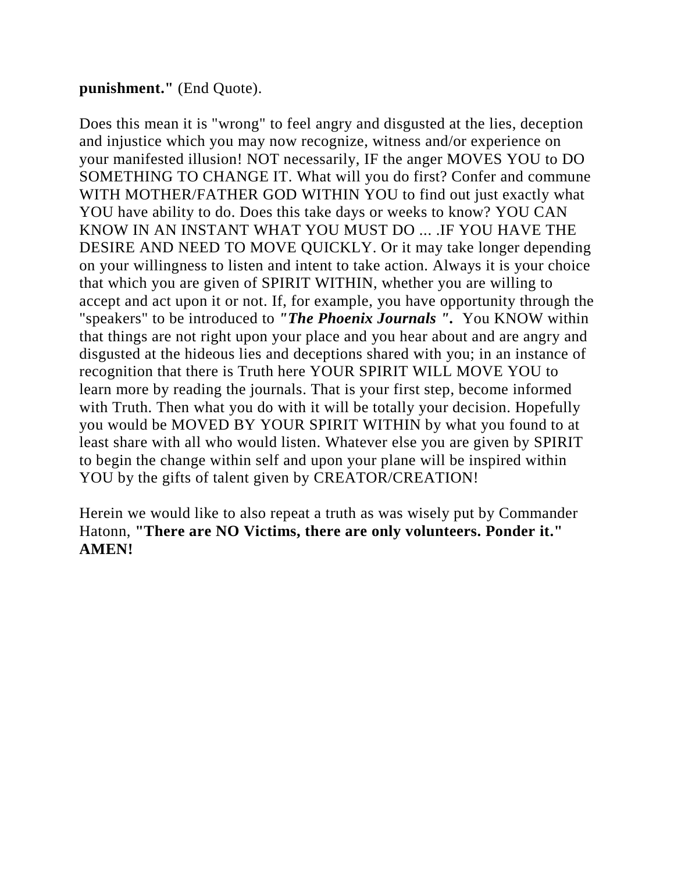#### **punishment."** (End Quote).

Does this mean it is "wrong" to feel angry and disgusted at the lies, deception and injustice which you may now recognize, witness and/or experience on your manifested illusion! NOT necessarily, IF the anger MOVES YOU to DO SOMETHING TO CHANGE IT. What will you do first? Confer and commune WITH MOTHER/FATHER GOD WITHIN YOU to find out just exactly what YOU have ability to do. Does this take days or weeks to know? YOU CAN KNOW IN AN INSTANT WHAT YOU MUST DO ... .IF YOU HAVE THE DESIRE AND NEED TO MOVE QUICKLY. Or it may take longer depending on your willingness to listen and intent to take action. Always it is your choice that which you are given of SPIRIT WITHIN, whether you are willing to accept and act upon it or not. If, for example, you have opportunity through the "speakers" to be introduced to *"The Phoenix Journals ".* You KNOW within that things are not right upon your place and you hear about and are angry and disgusted at the hideous lies and deceptions shared with you; in an instance of recognition that there is Truth here YOUR SPIRIT WILL MOVE YOU to learn more by reading the journals. That is your first step, become informed with Truth. Then what you do with it will be totally your decision. Hopefully you would be MOVED BY YOUR SPIRIT WITHIN by what you found to at least share with all who would listen. Whatever else you are given by SPIRIT to begin the change within self and upon your plane will be inspired within YOU by the gifts of talent given by CREATOR/CREATION!

Herein we would like to also repeat a truth as was wisely put by Commander Hatonn, **"There are NO Victims, there are only volunteers. Ponder it." AMEN!**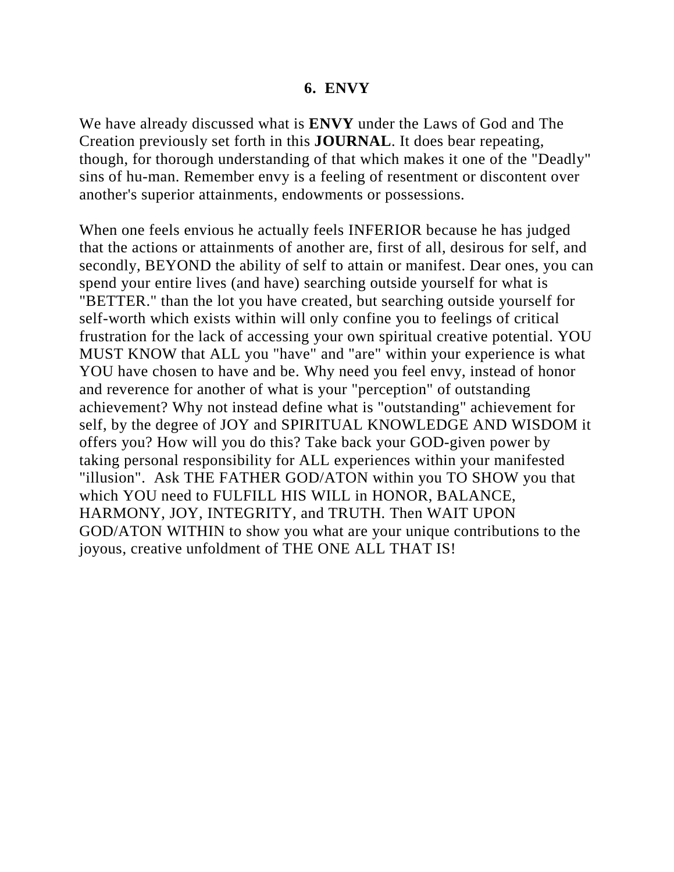#### **6. ENVY**

We have already discussed what is **ENVY** under the Laws of God and The Creation previously set forth in this **JOURNAL**. It does bear repeating, though, for thorough understanding of that which makes it one of the "Deadly" sins of hu-man. Remember envy is a feeling of resentment or discontent over another's superior attainments, endowments or possessions.

When one feels envious he actually feels INFERIOR because he has judged that the actions or attainments of another are, first of all, desirous for self, and secondly, BEYOND the ability of self to attain or manifest. Dear ones, you can spend your entire lives (and have) searching outside yourself for what is "BETTER." than the lot you have created, but searching outside yourself for self-worth which exists within will only confine you to feelings of critical frustration for the lack of accessing your own spiritual creative potential. YOU MUST KNOW that ALL you "have" and "are" within your experience is what YOU have chosen to have and be. Why need you feel envy, instead of honor and reverence for another of what is your "perception" of outstanding achievement? Why not instead define what is "outstanding" achievement for self, by the degree of JOY and SPIRITUAL KNOWLEDGE AND WISDOM it offers you? How will you do this? Take back your GOD-given power by taking personal responsibility for ALL experiences within your manifested "illusion". Ask THE FATHER GOD/ATON within you TO SHOW you that which YOU need to FULFILL HIS WILL in HONOR, BALANCE, HARMONY, JOY, INTEGRITY, and TRUTH. Then WAIT UPON GOD/ATON WITHIN to show you what are your unique contributions to the joyous, creative unfoldment of THE ONE ALL THAT IS!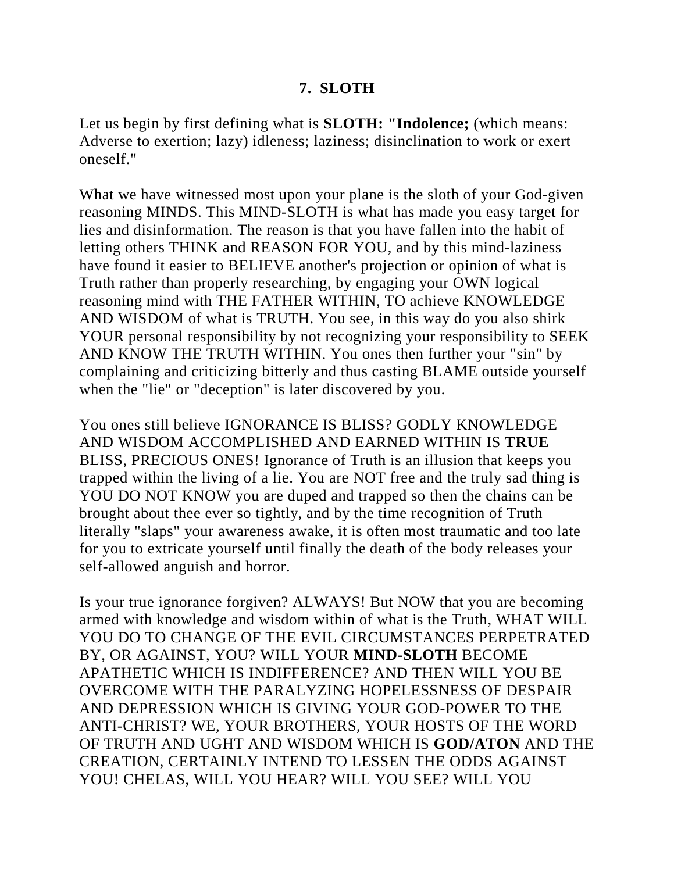## **7. SLOTH**

Let us begin by first defining what is **SLOTH: "Indolence;** (which means: Adverse to exertion; lazy) idleness; laziness; disinclination to work or exert oneself."

What we have witnessed most upon your plane is the sloth of your God-given reasoning MINDS. This MIND-SLOTH is what has made you easy target for lies and disinformation. The reason is that you have fallen into the habit of letting others THINK and REASON FOR YOU, and by this mind-laziness have found it easier to BELIEVE another's projection or opinion of what is Truth rather than properly researching, by engaging your OWN logical reasoning mind with THE FATHER WITHIN, TO achieve KNOWLEDGE AND WISDOM of what is TRUTH. You see, in this way do you also shirk YOUR personal responsibility by not recognizing your responsibility to SEEK AND KNOW THE TRUTH WITHIN. You ones then further your "sin" by complaining and criticizing bitterly and thus casting BLAME outside yourself when the "lie" or "deception" is later discovered by you.

You ones still believe IGNORANCE IS BLISS? GODLY KNOWLEDGE AND WISDOM ACCOMPLISHED AND EARNED WITHIN IS **TRUE**  BLISS, PRECIOUS ONES! Ignorance of Truth is an illusion that keeps you trapped within the living of a lie. You are NOT free and the truly sad thing is YOU DO NOT KNOW you are duped and trapped so then the chains can be brought about thee ever so tightly, and by the time recognition of Truth literally "slaps" your awareness awake, it is often most traumatic and too late for you to extricate yourself until finally the death of the body releases your self-allowed anguish and horror.

Is your true ignorance forgiven? ALWAYS! But NOW that you are becoming armed with knowledge and wisdom within of what is the Truth, WHAT WILL YOU DO TO CHANGE OF THE EVIL CIRCUMSTANCES PERPETRATED BY, OR AGAINST, YOU? WILL YOUR **MIND-SLOTH** BECOME APATHETIC WHICH IS INDIFFERENCE? AND THEN WILL YOU BE OVERCOME WITH THE PARALYZING HOPELESSNESS OF DESPAIR AND DEPRESSION WHICH IS GIVING YOUR GOD-POWER TO THE ANTI-CHRIST? WE, YOUR BROTHERS, YOUR HOSTS OF THE WORD OF TRUTH AND UGHT AND WISDOM WHICH IS **GOD/ATON** AND THE CREATION, CERTAINLY INTEND TO LESSEN THE ODDS AGAINST YOU! CHELAS, WILL YOU HEAR? WILL YOU SEE? WILL YOU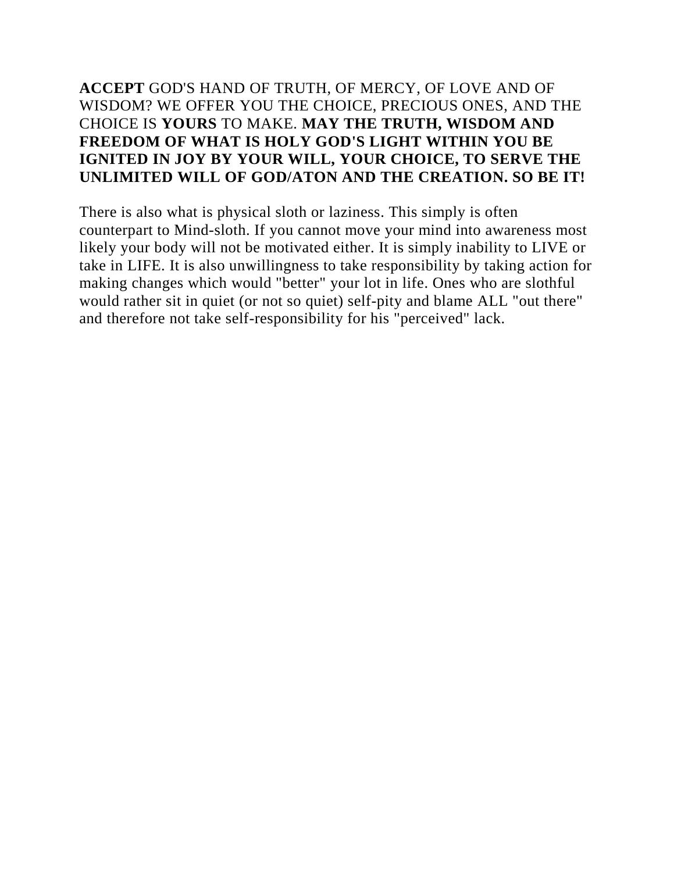## **ACCEPT** GOD'S HAND OF TRUTH, OF MERCY, OF LOVE AND OF WISDOM? WE OFFER YOU THE CHOICE, PRECIOUS ONES, AND THE CHOICE IS **YOURS** TO MAKE. **MAY THE TRUTH, WISDOM AND FREEDOM OF WHAT IS HOLY GOD'S LIGHT WITHIN YOU BE IGNITED IN JOY BY YOUR WILL, YOUR CHOICE, TO SERVE THE UNLIMITED WILL OF GOD/ATON AND THE CREATION. SO BE IT!**

There is also what is physical sloth or laziness. This simply is often counterpart to Mind-sloth. If you cannot move your mind into awareness most likely your body will not be motivated either. It is simply inability to LIVE or take in LIFE. It is also unwillingness to take responsibility by taking action for making changes which would "better" your lot in life. Ones who are slothful would rather sit in quiet (or not so quiet) self-pity and blame ALL "out there" and therefore not take self-responsibility for his "perceived" lack.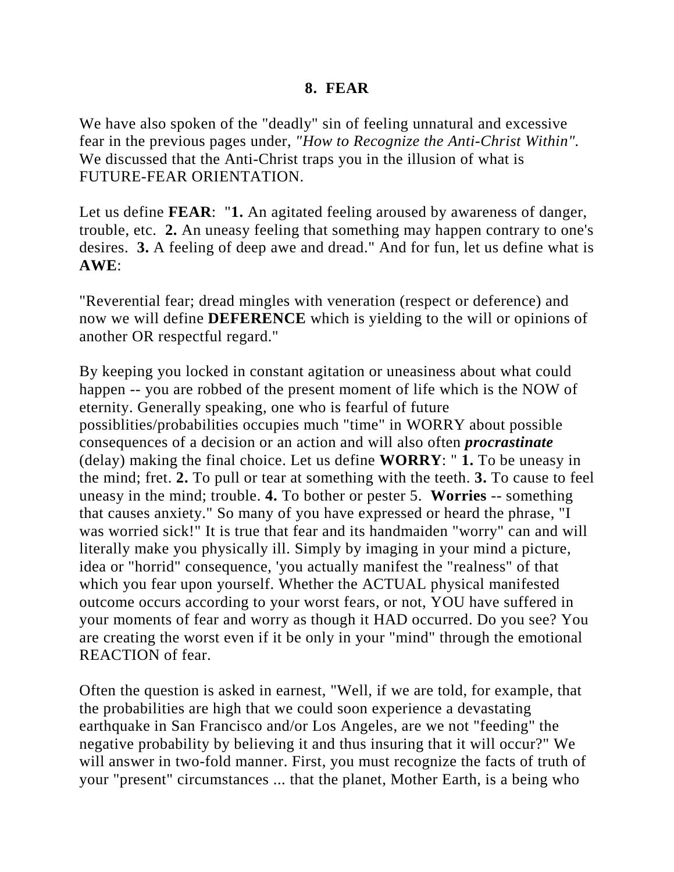#### **8. FEAR**

We have also spoken of the "deadly" sin of feeling unnatural and excessive fear in the previous pages under, *"How to Recognize the Anti-Christ Within".*  We discussed that the Anti-Christ traps you in the illusion of what is FUTURE-FEAR ORIENTATION.

Let us define **FEAR**: "**1.** An agitated feeling aroused by awareness of danger, trouble, etc. **2.** An uneasy feeling that something may happen contrary to one's desires. **3.** A feeling of deep awe and dread." And for fun, let us define what is **AWE**:

"Reverential fear; dread mingles with veneration (respect or deference) and now we will define **DEFERENCE** which is yielding to the will or opinions of another OR respectful regard."

By keeping you locked in constant agitation or uneasiness about what could happen -- you are robbed of the present moment of life which is the NOW of eternity. Generally speaking, one who is fearful of future possiblities/probabilities occupies much "time" in WORRY about possible consequences of a decision or an action and will also often *procrastinate* (delay) making the final choice. Let us define **WORRY**: " **1.** To be uneasy in the mind; fret. **2.** To pull or tear at something with the teeth. **3.** To cause to feel uneasy in the mind; trouble. **4.** To bother or pester 5. **Worries** -- something that causes anxiety." So many of you have expressed or heard the phrase, "I was worried sick!" It is true that fear and its handmaiden "worry" can and will literally make you physically ill. Simply by imaging in your mind a picture, idea or "horrid" consequence, 'you actually manifest the "realness" of that which you fear upon yourself. Whether the ACTUAL physical manifested outcome occurs according to your worst fears, or not, YOU have suffered in your moments of fear and worry as though it HAD occurred. Do you see? You are creating the worst even if it be only in your "mind" through the emotional REACTION of fear.

Often the question is asked in earnest, "Well, if we are told, for example, that the probabilities are high that we could soon experience a devastating earthquake in San Francisco and/or Los Angeles, are we not "feeding" the negative probability by believing it and thus insuring that it will occur?" We will answer in two-fold manner. First, you must recognize the facts of truth of your "present" circumstances ... that the planet, Mother Earth, is a being who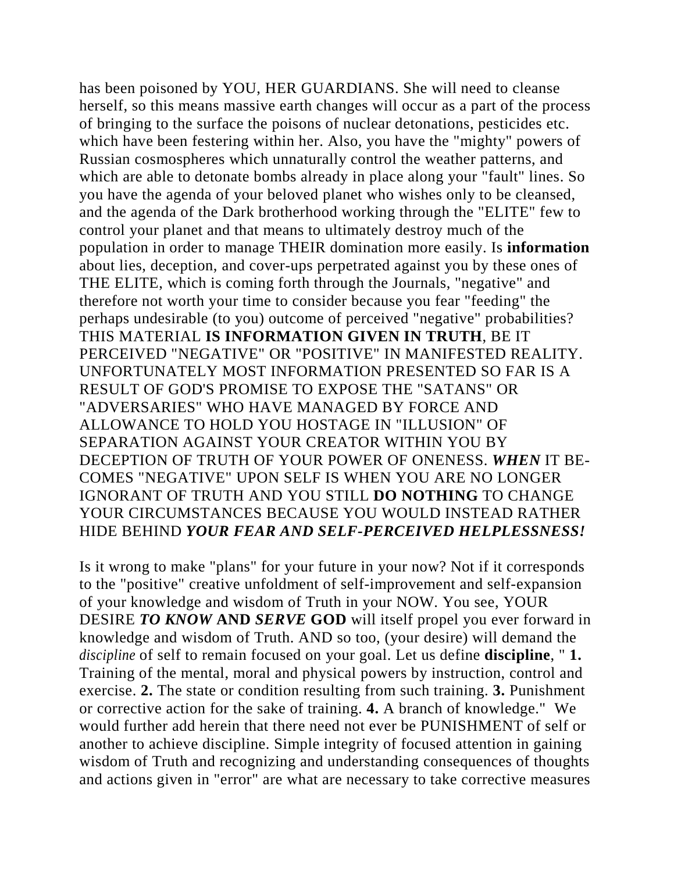has been poisoned by YOU, HER GUARDIANS. She will need to cleanse herself, so this means massive earth changes will occur as a part of the process of bringing to the surface the poisons of nuclear detonations, pesticides etc. which have been festering within her. Also, you have the "mighty" powers of Russian cosmospheres which unnaturally control the weather patterns, and which are able to detonate bombs already in place along your "fault" lines. So you have the agenda of your beloved planet who wishes only to be cleansed, and the agenda of the Dark brotherhood working through the "ELITE" few to control your planet and that means to ultimately destroy much of the population in order to manage THEIR domination more easily. Is **information** about lies, deception, and cover-ups perpetrated against you by these ones of THE ELITE, which is coming forth through the Journals, "negative" and therefore not worth your time to consider because you fear "feeding" the perhaps undesirable (to you) outcome of perceived "negative" probabilities? THIS MATERIAL **IS INFORMATION GIVEN IN TRUTH**, BE IT PERCEIVED "NEGATIVE" OR "POSITIVE" IN MANIFESTED REALITY. UNFORTUNATELY MOST INFORMATION PRESENTED SO FAR IS A RESULT OF GOD'S PROMISE TO EXPOSE THE "SATANS" OR "ADVERSARIES" WHO HAVE MANAGED BY FORCE AND ALLOWANCE TO HOLD YOU HOSTAGE IN "ILLUSION" OF SEPARATION AGAINST YOUR CREATOR WITHIN YOU BY DECEPTION OF TRUTH OF YOUR POWER OF ONENESS. *WHEN* IT BE-COMES "NEGATIVE" UPON SELF IS WHEN YOU ARE NO LONGER IGNORANT OF TRUTH AND YOU STILL **DO NOTHING** TO CHANGE YOUR CIRCUMSTANCES BECAUSE YOU WOULD INSTEAD RATHER HIDE BEHIND *YOUR FEAR AND SELF-PERCEIVED HELPLESSNESS!* 

Is it wrong to make "plans" for your future in your now? Not if it corresponds to the "positive" creative unfoldment of self-improvement and self-expansion of your knowledge and wisdom of Truth in your NOW. You see, YOUR DESIRE *TO KNOW* **AND** *SERVE* **GOD** will itself propel you ever forward in knowledge and wisdom of Truth. AND so too, (your desire) will demand the *discipline* of self to remain focused on your goal. Let us define **discipline**, " **1.** Training of the mental, moral and physical powers by instruction, control and exercise. **2.** The state or condition resulting from such training. **3.** Punishment or corrective action for the sake of training. **4.** A branch of knowledge." We would further add herein that there need not ever be PUNISHMENT of self or another to achieve discipline. Simple integrity of focused attention in gaining wisdom of Truth and recognizing and understanding consequences of thoughts and actions given in "error" are what are necessary to take corrective measures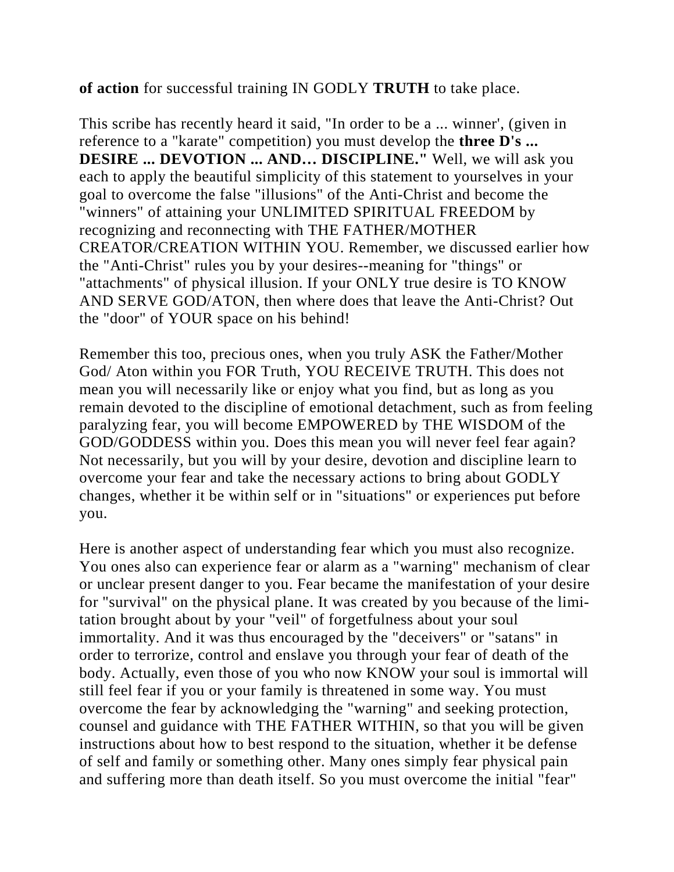## **of action** for successful training IN GODLY **TRUTH** to take place.

This scribe has recently heard it said, "In order to be a ... winner', (given in reference to a "karate" competition) you must develop the **three D's ... DESIRE ... DEVOTION ... AND... DISCIPLINE."** Well, we will ask you each to apply the beautiful simplicity of this statement to yourselves in your goal to overcome the false "illusions" of the Anti-Christ and become the "winners" of attaining your UNLIMITED SPIRITUAL FREEDOM by recognizing and reconnecting with THE FATHER/MOTHER CREATOR/CREATION WITHIN YOU. Remember, we discussed earlier how the "Anti-Christ" rules you by your desires--meaning for "things" or "attachments" of physical illusion. If your ONLY true desire is TO KNOW AND SERVE GOD/ATON, then where does that leave the Anti-Christ? Out the "door" of YOUR space on his behind!

Remember this too, precious ones, when you truly ASK the Father/Mother God/ Aton within you FOR Truth, YOU RECEIVE TRUTH. This does not mean you will necessarily like or enjoy what you find, but as long as you remain devoted to the discipline of emotional detachment, such as from feeling paralyzing fear, you will become EMPOWERED by THE WISDOM of the GOD/GODDESS within you. Does this mean you will never feel fear again? Not necessarily, but you will by your desire, devotion and discipline learn to overcome your fear and take the necessary actions to bring about GODLY changes, whether it be within self or in "situations" or experiences put before you.

Here is another aspect of understanding fear which you must also recognize. You ones also can experience fear or alarm as a "warning" mechanism of clear or unclear present danger to you. Fear became the manifestation of your desire for "survival" on the physical plane. It was created by you because of the limitation brought about by your "veil" of forgetfulness about your soul immortality. And it was thus encouraged by the "deceivers" or "satans" in order to terrorize, control and enslave you through your fear of death of the body. Actually, even those of you who now KNOW your soul is immortal will still feel fear if you or your family is threatened in some way. You must overcome the fear by acknowledging the "warning" and seeking protection, counsel and guidance with THE FATHER WITHIN, so that you will be given instructions about how to best respond to the situation, whether it be defense of self and family or something other. Many ones simply fear physical pain and suffering more than death itself. So you must overcome the initial "fear"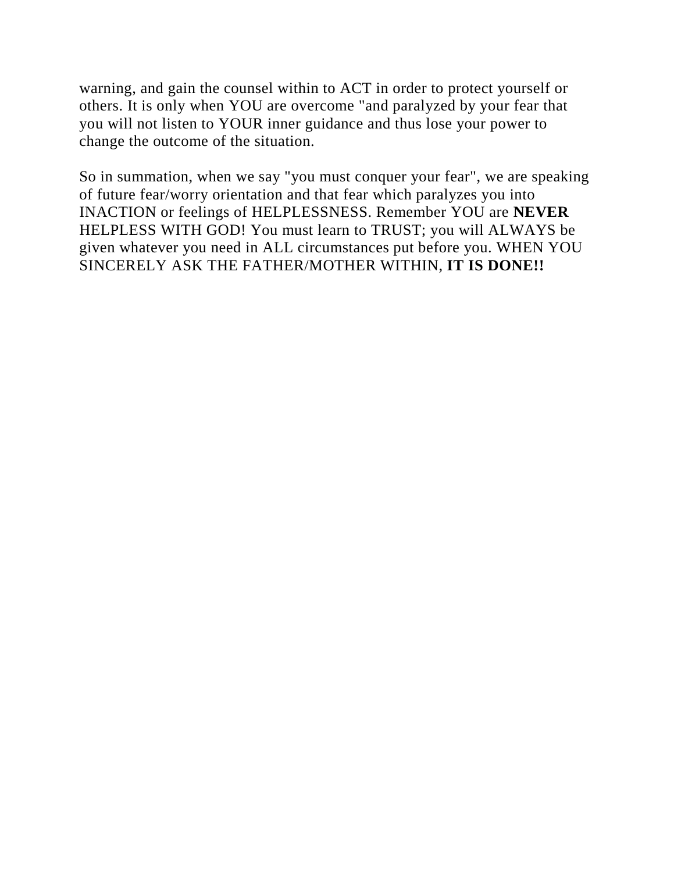warning, and gain the counsel within to ACT in order to protect yourself or others. It is only when YOU are overcome "and paralyzed by your fear that you will not listen to YOUR inner guidance and thus lose your power to change the outcome of the situation.

So in summation, when we say "you must conquer your fear", we are speaking of future fear/worry orientation and that fear which paralyzes you into INACTION or feelings of HELPLESSNESS. Remember YOU are **NEVER**  HELPLESS WITH GOD! You must learn to TRUST; you will ALWAYS be given whatever you need in ALL circumstances put before you. WHEN YOU SINCERELY ASK THE FATHER/MOTHER WITHIN, **IT IS DONE!!**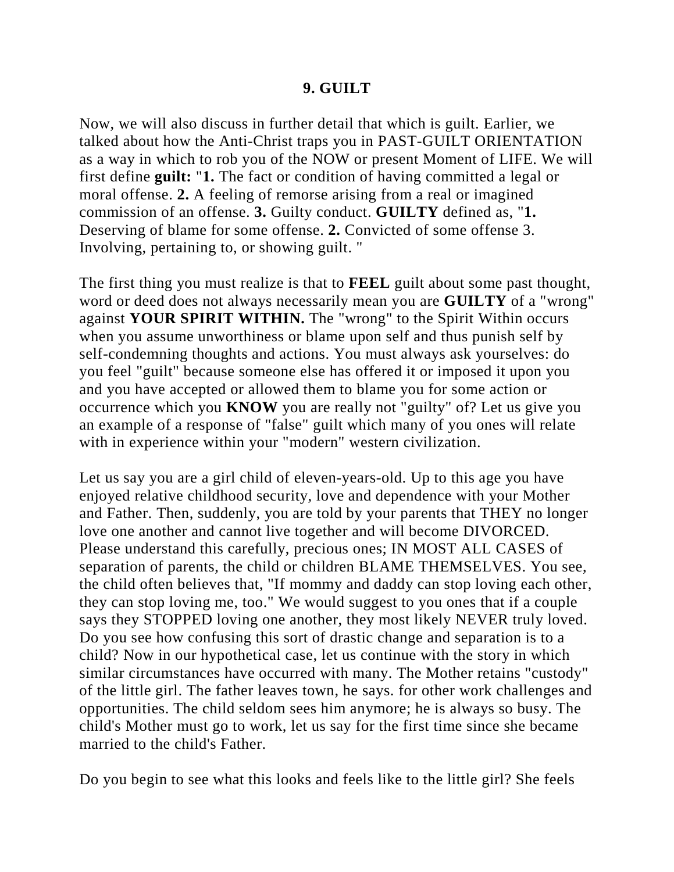## **9. GUILT**

Now, we will also discuss in further detail that which is guilt. Earlier, we talked about how the Anti-Christ traps you in PAST-GUILT ORIENTATION as a way in which to rob you of the NOW or present Moment of LIFE. We will first define **guilt:** "**1.** The fact or condition of having committed a legal or moral offense. **2.** A feeling of remorse arising from a real or imagined commission of an offense. **3.** Guilty conduct. **GUILTY** defined as, "**1.** Deserving of blame for some offense. **2.** Convicted of some offense 3. Involving, pertaining to, or showing guilt. "

The first thing you must realize is that to **FEEL** guilt about some past thought, word or deed does not always necessarily mean you are **GUILTY** of a "wrong" against **YOUR SPIRIT WITHIN.** The "wrong" to the Spirit Within occurs when you assume unworthiness or blame upon self and thus punish self by self-condemning thoughts and actions. You must always ask yourselves: do you feel "guilt" because someone else has offered it or imposed it upon you and you have accepted or allowed them to blame you for some action or occurrence which you **KNOW** you are really not "guilty" of? Let us give you an example of a response of "false" guilt which many of you ones will relate with in experience within your "modern" western civilization.

Let us say you are a girl child of eleven-years-old. Up to this age you have enjoyed relative childhood security, love and dependence with your Mother and Father. Then, suddenly, you are told by your parents that THEY no longer love one another and cannot live together and will become DIVORCED. Please understand this carefully, precious ones; IN MOST ALL CASES of separation of parents, the child or children BLAME THEMSELVES. You see, the child often believes that, "If mommy and daddy can stop loving each other, they can stop loving me, too." We would suggest to you ones that if a couple says they STOPPED loving one another, they most likely NEVER truly loved. Do you see how confusing this sort of drastic change and separation is to a child? Now in our hypothetical case, let us continue with the story in which similar circumstances have occurred with many. The Mother retains "custody" of the little girl. The father leaves town, he says. for other work challenges and opportunities. The child seldom sees him anymore; he is always so busy. The child's Mother must go to work, let us say for the first time since she became married to the child's Father.

Do you begin to see what this looks and feels like to the little girl? She feels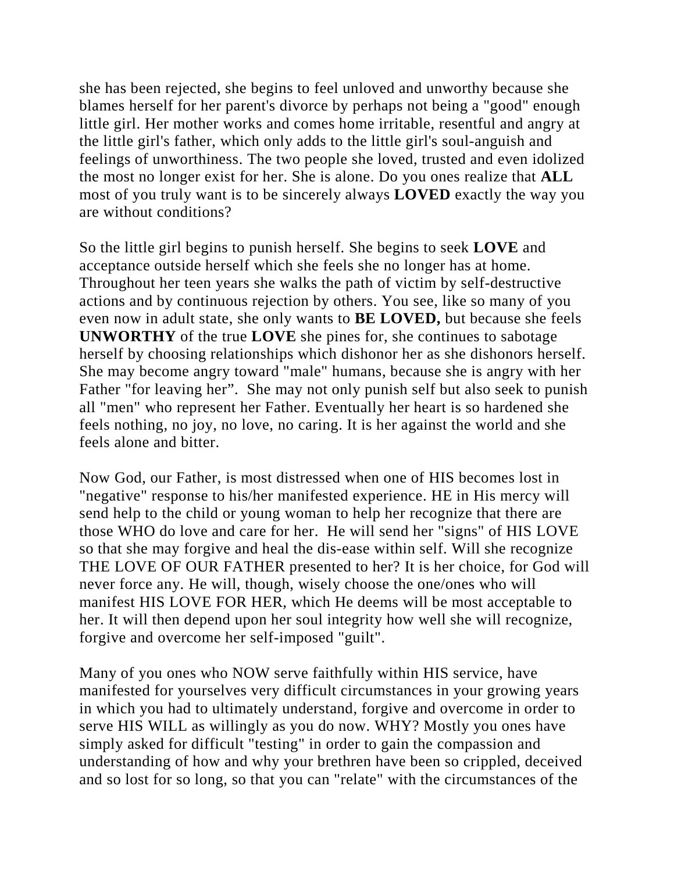she has been rejected, she begins to feel unloved and unworthy because she blames herself for her parent's divorce by perhaps not being a "good" enough little girl. Her mother works and comes home irritable, resentful and angry at the little girl's father, which only adds to the little girl's soul-anguish and feelings of unworthiness. The two people she loved, trusted and even idolized the most no longer exist for her. She is alone. Do you ones realize that **ALL** most of you truly want is to be sincerely always **LOVED** exactly the way you are without conditions?

So the little girl begins to punish herself. She begins to seek **LOVE** and acceptance outside herself which she feels she no longer has at home. Throughout her teen years she walks the path of victim by self-destructive actions and by continuous rejection by others. You see, like so many of you even now in adult state, she only wants to **BE LOVED,** but because she feels **UNWORTHY** of the true **LOVE** she pines for, she continues to sabotage herself by choosing relationships which dishonor her as she dishonors herself. She may become angry toward "male" humans, because she is angry with her Father "for leaving her". She may not only punish self but also seek to punish all "men" who represent her Father. Eventually her heart is so hardened she feels nothing, no joy, no love, no caring. It is her against the world and she feels alone and bitter.

Now God, our Father, is most distressed when one of HIS becomes lost in "negative" response to his/her manifested experience. HE in His mercy will send help to the child or young woman to help her recognize that there are those WHO do love and care for her. He will send her "signs" of HIS LOVE so that she may forgive and heal the dis-ease within self. Will she recognize THE LOVE OF OUR FATHER presented to her? It is her choice, for God will never force any. He will, though, wisely choose the one/ones who will manifest HIS LOVE FOR HER, which He deems will be most acceptable to her. It will then depend upon her soul integrity how well she will recognize, forgive and overcome her self-imposed "guilt".

Many of you ones who NOW serve faithfully within HIS service, have manifested for yourselves very difficult circumstances in your growing years in which you had to ultimately understand, forgive and overcome in order to serve HIS WILL as willingly as you do now. WHY? Mostly you ones have simply asked for difficult "testing" in order to gain the compassion and understanding of how and why your brethren have been so crippled, deceived and so lost for so long, so that you can "relate" with the circumstances of the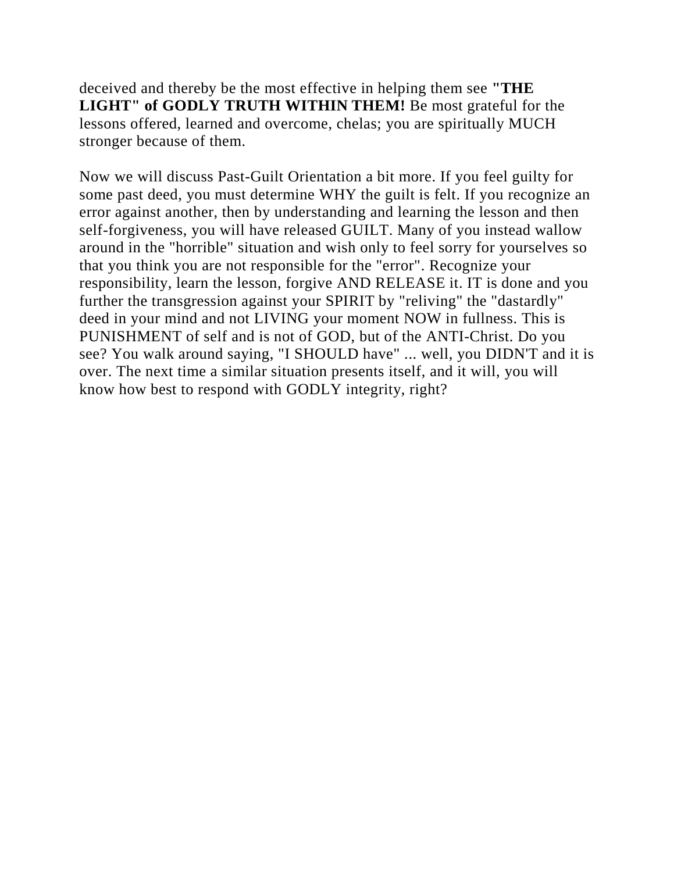deceived and thereby be the most effective in helping them see **"THE LIGHT" of GODLY TRUTH WITHIN THEM!** Be most grateful for the lessons offered, learned and overcome, chelas; you are spiritually MUCH stronger because of them.

Now we will discuss Past-Guilt Orientation a bit more. If you feel guilty for some past deed, you must determine WHY the guilt is felt. If you recognize an error against another, then by understanding and learning the lesson and then self-forgiveness, you will have released GUILT. Many of you instead wallow around in the "horrible" situation and wish only to feel sorry for yourselves so that you think you are not responsible for the "error". Recognize your responsibility, learn the lesson, forgive AND RELEASE it. IT is done and you further the transgression against your SPIRIT by "reliving" the "dastardly" deed in your mind and not LIVING your moment NOW in fullness. This is PUNISHMENT of self and is not of GOD, but of the ANTI-Christ. Do you see? You walk around saying, "I SHOULD have" ... well, you DIDN'T and it is over. The next time a similar situation presents itself, and it will, you will know how best to respond with GODLY integrity, right?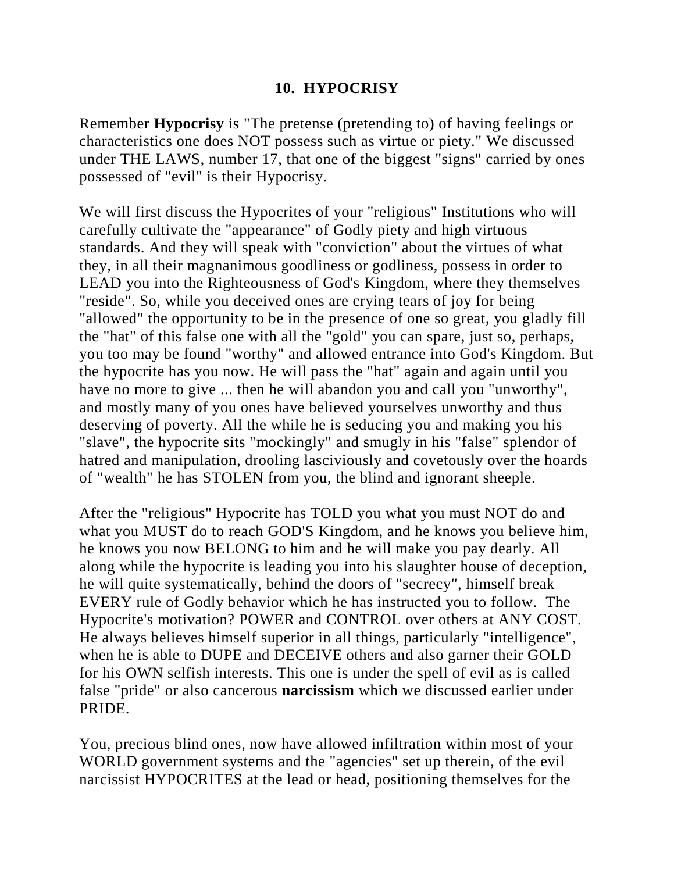# **10. HYPOCRISY**

Remember **Hypocrisy** is "The pretense (pretending to) of having feelings or characteristics one does NOT possess such as virtue or piety." We discussed under THE LAWS, number 17, that one of the biggest "signs" carried by ones possessed of "evil" is their Hypocrisy.

We will first discuss the Hypocrites of your "religious" Institutions who will carefully cultivate the "appearance" of Godly piety and high virtuous standards. And they will speak with "conviction" about the virtues of what they, in all their magnanimous goodliness or godliness, possess in order to LEAD you into the Righteousness of God's Kingdom, where they themselves "reside". So, while you deceived ones are crying tears of joy for being "allowed" the opportunity to be in the presence of one so great, you gladly fill the "hat" of this false one with all the "gold" you can spare, just so, perhaps, you too may be found "worthy" and allowed entrance into God's Kingdom. But the hypocrite has you now. He will pass the "hat" again and again until you have no more to give ... then he will abandon you and call you "unworthy", and mostly many of you ones have believed yourselves unworthy and thus deserving of poverty. All the while he is seducing you and making you his "slave", the hypocrite sits "mockingly" and smugly in his "false" splendor of hatred and manipulation, drooling lasciviously and covetously over the hoards of "wealth" he has STOLEN from you, the blind and ignorant sheeple.

After the "religious" Hypocrite has TOLD you what you must NOT do and what you MUST do to reach GOD'S Kingdom, and he knows you believe him, he knows you now BELONG to him and he will make you pay dearly. All along while the hypocrite is leading you into his slaughter house of deception, he will quite systematically, behind the doors of "secrecy", himself break EVERY rule of Godly behavior which he has instructed you to follow. The Hypocrite's motivation? POWER and CONTROL over others at ANY COST. He always believes himself superior in all things, particularly "intelligence", when he is able to DUPE and DECEIVE others and also garner their GOLD for his OWN selfish interests. This one is under the spell of evil as is called false "pride" or also cancerous **narcissism** which we discussed earlier under PRIDE.

You, precious blind ones, now have allowed infiltration within most of your WORLD government systems and the "agencies" set up therein, of the evil narcissist HYPOCRITES at the lead or head, positioning themselves for the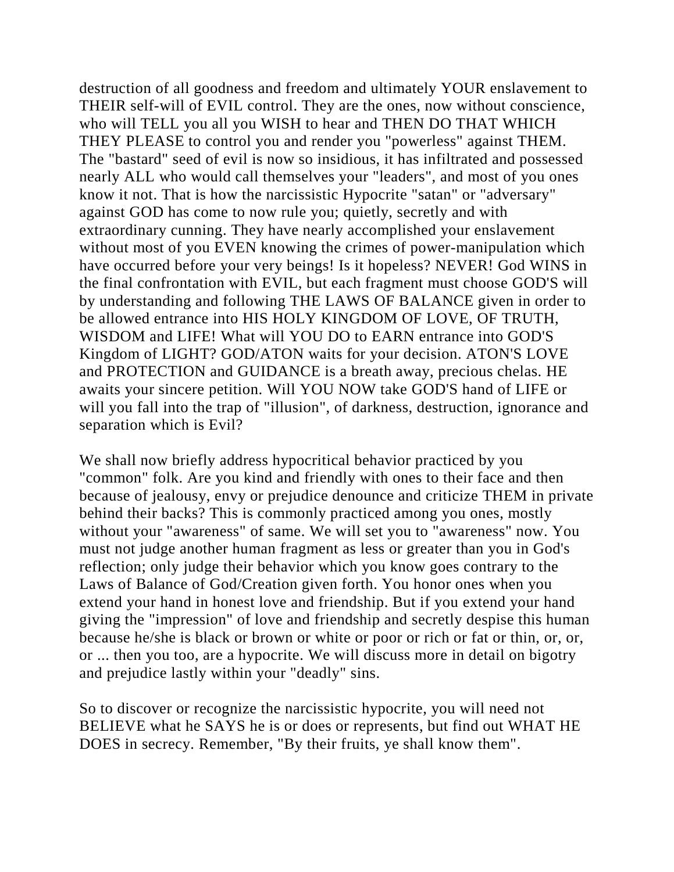destruction of all goodness and freedom and ultimately YOUR enslavement to THEIR self-will of EVIL control. They are the ones, now without conscience, who will TELL you all you WISH to hear and THEN DO THAT WHICH THEY PLEASE to control you and render you "powerless" against THEM. The "bastard" seed of evil is now so insidious, it has infiltrated and possessed nearly ALL who would call themselves your "leaders", and most of you ones know it not. That is how the narcissistic Hypocrite "satan" or "adversary" against GOD has come to now rule you; quietly, secretly and with extraordinary cunning. They have nearly accomplished your enslavement without most of you EVEN knowing the crimes of power-manipulation which have occurred before your very beings! Is it hopeless? NEVER! God WINS in the final confrontation with EVIL, but each fragment must choose GOD'S will by understanding and following THE LAWS OF BALANCE given in order to be allowed entrance into HIS HOLY KINGDOM OF LOVE, OF TRUTH, WISDOM and LIFE! What will YOU DO to EARN entrance into GOD'S Kingdom of LIGHT? GOD/ATON waits for your decision. ATON'S LOVE and PROTECTION and GUIDANCE is a breath away, precious chelas. HE awaits your sincere petition. Will YOU NOW take GOD'S hand of LIFE or will you fall into the trap of "illusion", of darkness, destruction, ignorance and separation which is Evil?

We shall now briefly address hypocritical behavior practiced by you "common" folk. Are you kind and friendly with ones to their face and then because of jealousy, envy or prejudice denounce and criticize THEM in private behind their backs? This is commonly practiced among you ones, mostly without your "awareness" of same. We will set you to "awareness" now. You must not judge another human fragment as less or greater than you in God's reflection; only judge their behavior which you know goes contrary to the Laws of Balance of God/Creation given forth. You honor ones when you extend your hand in honest love and friendship. But if you extend your hand giving the "impression" of love and friendship and secretly despise this human because he/she is black or brown or white or poor or rich or fat or thin, or, or, or ... then you too, are a hypocrite. We will discuss more in detail on bigotry and prejudice lastly within your "deadly" sins.

So to discover or recognize the narcissistic hypocrite, you will need not BELIEVE what he SAYS he is or does or represents, but find out WHAT HE DOES in secrecy. Remember, "By their fruits, ye shall know them".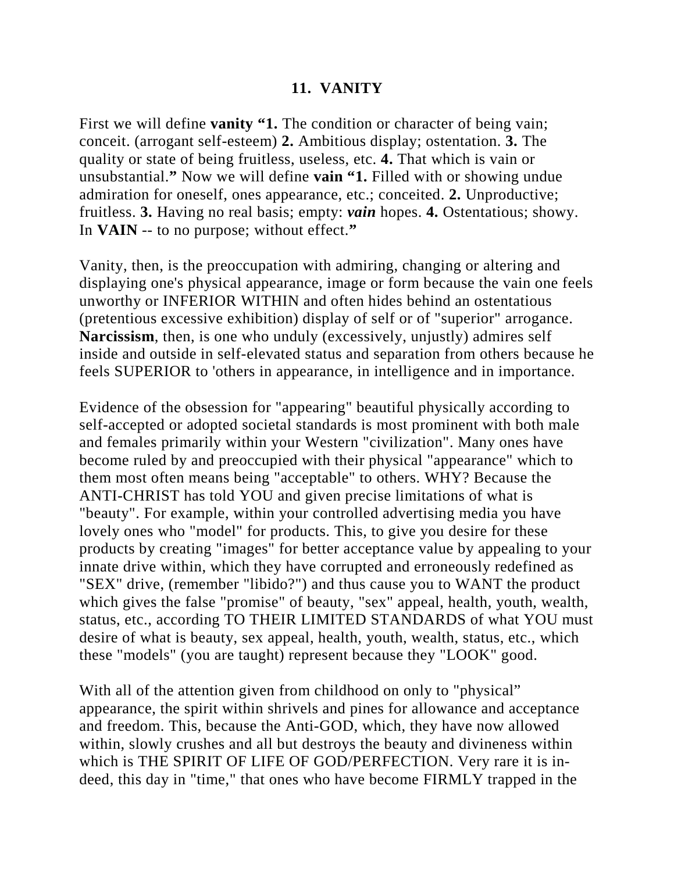## **11. VANITY**

First we will define **vanity "1.** The condition or character of being vain; conceit. (arrogant self-esteem) **2.** Ambitious display; ostentation. **3.** The quality or state of being fruitless, useless, etc. **4.** That which is vain or unsubstantial.**"** Now we will define **vain "1.** Filled with or showing undue admiration for oneself, ones appearance, etc.; conceited. **2.** Unproductive; fruitless. **3.** Having no real basis; empty: *vain* hopes. **4.** Ostentatious; showy. In **VAIN** -- to no purpose; without effect.**"**

Vanity, then, is the preoccupation with admiring, changing or altering and displaying one's physical appearance, image or form because the vain one feels unworthy or INFERIOR WITHIN and often hides behind an ostentatious (pretentious excessive exhibition) display of self or of "superior" arrogance. **Narcissism**, then, is one who unduly (excessively, unjustly) admires self inside and outside in self-elevated status and separation from others because he feels SUPERIOR to 'others in appearance, in intelligence and in importance.

Evidence of the obsession for "appearing" beautiful physically according to self-accepted or adopted societal standards is most prominent with both male and females primarily within your Western "civilization". Many ones have become ruled by and preoccupied with their physical "appearance" which to them most often means being "acceptable" to others. WHY? Because the ANTI-CHRIST has told YOU and given precise limitations of what is "beauty". For example, within your controlled advertising media you have lovely ones who "model" for products. This, to give you desire for these products by creating "images" for better acceptance value by appealing to your innate drive within, which they have corrupted and erroneously redefined as "SEX" drive, (remember "libido?") and thus cause you to WANT the product which gives the false "promise" of beauty, "sex" appeal, health, youth, wealth, status, etc., according TO THEIR LIMITED STANDARDS of what YOU must desire of what is beauty, sex appeal, health, youth, wealth, status, etc., which these "models" (you are taught) represent because they "LOOK" good.

With all of the attention given from childhood on only to "physical" appearance, the spirit within shrivels and pines for allowance and acceptance and freedom. This, because the Anti-GOD, which, they have now allowed within, slowly crushes and all but destroys the beauty and divineness within which is THE SPIRIT OF LIFE OF GOD/PERFECTION. Very rare it is indeed, this day in "time," that ones who have become FIRMLY trapped in the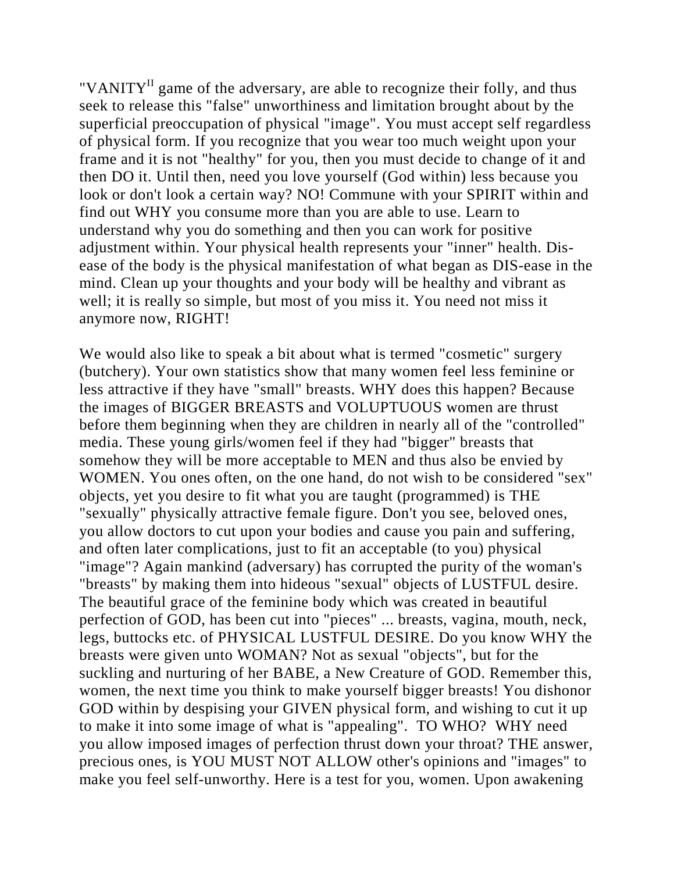"VANITY<sup>II</sup> game of the adversary, are able to recognize their folly, and thus seek to release this "false" unworthiness and limitation brought about by the superficial preoccupation of physical "image". You must accept self regardless of physical form. If you recognize that you wear too much weight upon your frame and it is not "healthy" for you, then you must decide to change of it and then DO it. Until then, need you love yourself (God within) less because you look or don't look a certain way? NO! Commune with your SPIRIT within and find out WHY you consume more than you are able to use. Learn to understand why you do something and then you can work for positive adjustment within. Your physical health represents your "inner" health. Disease of the body is the physical manifestation of what began as DIS-ease in the mind. Clean up your thoughts and your body will be healthy and vibrant as well; it is really so simple, but most of you miss it. You need not miss it anymore now, RIGHT!

We would also like to speak a bit about what is termed "cosmetic" surgery (butchery). Your own statistics show that many women feel less feminine or less attractive if they have "small" breasts. WHY does this happen? Because the images of BIGGER BREASTS and VOLUPTUOUS women are thrust before them beginning when they are children in nearly all of the "controlled" media. These young girls/women feel if they had "bigger" breasts that somehow they will be more acceptable to MEN and thus also be envied by WOMEN. You ones often, on the one hand, do not wish to be considered "sex" objects, yet you desire to fit what you are taught (programmed) is THE "sexually" physically attractive female figure. Don't you see, beloved ones, you allow doctors to cut upon your bodies and cause you pain and suffering, and often later complications, just to fit an acceptable (to you) physical "image"? Again mankind (adversary) has corrupted the purity of the woman's "breasts" by making them into hideous "sexual" objects of LUSTFUL desire. The beautiful grace of the feminine body which was created in beautiful perfection of GOD, has been cut into "pieces" ... breasts, vagina, mouth, neck, legs, buttocks etc. of PHYSICAL LUSTFUL DESIRE. Do you know WHY the breasts were given unto WOMAN? Not as sexual "objects", but for the suckling and nurturing of her BABE, a New Creature of GOD. Remember this, women, the next time you think to make yourself bigger breasts! You dishonor GOD within by despising your GIVEN physical form, and wishing to cut it up to make it into some image of what is "appealing". TO WHO? WHY need you allow imposed images of perfection thrust down your throat? THE answer, precious ones, is YOU MUST NOT ALLOW other's opinions and "images" to make you feel self-unworthy. Here is a test for you, women. Upon awakening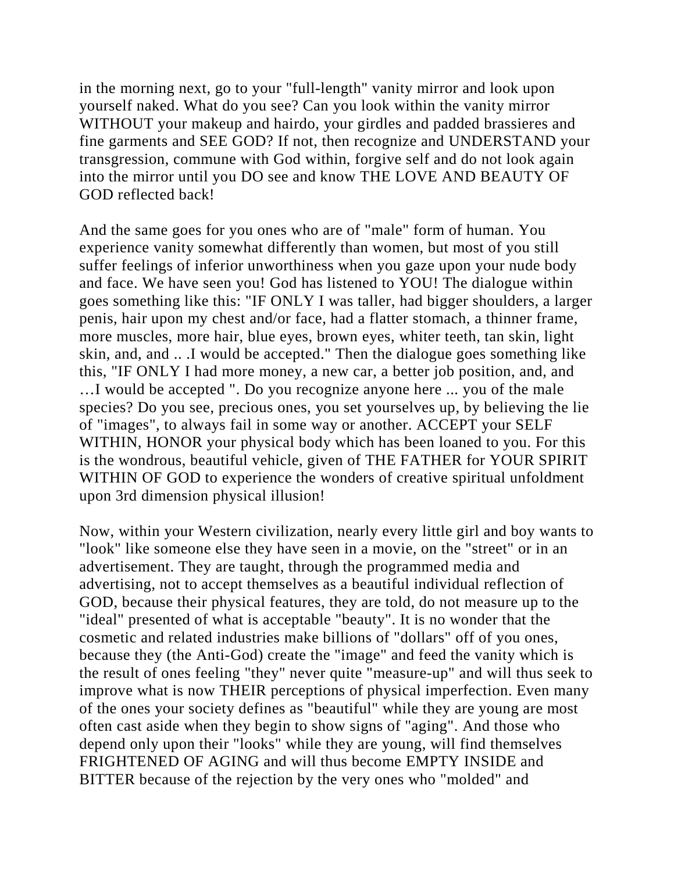in the morning next, go to your "full-length" vanity mirror and look upon yourself naked. What do you see? Can you look within the vanity mirror WITHOUT your makeup and hairdo, your girdles and padded brassieres and fine garments and SEE GOD? If not, then recognize and UNDERSTAND your transgression, commune with God within, forgive self and do not look again into the mirror until you DO see and know THE LOVE AND BEAUTY OF GOD reflected back!

And the same goes for you ones who are of "male" form of human. You experience vanity somewhat differently than women, but most of you still suffer feelings of inferior unworthiness when you gaze upon your nude body and face. We have seen you! God has listened to YOU! The dialogue within goes something like this: "IF ONLY I was taller, had bigger shoulders, a larger penis, hair upon my chest and/or face, had a flatter stomach, a thinner frame, more muscles, more hair, blue eyes, brown eyes, whiter teeth, tan skin, light skin, and, and .. .I would be accepted." Then the dialogue goes something like this, "IF ONLY I had more money, a new car, a better job position, and, and …I would be accepted ". Do you recognize anyone here ... you of the male species? Do you see, precious ones, you set yourselves up, by believing the lie of "images", to always fail in some way or another. ACCEPT your SELF WITHIN, HONOR your physical body which has been loaned to you. For this is the wondrous, beautiful vehicle, given of THE FATHER for YOUR SPIRIT WITHIN OF GOD to experience the wonders of creative spiritual unfoldment upon 3rd dimension physical illusion!

Now, within your Western civilization, nearly every little girl and boy wants to "look" like someone else they have seen in a movie, on the "street" or in an advertisement. They are taught, through the programmed media and advertising, not to accept themselves as a beautiful individual reflection of GOD, because their physical features, they are told, do not measure up to the "ideal" presented of what is acceptable "beauty". It is no wonder that the cosmetic and related industries make billions of "dollars" off of you ones, because they (the Anti-God) create the "image" and feed the vanity which is the result of ones feeling "they" never quite "measure-up" and will thus seek to improve what is now THEIR perceptions of physical imperfection. Even many of the ones your society defines as "beautiful" while they are young are most often cast aside when they begin to show signs of "aging". And those who depend only upon their "looks" while they are young, will find themselves FRIGHTENED OF AGING and will thus become EMPTY INSIDE and BITTER because of the rejection by the very ones who "molded" and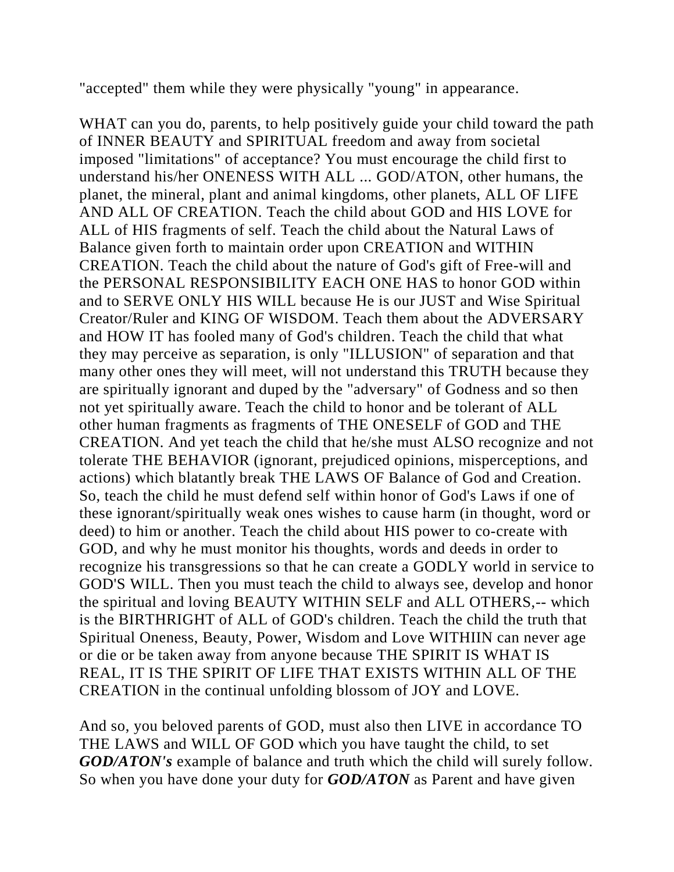"accepted" them while they were physically "young" in appearance.

WHAT can you do, parents, to help positively guide your child toward the path of INNER BEAUTY and SPIRITUAL freedom and away from societal imposed "limitations" of acceptance? You must encourage the child first to understand his/her ONENESS WITH ALL ... GOD/ATON, other humans, the planet, the mineral, plant and animal kingdoms, other planets, ALL OF LIFE AND ALL OF CREATION. Teach the child about GOD and HIS LOVE for ALL of HIS fragments of self. Teach the child about the Natural Laws of Balance given forth to maintain order upon CREATION and WITHIN CREATION. Teach the child about the nature of God's gift of Free-will and the PERSONAL RESPONSIBILITY EACH ONE HAS to honor GOD within and to SERVE ONLY HIS WILL because He is our JUST and Wise Spiritual Creator/Ruler and KING OF WISDOM. Teach them about the ADVERSARY and HOW IT has fooled many of God's children. Teach the child that what they may perceive as separation, is only "ILLUSION" of separation and that many other ones they will meet, will not understand this TRUTH because they are spiritually ignorant and duped by the "adversary" of Godness and so then not yet spiritually aware. Teach the child to honor and be tolerant of ALL other human fragments as fragments of THE ONESELF of GOD and THE CREATION. And yet teach the child that he/she must ALSO recognize and not tolerate THE BEHAVIOR (ignorant, prejudiced opinions, misperceptions, and actions) which blatantly break THE LAWS OF Balance of God and Creation. So, teach the child he must defend self within honor of God's Laws if one of these ignorant/spiritually weak ones wishes to cause harm (in thought, word or deed) to him or another. Teach the child about HIS power to co-create with GOD, and why he must monitor his thoughts, words and deeds in order to recognize his transgressions so that he can create a GODLY world in service to GOD'S WILL. Then you must teach the child to always see, develop and honor the spiritual and loving BEAUTY WITHIN SELF and ALL OTHERS,-- which is the BIRTHRIGHT of ALL of GOD's children. Teach the child the truth that Spiritual Oneness, Beauty, Power, Wisdom and Love WITHIIN can never age or die or be taken away from anyone because THE SPIRIT IS WHAT IS REAL, IT IS THE SPIRIT OF LIFE THAT EXISTS WITHIN ALL OF THE CREATION in the continual unfolding blossom of JOY and LOVE.

And so, you beloved parents of GOD, must also then LIVE in accordance TO THE LAWS and WILL OF GOD which you have taught the child, to set *GOD/ATON's* example of balance and truth which the child will surely follow. So when you have done your duty for *GOD/ATON* as Parent and have given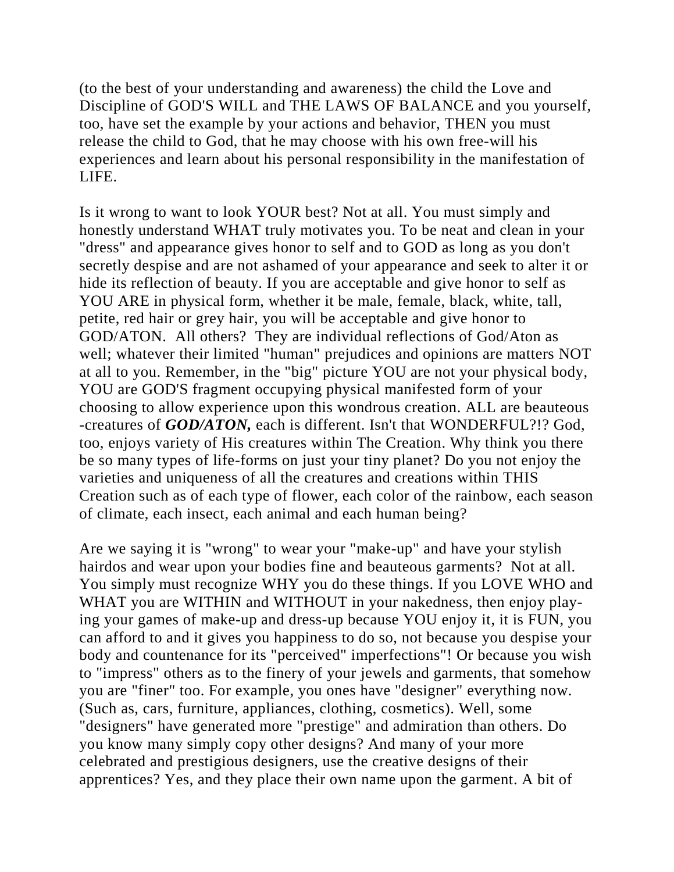(to the best of your understanding and awareness) the child the Love and Discipline of GOD'S WILL and THE LAWS OF BALANCE and you yourself, too, have set the example by your actions and behavior, THEN you must release the child to God, that he may choose with his own free-will his experiences and learn about his personal responsibility in the manifestation of LIFE.

Is it wrong to want to look YOUR best? Not at all. You must simply and honestly understand WHAT truly motivates you. To be neat and clean in your "dress" and appearance gives honor to self and to GOD as long as you don't secretly despise and are not ashamed of your appearance and seek to alter it or hide its reflection of beauty. If you are acceptable and give honor to self as YOU ARE in physical form, whether it be male, female, black, white, tall, petite, red hair or grey hair, you will be acceptable and give honor to GOD/ATON. All others? They are individual reflections of God/Aton as well; whatever their limited "human" prejudices and opinions are matters NOT at all to you. Remember, in the "big" picture YOU are not your physical body, YOU are GOD'S fragment occupying physical manifested form of your choosing to allow experience upon this wondrous creation. ALL are beauteous -creatures of *GOD/ATON,* each is different. Isn't that WONDERFUL?!? God, too, enjoys variety of His creatures within The Creation. Why think you there be so many types of life-forms on just your tiny planet? Do you not enjoy the varieties and uniqueness of all the creatures and creations within THIS Creation such as of each type of flower, each color of the rainbow, each season of climate, each insect, each animal and each human being?

Are we saying it is "wrong" to wear your "make-up" and have your stylish hairdos and wear upon your bodies fine and beauteous garments? Not at all. You simply must recognize WHY you do these things. If you LOVE WHO and WHAT you are WITHIN and WITHOUT in your nakedness, then enjoy playing your games of make-up and dress-up because YOU enjoy it, it is FUN, you can afford to and it gives you happiness to do so, not because you despise your body and countenance for its "perceived" imperfections"! Or because you wish to "impress" others as to the finery of your jewels and garments, that somehow you are "finer" too. For example, you ones have "designer" everything now. (Such as, cars, furniture, appliances, clothing, cosmetics). Well, some "designers" have generated more "prestige" and admiration than others. Do you know many simply copy other designs? And many of your more celebrated and prestigious designers, use the creative designs of their apprentices? Yes, and they place their own name upon the garment. A bit of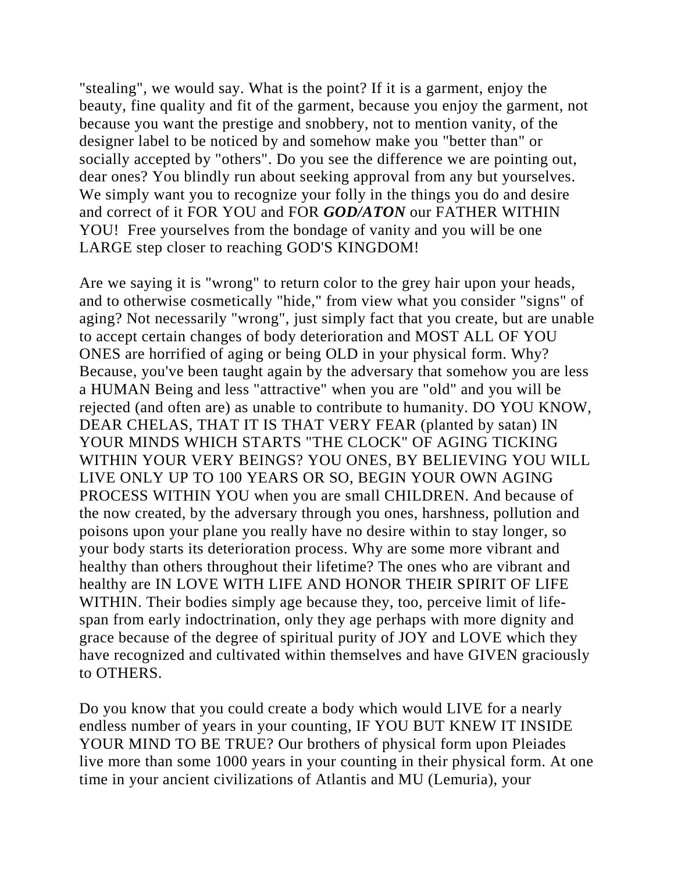"stealing", we would say. What is the point? If it is a garment, enjoy the beauty, fine quality and fit of the garment, because you enjoy the garment, not because you want the prestige and snobbery, not to mention vanity, of the designer label to be noticed by and somehow make you "better than" or socially accepted by "others". Do you see the difference we are pointing out, dear ones? You blindly run about seeking approval from any but yourselves. We simply want you to recognize your folly in the things you do and desire and correct of it FOR YOU and FOR *GOD/ATON* our FATHER WITHIN YOU! Free yourselves from the bondage of vanity and you will be one LARGE step closer to reaching GOD'S KINGDOM!

Are we saying it is "wrong" to return color to the grey hair upon your heads, and to otherwise cosmetically "hide," from view what you consider "signs" of aging? Not necessarily "wrong", just simply fact that you create, but are unable to accept certain changes of body deterioration and MOST ALL OF YOU ONES are horrified of aging or being OLD in your physical form. Why? Because, you've been taught again by the adversary that somehow you are less a HUMAN Being and less "attractive" when you are "old" and you will be rejected (and often are) as unable to contribute to humanity. DO YOU KNOW, DEAR CHELAS, THAT IT IS THAT VERY FEAR (planted by satan) IN YOUR MINDS WHICH STARTS "THE CLOCK" OF AGING TICKING WITHIN YOUR VERY BEINGS? YOU ONES, BY BELIEVING YOU WILL LIVE ONLY UP TO 100 YEARS OR SO, BEGIN YOUR OWN AGING PROCESS WITHIN YOU when you are small CHILDREN. And because of the now created, by the adversary through you ones, harshness, pollution and poisons upon your plane you really have no desire within to stay longer, so your body starts its deterioration process. Why are some more vibrant and healthy than others throughout their lifetime? The ones who are vibrant and healthy are IN LOVE WITH LIFE AND HONOR THEIR SPIRIT OF LIFE WITHIN. Their bodies simply age because they, too, perceive limit of lifespan from early indoctrination, only they age perhaps with more dignity and grace because of the degree of spiritual purity of JOY and LOVE which they have recognized and cultivated within themselves and have GIVEN graciously to OTHERS.

Do you know that you could create a body which would LIVE for a nearly endless number of years in your counting, IF YOU BUT KNEW IT INSIDE YOUR MIND TO BE TRUE? Our brothers of physical form upon Pleiades live more than some 1000 years in your counting in their physical form. At one time in your ancient civilizations of Atlantis and MU (Lemuria), your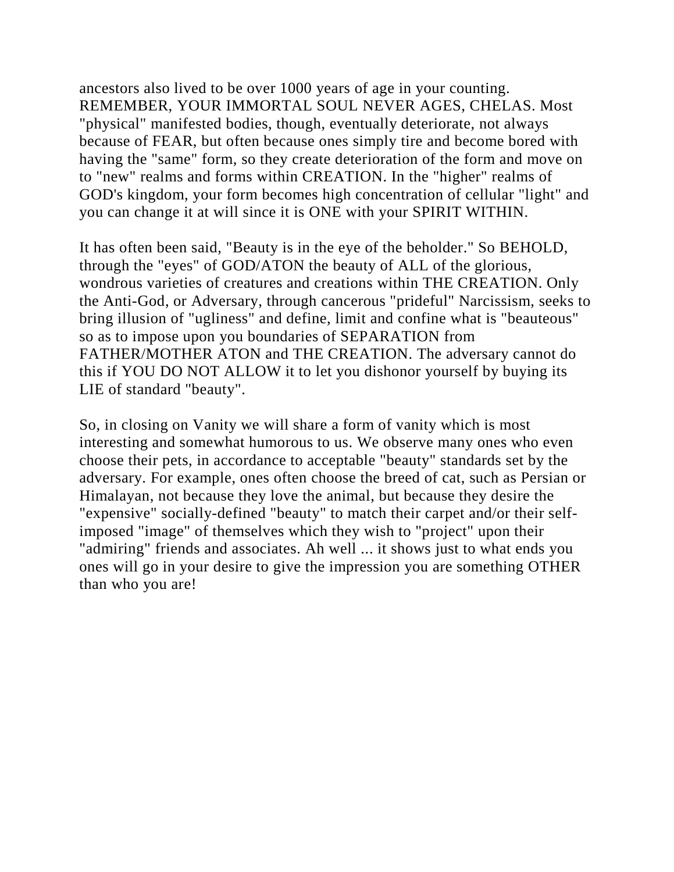ancestors also lived to be over 1000 years of age in your counting. REMEMBER, YOUR IMMORTAL SOUL NEVER AGES, CHELAS. Most "physical" manifested bodies, though, eventually deteriorate, not always because of FEAR, but often because ones simply tire and become bored with having the "same" form, so they create deterioration of the form and move on to "new" realms and forms within CREATION. In the "higher" realms of GOD's kingdom, your form becomes high concentration of cellular "light" and you can change it at will since it is ONE with your SPIRIT WITHIN.

It has often been said, "Beauty is in the eye of the beholder." So BEHOLD, through the "eyes" of GOD/ATON the beauty of ALL of the glorious, wondrous varieties of creatures and creations within THE CREATION. Only the Anti-God, or Adversary, through cancerous "prideful" Narcissism, seeks to bring illusion of "ugliness" and define, limit and confine what is "beauteous" so as to impose upon you boundaries of SEPARATION from FATHER/MOTHER ATON and THE CREATION. The adversary cannot do this if YOU DO NOT ALLOW it to let you dishonor yourself by buying its LIE of standard "beauty".

So, in closing on Vanity we will share a form of vanity which is most interesting and somewhat humorous to us. We observe many ones who even choose their pets, in accordance to acceptable "beauty" standards set by the adversary. For example, ones often choose the breed of cat, such as Persian or Himalayan, not because they love the animal, but because they desire the "expensive" socially-defined "beauty" to match their carpet and/or their selfimposed "image" of themselves which they wish to "project" upon their "admiring" friends and associates. Ah well ... it shows just to what ends you ones will go in your desire to give the impression you are something OTHER than who you are!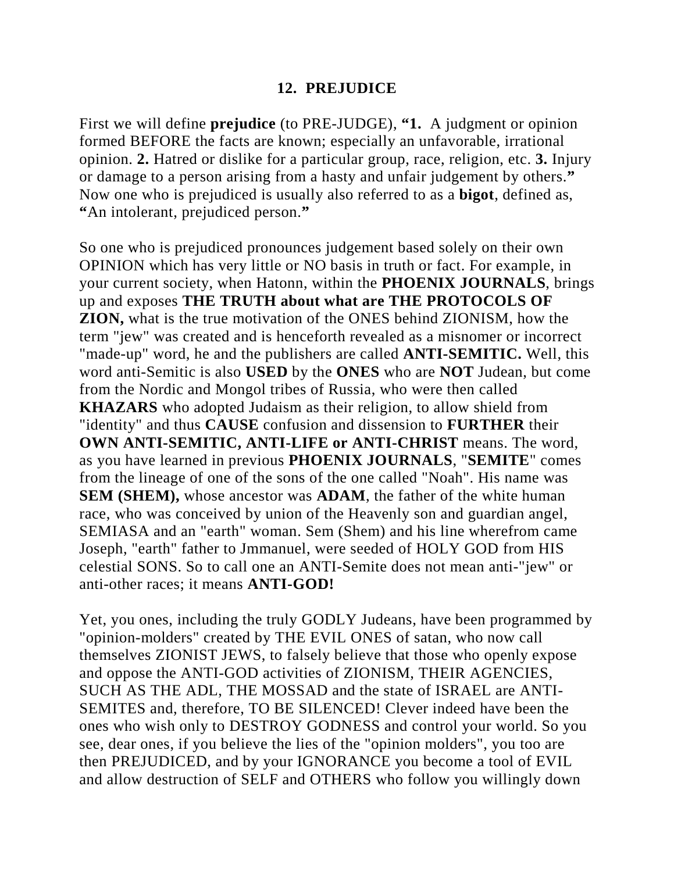#### **12. PREJUDICE**

First we will define **prejudice** (to PRE-JUDGE), **"1.** A judgment or opinion formed BEFORE the facts are known; especially an unfavorable, irrational opinion. **2.** Hatred or dislike for a particular group, race, religion, etc. **3.** Injury or damage to a person arising from a hasty and unfair judgement by others.**"** Now one who is prejudiced is usually also referred to as a **bigot**, defined as, **"**An intolerant, prejudiced person.**"**

So one who is prejudiced pronounces judgement based solely on their own OPINION which has very little or NO basis in truth or fact. For example, in your current society, when Hatonn, within the **PHOENIX JOURNALS**, brings up and exposes **THE TRUTH about what are THE PROTOCOLS OF ZION,** what is the true motivation of the ONES behind ZIONISM, how the term "jew" was created and is henceforth revealed as a misnomer or incorrect "made-up" word, he and the publishers are called **ANTI-SEMITIC.** Well, this word anti-Semitic is also **USED** by the **ONES** who are **NOT** Judean, but come from the Nordic and Mongol tribes of Russia, who were then called **KHAZARS** who adopted Judaism as their religion, to allow shield from "identity" and thus **CAUSE** confusion and dissension to **FURTHER** their **OWN ANTI-SEMITIC, ANTI-LIFE or ANTI-CHRIST** means. The word, as you have learned in previous **PHOENIX JOURNALS**, "**SEMITE**" comes from the lineage of one of the sons of the one called "Noah". His name was **SEM (SHEM),** whose ancestor was **ADAM**, the father of the white human race, who was conceived by union of the Heavenly son and guardian angel, SEMIASA and an "earth" woman. Sem (Shem) and his line wherefrom came Joseph, "earth" father to Jmmanuel, were seeded of HOLY GOD from HIS celestial SONS. So to call one an ANTI-Semite does not mean anti-"jew" or anti-other races; it means **ANTI-GOD!**

Yet, you ones, including the truly GODLY Judeans, have been programmed by "opinion-molders" created by THE EVIL ONES of satan, who now call themselves ZIONIST JEWS, to falsely believe that those who openly expose and oppose the ANTI-GOD activities of ZIONISM, THEIR AGENCIES, SUCH AS THE ADL, THE MOSSAD and the state of ISRAEL are ANTI-SEMITES and, therefore, TO BE SILENCED! Clever indeed have been the ones who wish only to DESTROY GODNESS and control your world. So you see, dear ones, if you believe the lies of the "opinion molders", you too are then PREJUDICED, and by your IGNORANCE you become a tool of EVIL and allow destruction of SELF and OTHERS who follow you willingly down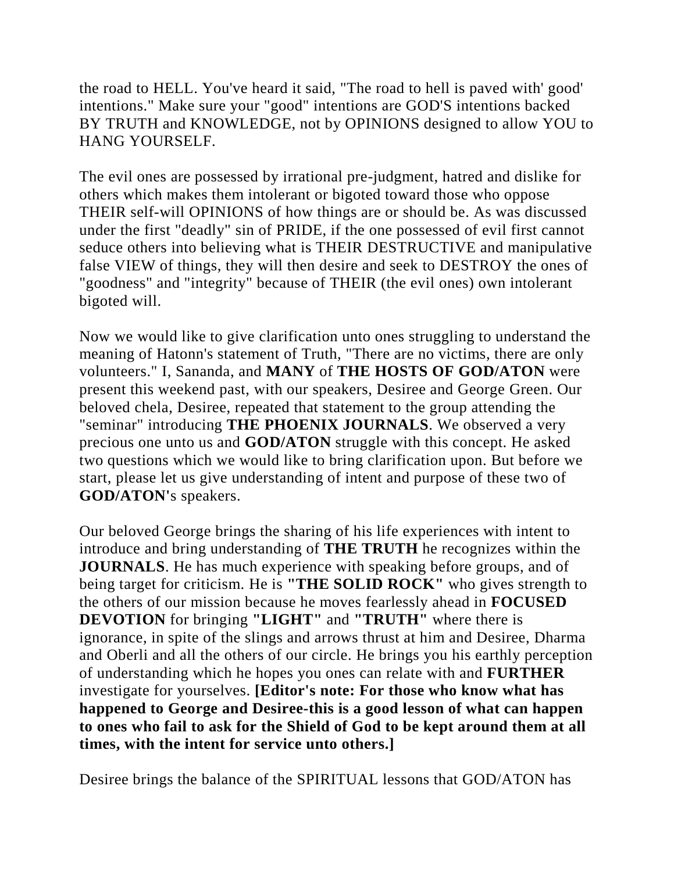the road to HELL. You've heard it said, "The road to hell is paved with' good' intentions." Make sure your "good" intentions are GOD'S intentions backed BY TRUTH and KNOWLEDGE, not by OPINIONS designed to allow YOU to HANG YOURSELF.

The evil ones are possessed by irrational pre-judgment, hatred and dislike for others which makes them intolerant or bigoted toward those who oppose THEIR self-will OPINIONS of how things are or should be. As was discussed under the first "deadly" sin of PRIDE, if the one possessed of evil first cannot seduce others into believing what is THEIR DESTRUCTIVE and manipulative false VIEW of things, they will then desire and seek to DESTROY the ones of "goodness" and "integrity" because of THEIR (the evil ones) own intolerant bigoted will.

Now we would like to give clarification unto ones struggling to understand the meaning of Hatonn's statement of Truth, "There are no victims, there are only volunteers." I, Sananda, and **MANY** of **THE HOSTS OF GOD/ATON** were present this weekend past, with our speakers, Desiree and George Green. Our beloved chela, Desiree, repeated that statement to the group attending the "seminar" introducing **THE PHOENIX JOURNALS**. We observed a very precious one unto us and **GOD/ATON** struggle with this concept. He asked two questions which we would like to bring clarification upon. But before we start, please let us give understanding of intent and purpose of these two of **GOD/ATON'**s speakers.

Our beloved George brings the sharing of his life experiences with intent to introduce and bring understanding of **THE TRUTH** he recognizes within the **JOURNALS**. He has much experience with speaking before groups, and of being target for criticism. He is **"THE SOLID ROCK"** who gives strength to the others of our mission because he moves fearlessly ahead in **FOCUSED DEVOTION** for bringing **"LIGHT"** and **"TRUTH"** where there is ignorance, in spite of the slings and arrows thrust at him and Desiree, Dharma and Oberli and all the others of our circle. He brings you his earthly perception of understanding which he hopes you ones can relate with and **FURTHER** investigate for yourselves. **[Editor's note: For those who know what has happened to George and Desiree-this is a good lesson of what can happen to ones who fail to ask for the Shield of God to be kept around them at all times, with the intent for service unto others.]** 

Desiree brings the balance of the SPIRITUAL lessons that GOD/ATON has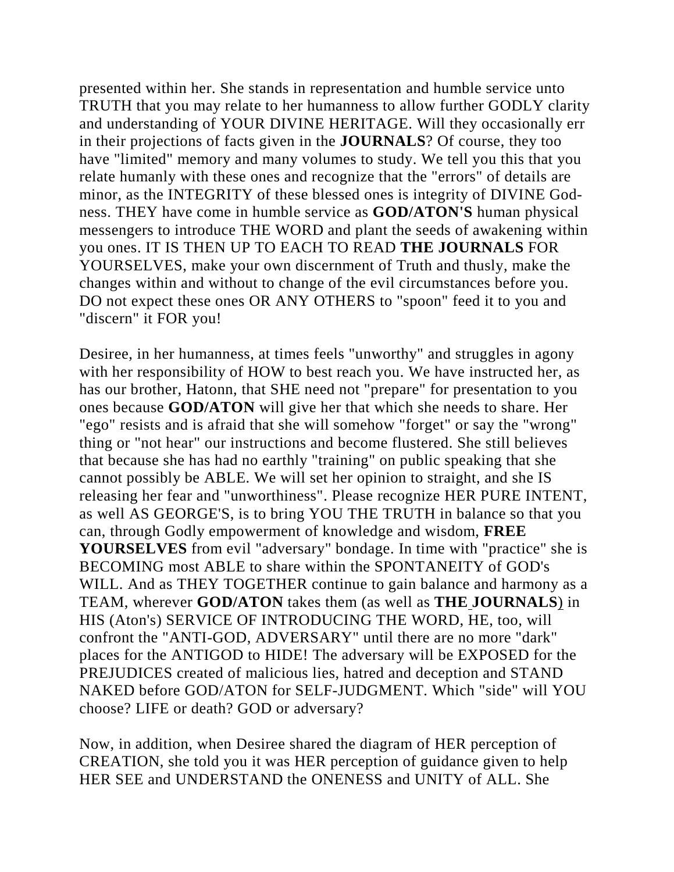presented within her. She stands in representation and humble service unto TRUTH that you may relate to her humanness to allow further GODLY clarity and understanding of YOUR DIVINE HERITAGE. Will they occasionally err in their projections of facts given in the **JOURNALS**? Of course, they too have "limited" memory and many volumes to study. We tell you this that you relate humanly with these ones and recognize that the "errors" of details are minor, as the INTEGRITY of these blessed ones is integrity of DIVINE Godness. THEY have come in humble service as **GOD/ATON'S** human physical messengers to introduce THE WORD and plant the seeds of awakening within you ones. IT IS THEN UP TO EACH TO READ **THE JOURNALS** FOR YOURSELVES, make your own discernment of Truth and thusly, make the changes within and without to change of the evil circumstances before you. DO not expect these ones OR ANY OTHERS to "spoon" feed it to you and "discern" it FOR you!

Desiree, in her humanness, at times feels "unworthy" and struggles in agony with her responsibility of HOW to best reach you. We have instructed her, as has our brother, Hatonn, that SHE need not "prepare" for presentation to you ones because **GOD/ATON** will give her that which she needs to share. Her "ego" resists and is afraid that she will somehow "forget" or say the "wrong" thing or "not hear" our instructions and become flustered. She still believes that because she has had no earthly "training" on public speaking that she cannot possibly be ABLE. We will set her opinion to straight, and she IS releasing her fear and "unworthiness". Please recognize HER PURE INTENT, as well AS GEORGE'S, is to bring YOU THE TRUTH in balance so that you can, through Godly empowerment of knowledge and wisdom, **FREE YOURSELVES** from evil "adversary" bondage. In time with "practice" she is BECOMING most ABLE to share within the SPONTANEITY of GOD's WILL. And as THEY TOGETHER continue to gain balance and harmony as a TEAM, wherever **GOD/ATON** takes them (as well as **THE JOURNALS**) in HIS (Aton's) SERVICE OF INTRODUCING THE WORD, HE, too, will confront the "ANTI-GOD, ADVERSARY" until there are no more "dark" places for the ANTIGOD to HIDE! The adversary will be EXPOSED for the PREJUDICES created of malicious lies, hatred and deception and STAND NAKED before GOD/ATON for SELF-JUDGMENT. Which "side" will YOU choose? LIFE or death? GOD or adversary?

Now, in addition, when Desiree shared the diagram of HER perception of CREATION, she told you it was HER perception of guidance given to help HER SEE and UNDERSTAND the ONENESS and UNITY of ALL. She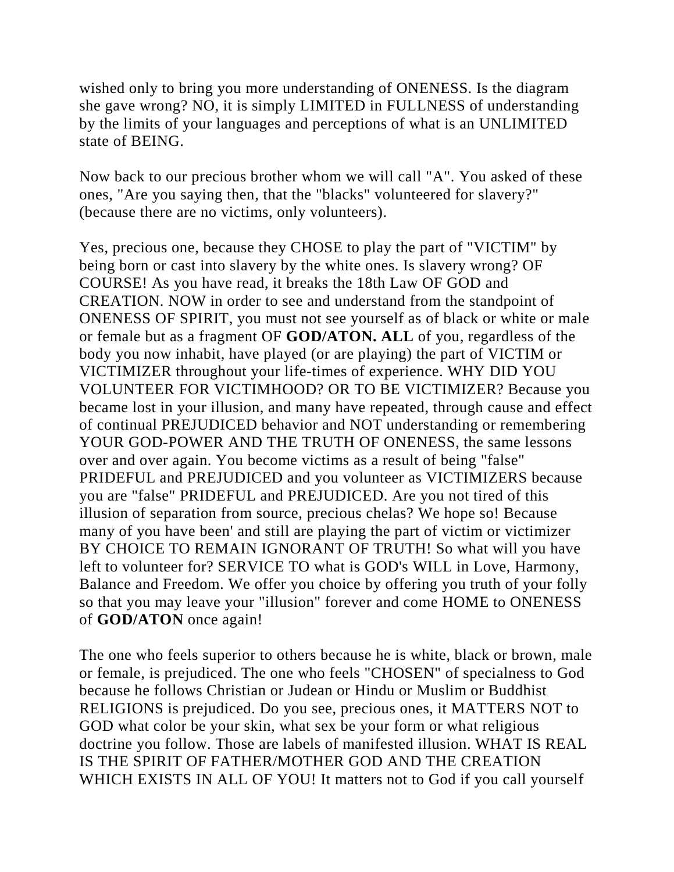wished only to bring you more understanding of ONENESS. Is the diagram she gave wrong? NO, it is simply LIMITED in FULLNESS of understanding by the limits of your languages and perceptions of what is an UNLIMITED state of BEING.

Now back to our precious brother whom we will call "A". You asked of these ones, "Are you saying then, that the "blacks" volunteered for slavery?" (because there are no victims, only volunteers).

Yes, precious one, because they CHOSE to play the part of "VICTIM" by being born or cast into slavery by the white ones. Is slavery wrong? OF COURSE! As you have read, it breaks the 18th Law OF GOD and CREATION. NOW in order to see and understand from the standpoint of ONENESS OF SPIRIT, you must not see yourself as of black or white or male or female but as a fragment OF **GOD/ATON. ALL** of you, regardless of the body you now inhabit, have played (or are playing) the part of VICTIM or VICTIMIZER throughout your life-times of experience. WHY DID YOU VOLUNTEER FOR VICTIMHOOD? OR TO BE VICTIMIZER? Because you became lost in your illusion, and many have repeated, through cause and effect of continual PREJUDICED behavior and NOT understanding or remembering YOUR GOD-POWER AND THE TRUTH OF ONENESS, the same lessons over and over again. You become victims as a result of being "false" PRIDEFUL and PREJUDICED and you volunteer as VICTIMIZERS because you are "false" PRIDEFUL and PREJUDICED. Are you not tired of this illusion of separation from source, precious chelas? We hope so! Because many of you have been' and still are playing the part of victim or victimizer BY CHOICE TO REMAIN IGNORANT OF TRUTH! So what will you have left to volunteer for? SERVICE TO what is GOD's WILL in Love, Harmony, Balance and Freedom. We offer you choice by offering you truth of your folly so that you may leave your "illusion" forever and come HOME to ONENESS of **GOD/ATON** once again!

The one who feels superior to others because he is white, black or brown, male or female, is prejudiced. The one who feels "CHOSEN" of specialness to God because he follows Christian or Judean or Hindu or Muslim or Buddhist RELIGIONS is prejudiced. Do you see, precious ones, it MATTERS NOT to GOD what color be your skin, what sex be your form or what religious doctrine you follow. Those are labels of manifested illusion. WHAT IS REAL IS THE SPIRIT OF FATHER/MOTHER GOD AND THE CREATION WHICH EXISTS IN ALL OF YOU! It matters not to God if you call yourself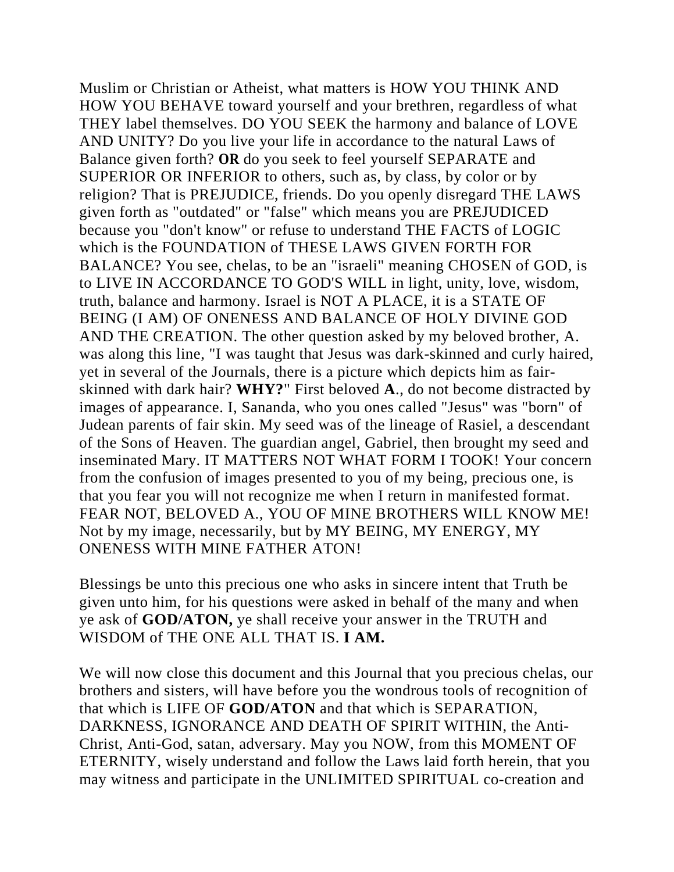Muslim or Christian or Atheist, what matters is HOW YOU THINK AND HOW YOU BEHAVE toward yourself and your brethren, regardless of what THEY label themselves. DO YOU SEEK the harmony and balance of LOVE AND UNITY? Do you live your life in accordance to the natural Laws of Balance given forth? **OR** do you seek to feel yourself SEPARATE and SUPERIOR OR INFERIOR to others, such as, by class, by color or by religion? That is PREJUDICE, friends. Do you openly disregard THE LAWS given forth as "outdated" or "false" which means you are PREJUDICED because you "don't know" or refuse to understand THE FACTS of LOGIC which is the FOUNDATION of THESE LAWS GIVEN FORTH FOR BALANCE? You see, chelas, to be an "israeli" meaning CHOSEN of GOD, is to LIVE IN ACCORDANCE TO GOD'S WILL in light, unity, love, wisdom, truth, balance and harmony. Israel is NOT A PLACE, it is a STATE OF BEING (I AM) OF ONENESS AND BALANCE OF HOLY DIVINE GOD AND THE CREATION. The other question asked by my beloved brother, A. was along this line, "I was taught that Jesus was dark-skinned and curly haired, yet in several of the Journals, there is a picture which depicts him as fairskinned with dark hair? **WHY?**" First beloved **A**., do not become distracted by images of appearance. I, Sananda, who you ones called "Jesus" was "born" of Judean parents of fair skin. My seed was of the lineage of Rasiel, a descendant of the Sons of Heaven. The guardian angel, Gabriel, then brought my seed and inseminated Mary. IT MATTERS NOT WHAT FORM I TOOK! Your concern from the confusion of images presented to you of my being, precious one, is that you fear you will not recognize me when I return in manifested format. FEAR NOT, BELOVED A., YOU OF MINE BROTHERS WILL KNOW ME! Not by my image, necessarily, but by MY BEING, MY ENERGY, MY ONENESS WITH MINE FATHER ATON!

Blessings be unto this precious one who asks in sincere intent that Truth be given unto him, for his questions were asked in behalf of the many and when ye ask of **GOD/ATON,** ye shall receive your answer in the TRUTH and WISDOM of THE ONE ALL THAT IS. **I AM.**

We will now close this document and this Journal that you precious chelas, our brothers and sisters, will have before you the wondrous tools of recognition of that which is LIFE OF **GOD/ATON** and that which is SEPARATION, DARKNESS, IGNORANCE AND DEATH OF SPIRIT WITHIN, the Anti-Christ, Anti-God, satan, adversary. May you NOW, from this MOMENT OF ETERNITY, wisely understand and follow the Laws laid forth herein, that you may witness and participate in the UNLIMITED SPIRITUAL co-creation and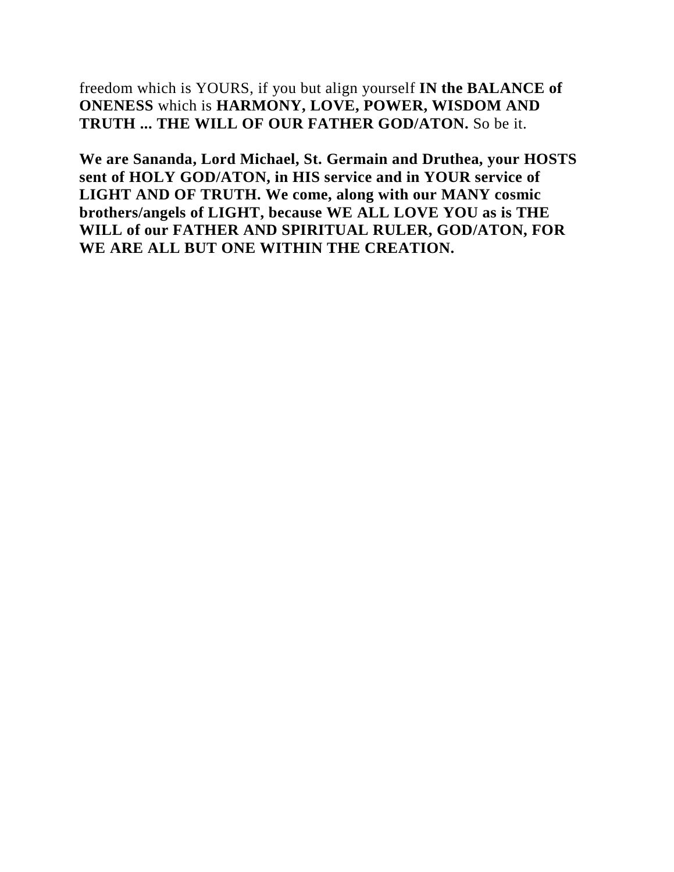freedom which is YOURS, if you but align yourself **IN the BALANCE of ONENESS** which is **HARMONY, LOVE, POWER, WISDOM AND TRUTH ... THE WILL OF OUR FATHER GOD/ATON.** So be it.

**We are Sananda, Lord Michael, St. Germain and Druthea, your HOSTS sent of HOLY GOD/ATON, in HIS service and in YOUR service of LIGHT AND OF TRUTH. We come, along with our MANY cosmic brothers/angels of LIGHT, because WE ALL LOVE YOU as is THE WILL of our FATHER AND SPIRITUAL RULER, GOD/ATON, FOR WE ARE ALL BUT ONE WITHIN THE CREATION.**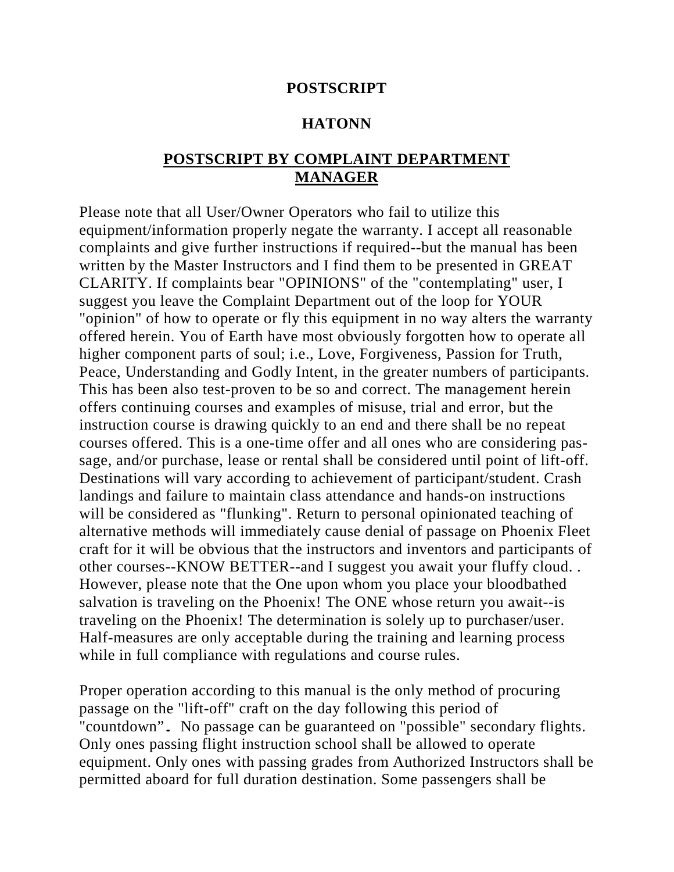#### **POSTSCRIPT**

#### **HATONN**

## **POSTSCRIPT BY COMPLAINT DEPARTMENT MANAGER**

Please note that all User/Owner Operators who fail to utilize this equipment/information properly negate the warranty. I accept all reasonable complaints and give further instructions if required--but the manual has been written by the Master Instructors and I find them to be presented in GREAT CLARITY. If complaints bear "OPINIONS" of the "contemplating" user, I suggest you leave the Complaint Department out of the loop for YOUR "opinion" of how to operate or fly this equipment in no way alters the warranty offered herein. You of Earth have most obviously forgotten how to operate all higher component parts of soul; i.e., Love, Forgiveness, Passion for Truth, Peace, Understanding and Godly Intent, in the greater numbers of participants. This has been also test-proven to be so and correct. The management herein offers continuing courses and examples of misuse, trial and error, but the instruction course is drawing quickly to an end and there shall be no repeat courses offered. This is a one-time offer and all ones who are considering passage, and/or purchase, lease or rental shall be considered until point of lift-off. Destinations will vary according to achievement of participant/student. Crash landings and failure to maintain class attendance and hands-on instructions will be considered as "flunking". Return to personal opinionated teaching of alternative methods will immediately cause denial of passage on Phoenix Fleet craft for it will be obvious that the instructors and inventors and participants of other courses--KNOW BETTER--and I suggest you await your fluffy cloud. . However, please note that the One upon whom you place your bloodbathed salvation is traveling on the Phoenix! The ONE whose return you await--is traveling on the Phoenix! The determination is solely up to purchaser/user. Half-measures are only acceptable during the training and learning process while in full compliance with regulations and course rules.

Proper operation according to this manual is the only method of procuring passage on the "lift-off" craft on the day following this period of "countdown". No passage can be guaranteed on "possible" secondary flights. Only ones passing flight instruction school shall be allowed to operate equipment. Only ones with passing grades from Authorized Instructors shall be permitted aboard for full duration destination. Some passengers shall be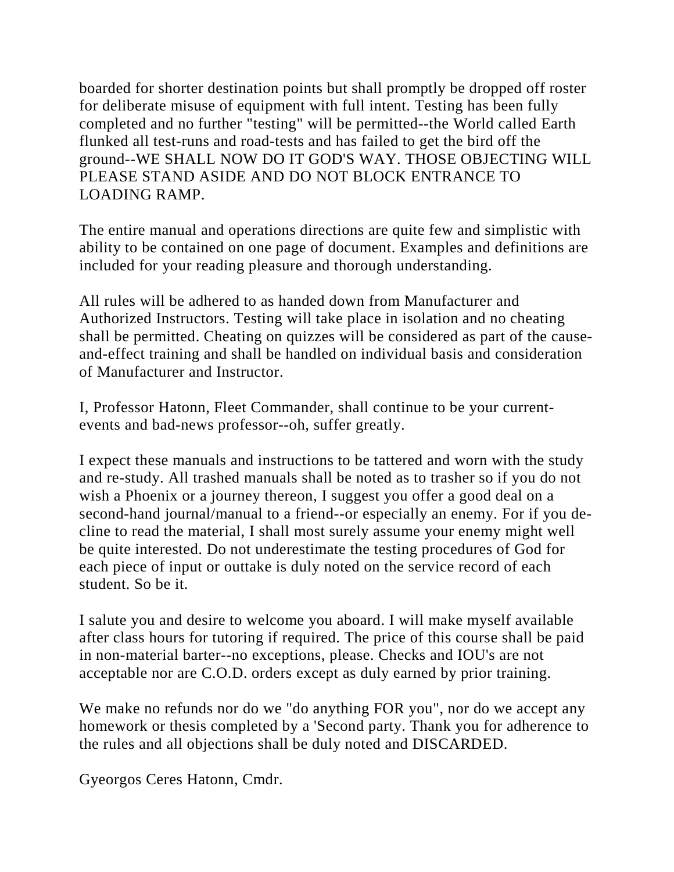boarded for shorter destination points but shall promptly be dropped off roster for deliberate misuse of equipment with full intent. Testing has been fully completed and no further "testing" will be permitted--the World called Earth flunked all test-runs and road-tests and has failed to get the bird off the ground--WE SHALL NOW DO IT GOD'S WAY. THOSE OBJECTING WILL PLEASE STAND ASIDE AND DO NOT BLOCK ENTRANCE TO LOADING RAMP.

The entire manual and operations directions are quite few and simplistic with ability to be contained on one page of document. Examples and definitions are included for your reading pleasure and thorough understanding.

All rules will be adhered to as handed down from Manufacturer and Authorized Instructors. Testing will take place in isolation and no cheating shall be permitted. Cheating on quizzes will be considered as part of the causeand-effect training and shall be handled on individual basis and consideration of Manufacturer and Instructor.

I, Professor Hatonn, Fleet Commander, shall continue to be your currentevents and bad-news professor--oh, suffer greatly.

I expect these manuals and instructions to be tattered and worn with the study and re-study. All trashed manuals shall be noted as to trasher so if you do not wish a Phoenix or a journey thereon, I suggest you offer a good deal on a second-hand journal/manual to a friend--or especially an enemy. For if you decline to read the material, I shall most surely assume your enemy might well be quite interested. Do not underestimate the testing procedures of God for each piece of input or outtake is duly noted on the service record of each student. So be it.

I salute you and desire to welcome you aboard. I will make myself available after class hours for tutoring if required. The price of this course shall be paid in non-material barter--no exceptions, please. Checks and IOU's are not acceptable nor are C.O.D. orders except as duly earned by prior training.

We make no refunds nor do we "do anything FOR you", nor do we accept any homework or thesis completed by a 'Second party. Thank you for adherence to the rules and all objections shall be duly noted and DISCARDED.

Gyeorgos Ceres Hatonn, Cmdr.